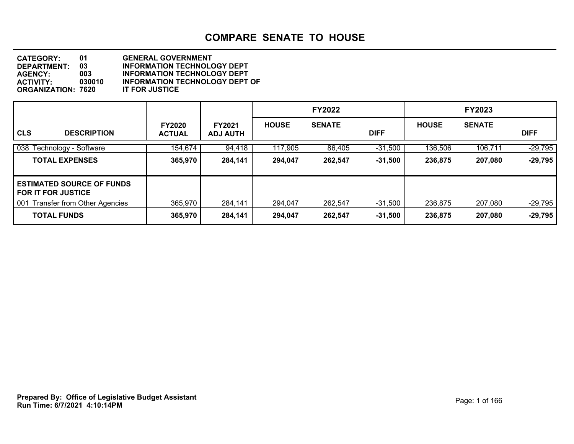| <b>CATEGORY:</b>          | 01     | <b>GENERAL GOVERNMENT</b>             |
|---------------------------|--------|---------------------------------------|
| DEPARTMENT:               | 03     | <b>INFORMATION TECHNOLOGY DEPT</b>    |
| <b>AGENCY:</b>            | 003.   | <b>INFORMATION TECHNOLOGY DEPT</b>    |
| <b>ACTIVITY:</b>          | 030010 | <b>INFORMATION TECHNOLOGY DEPT OF</b> |
| <b>ORGANIZATION: 7620</b> |        | <b>IT FOR JUSTICE</b>                 |

|                                                               |                                |                                  |              | <b>FY2022</b> |             | <b>FY2023</b> |               |             |  |
|---------------------------------------------------------------|--------------------------------|----------------------------------|--------------|---------------|-------------|---------------|---------------|-------------|--|
| <b>CLS</b><br><b>DESCRIPTION</b>                              | <b>FY2020</b><br><b>ACTUAL</b> | <b>FY2021</b><br><b>ADJ AUTH</b> | <b>HOUSE</b> | <b>SENATE</b> | <b>DIFF</b> | <b>HOUSE</b>  | <b>SENATE</b> | <b>DIFF</b> |  |
| 038 Technology - Software                                     | 154,674                        | 94,418                           | 117,905      | 86,405        | $-31,500$   | 136,506       | 106,711       | $-29,795$   |  |
| <b>TOTAL EXPENSES</b>                                         | 365,970                        | 284,141                          | 294,047      | 262,547       | $-31,500$   | 236,875       | 207,080       | $-29,795$   |  |
| <b>ESTIMATED SOURCE OF FUNDS</b><br><b>FOR IT FOR JUSTICE</b> |                                |                                  |              |               |             |               |               |             |  |
| <b>Transfer from Other Agencies</b><br>001                    | 365,970                        | 284,141                          | 294,047      | 262,547       | $-31,500$   | 236,875       | 207,080       | $-29,795$   |  |
| <b>TOTAL FUNDS</b>                                            | 365,970                        | 284,141                          | 294,047      | 262,547       | $-31,500$   | 236,875       | 207,080       | $-29,795$   |  |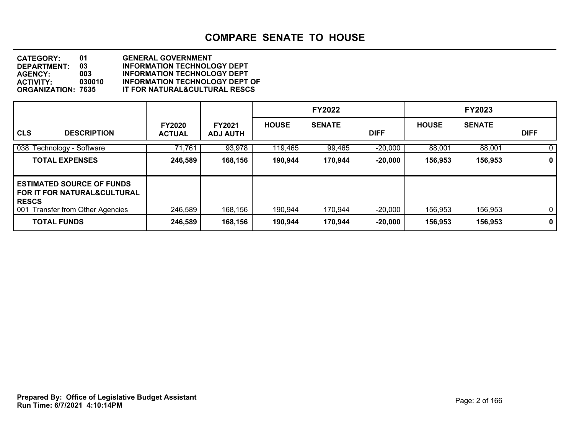| <b>CATEGORY:</b>          | 01     | <b>GENERAL GOVERNMENT</b>                |
|---------------------------|--------|------------------------------------------|
| DEPARTMENT:               | 03     | <b>INFORMATION TECHNOLOGY DEPT</b>       |
| <b>AGENCY:</b>            | 003    | <b>INFORMATION TECHNOLOGY DEPT</b>       |
| <b>ACTIVITY</b>           | 030010 | <b>INFORMATION TECHNOLOGY DEPT OF</b>    |
| <b>ORGANIZATION: 7635</b> |        | <b>IT FOR NATURAL&amp;CULTURAL RESCS</b> |

|                                                                                                                                |                                |                           |              | <b>FY2022</b> |             |              | <b>FY2023</b> |             |
|--------------------------------------------------------------------------------------------------------------------------------|--------------------------------|---------------------------|--------------|---------------|-------------|--------------|---------------|-------------|
| <b>CLS</b><br><b>DESCRIPTION</b>                                                                                               | <b>FY2020</b><br><b>ACTUAL</b> | FY2021<br><b>ADJ AUTH</b> | <b>HOUSE</b> | <b>SENATE</b> | <b>DIFF</b> | <b>HOUSE</b> | <b>SENATE</b> | <b>DIFF</b> |
| 038 Technology - Software                                                                                                      | 71,761                         | 93,978                    | 119,465      | 99,465        | $-20,000$   | 88,001       | 88,001        | 0           |
| <b>TOTAL EXPENSES</b>                                                                                                          | 246,589                        | 168,156                   | 190,944      | 170,944       | $-20,000$   | 156,953      | 156,953       | $\mathbf 0$ |
| <b>ESTIMATED SOURCE OF FUNDS</b><br><b>FOR IT FOR NATURAL&amp;CULTURAL</b><br><b>RESCS</b><br>001 Transfer from Other Agencies | 246,589                        | 168,156                   | 190,944      | 170,944       | $-20,000$   | 156,953      | 156,953       | $\mathbf 0$ |
| <b>TOTAL FUNDS</b>                                                                                                             | 246,589                        | 168,156                   | 190,944      | 170,944       | $-20,000$   | 156,953      | 156,953       | $\mathbf 0$ |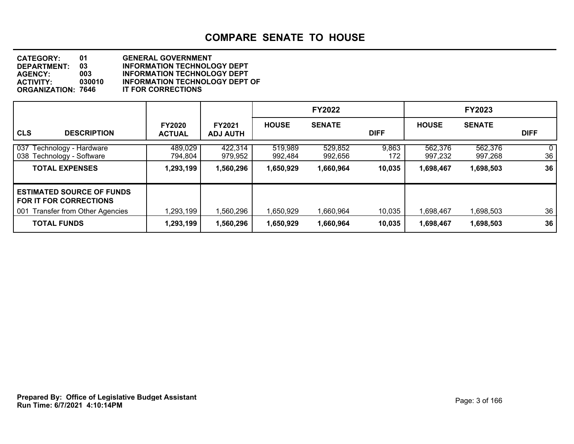| <b>CATEGORY:</b>          | 01     | <b>GENERAL GOVERNMENT</b>             |
|---------------------------|--------|---------------------------------------|
| DEPARTMENT:               | 03     | <b>INFORMATION TECHNOLOGY DEPT</b>    |
| <b>AGENCY:</b>            | 003    | <b>INFORMATION TECHNOLOGY DEPT</b>    |
| <b>ACTIVITY:</b>          | 030010 | <b>INFORMATION TECHNOLOGY DEPT OF</b> |
| <b>ORGANIZATION: 7646</b> |        | <b>IT FOR CORRECTIONS</b>             |

|                                                                                                                 |                                |                                  |                    | <b>FY2022</b>      |              |                    | <b>FY2023</b>      |             |
|-----------------------------------------------------------------------------------------------------------------|--------------------------------|----------------------------------|--------------------|--------------------|--------------|--------------------|--------------------|-------------|
| <b>CLS</b><br><b>DESCRIPTION</b>                                                                                | <b>FY2020</b><br><b>ACTUAL</b> | <b>FY2021</b><br><b>ADJ AUTH</b> | <b>HOUSE</b>       | <b>SENATE</b>      | <b>DIFF</b>  | <b>HOUSE</b>       | <b>SENATE</b>      | <b>DIFF</b> |
| 037<br>Technology - Hardware<br>038<br>Technology - Software                                                    | 489,029<br>794,804             | 422,314<br>979,952               | 519,989<br>992,484 | 529,852<br>992,656 | 9,863<br>172 | 562,376<br>997,232 | 562,376<br>997,268 | 0<br>36     |
| <b>TOTAL EXPENSES</b>                                                                                           | 1,293,199                      | 1,560,296                        | 1,650,929          | 1,660,964          | 10,035       | 1,698,467          | 1,698,503          | 36          |
| <b>ESTIMATED SOURCE OF FUNDS</b><br><b>FOR IT FOR CORRECTIONS</b><br><b>Transfer from Other Agencies</b><br>001 | 1,293,199                      | 1,560,296                        | 1,650,929          | 1,660,964          | 10,035       | 1,698,467          | 1,698,503          | 36          |
| <b>TOTAL FUNDS</b>                                                                                              | 1,293,199                      | 1,560,296                        | 1,650,929          | 1,660,964          | 10,035       | 1,698,467          | 1,698,503          | 36          |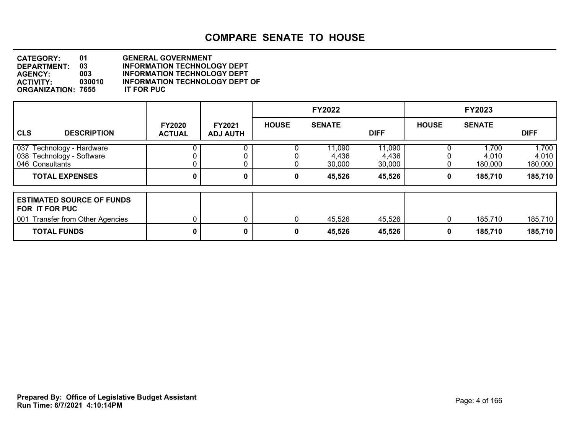**DEPARTMENT: 03** INFORMATION TECHNOLOGY DEPT<br>AGENCY: 003 INFORMATION TECHNOLOGY DEPT **CATEGORY: 01 GENERAL GOVERNMENT AGENCY: 003 INFORMATION TECHNOLOGY DEPT INFORMATION TECHNOLOGY DEPT OF<br>IT FOR PUC ORGANIZATION: 7655** 

|                                                                                        |                                |                                  |              | <b>FY2022</b>             |                           |              | <b>FY2023</b>             |                           |
|----------------------------------------------------------------------------------------|--------------------------------|----------------------------------|--------------|---------------------------|---------------------------|--------------|---------------------------|---------------------------|
| <b>CLS</b><br><b>DESCRIPTION</b>                                                       | <b>FY2020</b><br><b>ACTUAL</b> | <b>FY2021</b><br><b>ADJ AUTH</b> | <b>HOUSE</b> | <b>SENATE</b>             | <b>DIFF</b>               | <b>HOUSE</b> | <b>SENATE</b>             | <b>DIFF</b>               |
| 037<br>Technology - Hardware<br>038 Technology - Software<br>046 Consultants           |                                |                                  |              | 11,090<br>4,436<br>30,000 | 11,090<br>4,436<br>30,000 |              | 1,700<br>4,010<br>180,000 | 1,700<br>4,010<br>180,000 |
| <b>TOTAL EXPENSES</b>                                                                  | 0                              | 0                                | 0            | 45,526                    | 45,526                    | 0            | 185,710                   | 185,710                   |
| <b>ESTIMATED SOURCE OF FUNDS</b><br>FOR IT FOR PUC<br>001 Transfer from Other Agencies |                                | 0                                | 0            | 45,526                    | 45,526                    | $\Omega$     | 185,710                   | 185,710                   |
| <b>TOTAL FUNDS</b>                                                                     | 0                              | 0                                | 0            | 45,526                    | 45,526                    | 0            | 185,710                   | 185,710                   |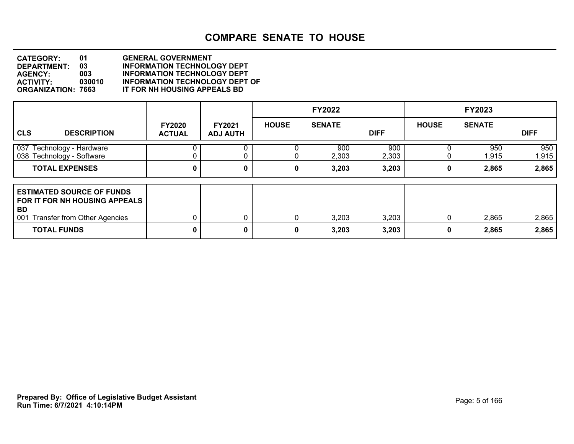**DEPARTMENT: 03** INFORMATION TECHNOLOGY DEPT<br>AGENCY: 003 INFORMATION TECHNOLOGY DEPT **CATEGORY: 01 GENERAL GOVERNMENT AGENCY: 003 INFORMATION TECHNOLOGY DEPT ACTIVITY: 030010 INFORMATION TECHNOLOGY DEPT OF IT FOR NH HOUSING APPEALS BD** 

|                                                                                                                       |                                |                                  |              | <b>FY2022</b> |              |              | <b>FY2023</b> |              |
|-----------------------------------------------------------------------------------------------------------------------|--------------------------------|----------------------------------|--------------|---------------|--------------|--------------|---------------|--------------|
| <b>CLS</b><br><b>DESCRIPTION</b>                                                                                      | <b>FY2020</b><br><b>ACTUAL</b> | <b>FY2021</b><br><b>ADJ AUTH</b> | <b>HOUSE</b> | <b>SENATE</b> | <b>DIFF</b>  | <b>HOUSE</b> | <b>SENATE</b> | <b>DIFF</b>  |
| $\sqrt{037}$<br>Technology - Hardware<br>038 Technology - Software                                                    |                                | 0                                |              | 900<br>2,303  | 900<br>2,303 |              | 950<br>1,915  | 950<br>1,915 |
| <b>TOTAL EXPENSES</b>                                                                                                 |                                | 0                                | 0            | 3,203         | 3,203        | 0            | 2,865         | 2,865        |
| <b>ESTIMATED SOURCE OF FUNDS</b><br>FOR IT FOR NH HOUSING APPEALS<br>BD<br>001<br><b>Transfer from Other Agencies</b> |                                | 0                                | 0            | 3,203         | 3,203        | 0            | 2,865         | 2,865        |
| <b>TOTAL FUNDS</b>                                                                                                    | 0                              | 0                                | 0            | 3,203         | 3,203        | 0            | 2,865         | 2,865        |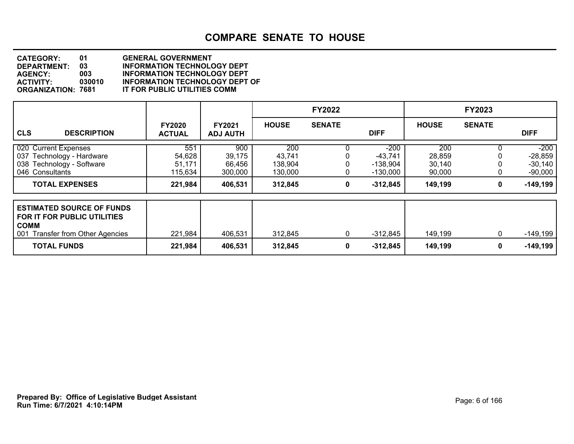| <b>CATEGORY:</b>          | 01     | <b>GENERAL GOVERNMENT</b>             |
|---------------------------|--------|---------------------------------------|
| <b>DEPARTMENT:</b>        | 03     | <b>INFORMATION TECHNOLOGY DEPT</b>    |
| <b>AGENCY:</b>            | 003    | <b>INFORMATION TECHNOLOGY DEPT</b>    |
| <b>ACTIVITY:</b>          | 030010 | <b>INFORMATION TECHNOLOGY DEPT OF</b> |
| <b>ORGANIZATION: 7681</b> |        | IT FOR PUBLIC UTILITIES COMM          |

|                                                                                                                    |                                    |                                    |                                     | <b>FY2022</b> |                                               |                                   | <b>FY2023</b> |                                               |
|--------------------------------------------------------------------------------------------------------------------|------------------------------------|------------------------------------|-------------------------------------|---------------|-----------------------------------------------|-----------------------------------|---------------|-----------------------------------------------|
| <b>CLS</b><br><b>DESCRIPTION</b>                                                                                   | <b>FY2020</b><br><b>ACTUAL</b>     | <b>FY2021</b><br><b>ADJ AUTH</b>   | <b>HOUSE</b>                        | <b>SENATE</b> | <b>DIFF</b>                                   | <b>HOUSE</b>                      | <b>SENATE</b> | <b>DIFF</b>                                   |
| 020 Current Expenses<br>037 Technology - Hardware<br>038 Technology - Software<br>046 Consultants                  | 551<br>54,628<br>51,171<br>115,634 | 900<br>39,175<br>66,456<br>300,000 | 200<br>43,741<br>138,904<br>130,000 |               | -200<br>$-43,741$<br>$-138,904$<br>$-130,000$ | 200<br>28,859<br>30,140<br>90,000 |               | $-200$<br>$-28,859$<br>$-30,140$<br>$-90,000$ |
| <b>TOTAL EXPENSES</b>                                                                                              | 221,984                            | 406,531                            | 312,845                             | 0             | $-312,845$                                    | 149,199                           | 0             | $-149,199$                                    |
| <b>ESTIMATED SOURCE OF FUNDS</b><br>FOR IT FOR PUBLIC UTILITIES<br><b>COMM</b><br>001 Transfer from Other Agencies | 221,984                            | 406,531                            | 312,845                             | 0             | -312,845                                      | 149,199                           | 0             | $-149,199$                                    |
| <b>TOTAL FUNDS</b>                                                                                                 | 221,984                            | 406,531                            | 312,845                             | 0             | $-312,845$                                    | 149,199                           | 0             | $-149,199$                                    |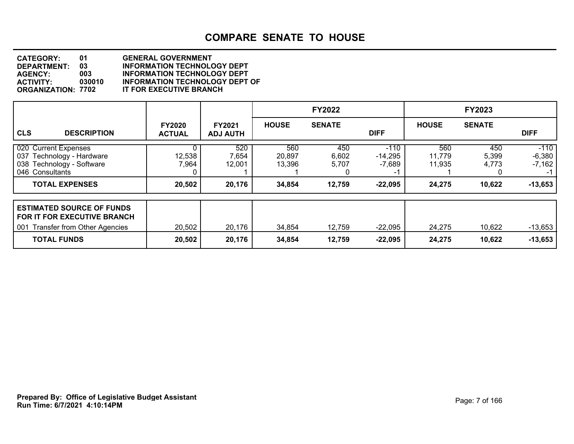| <b>CATEGORY:</b>          | 01     | <b>GENERAL GOVERNMENT</b>             |
|---------------------------|--------|---------------------------------------|
| <b>DEPARTMENT:</b>        | 03     | <b>INFORMATION TECHNOLOGY DEPT</b>    |
| <b>AGENCY:</b>            | 003    | <b>INFORMATION TECHNOLOGY DEPT</b>    |
| <b>ACTIVITY:</b>          | 030010 | <b>INFORMATION TECHNOLOGY DEPT OF</b> |
| <b>ORGANIZATION: 7702</b> |        | IT FOR EXECUTIVE BRANCH               |

|                                                                                                            |                                |                                  |                         | <b>FY2022</b>                     |                                 |                         | <b>FY2023</b>         |                                        |
|------------------------------------------------------------------------------------------------------------|--------------------------------|----------------------------------|-------------------------|-----------------------------------|---------------------------------|-------------------------|-----------------------|----------------------------------------|
| <b>CLS</b><br><b>DESCRIPTION</b>                                                                           | <b>FY2020</b><br><b>ACTUAL</b> | <b>FY2021</b><br><b>ADJ AUTH</b> | <b>HOUSE</b>            | <b>SENATE</b>                     | <b>DIFF</b>                     | <b>HOUSE</b>            | <b>SENATE</b>         | <b>DIFF</b>                            |
| 020 Current Expenses<br>Technology - Hardware<br>037<br>038 Technology - Software<br>046 Consultants       | 12,538<br>7,964                | 520<br>7,654<br>12,001           | 560<br>20,897<br>13,396 | 450<br>6,602<br>5,707<br>$\Omega$ | $-110$<br>$-14,295$<br>$-7,689$ | 560<br>11,779<br>11,935 | 450<br>5,399<br>4,773 | $-110$<br>$-6,380$<br>$-7,162$<br>$-1$ |
| <b>TOTAL EXPENSES</b>                                                                                      | 20,502                         | 20,176                           | 34,854                  | 12,759                            | $-22,095$                       | 24,275                  | 10,622                | $-13,653$                              |
| <b>ESTIMATED SOURCE OF FUNDS</b><br><b>FOR IT FOR EXECUTIVE BRANCH</b><br>001 Transfer from Other Agencies | 20,502                         | 20,176                           | 34,854                  | 12,759                            | $-22,095$                       | 24,275                  | 10,622                | $-13,653$                              |
| <b>TOTAL FUNDS</b>                                                                                         | 20,502                         | 20,176                           | 34,854                  | 12,759                            | $-22,095$                       | 24,275                  | 10,622                | $-13,653$                              |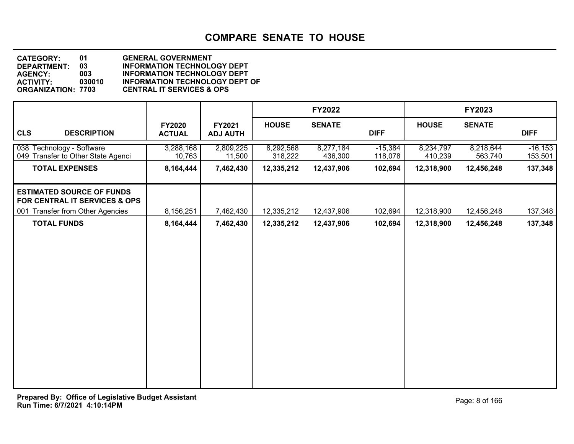| <b>CATEGORY:</b>          | 01     | <b>GENERAL GOVERNMENT</b>             |
|---------------------------|--------|---------------------------------------|
| <b>DEPARTMENT:</b>        | 03     | <b>INFORMATION TECHNOLOGY DEPT</b>    |
| <b>AGENCY:</b>            | 003    | <b>INFORMATION TECHNOLOGY DEPT</b>    |
| <b>ACTIVITY</b>           | 030010 | <b>INFORMATION TECHNOLOGY DEPT OF</b> |
| <b>ORGANIZATION: 7703</b> |        | <b>CENTRAL IT SERVICES &amp; OPS</b>  |

|                                                                   |                                |                           |                      | <b>FY2022</b>        |                      |                      | FY2023               |                       |
|-------------------------------------------------------------------|--------------------------------|---------------------------|----------------------|----------------------|----------------------|----------------------|----------------------|-----------------------|
| <b>CLS</b><br><b>DESCRIPTION</b>                                  | <b>FY2020</b><br><b>ACTUAL</b> | FY2021<br><b>ADJ AUTH</b> | <b>HOUSE</b>         | <b>SENATE</b>        | <b>DIFF</b>          | <b>HOUSE</b>         | <b>SENATE</b>        | <b>DIFF</b>           |
| 038 Technology - Software<br>049 Transfer to Other State Agenci   | 3,288,168<br>10,763            | 2,809,225<br>11,500       | 8,292,568<br>318,222 | 8,277,184<br>436,300 | $-15,384$<br>118,078 | 8,234,797<br>410,239 | 8,218,644<br>563,740 | $-16, 153$<br>153,501 |
| <b>TOTAL EXPENSES</b>                                             | 8,164,444                      | 7,462,430                 | 12,335,212           | 12,437,906           | 102,694              | 12,318,900           | 12,456,248           | 137,348               |
| <b>ESTIMATED SOURCE OF FUNDS</b><br>FOR CENTRAL IT SERVICES & OPS |                                |                           |                      |                      |                      |                      |                      |                       |
| 001 Transfer from Other Agencies                                  | 8,156,251                      | 7,462,430                 | 12,335,212           | 12,437,906           | 102,694              | 12,318,900           | 12,456,248           | 137,348               |
| <b>TOTAL FUNDS</b>                                                | 8,164,444                      | 7,462,430                 | 12,335,212           | 12,437,906           | 102,694              | 12,318,900           | 12,456,248           | 137,348               |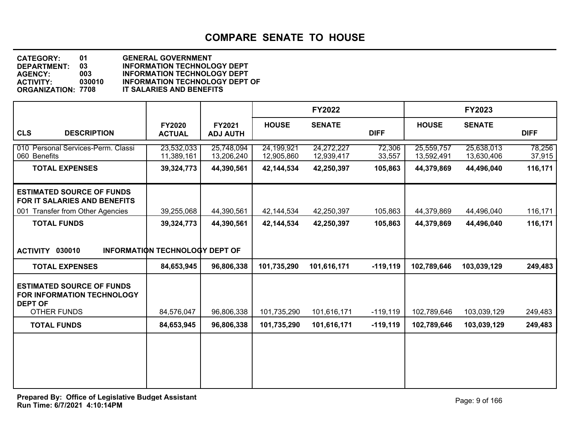**DEPARTMENT: 03** INFORMATION TECHNOLOGY DEPT<br>AGENCY: 003 INFORMATION TECHNOLOGY DEPT **CATEGORY: 01 GENERAL GOVERNMENT AGENCY: 003 INFORMATION TECHNOLOGY DEPT ACTIVITY: 030010 INFORMATION TECHNOLOGY DEPT OF IT SALARIES AND BENEFITS** 

|                                                                                                      |                                       |                           |                          | <b>FY2022</b>            |                  |                          | FY2023                   |                  |
|------------------------------------------------------------------------------------------------------|---------------------------------------|---------------------------|--------------------------|--------------------------|------------------|--------------------------|--------------------------|------------------|
| <b>CLS</b><br><b>DESCRIPTION</b>                                                                     | <b>FY2020</b><br><b>ACTUAL</b>        | FY2021<br><b>ADJ AUTH</b> | <b>HOUSE</b>             | <b>SENATE</b>            | <b>DIFF</b>      | <b>HOUSE</b>             | <b>SENATE</b>            | <b>DIFF</b>      |
| 010 Personal Services-Perm. Classi<br>060 Benefits                                                   | 23,532,033<br>11,389,161              | 25,748,094<br>13,206,240  | 24,199,921<br>12,905,860 | 24,272,227<br>12,939,417 | 72,306<br>33,557 | 25,559,757<br>13,592,491 | 25,638,013<br>13,630,406 | 78,256<br>37,915 |
| <b>TOTAL EXPENSES</b>                                                                                | 39,324,773                            | 44,390,561                | 42,144,534               | 42,250,397               | 105,863          | 44,379,869               | 44,496,040               | 116,171          |
| <b>ESTIMATED SOURCE OF FUNDS</b><br>FOR IT SALARIES AND BENEFITS<br>001 Transfer from Other Agencies | 39,255,068                            | 44,390,561                | 42,144,534               | 42,250,397               | 105,863          | 44,379,869               | 44,496,040               | 116,171          |
| <b>TOTAL FUNDS</b>                                                                                   | 39,324,773                            | 44,390,561                | 42,144,534               | 42,250,397               | 105,863          | 44,379,869               | 44,496,040               | 116,171          |
| ACTIVITY 030010                                                                                      | <b>INFORMATION TECHNOLOGY DEPT OF</b> |                           |                          |                          |                  |                          |                          |                  |
| <b>TOTAL EXPENSES</b>                                                                                | 84,653,945                            | 96,806,338                | 101,735,290              | 101,616,171              | $-119, 119$      | 102,789,646              | 103,039,129              | 249,483          |
| <b>ESTIMATED SOURCE OF FUNDS</b><br>FOR INFORMATION TECHNOLOGY<br><b>DEPT OF</b>                     |                                       |                           |                          |                          |                  |                          |                          |                  |
| <b>OTHER FUNDS</b>                                                                                   | 84,576,047                            | 96,806,338                | 101,735,290              | 101,616,171              | $-119,119$       | 102,789,646              | 103,039,129              | 249,483          |
| <b>TOTAL FUNDS</b>                                                                                   | 84,653,945                            | 96,806,338                | 101,735,290              | 101,616,171              | $-119,119$       | 102,789,646              | 103,039,129              | 249,483          |
|                                                                                                      |                                       |                           |                          |                          |                  |                          |                          |                  |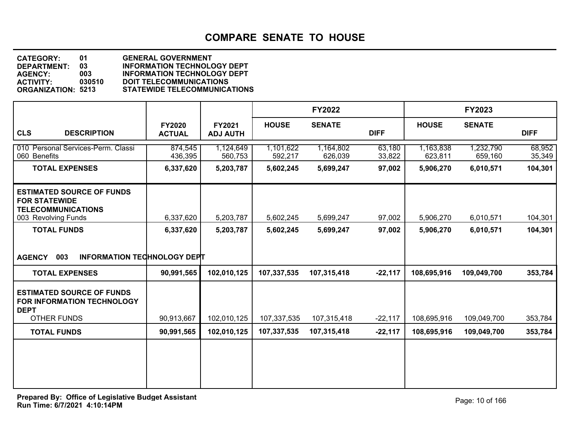| <b>CATEGORY:</b>          | 01     | <b>GENERAL GOVERNMENT</b>           |
|---------------------------|--------|-------------------------------------|
| <b>DEPARTMENT:</b>        | 03     | <b>INFORMATION TECHNOLOGY DEPT</b>  |
| <b>AGENCY:</b>            | 003    | <b>INFORMATION TECHNOLOGY DEPT</b>  |
| <b>ACTIVITY:</b>          | 030510 | <b>DOIT TELECOMMUNICATIONS</b>      |
| <b>ORGANIZATION: 5213</b> |        | <b>STATEWIDE TELECOMMUNICATIONS</b> |

|                                                                                                              |                                |                           |                      | <b>FY2022</b>        |                  |                      | FY2023               |                  |
|--------------------------------------------------------------------------------------------------------------|--------------------------------|---------------------------|----------------------|----------------------|------------------|----------------------|----------------------|------------------|
| <b>CLS</b><br><b>DESCRIPTION</b>                                                                             | <b>FY2020</b><br><b>ACTUAL</b> | FY2021<br><b>ADJ AUTH</b> | <b>HOUSE</b>         | <b>SENATE</b>        | <b>DIFF</b>      | <b>HOUSE</b>         | <b>SENATE</b>        | <b>DIFF</b>      |
| 010 Personal Services-Perm. Classi<br>060 Benefits                                                           | 874,545<br>436,395             | 1,124,649<br>560,753      | 1,101,622<br>592,217 | 1,164,802<br>626,039 | 63,180<br>33,822 | 1,163,838<br>623,811 | 1,232,790<br>659,160 | 68,952<br>35,349 |
| <b>TOTAL EXPENSES</b>                                                                                        | 6,337,620                      | 5,203,787                 | 5,602,245            | 5,699,247            | 97,002           | 5,906,270            | 6,010,571            | 104,301          |
| <b>ESTIMATED SOURCE OF FUNDS</b><br><b>FOR STATEWIDE</b><br><b>TELECOMMUNICATIONS</b><br>003 Revolving Funds | 6,337,620                      | 5,203,787                 | 5,602,245            | 5,699,247            | 97,002           | 5,906,270            | 6,010,571            | 104,301          |
| <b>TOTAL FUNDS</b>                                                                                           | 6,337,620                      | 5,203,787                 | 5,602,245            | 5,699,247            | 97,002           | 5,906,270            | 6,010,571            | 104,301          |
| 003<br><b>INFORMATION TECHNOLOGY DEPT</b><br><b>AGENCY</b>                                                   |                                |                           |                      |                      |                  |                      |                      |                  |
| <b>TOTAL EXPENSES</b>                                                                                        | 90,991,565                     | 102,010,125               | 107,337,535          | 107,315,418          | $-22,117$        | 108,695,916          | 109,049,700          | 353,784          |
| <b>ESTIMATED SOURCE OF FUNDS</b><br><b>FOR INFORMATION TECHNOLOGY</b><br><b>DEPT</b>                         |                                |                           |                      |                      |                  |                      |                      |                  |
| <b>OTHER FUNDS</b>                                                                                           | 90,913,667                     | 102,010,125               | 107,337,535          | 107,315,418          | $-22,117$        | 108,695,916          | 109,049,700          | 353,784          |
| <b>TOTAL FUNDS</b>                                                                                           | 90,991,565                     | 102,010,125               | 107,337,535          | 107,315,418          | $-22,117$        | 108,695,916          | 109,049,700          | 353,784          |
|                                                                                                              |                                |                           |                      |                      |                  |                      |                      |                  |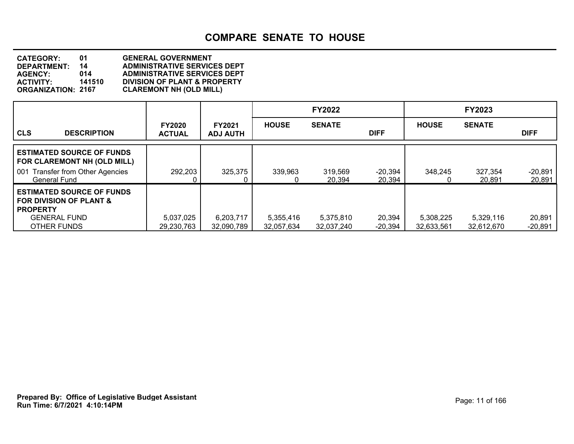**DEPARTMENT: 14 ADMINISTRATIVE SERVICES DEPT CATEGORY: 01 GENERAL GOVERNMENT AGENCY: 014 ADMINISTRATIVE SERVICES DEPT ACTIVITY: 141510 DIVISION OF PLANT & PROPERTY CLAREMONT NH (OLD MILL)** 

|                                                                             |                                |                                  |                         | <b>FY2022</b>           |                     |                         | <b>FY2023</b>           |                     |
|-----------------------------------------------------------------------------|--------------------------------|----------------------------------|-------------------------|-------------------------|---------------------|-------------------------|-------------------------|---------------------|
| <b>CLS</b><br><b>DESCRIPTION</b>                                            | <b>FY2020</b><br><b>ACTUAL</b> | <b>FY2021</b><br><b>ADJ AUTH</b> | <b>HOUSE</b>            | <b>SENATE</b>           | <b>DIFF</b>         | <b>HOUSE</b>            | <b>SENATE</b>           | <b>DIFF</b>         |
| <b>LESTIMATED SOURCE OF FUNDS</b><br>FOR CLAREMONT NH (OLD MILL)            |                                |                                  |                         |                         |                     |                         |                         |                     |
| <b>Transfer from Other Agencies</b><br>l 001<br>General Fund                | 292,203                        | 325,375                          | 339,963                 | 319,569<br>20,394       | $-20,394$<br>20,394 | 348,245<br>0            | 327,354<br>20,891       | $-20,891$<br>20,891 |
| <b>ESTIMATED SOURCE OF FUNDS</b><br>I FOR DIVISION OF PLANT &<br>I PROPERTY |                                |                                  |                         |                         |                     |                         |                         |                     |
| <b>GENERAL FUND</b><br>OTHER FUNDS                                          | 5,037,025<br>29,230,763        | 6,203,717<br>32,090,789          | 5,355,416<br>32,057,634 | 5,375,810<br>32,037,240 | 20,394<br>$-20,394$ | 5,308,225<br>32,633,561 | 5,329,116<br>32,612,670 | 20,891<br>$-20,891$ |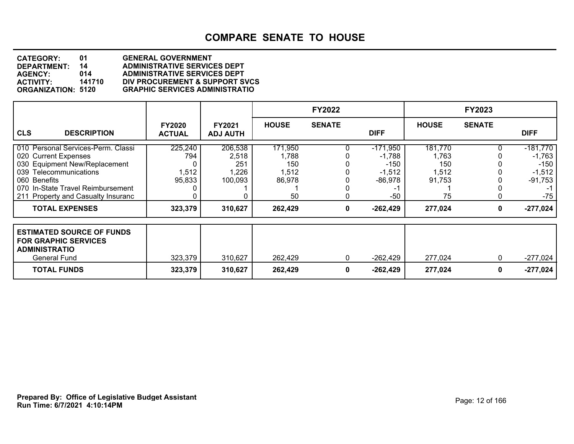| <b>CATEGORY:</b>          | 01     | <b>GENERAL GOVERNMENT</b>             |
|---------------------------|--------|---------------------------------------|
| <b>DEPARTMENT:</b>        | 14     | <b>ADMINISTRATIVE SERVICES DEPT</b>   |
| <b>AGENCY:</b>            | 014    | <b>ADMINISTRATIVE SERVICES DEPT</b>   |
| <b>ACTIVITY:</b>          | 141710 | DIV PROCUREMENT & SUPPORT SVCS        |
| <b>ORGANIZATION: 5120</b> |        | <b>GRAPHIC SERVICES ADMINISTRATIO</b> |

|                                                                                                                                                                                                                  |                                   |                                             |                                                  | <b>FY2022</b> |                                                                    |                                                  | <b>FY2023</b> |                                                                    |
|------------------------------------------------------------------------------------------------------------------------------------------------------------------------------------------------------------------|-----------------------------------|---------------------------------------------|--------------------------------------------------|---------------|--------------------------------------------------------------------|--------------------------------------------------|---------------|--------------------------------------------------------------------|
| <b>CLS</b><br><b>DESCRIPTION</b>                                                                                                                                                                                 | <b>FY2020</b><br><b>ACTUAL</b>    | <b>FY2021</b><br><b>ADJ AUTH</b>            | <b>HOUSE</b>                                     | <b>SENATE</b> | <b>DIFF</b>                                                        | <b>HOUSE</b>                                     | <b>SENATE</b> | <b>DIFF</b>                                                        |
| 010 Personal Services-Perm. Classi<br>020 Current Expenses<br>030 Equipment New/Replacement<br>039 Telecommunications<br>060 Benefits<br>070 In-State Travel Reimbursement<br>211 Property and Casualty Insuranc | 225,240<br>794<br>1,512<br>95,833 | 206,538<br>2,518<br>251<br>1,226<br>100,093 | 171,950<br>1,788<br>150<br>1,512<br>86,978<br>50 | 0             | $-171,950$<br>$-1,788$<br>$-150$<br>$-1,512$<br>$-86,978$<br>$-50$ | 181,770<br>1,763<br>150<br>1,512<br>91,753<br>75 |               | $-181,770$<br>$-1,763$<br>-150 l<br>$-1,512$<br>$-91,753$<br>$-75$ |
| <b>TOTAL EXPENSES</b>                                                                                                                                                                                            | 323,379                           | 310,627                                     | 262,429                                          | 0             | $-262,429$                                                         | 277,024                                          | 0             | $-277,024$                                                         |
| <b>ESTIMATED SOURCE OF FUNDS</b><br><b>FOR GRAPHIC SERVICES</b><br><b>ADMINISTRATIO</b><br>General Fund                                                                                                          | 323,379                           | 310,627                                     | 262,429                                          | 0             | $-262,429$                                                         | 277,024                                          | O.            | -277,024                                                           |
| <b>TOTAL FUNDS</b>                                                                                                                                                                                               | 323,379                           | 310,627                                     | 262,429                                          | 0             | $-262,429$                                                         | 277,024                                          | 0             | $-277,024$                                                         |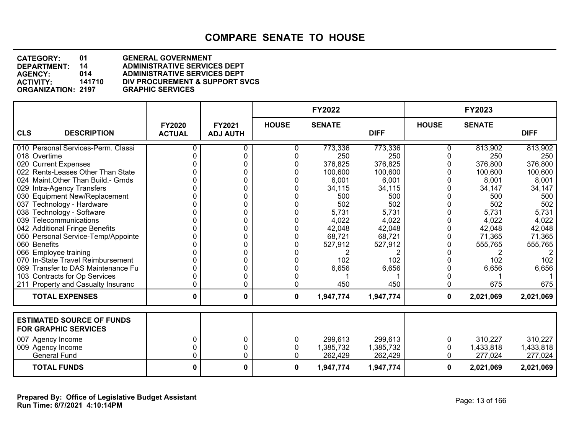**DEPARTMENT: 14 ADMINISTRATIVE SERVICES DEPT CATEGORY: 01 GENERAL GOVERNMENT AGENCY: 014 ADMINISTRATIVE SERVICES DEPT DIV PROCUREMENT & SUPPORT SVCS**<br>GRAPHIC SERVICES **ORGANIZATION: 2197** 

|                                                                 |                                |                           |              | <b>FY2022</b> |             |              | FY2023        |             |
|-----------------------------------------------------------------|--------------------------------|---------------------------|--------------|---------------|-------------|--------------|---------------|-------------|
| <b>CLS</b><br><b>DESCRIPTION</b>                                | <b>FY2020</b><br><b>ACTUAL</b> | FY2021<br><b>ADJ AUTH</b> | <b>HOUSE</b> | <b>SENATE</b> | <b>DIFF</b> | <b>HOUSE</b> | <b>SENATE</b> | <b>DIFF</b> |
| 010 Personal Services-Perm. Classi                              | 0                              | ი                         | 0            | 773,336       | 773,336     | 0            | 813,902       | 813,902     |
| 018 Overtime                                                    | 0                              | 0                         |              | 250           | 250         | $\Omega$     | 250           | 250         |
| 020 Current Expenses                                            |                                | 0                         |              | 376,825       | 376,825     |              | 376,800       | 376,800     |
| 022 Rents-Leases Other Than State                               |                                | 0                         |              | 100,600       | 100,600     |              | 100,600       | 100,600     |
| 024 Maint.Other Than Build.- Grnds                              |                                | 0                         |              | 6,001         | 6,001       |              | 8,001         | 8,001       |
| 029 Intra-Agency Transfers                                      |                                | 0                         |              | 34,115        | 34,115      | 0            | 34,147        | 34,147      |
| 030 Equipment New/Replacement                                   |                                | 0                         |              | 500           | 500         | 0            | 500           | 500         |
| 037 Technology - Hardware                                       |                                | 0                         |              | 502           | 502         |              | 502           | 502         |
| 038 Technology - Software                                       |                                | 0                         |              | 5,731         | 5,731       | <sup>0</sup> | 5,731         | 5,731       |
| 039 Telecommunications                                          |                                | 0                         |              | 4,022         | 4,022       | 0            | 4,022         | 4,022       |
| 042 Additional Fringe Benefits                                  |                                | 0                         |              | 42,048        | 42,048      |              | 42,048        | 42,048      |
| 050 Personal Service-Temp/Appointe                              |                                | 0                         |              | 68,721        | 68,721      | 0            | 71,365        | 71,365      |
| 060 Benefits                                                    |                                | 0                         |              | 527,912       | 527,912     |              | 555,765       | 555,765     |
| 066 Employee training                                           |                                | 0                         |              |               |             | <sup>0</sup> |               |             |
| 070 In-State Travel Reimbursement                               |                                | 0                         |              | 102           | 102         | $\Omega$     | 102           | 102         |
| 089 Transfer to DAS Maintenance Fu                              |                                | 0                         |              | 6,656         | 6,656       | 0            | 6,656         | 6,656       |
| 103 Contracts for Op Services                                   |                                | 0                         |              |               |             | 0            |               |             |
| 211 Property and Casualty Insuranc                              |                                | 0                         |              | 450           | 450         | 0            | 675           | 675         |
| <b>TOTAL EXPENSES</b>                                           | 0                              | 0                         | 0            | 1,947,774     | 1,947,774   | $\mathbf 0$  | 2,021,069     | 2,021,069   |
| <b>ESTIMATED SOURCE OF FUNDS</b><br><b>FOR GRAPHIC SERVICES</b> |                                |                           |              |               |             |              |               |             |
| 007 Agency Income                                               | $\Omega$                       | 0                         | 0            | 299,613       | 299,613     | 0            | 310,227       | 310,227     |
| 009 Agency Income                                               | 0                              | 0                         | 0            | 1,385,732     | 1,385,732   | 0            | 1,433,818     | 1,433,818   |
| <b>General Fund</b>                                             | 0                              | 0                         | 0            | 262,429       | 262,429     | $\Omega$     | 277,024       | 277,024     |
| <b>TOTAL FUNDS</b>                                              | 0                              | 0                         | 0            | 1,947,774     | 1,947,774   | 0            | 2,021,069     | 2,021,069   |

**Run Time: 6/7/2021 4:10:14PM Prepared By: Office of Legislative Budget Assistant** Page: 13 of 166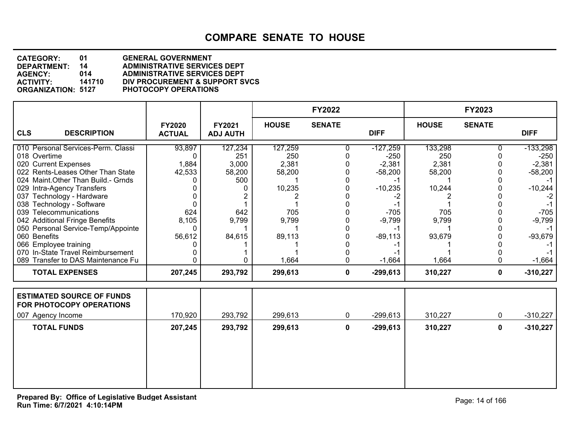| <b>CATEGORY:</b>          | 01     | <b>GENERAL GOVERNMENT</b>           |
|---------------------------|--------|-------------------------------------|
| DEPARTMENT:               | 14     | <b>ADMINISTRATIVE SERVICES DEPT</b> |
| <b>AGENCY:</b>            | 014    | <b>ADMINISTRATIVE SERVICES DEPT</b> |
| <b>ACTIVITY:</b>          | 141710 | DIV PROCUREMENT & SUPPORT SVCS      |
| <b>ORGANIZATION: 5127</b> |        | <b>PHOTOCOPY OPERATIONS</b>         |

|                                                              |                                |                                  |              | <b>FY2022</b> |             |              | <b>FY2023</b> |             |
|--------------------------------------------------------------|--------------------------------|----------------------------------|--------------|---------------|-------------|--------------|---------------|-------------|
| <b>CLS</b><br><b>DESCRIPTION</b>                             | <b>FY2020</b><br><b>ACTUAL</b> | <b>FY2021</b><br><b>ADJ AUTH</b> | <b>HOUSE</b> | <b>SENATE</b> | <b>DIFF</b> | <b>HOUSE</b> | <b>SENATE</b> | <b>DIFF</b> |
| 010 Personal Services-Perm. Classi                           | 93,897                         | 127,234                          | 127,259      |               | $-127,259$  | 133,298      |               | $-133,298$  |
| 018 Overtime                                                 |                                | 251                              | 250          |               | $-250$      | 250          |               | $-250$      |
| 020 Current Expenses                                         | 1,884                          | 3,000                            | 2,381        |               | $-2,381$    | 2,381        |               | $-2,381$    |
| 022 Rents-Leases Other Than State                            | 42,533                         | 58,200                           | 58,200       |               | $-58,200$   | 58,200       |               | $-58,200$   |
| 024 Maint. Other Than Build. - Grnds                         |                                | 500                              |              |               |             |              |               |             |
| 029 Intra-Agency Transfers                                   |                                |                                  | 10,235       |               | $-10,235$   | 10,244       |               | $-10,244$   |
| 037 Technology - Hardware                                    |                                |                                  |              |               |             |              |               |             |
| 038 Technology - Software                                    |                                |                                  |              |               |             |              |               |             |
| 039 Telecommunications                                       | 624                            | 642                              | 705          |               | $-705$      | 705          |               | $-705$      |
| 042 Additional Fringe Benefits                               | 8,105                          | 9,799                            | 9,799        |               | $-9,799$    | 9,799        |               | $-9,799$    |
| 050 Personal Service-Temp/Appointe                           |                                |                                  |              |               |             |              |               |             |
| 060 Benefits                                                 | 56,612                         | 84,615                           | 89,113       |               | $-89,113$   | 93,679       |               | $-93,679$   |
| 066 Employee training                                        |                                |                                  |              |               |             |              |               |             |
| 070 In-State Travel Reimbursement                            |                                |                                  |              |               |             |              |               |             |
| 089 Transfer to DAS Maintenance Fu                           |                                |                                  | 1,664        |               | $-1,664$    | 1,664        |               | $-1,664$    |
| <b>TOTAL EXPENSES</b>                                        | 207,245                        | 293,792                          | 299,613      | $\mathbf{0}$  | $-299,613$  | 310,227      | 0             | $-310,227$  |
|                                                              |                                |                                  |              |               |             |              |               |             |
| <b>ESTIMATED SOURCE OF FUNDS</b><br>FOR PHOTOCOPY OPERATIONS |                                |                                  |              |               |             |              |               |             |

| FOR PHOTOCOPY OPERATIONS |         |         |         |   |            |         |            |
|--------------------------|---------|---------|---------|---|------------|---------|------------|
| 007<br>Agency Income     | 170,920 | 293,792 | 299,613 |   | -299,613   | 310,227 | $-310,227$ |
| <b>TOTAL FUNDS</b>       | 207,245 | 293,792 | 299,613 | 0 | $-299,613$ | 310,227 | $-310,227$ |
|                          |         |         |         |   |            |         |            |
|                          |         |         |         |   |            |         |            |
|                          |         |         |         |   |            |         |            |
|                          |         |         |         |   |            |         |            |
|                          |         |         |         |   |            |         |            |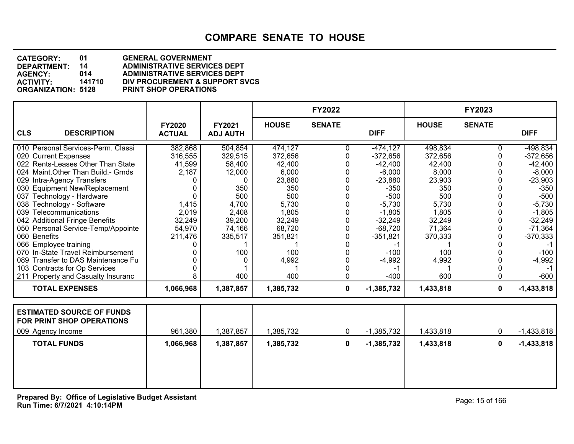**DEPARTMENT: 14 ADMINISTRATIVE SERVICES DEPT CATEGORY: 01 GENERAL GOVERNMENT AGENCY: 014 ADMINISTRATIVE SERVICES DEPT ACTIVITY: 141710 DIV PROCUREMENT & SUPPORT SVCS ORGANIZATION: 5128 PRINT SHOP OPERATIONS**

|                                                               |                                |                                  |              | <b>FY2022</b> |              |              | <b>FY2023</b> |              |
|---------------------------------------------------------------|--------------------------------|----------------------------------|--------------|---------------|--------------|--------------|---------------|--------------|
| <b>CLS</b><br><b>DESCRIPTION</b>                              | <b>FY2020</b><br><b>ACTUAL</b> | <b>FY2021</b><br><b>ADJ AUTH</b> | <b>HOUSE</b> | <b>SENATE</b> | <b>DIFF</b>  | <b>HOUSE</b> | <b>SENATE</b> | <b>DIFF</b>  |
| 010 Personal Services-Perm. Classi                            | 382,868                        | 504,854                          | 474,127      |               | $-474, 127$  | 498,834      |               | $-498,834$   |
| 020 Current Expenses                                          | 316,555                        | 329,515                          | 372,656      |               | $-372,656$   | 372,656      |               | $-372,656$   |
| 022 Rents-Leases Other Than State                             | 41,599                         | 58,400                           | 42,400       |               | $-42,400$    | 42,400       |               | $-42,400$    |
| 024 Maint. Other Than Build. - Grnds                          | 2,187                          | 12,000                           | 6,000        |               | $-6,000$     | 8,000        |               | $-8,000$     |
| 029 Intra-Agency Transfers                                    |                                |                                  | 23,880       |               | $-23,880$    | 23,903       |               | $-23,903$    |
| 030 Equipment New/Replacement                                 |                                | 350                              | 350          |               | $-350$       | 350          |               | $-350$       |
| 037 Technology - Hardware                                     |                                | 500                              | 500          |               | $-500$       | 500          |               | $-500$       |
| 038 Technology - Software                                     | 1,415                          | 4,700                            | 5,730        |               | $-5,730$     | 5,730        |               | $-5,730$     |
| 039 Telecommunications                                        | 2,019                          | 2,408                            | 1,805        |               | $-1,805$     | 1,805        |               | $-1,805$     |
| 042 Additional Fringe Benefits                                | 32,249                         | 39,200                           | 32,249       |               | $-32,249$    | 32,249       |               | $-32,249$    |
| 050 Personal Service-Temp/Appointe                            | 54,970                         | 74,166                           | 68,720       |               | $-68,720$    | 71,364       |               | $-71,364$    |
| 060 Benefits                                                  | 211,476                        | 335,517                          | 351,821      |               | $-351,821$   | 370,333      |               | $-370,333$   |
| 066 Employee training                                         |                                |                                  |              |               |              |              |               |              |
| 070 In-State Travel Reimbursement                             |                                | 100                              | 100          |               | $-100$       | 100          |               | $-100$       |
| 089 Transfer to DAS Maintenance Fu                            |                                |                                  | 4,992        |               | $-4,992$     | 4,992        |               | $-4,992$     |
| 103 Contracts for Op Services                                 |                                |                                  |              |               |              |              |               |              |
| 211 Property and Casualty Insuranc                            |                                | 400                              | 400          | 0             | $-400$       | 600          |               | $-600$       |
| <b>TOTAL EXPENSES</b>                                         | 1,066,968                      | 1,387,857                        | 1,385,732    | $\mathbf 0$   | $-1,385,732$ | 1,433,818    | $\mathbf{0}$  | $-1,433,818$ |
| <b>ESTIMATED SOURCE OF FUNDS</b><br>FOR PRINT SHOP OPERATIONS |                                |                                  |              |               |              |              |               |              |

| <u>FUR PRINT SHUP UPERATIONS</u> |           |           |           |   |              |           |              |
|----------------------------------|-----------|-----------|-----------|---|--------------|-----------|--------------|
| 009 Agency Income                | 961,380   | 1,387,857 | 1,385,732 | υ | $-1,385,732$ | 1,433,818 | $-1,433,818$ |
| <b>TOTAL FUNDS</b>               | 1,066,968 | 1,387,857 | 1,385,732 | 0 | $-1,385,732$ | 1,433,818 | $-1,433,818$ |
|                                  |           |           |           |   |              |           |              |
|                                  |           |           |           |   |              |           |              |
|                                  |           |           |           |   |              |           |              |
|                                  |           |           |           |   |              |           |              |

**Run Time: 6/7/2021 4:10:14PM Prepared By: Office of Legislative Budget Assistant** Page: 15 of 166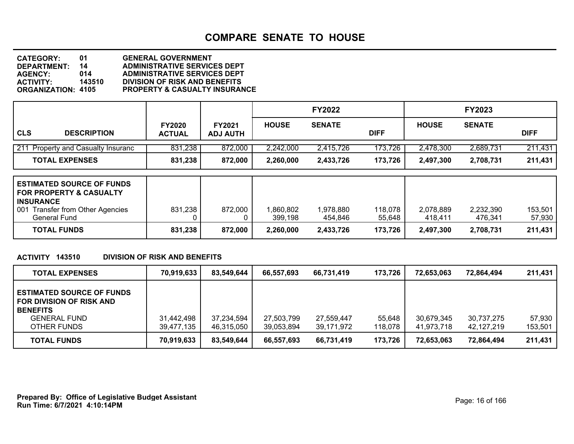| <b>CATEGORY:</b>          | 01     | <b>GENERAL GOVERNMENT</b>                |
|---------------------------|--------|------------------------------------------|
| DEPARTMENT:               | 14     | <b>ADMINISTRATIVE SERVICES DEPT</b>      |
| <b>AGENCY:</b>            | 014    | <b>ADMINISTRATIVE SERVICES DEPT</b>      |
| <b>ACTIVITY:</b>          | 143510 | <b>DIVISION OF RISK AND BENEFITS</b>     |
| <b>ORGANIZATION: 4105</b> |        | <b>PROPERTY &amp; CASUALTY INSURANCE</b> |
|                           |        |                                          |

|                                              |                                |                                  |              | <b>FY2022</b> |             |              | <b>FY2023</b> |             |
|----------------------------------------------|--------------------------------|----------------------------------|--------------|---------------|-------------|--------------|---------------|-------------|
| <b>CLS</b><br><b>DESCRIPTION</b>             | <b>FY2020</b><br><b>ACTUAL</b> | <b>FY2021</b><br><b>ADJ AUTH</b> | <b>HOUSE</b> | <b>SENATE</b> | <b>DIFF</b> | <b>HOUSE</b> | <b>SENATE</b> | <b>DIFF</b> |
| 211<br><b>Property and Casualty Insuranc</b> | 831,238                        | 872,000                          | 2,242,000    | 2,415,726     | 173,726     | 2,478,300    | 2,689,731     | 211,431     |
| <b>TOTAL EXPENSES</b>                        | 831,238                        | 872,000                          | 2,260,000    | 2,433,726     | 173,726     | 2,497,300    | 2,708,731     | 211,431     |

| <b>ESTIMATED SOURCE OF FUNDS</b><br><b>FOR PROPERTY &amp; CASUALTY</b><br><b>INSURANCE</b> |         |         |           |           |         |           |           |         |
|--------------------------------------------------------------------------------------------|---------|---------|-----------|-----------|---------|-----------|-----------|---------|
| 001 Transfer from Other Agencies                                                           | 831,238 | 872,000 | ,860,802  | 1,978,880 | 118,078 | 2,078,889 | 2,232,390 | 153.501 |
| General Fund                                                                               |         |         | 399.198   | 454.846   | 55,648  | 418.411   | 476.341   | 57,930  |
| <b>TOTAL FUNDS</b>                                                                         | 831,238 | 872,000 | 2,260,000 | 2,433,726 | 173,726 | 2.497.300 | 2,708,731 | 211,431 |

## **ACTIVITY 143510 DIVISION OF RISK AND BENEFITS**

| <b>TOTAL EXPENSES</b>                                                                                                 | 70,919,633               | 83,549,644               | 66,557,693               | 66.731.419               | 173,726           | 72.653.063               | 72,864,494               | 211,431           |
|-----------------------------------------------------------------------------------------------------------------------|--------------------------|--------------------------|--------------------------|--------------------------|-------------------|--------------------------|--------------------------|-------------------|
| <b>ESTIMATED SOURCE OF FUNDS</b><br>FOR DIVISION OF RISK AND<br><b>BENEFITS</b><br><b>GENERAL FUND</b><br>OTHER FUNDS | 31,442,498<br>39,477,135 | 37,234,594<br>46,315,050 | 27,503,799<br>39,053,894 | 27,559,447<br>39,171,972 | 55.648<br>118,078 | 30,679,345<br>41.973.718 | 30.737.275<br>42,127,219 | 57.930<br>153,501 |
| <b>TOTAL FUNDS</b>                                                                                                    | 70,919,633               | 83,549,644               | 66,557,693               | 66,731,419               | 173,726           | 72,653,063               | 72,864,494               | 211,431           |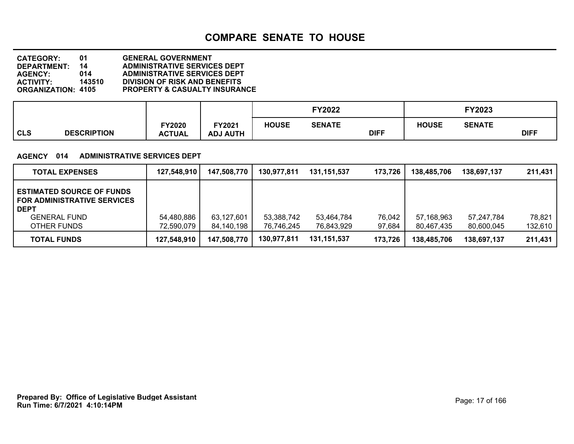**DEPARTMENT: 14 ADMINISTRATIVE SERVICES DEPT CATEGORY: 01 GENERAL GOVERNMENT AGENCY: 014 ADMINISTRATIVE SERVICES DEPT ACTIVITY: 143510 DIVISION OF RISK AND BENEFITS PROPERTY & CASUALTY INSURANCE** 

|     |                    |               |                 |              | FY2022        |             |              | FY2023        |             |
|-----|--------------------|---------------|-----------------|--------------|---------------|-------------|--------------|---------------|-------------|
|     |                    | FY2020        | FY2021          | <b>HOUSE</b> | <b>SENATE</b> |             | <b>HOUSE</b> | <b>SENATE</b> |             |
| CLS | <b>DESCRIPTION</b> | <b>ACTUAL</b> | <b>ADJ AUTH</b> |              |               | <b>DIFF</b> |              |               | <b>DIFF</b> |

#### **AGENCY 014 ADMINISTRATIVE SERVICES DEPT**

| <b>TOTAL EXPENSES</b>                                                                                                       | 127,548,910              | 147,508,770              | 130,977,811              | 131.151.537              | 173,726          | 138,485,706              | 138,697,137              | 211,431           |
|-----------------------------------------------------------------------------------------------------------------------------|--------------------------|--------------------------|--------------------------|--------------------------|------------------|--------------------------|--------------------------|-------------------|
| <b>ESTIMATED SOURCE OF FUNDS</b><br><b>FOR ADMINISTRATIVE SERVICES</b><br><b>DEPT</b><br><b>GENERAL FUND</b><br>OTHER FUNDS | 54,480,886<br>72,590,079 | 63,127,601<br>84,140,198 | 53,388,742<br>76,746,245 | 53.464.784<br>76,843,929 | 76,042<br>97,684 | 57,168,963<br>80.467.435 | 57.247.784<br>80,600,045 | 78,821<br>132,610 |
| <b>TOTAL FUNDS</b>                                                                                                          | 127,548,910              | 147,508,770              | 130,977,811              | 131,151,537              | 173,726          | 138,485,706              | 138,697,137              | 211,431           |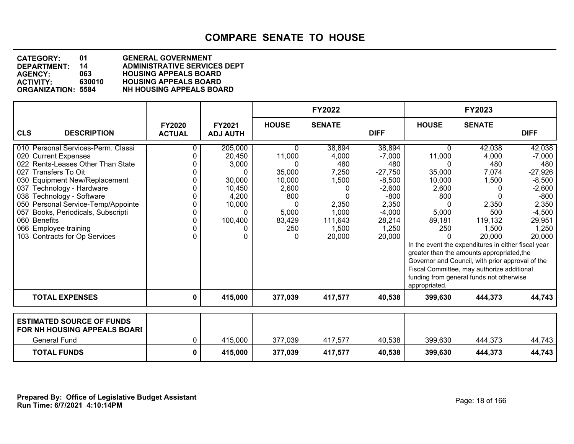| <b>CATEGORY:</b>          | 01     | <b>GENERAL GOVERNMENT</b>           |
|---------------------------|--------|-------------------------------------|
| <b>DEPARTMENT:</b>        | 14     | <b>ADMINISTRATIVE SERVICES DEPT</b> |
| <b>AGENCY:</b>            | 063    | <b>HOUSING APPEALS BOARD</b>        |
| <b>ACTIVITY:</b>          | 630010 | <b>HOUSING APPEALS BOARD</b>        |
| <b>ORGANIZATION: 5584</b> |        | <b>NH HOUSING APPEALS BOARD</b>     |
|                           |        |                                     |

|                                                                                                                                                                                                                                                                                                                                                                                |                                |                                                                                        |                                                                                          | <b>FY2022</b>                                                                                      |                                                                                                                            |                                                                                            | FY2023                                                                                                                                                                                                                                                                                                                                    |                                                                                                                            |
|--------------------------------------------------------------------------------------------------------------------------------------------------------------------------------------------------------------------------------------------------------------------------------------------------------------------------------------------------------------------------------|--------------------------------|----------------------------------------------------------------------------------------|------------------------------------------------------------------------------------------|----------------------------------------------------------------------------------------------------|----------------------------------------------------------------------------------------------------------------------------|--------------------------------------------------------------------------------------------|-------------------------------------------------------------------------------------------------------------------------------------------------------------------------------------------------------------------------------------------------------------------------------------------------------------------------------------------|----------------------------------------------------------------------------------------------------------------------------|
| <b>CLS</b><br><b>DESCRIPTION</b>                                                                                                                                                                                                                                                                                                                                               | <b>FY2020</b><br><b>ACTUAL</b> | FY2021<br><b>ADJ AUTH</b>                                                              | <b>HOUSE</b>                                                                             | <b>SENATE</b>                                                                                      | <b>DIFF</b>                                                                                                                | <b>HOUSE</b>                                                                               | <b>SENATE</b>                                                                                                                                                                                                                                                                                                                             | <b>DIFF</b>                                                                                                                |
| 010 Personal Services-Perm. Classi<br>020 Current Expenses<br>022 Rents-Leases Other Than State<br>027<br>Transfers To Oit<br>030 Equipment New/Replacement<br>037 Technology - Hardware<br>038 Technology - Software<br>050 Personal Service-Temp/Appointe<br>Books, Periodicals, Subscripti<br>057<br>060 Benefits<br>066 Employee training<br>103 Contracts for Op Services | 0<br>0<br>0<br>O.<br>0<br>0    | 205,000<br>20,450<br>3,000<br>O<br>30,000<br>10,450<br>4,200<br>10,000<br>0<br>100,400 | 0<br>11,000<br>0<br>35,000<br>10,000<br>2,600<br>800<br>0<br>5,000<br>83,429<br>250<br>0 | 38,894<br>4,000<br>480<br>7,250<br>1,500<br>0<br>n<br>2,350<br>1,000<br>111,643<br>1,500<br>20,000 | 38,894<br>$-7,000$<br>480<br>$-27,750$<br>$-8,500$<br>$-2,600$<br>$-800$<br>2,350<br>$-4,000$<br>28,214<br>1,250<br>20,000 | 0<br>11,000<br>35,000<br>10,000<br>2,600<br>800<br>5,000<br>89,181<br>250<br>appropriated. | 42,038<br>4,000<br>480<br>7,074<br>1,500<br>2,350<br>500<br>119,132<br>1,500<br>20,000<br>In the event the expenditures in either fiscal year<br>greater than the amounts appropriated, the<br>Governor and Council, with prior approval of the<br>Fiscal Committee, may authorize additional<br>funding from general funds not otherwise | 42,038<br>$-7,000$<br>480<br>$-27,926$<br>$-8,500$<br>$-2,600$<br>$-800$<br>2,350<br>$-4,500$<br>29,951<br>1,250<br>20,000 |
| <b>TOTAL EXPENSES</b>                                                                                                                                                                                                                                                                                                                                                          | 0                              | 415,000                                                                                | 377,039                                                                                  | 417,577                                                                                            | 40,538                                                                                                                     | 399,630                                                                                    | 444,373                                                                                                                                                                                                                                                                                                                                   | 44,743                                                                                                                     |
| <b>ESTIMATED SOURCE OF FUNDS</b><br>FOR NH HOUSING APPEALS BOARI                                                                                                                                                                                                                                                                                                               |                                |                                                                                        |                                                                                          |                                                                                                    |                                                                                                                            |                                                                                            |                                                                                                                                                                                                                                                                                                                                           |                                                                                                                            |
| <b>General Fund</b>                                                                                                                                                                                                                                                                                                                                                            | 0                              | 415,000                                                                                | 377,039                                                                                  | 417,577                                                                                            | 40,538                                                                                                                     | 399,630                                                                                    | 444,373                                                                                                                                                                                                                                                                                                                                   | 44,743                                                                                                                     |
| <b>TOTAL FUNDS</b>                                                                                                                                                                                                                                                                                                                                                             | 0                              | 415,000                                                                                | 377,039                                                                                  | 417,577                                                                                            | 40,538                                                                                                                     | 399,630                                                                                    | 444,373                                                                                                                                                                                                                                                                                                                                   | 44,743                                                                                                                     |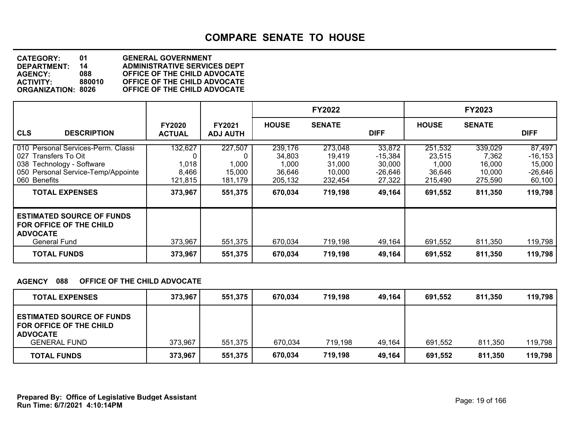| <b>CATEGORY:</b>          | 01     | <b>GENERAL GOVERNMENT</b>           |
|---------------------------|--------|-------------------------------------|
| <b>DEPARTMENT:</b>        | 14     | <b>ADMINISTRATIVE SERVICES DEPT</b> |
| <b>AGENCY:</b>            | 088    | OFFICE OF THE CHILD ADVOCATE        |
| <b>ACTIVITY:</b>          | 880010 | OFFICE OF THE CHILD ADVOCATE        |
| <b>ORGANIZATION: 8026</b> |        | OFFICE OF THE CHILD ADVOCATE        |

|                                                                                                                                                                           |                                                 |                                                  |                                                            | <b>FY2022</b>                                               |                                                                |                                                            | FY2023                                                     |                                                                  |
|---------------------------------------------------------------------------------------------------------------------------------------------------------------------------|-------------------------------------------------|--------------------------------------------------|------------------------------------------------------------|-------------------------------------------------------------|----------------------------------------------------------------|------------------------------------------------------------|------------------------------------------------------------|------------------------------------------------------------------|
| <b>CLS</b><br><b>DESCRIPTION</b>                                                                                                                                          | <b>FY2020</b><br><b>ACTUAL</b>                  | <b>FY2021</b><br><b>ADJ AUTH</b>                 | <b>HOUSE</b>                                               | <b>SENATE</b>                                               | <b>DIFF</b>                                                    | <b>HOUSE</b>                                               | <b>SENATE</b>                                              | <b>DIFF</b>                                                      |
| 010 Personal Services-Perm. Classi<br>027<br>Transfers To Oit<br>038 Technology - Software<br>050 Personal Service-Temp/Appointe<br>060 Benefits<br><b>TOTAL EXPENSES</b> | 132,627<br>1,018<br>8,466<br>121,815<br>373,967 | 227,507<br>1,000<br>15,000<br>181,179<br>551,375 | 239,176<br>34,803<br>1,000<br>36,646<br>205,132<br>670,034 | 273,048<br>19,419<br>31,000<br>10.000<br>232,454<br>719,198 | 33,872<br>$-15,384$<br>30,000<br>$-26,646$<br>27,322<br>49,164 | 251,532<br>23,515<br>1,000<br>36.646<br>215,490<br>691,552 | 339,029<br>7,362<br>16,000<br>10.000<br>275,590<br>811,350 | 87,497<br>$-16, 153$<br>15,000<br>$-26,646$<br>60,100<br>119,798 |
| <b>ESTIMATED SOURCE OF FUNDS</b><br>FOR OFFICE OF THE CHILD<br><b>ADVOCATE</b><br><b>General Fund</b><br><b>TOTAL FUNDS</b>                                               | 373,967<br>373,967                              | 551,375<br>551,375                               | 670,034<br>670,034                                         | 719,198<br>719,198                                          | 49,164<br>49,164                                               | 691,552<br>691,552                                         | 811,350<br>811,350                                         | 119,798<br>119,798                                               |

## **AGENCY 088 OFFICE OF THE CHILD ADVOCATE**

| <b>TOTAL EXPENSES</b>                                                                 | 373,967 | 551,375 | 670.034 | 719.198 | 49,164 | 691,552 | 811,350 | 119,798 |
|---------------------------------------------------------------------------------------|---------|---------|---------|---------|--------|---------|---------|---------|
| <b>ESTIMATED SOURCE OF FUNDS</b><br><b>FOR OFFICE OF THE CHILD</b><br><b>ADVOCATE</b> |         |         |         |         |        |         |         |         |
| <b>GENERAL FUND</b>                                                                   | 373,967 | 551,375 | 670,034 | 719,198 | 49,164 | 691.552 | 811,350 | 119,798 |
| <b>TOTAL FUNDS</b>                                                                    | 373,967 | 551,375 | 670,034 | 719.198 | 49,164 | 691,552 | 811,350 | 119,798 |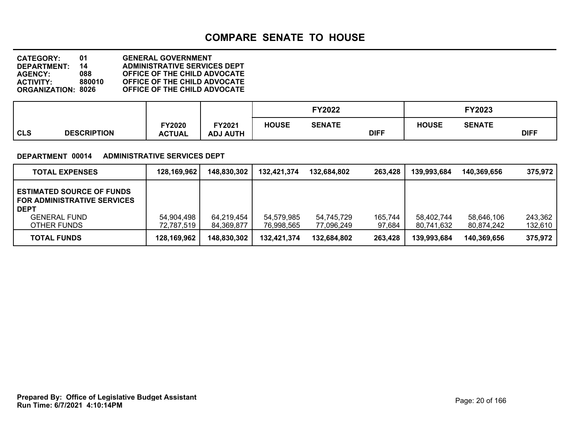**DEPARTMENT: 14 ADMINISTRATIVE SERVICES DEPT CATEGORY: 01 GENERAL GOVERNMENT AGENCY: 088 OFFICE OF THE CHILD ADVOCATE ACTIVITY: 880010 OFFICE OF THE CHILD ADVOCATE ORGANIZATION: 8026 OFFICE OF THE CHILD ADVOCATE**

|     |                    |               |                 |              | <b>FY2022</b> |             |              | FY2023        |             |
|-----|--------------------|---------------|-----------------|--------------|---------------|-------------|--------------|---------------|-------------|
|     |                    | Y2020         | FY2021          | <b>HOUSE</b> | SENATE        |             | <b>HOUSE</b> | <b>SENATE</b> |             |
| CLS | <b>DESCRIPTION</b> | <b>ACTUAL</b> | <b>ADJ AUTH</b> |              |               | <b>DIFF</b> |              |               | <b>DIFF</b> |

#### **DEPARTMENT 00014 ADMINISTRATIVE SERVICES DEPT**

| <b>TOTAL EXPENSES</b>                                                                                                       | 128,169,962              | 148,830,302              | 132,421,374              | 132.684.802              | 263.428           | 139.993.684              | 140,369,656              | 375,972            |
|-----------------------------------------------------------------------------------------------------------------------------|--------------------------|--------------------------|--------------------------|--------------------------|-------------------|--------------------------|--------------------------|--------------------|
| <b>ESTIMATED SOURCE OF FUNDS</b><br><b>FOR ADMINISTRATIVE SERVICES</b><br><b>DEPT</b><br><b>GENERAL FUND</b><br>OTHER FUNDS | 54,904,498<br>72,787,519 | 64,219,454<br>84,369,877 | 54,579,985<br>76,998,565 | 54,745,729<br>77,096,249 | 165,744<br>97,684 | 58,402,744<br>80,741,632 | 58,646,106<br>80.874.242 | 243,362<br>132,610 |
| <b>TOTAL FUNDS</b>                                                                                                          | 128,169,962              | 148,830,302              | 132.421.374              | 132,684,802              | 263,428           | 139,993,684              | 140.369.656              | 375,972            |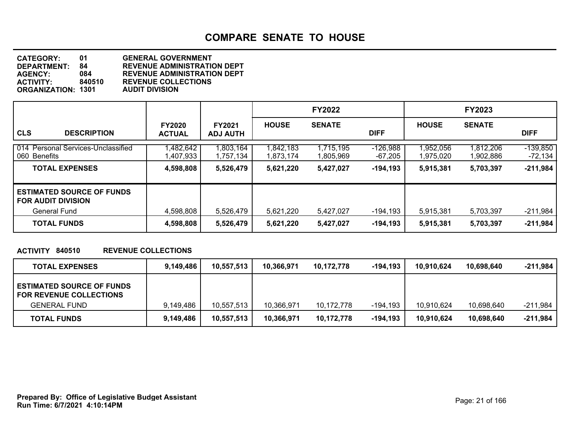| <b>CATEGORY:</b>          | 01     | <b>GENERAL GOVERNMENT</b>          |
|---------------------------|--------|------------------------------------|
| DEPARTMENT:               | 84     | <b>REVENUE ADMINISTRATION DEPT</b> |
| <b>AGENCY:</b>            | 084    | <b>REVENUE ADMINISTRATION DEPT</b> |
| <b>ACTIVITY:</b>          | 840510 | <b>REVENUE COLLECTIONS</b>         |
| <b>ORGANIZATION: 1301</b> |        | <b>AUDIT DIVISION</b>              |
|                           |        |                                    |

|                                                               |                                |                                  |                        | <b>FY2022</b>          |                       |                        | <b>FY2023</b>          |                         |
|---------------------------------------------------------------|--------------------------------|----------------------------------|------------------------|------------------------|-----------------------|------------------------|------------------------|-------------------------|
| <b>CLS</b><br><b>DESCRIPTION</b>                              | <b>FY2020</b><br><b>ACTUAL</b> | <b>FY2021</b><br><b>ADJ AUTH</b> | <b>HOUSE</b>           | <b>SENATE</b>          | <b>DIFF</b>           | <b>HOUSE</b>           | <b>SENATE</b>          | <b>DIFF</b>             |
| 014 Personal Services-Unclassified<br>060 Benefits            | 1,482,642<br>1,407,933         | 1,803,164<br>1,757,134           | 1,842,183<br>1,873,174 | 1,715,195<br>1,805,969 | $-126,988$<br>-67,205 | 1,952,056<br>1,975,020 | 1,812,206<br>1,902,886 | $-139,850$<br>$-72,134$ |
| <b>TOTAL EXPENSES</b>                                         | 4,598,808                      | 5,526,479                        | 5,621,220              | 5,427,027              | -194,193              | 5,915,381              | 5,703,397              | $-211,984$              |
| <b>ESTIMATED SOURCE OF FUNDS</b><br><b>FOR AUDIT DIVISION</b> |                                |                                  |                        |                        |                       |                        |                        |                         |
| General Fund                                                  | 4,598,808                      | 5,526,479                        | 5,621,220              | 5,427,027              | $-194,193$            | 5,915,381              | 5,703,397              | $-211,984$              |
| <b>TOTAL FUNDS</b>                                            | 4,598,808                      | 5,526,479                        | 5,621,220              | 5,427,027              | -194,193              | 5,915,381              | 5,703,397              | $-211,984$              |

## **ACTIVITY 840510 REVENUE COLLECTIONS**

| <b>TOTAL EXPENSES</b>                                                                     | 9,149,486 | 10,557,513 | 10.366.971 | 10,172,778 | -194,193 | 10.910.624 | 10.698.640 | $-211,984$ |
|-------------------------------------------------------------------------------------------|-----------|------------|------------|------------|----------|------------|------------|------------|
| <b>ESTIMATED SOURCE OF FUNDS</b><br><b>FOR REVENUE COLLECTIONS</b><br><b>GENERAL FUND</b> | 9.149.486 | 10,557,513 | 10,366,971 | 10.172.778 | -194.193 | 10.910.624 | 10.698.640 | -211.984   |
| <b>TOTAL FUNDS</b>                                                                        | 9,149,486 | 10,557,513 | 10,366,971 | 10,172,778 | -194,193 | 10.910.624 | 10,698,640 | -211,984   |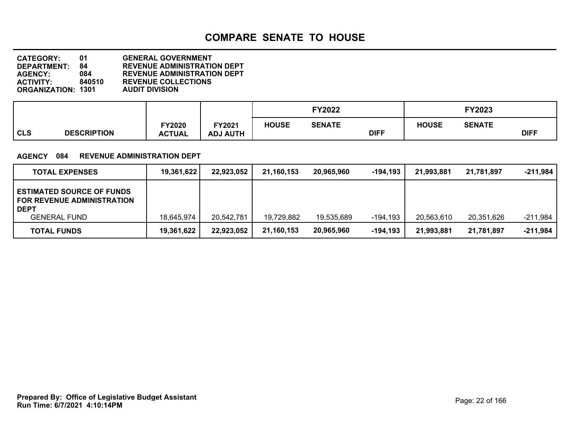| <b>CATEGORY:</b>          | O1.    | <b>GENERAL GOVERNMENT</b>          |
|---------------------------|--------|------------------------------------|
| <b>DEPARTMENT:</b>        | 84     | <b>REVENUE ADMINISTRATION DEPT</b> |
| <b>AGENCY:</b>            | 084    | <b>REVENUE ADMINISTRATION DEPT</b> |
| <b>ACTIVITY:</b>          | 840510 | <b>REVENUE COLLECTIONS</b>         |
| <b>ORGANIZATION: 1301</b> |        | <b>AUDIT DIVISION</b>              |

|            |                    |                         |                                  |              | <b>FY2022</b> |             |              | <b>FY2023</b> |             |
|------------|--------------------|-------------------------|----------------------------------|--------------|---------------|-------------|--------------|---------------|-------------|
| <b>CLS</b> | <b>DESCRIPTION</b> | FY2020<br><b>ACTUAL</b> | <b>FY2021</b><br><b>ADJ AUTH</b> | <b>HOUSE</b> | <b>SENATE</b> | <b>DIFF</b> | <b>HOUSE</b> | <b>SENATE</b> | <b>DIFF</b> |

### **AGENCY 084 REVENUE ADMINISTRATION DEPT**

| <b>TOTAL EXPENSES</b>                                                                                       | 19,361,622 | 22,923,052 | 21,160,153 | 20.965.960 | -194.193 | 21,993,881 | 21.781.897 | $-211.984$ |
|-------------------------------------------------------------------------------------------------------------|------------|------------|------------|------------|----------|------------|------------|------------|
| <b>ESTIMATED SOURCE OF FUNDS</b><br><b>FOR REVENUE ADMINISTRATION</b><br><b>DEPT</b><br><b>GENERAL FUND</b> | 18,645,974 | 20,542,781 | 19,729,882 | 19,535,689 | -194,193 | 20,563,610 | 20,351,626 | -211,984   |
| <b>TOTAL FUNDS</b>                                                                                          | 19,361,622 | 22,923,052 | 21,160,153 | 20,965,960 | -194,193 | 21,993,881 | 21,781,897 | $-211,984$ |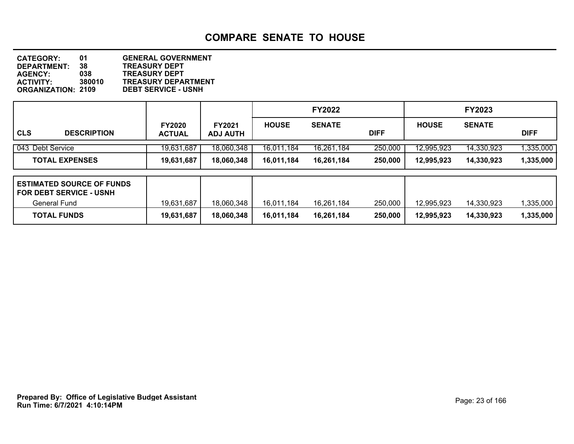**DEPARTMENT: 38 TREASURY DEPT CATEGORY: 01 GENERAL GOVERNMENT AGENCY: 038 TREASURY DEPT ACTIVITY: 380010 TREASURY DEPARTMENT ORGANIZATION: 2109 DEBT SERVICE - USNH**

|                |                       |                                |                                  |              | <b>FY2022</b> |             |              | <b>FY2023</b> |             |
|----------------|-----------------------|--------------------------------|----------------------------------|--------------|---------------|-------------|--------------|---------------|-------------|
| <sub>cls</sub> | <b>DESCRIPTION</b>    | <b>FY2020</b><br><b>ACTUAL</b> | <b>FY2021</b><br><b>ADJ AUTH</b> | <b>HOUSE</b> | <b>SENATE</b> | <b>DIFF</b> | <b>HOUSE</b> | <b>SENATE</b> | <b>DIFF</b> |
|                | 043 Debt Service      | 19,631,687                     | 18,060,348                       | 16,011,184   | 16,261,184    | 250,000     | 12,995,923   | 14,330,923    | 1,335,000   |
|                | <b>TOTAL EXPENSES</b> | 19,631,687                     | 18,060,348                       | 16,011,184   | 16,261,184    | 250,000     | 12,995,923   | 14,330,923    | 1,335,000   |
|                |                       |                                |                                  |              |               |             |              |               |             |

| <b>ESTIMATED SOURCE OF FUNDS</b><br>l FOR DEBT SERVICE - USNH |            |            |            |            |         |            |            |           |
|---------------------------------------------------------------|------------|------------|------------|------------|---------|------------|------------|-----------|
| General Fund                                                  | 19,631,687 | 18,060,348 | 16.011.184 | 16.261.184 | 250,000 | 12.995.923 | 14.330.923 | .335.000  |
| <b>TOTAL FUNDS</b>                                            | 19,631,687 | 18,060,348 | 16.011.184 | 16,261,184 | 250,000 | 12.995.923 | 14.330.923 | 1,335,000 |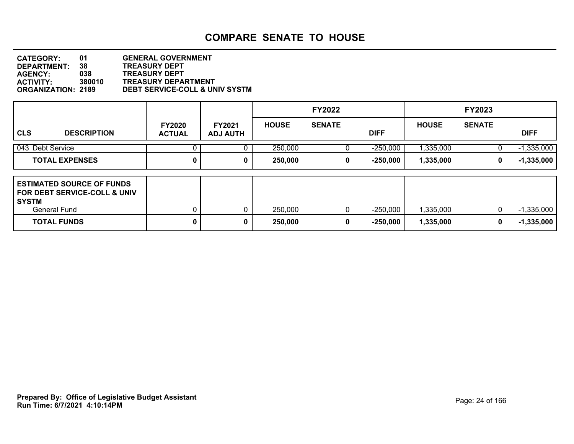| <b>CATEGORY:</b>          | <b>01</b> | <b>GENERAL GOVERNMENT</b>                 |
|---------------------------|-----------|-------------------------------------------|
| <b>DEPARTMENT:</b>        | 38        | <b>TREASURY DEPT</b>                      |
| <b>AGENCY:</b>            | 038       | <b>TREASURY DEPT</b>                      |
| <b>ACTIVITY:</b>          | 380010    | <b>TREASURY DEPARTMENT</b>                |
| <b>ORGANIZATION: 2189</b> |           | <b>DEBT SERVICE-COLL &amp; UNIV SYSTM</b> |
|                           |           |                                           |

|                                                                                               |                                |                                  |              | <b>FY2022</b> |             |              | <b>FY2023</b> |              |
|-----------------------------------------------------------------------------------------------|--------------------------------|----------------------------------|--------------|---------------|-------------|--------------|---------------|--------------|
| <b>CLS</b><br><b>DESCRIPTION</b>                                                              | <b>FY2020</b><br><b>ACTUAL</b> | <b>FY2021</b><br><b>ADJ AUTH</b> | <b>HOUSE</b> | <b>SENATE</b> | <b>DIFF</b> | <b>HOUSE</b> | <b>SENATE</b> | <b>DIFF</b>  |
| 043 Debt Service                                                                              |                                |                                  | 250,000      |               | $-250,000$  | 1,335,000    |               | $-1,335,000$ |
| <b>TOTAL EXPENSES</b>                                                                         | 0                              | 0                                | 250,000      | 0             | $-250,000$  | 1,335,000    | 0             | $-1,335,000$ |
| <b>ESTIMATED SOURCE OF FUNDS</b><br>I FOR DEBT SERVICE-COLL & UNIV<br>  SYSTM<br>General Fund |                                | 0                                | 250,000      | 0             | $-250,000$  | 1,335,000    | 0             | $-1,335,000$ |
| <b>TOTAL FUNDS</b>                                                                            | 0                              | 0                                | 250,000      | 0             | $-250,000$  | 1,335,000    | 0             | $-1,335,000$ |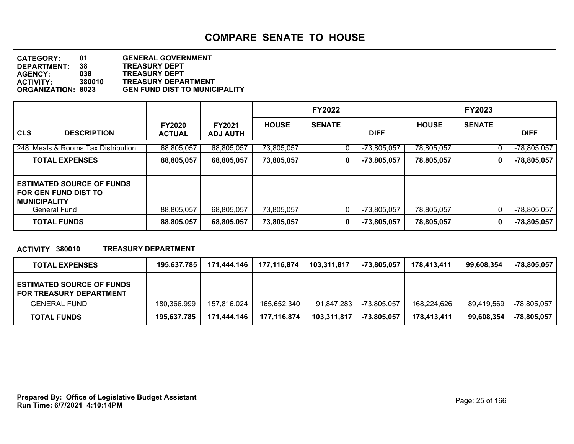| <b>CATEGORY:</b>          | 01     | <b>GENERAL GOVERNMENT</b>            |
|---------------------------|--------|--------------------------------------|
| <b>DEPARTMENT:</b>        | 38     | <b>TREASURY DEPT</b>                 |
| <b>AGENCY:</b>            | 038    | <b>TREASURY DEPT</b>                 |
| ACTIVITY:                 | 380010 | <b>TREASURY DEPARTMENT</b>           |
| <b>ORGANIZATION: 8023</b> |        | <b>GEN FUND DIST TO MUNICIPALITY</b> |
|                           |        |                                      |

|                                                                                                               |                                |                                  |              | <b>FY2022</b> |               |              | <b>FY2023</b> |               |
|---------------------------------------------------------------------------------------------------------------|--------------------------------|----------------------------------|--------------|---------------|---------------|--------------|---------------|---------------|
| <b>CLS</b><br><b>DESCRIPTION</b>                                                                              | <b>FY2020</b><br><b>ACTUAL</b> | <b>FY2021</b><br><b>ADJ AUTH</b> | <b>HOUSE</b> | <b>SENATE</b> | <b>DIFF</b>   | <b>HOUSE</b> | <b>SENATE</b> | <b>DIFF</b>   |
| 248 Meals & Rooms Tax Distribution                                                                            | 68,805,057                     | 68,805,057                       | 73,805,057   | 0             | $-73,805,057$ | 78,805,057   | U             | $-78,805,057$ |
| <b>TOTAL EXPENSES</b>                                                                                         | 88,805,057                     | 68,805,057                       | 73,805,057   | 0             | -73,805,057   | 78,805,057   | 0             | $-78,805,057$ |
| <b>ESTIMATED SOURCE OF FUNDS</b><br><b>FOR GEN FUND DIST TO</b><br><b>MUNICIPALITY</b><br><b>General Fund</b> | 88,805,057                     | 68,805,057                       | 73,805,057   | 0             | -73,805,057   | 78,805,057   | 0             | $-78,805,057$ |
| <b>TOTAL FUNDS</b>                                                                                            | 88,805,057                     | 68,805,057                       | 73,805,057   | 0             | -73,805,057   | 78,805,057   | 0             | $-78,805,057$ |

## **ACTIVITY 380010 TREASURY DEPARTMENT**

| <b>TOTAL EXPENSES</b>                                                                     | 195,637,785 | 171,444,146 | 177,116,874 | 103,311,817 | -73,805,057 | 178.413.411 | 99.608.354 | -78,805,057 |
|-------------------------------------------------------------------------------------------|-------------|-------------|-------------|-------------|-------------|-------------|------------|-------------|
| <b>ESTIMATED SOURCE OF FUNDS</b><br><b>FOR TREASURY DEPARTMENT</b><br><b>GENERAL FUND</b> | 180.366.999 | 157.816.024 | 165,652,340 | 91.847.283  | -73,805,057 | 168.224.626 | 89.419.569 | -78,805,057 |
| <b>TOTAL FUNDS</b>                                                                        | 195,637,785 | 171,444,146 | 177,116,874 | 103,311,817 | -73,805,057 | 178,413,411 | 99.608.354 | -78,805,057 |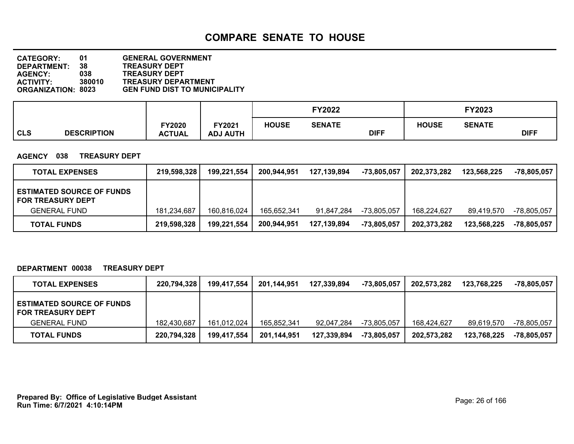| <b>CATEGORY:</b>          | 01     | <b>GENERAL GOVERNMENT</b>            |
|---------------------------|--------|--------------------------------------|
| <b>DEPARTMENT:</b>        | 38     | <b>TREASURY DEPT</b>                 |
| <b>AGENCY:</b>            | 038    | <b>TREASURY DEPT</b>                 |
| <b>ACTIVITY:</b>          | 380010 | <b>TREASURY DEPARTMENT</b>           |
| <b>ORGANIZATION: 8023</b> |        | <b>GEN FUND DIST TO MUNICIPALITY</b> |
|                           |        |                                      |

|            |                    |               |                 |              | <b>FY2022</b> |             |              | <b>FY2023</b> |             |  |
|------------|--------------------|---------------|-----------------|--------------|---------------|-------------|--------------|---------------|-------------|--|
|            |                    | <b>FY2020</b> | FY2021          | <b>HOUSE</b> | <b>SENATE</b> |             | <b>HOUSE</b> | <b>SENATE</b> |             |  |
| <b>CLS</b> | <b>DESCRIPTION</b> | <b>ACTUAL</b> | <b>ADJ AUTH</b> |              |               | <b>DIFF</b> |              |               | <b>DIFF</b> |  |

#### **AGENCY 038 TREASURY DEPT**

| <b>TOTAL EXPENSES</b>                                        | 219,598,328 | 199,221,554 | 200,944,951 | 127,139,894 | -73,805,057 | 202.373.282 | 123.568.225 | -78,805,057 |
|--------------------------------------------------------------|-------------|-------------|-------------|-------------|-------------|-------------|-------------|-------------|
| <b>ESTIMATED SOURCE OF FUNDS</b><br><b>FOR TREASURY DEPT</b> |             |             |             |             |             |             |             |             |
| <b>GENERAL FUND</b>                                          | 181,234,687 | 160,816,024 | 165,652,341 | 91.847.284  | -73,805,057 | 168.224.627 | 89.419.570  | -78,805,057 |
| <b>TOTAL FUNDS</b>                                           | 219,598,328 | 199,221,554 | 200,944,951 | 127,139,894 | -73,805,057 | 202,373,282 | 123.568.225 | -78,805,057 |

### **DEPARTMENT 00038 TREASURY DEPT**

| <b>TOTAL EXPENSES</b>                                        | 220,794,328 | 199,417,554 | 201,144,951 | 127,339,894 | -73,805,057 | 202.573.282 | 123,768,225 | -78,805,057 |
|--------------------------------------------------------------|-------------|-------------|-------------|-------------|-------------|-------------|-------------|-------------|
| <b>ESTIMATED SOURCE OF FUNDS</b><br><b>FOR TREASURY DEPT</b> |             |             |             |             |             |             |             |             |
| <b>GENERAL FUND</b>                                          | 182,430,687 | 161,012,024 | 165,852,341 | 92.047.284  | -73,805,057 | 168.424.627 | 89,619,570  | -78,805,057 |
| <b>TOTAL FUNDS</b>                                           | 220,794,328 | 199,417,554 | 201,144,951 | 127,339,894 | -73,805,057 | 202,573,282 | 123,768,225 | -78,805,057 |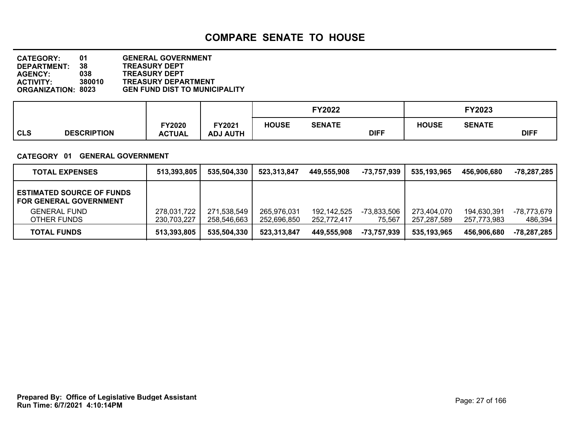| <b>CATEGORY:</b>          | 01     | <b>GENERAL GOVERNMENT</b>            |
|---------------------------|--------|--------------------------------------|
| <b>DEPARTMENT:</b>        | 38     | <b>TREASURY DEPT</b>                 |
|                           |        |                                      |
| <b>AGENCY:</b>            | 038    | <b>TREASURY DEPT</b>                 |
| <b>ACTIVITY:</b>          | 380010 | <b>TREASURY DEPARTMENT</b>           |
| <b>ORGANIZATION: 8023</b> |        | <b>GEN FUND DIST TO MUNICIPALITY</b> |

|            |                    |                                |                                  |              | <b>FY2022</b> |             |              | FY2023        |             |  |
|------------|--------------------|--------------------------------|----------------------------------|--------------|---------------|-------------|--------------|---------------|-------------|--|
| <b>CLS</b> | <b>DESCRIPTION</b> | <b>FY2020</b><br><b>ACTUAL</b> | <b>FY2021</b><br><b>ADJ AUTH</b> | <b>HOUSE</b> | <b>SENATE</b> | <b>DIFF</b> | <b>HOUSE</b> | <b>SENATE</b> | <b>DIFF</b> |  |

### **CATEGORY 01 GENERAL GOVERNMENT**

| <b>TOTAL EXPENSES</b>                                             | 513,393,805                | 535.504.330                | 523,313,847                | 449.555.908                | -73.757.939           | 535.193.965                | 456.906.680                | -78,287,285            |
|-------------------------------------------------------------------|----------------------------|----------------------------|----------------------------|----------------------------|-----------------------|----------------------------|----------------------------|------------------------|
| <b>ESTIMATED SOURCE OF FUNDS</b><br><b>FOR GENERAL GOVERNMENT</b> |                            |                            |                            |                            |                       |                            |                            |                        |
| <b>GENERAL FUND</b><br>OTHER FUNDS                                | 278,031,722<br>230,703,227 | 271,538,549<br>258,546,663 | 265,976,031<br>252.696.850 | 192,142,525<br>252.772.417 | -73,833,506<br>75,567 | 273.404.070<br>257.287.589 | 194.630.391<br>257.773.983 | -78,773,679<br>486,394 |
| <b>TOTAL FUNDS</b>                                                | 513,393,805                | 535.504.330                | 523,313,847                | 449.555.908                | -73.757.939           | 535.193.965                | 456,906,680                | $-78,287,285$          |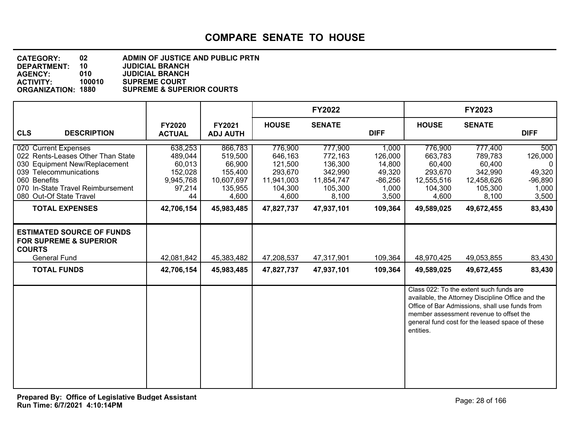#### **DEPARTMENT: 10 JUDICIAL BRANCH CATEGORY: 02 ADMIN OF JUSTICE AND PUBLIC PRTN AGENCY: 010 JUDICIAL BRANCH ACTIVITY: 100010 SUPREME COURT SUPREME & SUPERIOR COURTS**

|                                                                                                                                                                                                      |                                                                      |                                                                           |                                                                            | <b>FY2022</b>                                                              |                                                                     |                                                                           | FY2023                                                                                                                                                                                                                                       |                                                                     |
|------------------------------------------------------------------------------------------------------------------------------------------------------------------------------------------------------|----------------------------------------------------------------------|---------------------------------------------------------------------------|----------------------------------------------------------------------------|----------------------------------------------------------------------------|---------------------------------------------------------------------|---------------------------------------------------------------------------|----------------------------------------------------------------------------------------------------------------------------------------------------------------------------------------------------------------------------------------------|---------------------------------------------------------------------|
| <b>CLS</b><br><b>DESCRIPTION</b>                                                                                                                                                                     | <b>FY2020</b><br><b>ACTUAL</b>                                       | <b>FY2021</b><br><b>ADJ AUTH</b>                                          | <b>HOUSE</b>                                                               | <b>SENATE</b>                                                              | <b>DIFF</b>                                                         | <b>HOUSE</b>                                                              | <b>SENATE</b>                                                                                                                                                                                                                                | <b>DIFF</b>                                                         |
| 020 Current Expenses<br>022 Rents-Leases Other Than State<br>030 Equipment New/Replacement<br>039 Telecommunications<br>060 Benefits<br>070 In-State Travel Reimbursement<br>080 Out-Of State Travel | 638,253<br>489,044<br>60,013<br>152,028<br>9,945,768<br>97,214<br>44 | 866,783<br>519,500<br>66,900<br>155,400<br>10,607,697<br>135,955<br>4,600 | 776,900<br>646,163<br>121,500<br>293,670<br>11,941,003<br>104,300<br>4,600 | 777,900<br>772,163<br>136,300<br>342,990<br>11,854,747<br>105,300<br>8,100 | 1,000<br>126,000<br>14,800<br>49,320<br>$-86,256$<br>1,000<br>3,500 | 776,900<br>663,783<br>60,400<br>293,670<br>12,555,516<br>104,300<br>4,600 | 777,400<br>789,783<br>60,400<br>342,990<br>12,458,626<br>105,300<br>8,100                                                                                                                                                                    | 500<br>126,000<br>$\Omega$<br>49,320<br>$-96,890$<br>1,000<br>3,500 |
| <b>TOTAL EXPENSES</b>                                                                                                                                                                                | 42,706,154                                                           | 45,983,485                                                                | 47,827,737                                                                 | 47,937,101                                                                 | 109,364                                                             | 49,589,025                                                                | 49,672,455                                                                                                                                                                                                                                   | 83,430                                                              |
| <b>ESTIMATED SOURCE OF FUNDS</b><br><b>FOR SUPREME &amp; SUPERIOR</b><br><b>COURTS</b><br><b>General Fund</b><br><b>TOTAL FUNDS</b>                                                                  | 42,081,842<br>42,706,154                                             | 45,383,482<br>45,983,485                                                  | 47,208,537<br>47,827,737                                                   | 47,317,901<br>47,937,101                                                   | 109,364<br>109,364                                                  | 48,970,425<br>49,589,025                                                  | 49,053,855<br>49,672,455                                                                                                                                                                                                                     | 83,430<br>83,430                                                    |
|                                                                                                                                                                                                      |                                                                      |                                                                           |                                                                            |                                                                            |                                                                     | entities.                                                                 | Class 022: To the extent such funds are<br>available, the Attorney Discipline Office and the<br>Office of Bar Admissions, shall use funds from<br>member assessment revenue to offset the<br>general fund cost for the leased space of these |                                                                     |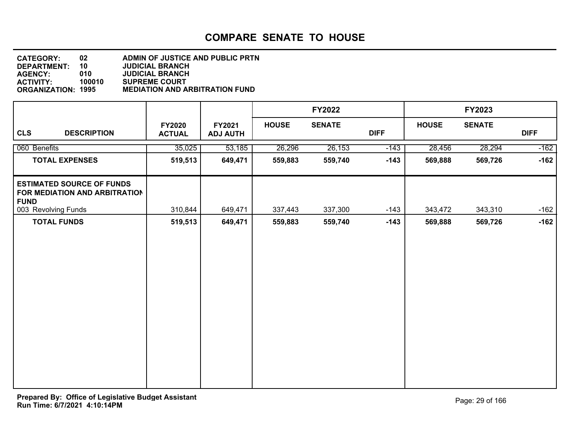| <b>CATEGORY:</b>          | 02     | <b>ADMIN OF JUSTICE AND PUBLIC PRTN</b> |
|---------------------------|--------|-----------------------------------------|
| <b>DEPARTMENT:</b>        | 10     | <b>JUDICIAL BRANCH</b>                  |
| <b>AGENCY:</b>            | 010    | <b>JUDICIAL BRANCH</b>                  |
| <b>ACTIVITY:</b>          | 100010 | <b>SUPREME COURT</b>                    |
| <b>ORGANIZATION: 1995</b> |        | <b>MEDIATION AND ARBITRATION FUND</b>   |

|                                                                                  |                                |                           |              | FY2022        |             |              | <b>FY2023</b> |             |
|----------------------------------------------------------------------------------|--------------------------------|---------------------------|--------------|---------------|-------------|--------------|---------------|-------------|
| <b>CLS</b><br><b>DESCRIPTION</b>                                                 | <b>FY2020</b><br><b>ACTUAL</b> | FY2021<br><b>ADJ AUTH</b> | <b>HOUSE</b> | <b>SENATE</b> | <b>DIFF</b> | <b>HOUSE</b> | <b>SENATE</b> | <b>DIFF</b> |
| 060 Benefits                                                                     | 35,025                         | 53,185                    | 26,296       | 26,153        | $-143$      | 28,456       | 28,294        | $-162$      |
| <b>TOTAL EXPENSES</b>                                                            | 519,513                        | 649,471                   | 559,883      | 559,740       | $-143$      | 569,888      | 569,726       | $-162$      |
| <b>ESTIMATED SOURCE OF FUNDS</b><br>FOR MEDIATION AND ARBITRATION<br><b>FUND</b> |                                |                           |              |               |             |              |               |             |
| 003 Revolving Funds                                                              | 310,844                        | 649,471                   | 337,443      | 337,300       | $-143$      | 343,472      | 343,310       | $-162$      |
| <b>TOTAL FUNDS</b>                                                               | 519,513                        | 649,471                   | 559,883      | 559,740       | $-143$      | 569,888      | 569,726       | $-162$      |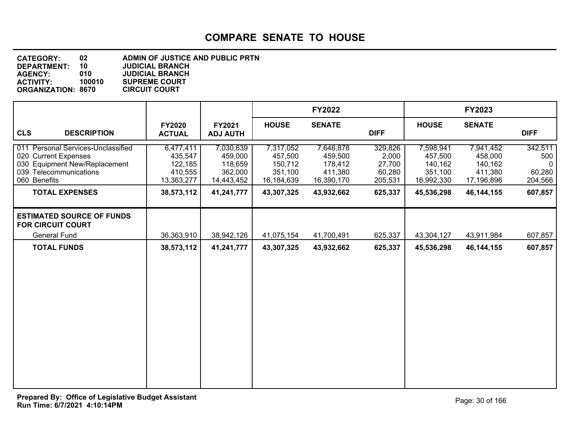**DEPARTMENT: 10 JUDICIAL BRANCH CATEGORY: 02 ADMIN OF JUSTICE AND PUBLIC PRTN AGENCY: 010 JUDICIAL BRANCH SUPREME COURT<br>CIRCUIT COURT ORGANIZATION: 8670** 

|                                                                                                                                                                |                                                                        |                                                                        |                                                                        | <b>FY2022</b>                                                          |                                                            |                                                                        | FY2023                                                                   |                                                                |
|----------------------------------------------------------------------------------------------------------------------------------------------------------------|------------------------------------------------------------------------|------------------------------------------------------------------------|------------------------------------------------------------------------|------------------------------------------------------------------------|------------------------------------------------------------|------------------------------------------------------------------------|--------------------------------------------------------------------------|----------------------------------------------------------------|
| <b>CLS</b><br><b>DESCRIPTION</b>                                                                                                                               | <b>FY2020</b><br><b>ACTUAL</b>                                         | FY2021<br><b>ADJ AUTH</b>                                              | <b>HOUSE</b>                                                           | <b>SENATE</b>                                                          | <b>DIFF</b>                                                | <b>HOUSE</b>                                                           | <b>SENATE</b>                                                            | <b>DIFF</b>                                                    |
| 011 Personal Services-Unclassified<br>020 Current Expenses<br>030 Equipment New/Replacement<br>039 Telecommunications<br>060 Benefits<br><b>TOTAL EXPENSES</b> | 6,477,411<br>435,547<br>122,185<br>410,555<br>13,363,277<br>38,573,112 | 7,030,639<br>459,000<br>118,659<br>362,000<br>14,443,452<br>41,241,777 | 7,317,052<br>457,500<br>150,712<br>351,100<br>16,184,639<br>43,307,325 | 7,646,878<br>459,500<br>178,412<br>411,380<br>16,390,170<br>43,932,662 | 329,826<br>2,000<br>27,700<br>60,280<br>205,531<br>625,337 | 7,598,941<br>457,500<br>140,162<br>351,100<br>16,992,330<br>45,536,298 | 7,941,452<br>458,000<br>140,162<br>411,380<br>17,196,896<br>46, 144, 155 | 342,511<br>500<br>$\mathbf{0}$<br>60,280<br>204,566<br>607,857 |
| <b>ESTIMATED SOURCE OF FUNDS</b><br><b>FOR CIRCUIT COURT</b>                                                                                                   |                                                                        |                                                                        |                                                                        |                                                                        |                                                            |                                                                        |                                                                          |                                                                |
| <b>General Fund</b>                                                                                                                                            | 36,363,910                                                             | 38,942,126                                                             | 41,075,154                                                             | 41,700,491                                                             | 625,337                                                    | 43,304,127                                                             | 43,911,984                                                               | 607,857                                                        |
| <b>TOTAL FUNDS</b>                                                                                                                                             | 38,573,112                                                             | 41,241,777                                                             | 43,307,325                                                             | 43,932,662                                                             | 625,337                                                    | 45,536,298                                                             | 46, 144, 155                                                             | 607,857                                                        |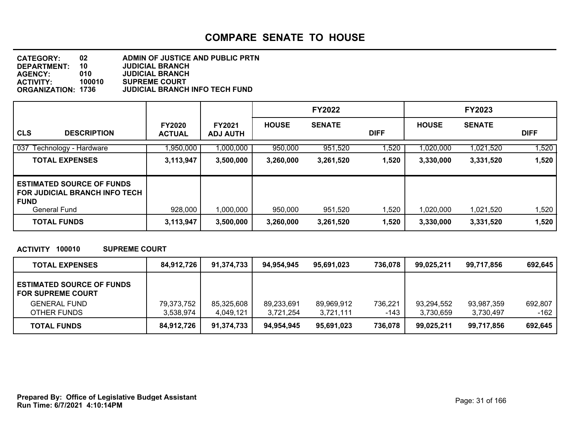#### **DEPARTMENT: 10 JUDICIAL BRANCH CATEGORY: 02 ADMIN OF JUSTICE AND PUBLIC PRTN AGENCY: 010 JUDICIAL BRANCH ACTIVITY: 100010 SUPREME COURT JUDICIAL BRANCH INFO TECH FUND**

|                                                                                                       |                                |                                  |              | <b>FY2022</b> |             |              | <b>FY2023</b> |             |
|-------------------------------------------------------------------------------------------------------|--------------------------------|----------------------------------|--------------|---------------|-------------|--------------|---------------|-------------|
| <b>CLS</b><br><b>DESCRIPTION</b>                                                                      | <b>FY2020</b><br><b>ACTUAL</b> | <b>FY2021</b><br><b>ADJ AUTH</b> | <b>HOUSE</b> | <b>SENATE</b> | <b>DIFF</b> | <b>HOUSE</b> | <b>SENATE</b> | <b>DIFF</b> |
| 037<br>Technology - Hardware                                                                          | ,950,000                       | 1,000,000                        | 950,000      | 951,520       | 1,520       | 1,020,000    | 1,021,520     | 1,520       |
| <b>TOTAL EXPENSES</b>                                                                                 | 3,113,947                      | 3,500,000                        | 3,260,000    | 3,261,520     | 1,520       | 3,330,000    | 3,331,520     | 1,520       |
| <b>ESTIMATED SOURCE OF FUNDS</b><br>I FOR JUDICIAL BRANCH INFO TECH.<br>  FUND<br><b>General Fund</b> | 928,000                        | 1,000,000                        | 950,000      | 951,520       | 1,520       | 1,020,000    | 1,021,520     | 1,520       |
| <b>TOTAL FUNDS</b>                                                                                    | 3,113,947                      | 3,500,000                        | 3,260,000    | 3,261,520     | 1,520       | 3,330,000    | 3,331,520     | 1,520       |

### **ACTIVITY 100010 SUPREME COURT**

| <b>TOTAL EXPENSES</b>                                        | 84,912,726 | 91,374,733 | 94.954.945 | 95.691.023 | 736,078 | 99.025.211 | 99.717.856 | 692.645 |
|--------------------------------------------------------------|------------|------------|------------|------------|---------|------------|------------|---------|
| <b>ESTIMATED SOURCE OF FUNDS</b><br><b>FOR SUPREME COURT</b> |            |            |            |            |         |            |            |         |
| <b>GENERAL FUND</b>                                          | 79,373,752 | 85,325,608 | 89,233,691 | 89,969,912 | 736,221 | 93,294,552 | 93,987,359 | 692.807 |
| OTHER FUNDS                                                  | 3.538.974  | 4.049.121  | 3.721.254  | 3,721,111  | -143    | 3,730,659  | 3,730,497  | -162    |
| <b>TOTAL FUNDS</b>                                           | 84,912,726 | 91,374,733 | 94.954.945 | 95.691.023 | 736,078 | 99,025,211 | 99,717,856 | 692,645 |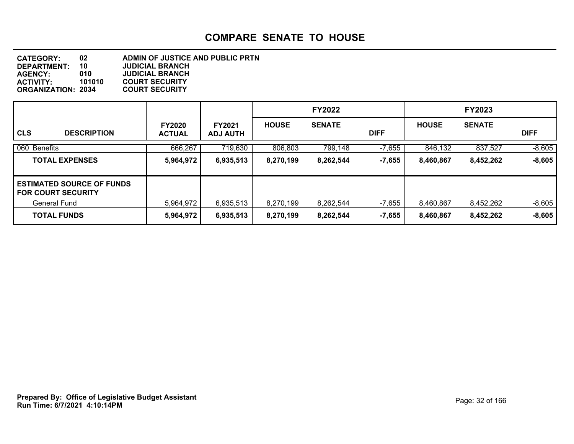**DEPARTMENT: 10 JUDICIAL BRANCH CATEGORY: 02 ADMIN OF JUSTICE AND PUBLIC PRTN AGENCY: 010 JUDICIAL BRANCH ACTIVITY: 101010 COURT SECURITY ORGANIZATION: 2034** 

|                                                               |                                |                                  |              | <b>FY2022</b> |             |              | <b>FY2023</b> |             |
|---------------------------------------------------------------|--------------------------------|----------------------------------|--------------|---------------|-------------|--------------|---------------|-------------|
| <b>CLS</b><br><b>DESCRIPTION</b>                              | <b>FY2020</b><br><b>ACTUAL</b> | <b>FY2021</b><br><b>ADJ AUTH</b> | <b>HOUSE</b> | <b>SENATE</b> | <b>DIFF</b> | <b>HOUSE</b> | <b>SENATE</b> | <b>DIFF</b> |
| 060 Benefits                                                  | 666,267                        | 719,630                          | 806,803      | 799,148       | $-7,655$    | 846,132      | 837,527       | $-8,605$    |
| <b>TOTAL EXPENSES</b>                                         | 5,964,972                      | 6,935,513                        | 8,270,199    | 8,262,544     | $-7,655$    | 8,460,867    | 8,452,262     | $-8,605$    |
| <b>ESTIMATED SOURCE OF FUNDS</b><br><b>FOR COURT SECURITY</b> |                                |                                  |              |               |             |              |               |             |
| General Fund                                                  | 5,964,972                      | 6,935,513                        | 8,270,199    | 8,262,544     | $-7,655$    | 8,460,867    | 8,452,262     | $-8,605$    |
| <b>TOTAL FUNDS</b>                                            | 5,964,972                      | 6,935,513                        | 8,270,199    | 8,262,544     | $-7,655$    | 8,460,867    | 8,452,262     | $-8,605$    |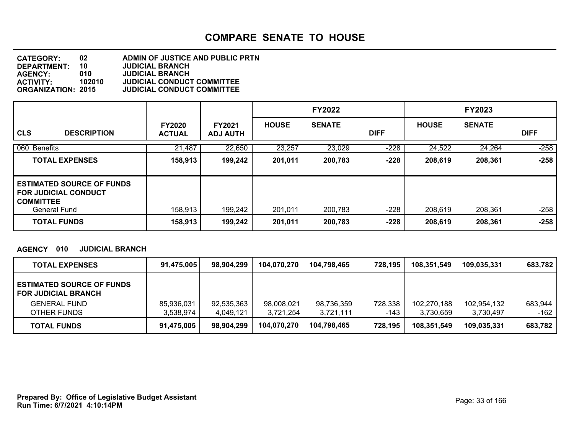#### **DEPARTMENT: 10 JUDICIAL BRANCH CATEGORY: 02 ADMIN OF JUSTICE AND PUBLIC PRTN AGENCY: 010 JUDICIAL BRANCH ACTIVITY: 102010 JUDICIAL CONDUCT COMMITTEE ORGANIZATION: 2015 JUDICIAL CONDUCT COMMITTEE**

|                                                                                                            |                                |                                  |              | <b>FY2022</b> |             |              | <b>FY2023</b> |             |
|------------------------------------------------------------------------------------------------------------|--------------------------------|----------------------------------|--------------|---------------|-------------|--------------|---------------|-------------|
| <b>CLS</b><br><b>DESCRIPTION</b>                                                                           | <b>FY2020</b><br><b>ACTUAL</b> | <b>FY2021</b><br><b>ADJ AUTH</b> | <b>HOUSE</b> | <b>SENATE</b> | <b>DIFF</b> | <b>HOUSE</b> | <b>SENATE</b> | <b>DIFF</b> |
| 060 Benefits                                                                                               | 21,487                         | 22,650                           | 23,257       | 23,029        | $-228$      | 24,522       | 24,264        | $-258$      |
| <b>TOTAL EXPENSES</b>                                                                                      | 158,913                        | 199,242                          | 201,011      | 200,783       | $-228$      | 208,619      | 208,361       | $-258$      |
| <b>ESTIMATED SOURCE OF FUNDS</b><br><b>FOR JUDICIAL CONDUCT</b><br><b>COMMITTEE</b><br><b>General Fund</b> | 158,913                        | 199,242                          | 201,011      | 200,783       | $-228$      | 208,619      | 208,361       | $-258$      |
| <b>TOTAL FUNDS</b>                                                                                         | 158,913                        | 199,242                          | 201,011      | 200,783       | $-228$      | 208,619      | 208,361       | $-258$      |

### **AGENCY 010 JUDICIAL BRANCH**

| <b>TOTAL EXPENSES</b>                                          | 91,475,005 | 98,904,299 | 104,070,270 | 104,798,465 | 728,195 | 108,351,549 | 109,035,331 | 683,782 |
|----------------------------------------------------------------|------------|------------|-------------|-------------|---------|-------------|-------------|---------|
| <b>ESTIMATED SOURCE OF FUNDS</b><br><b>FOR JUDICIAL BRANCH</b> |            |            |             |             |         |             |             |         |
| <b>GENERAL FUND</b>                                            | 85,936,031 | 92,535,363 | 98,008,021  | 98,736,359  | 728,338 | 102,270,188 | 102,954,132 | 683,944 |
| OTHER FUNDS                                                    | 3,538,974  | 4.049.121  | 3.721.254   | 3,721,111   | -143    | 3,730,659   | 3,730,497   | -162    |
| <b>TOTAL FUNDS</b>                                             | 91,475,005 | 98,904,299 | 104,070,270 | 104.798.465 | 728,195 | 108,351,549 | 109,035,331 | 683,782 |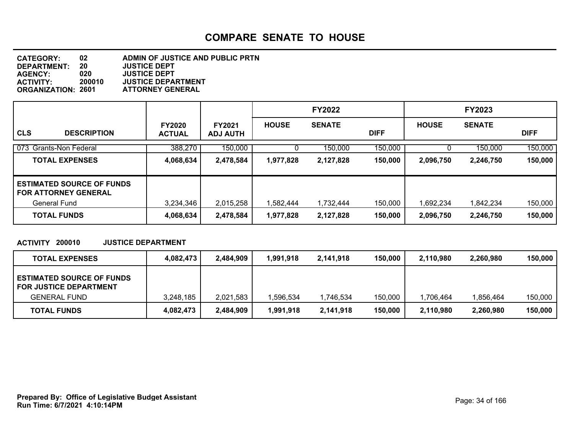| <b>CATEGORY:</b>          | 02     | ADMIN OF JUSTICE AND PUBLIC PRTN |
|---------------------------|--------|----------------------------------|
| <b>DEPARTMENT:</b>        | 20     | <b>JUSTICE DEPT</b>              |
| <b>AGENCY:</b>            | 020    | <b>JUSTICE DEPT</b>              |
| <b>ACTIVITY:</b>          | 200010 | <b>JUSTICE DEPARTMENT</b>        |
| <b>ORGANIZATION: 2601</b> |        | <b>ATTORNEY GENERAL</b>          |

|                                                                                 |                                |                                  |              | <b>FY2022</b> |             |                        | <b>FY2023</b>          |             |
|---------------------------------------------------------------------------------|--------------------------------|----------------------------------|--------------|---------------|-------------|------------------------|------------------------|-------------|
| <b>CLS</b><br><b>DESCRIPTION</b>                                                | <b>FY2020</b><br><b>ACTUAL</b> | <b>FY2021</b><br><b>ADJ AUTH</b> | <b>HOUSE</b> | <b>SENATE</b> | <b>DIFF</b> | <b>HOUSE</b>           | <b>SENATE</b>          | <b>DIFF</b> |
| 073<br><b>Grants-Non Federal</b>                                                | 388,270                        | 150,000                          |              | 150,000       | 150,000     |                        | 150,000                | 150,000     |
| <b>TOTAL EXPENSES</b>                                                           | 4,068,634                      | 2,478,584                        | 1,977,828    | 2,127,828     | 150,000     | 2,096,750              | 2,246,750              | 150,000     |
| <b>ESTIMATED SOURCE OF FUNDS</b><br><b>FOR ATTORNEY GENERAL</b><br>General Fund | 3.234.346                      | 2,015,258                        | 1,582,444    | 1,732,444     | 150,000     |                        |                        | 150,000     |
| <b>TOTAL FUNDS</b>                                                              | 4,068,634                      | 2,478,584                        | 1,977,828    | 2,127,828     | 150,000     | 1,692,234<br>2,096,750 | 1,842,234<br>2,246,750 | 150,000     |

### **ACTIVITY 200010 JUSTICE DEPARTMENT**

| <b>TOTAL EXPENSES</b>                                             | 4,082,473 | 2,484,909 | 1,991,918 | 2.141.918 | 150,000 | 2.110.980 | 2,260,980 | 150,000 |
|-------------------------------------------------------------------|-----------|-----------|-----------|-----------|---------|-----------|-----------|---------|
| <b>ESTIMATED SOURCE OF FUNDS</b><br><b>FOR JUSTICE DEPARTMENT</b> |           |           |           |           |         |           |           |         |
| <b>GENERAL FUND</b>                                               | 3,248,185 | 2,021,583 | .596.534  | .746,534  | 150,000 | 1,706,464 | 856.464.ا | 150,000 |
| <b>TOTAL FUNDS</b>                                                | 4,082,473 | 2,484,909 | 991,918,ا | 2,141,918 | 150,000 | 2,110,980 | 2,260,980 | 150,000 |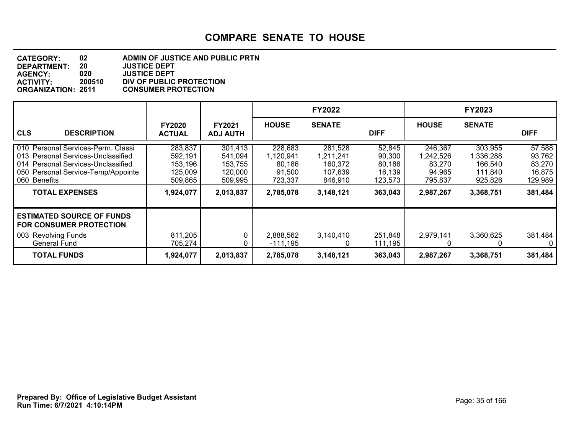### **DEPARTMENT: 20 JUSTICE DEPT CATEGORY: 02 ADMIN OF JUSTICE AND PUBLIC PRTN AGENCY: 020 JUSTICE DEPT ACTIVITY: 200510 DIV OF PUBLIC PROTECTION ORGANIZATION: 2611 CONSUMER PROTECTION**

|                                                                                                                                                                                               |                                                                  |                                                                  |                                                                  | <b>FY2022</b>                                                      |                                                            |                                                                  | <b>FY2023</b>                                                      |                                                            |
|-----------------------------------------------------------------------------------------------------------------------------------------------------------------------------------------------|------------------------------------------------------------------|------------------------------------------------------------------|------------------------------------------------------------------|--------------------------------------------------------------------|------------------------------------------------------------|------------------------------------------------------------------|--------------------------------------------------------------------|------------------------------------------------------------|
| <b>CLS</b><br><b>DESCRIPTION</b>                                                                                                                                                              | <b>FY2020</b><br><b>ACTUAL</b>                                   | <b>FY2021</b><br><b>ADJ AUTH</b>                                 | <b>HOUSE</b>                                                     | <b>SENATE</b>                                                      | <b>DIFF</b>                                                | <b>HOUSE</b>                                                     | <b>SENATE</b>                                                      | <b>DIFF</b>                                                |
| 010 Personal Services-Perm. Classi<br>013 Personal Services-Unclassified<br>014 Personal Services-Unclassified<br>050 Personal Service-Temp/Appointe<br>060 Benefits<br><b>TOTAL EXPENSES</b> | 283,837<br>592,191<br>153,196<br>125,009<br>509,865<br>1,924,077 | 301,413<br>541,094<br>153,755<br>120,000<br>509,995<br>2,013,837 | 228,683<br>1,120,941<br>80,186<br>91,500<br>723,337<br>2,785,078 | 281,528<br>1,211,241<br>160,372<br>107,639<br>846.910<br>3,148,121 | 52,845<br>90,300<br>80,186<br>16,139<br>123,573<br>363,043 | 246,367<br>1,242,526<br>83.270<br>94,965<br>795.837<br>2,987,267 | 303,955<br>1,336,288<br>166,540<br>111,840<br>925,826<br>3,368,751 | 57,588<br>93,762<br>83,270<br>16,875<br>129,989<br>381,484 |
| <b>ESTIMATED SOURCE OF FUNDS</b>                                                                                                                                                              |                                                                  |                                                                  |                                                                  |                                                                    |                                                            |                                                                  |                                                                    |                                                            |
| <b>FOR CONSUMER PROTECTION</b>                                                                                                                                                                |                                                                  |                                                                  |                                                                  |                                                                    |                                                            |                                                                  |                                                                    |                                                            |
| 003 Revolving Funds<br><b>General Fund</b>                                                                                                                                                    | 811,205<br>705,274                                               | 0                                                                | 2,888,562<br>$-111,195$                                          | 3,140,410<br>0                                                     | 251,848<br>111,195                                         | 2,979,141<br>0                                                   | 3,360,625<br>0                                                     | 381,484<br>0                                               |
| <b>TOTAL FUNDS</b>                                                                                                                                                                            | 1,924,077                                                        | 2,013,837                                                        | 2,785,078                                                        | 3,148,121                                                          | 363,043                                                    | 2,987,267                                                        | 3,368,751                                                          | 381,484                                                    |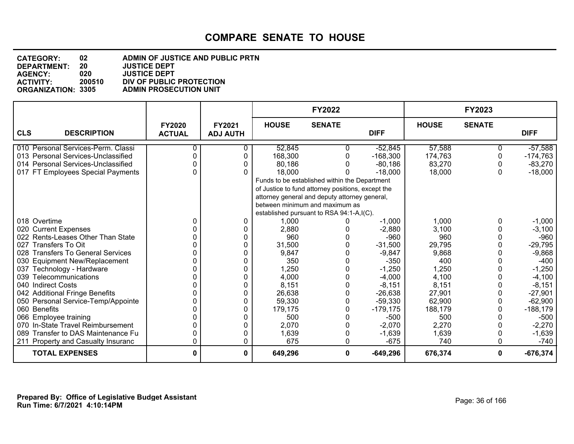#### **DEPARTMENT: 20 JUSTICE DEPT CATEGORY: 02 ADMIN OF JUSTICE AND PUBLIC PRTN AGENCY: 020 JUSTICE DEPT ACTIVITY: 200510 DIV OF PUBLIC PROTECTION ADMIN PROSECUTION UNIT**

|                                    |                                |                           |                                                   | <b>FY2022</b> |             |              | FY2023        |             |
|------------------------------------|--------------------------------|---------------------------|---------------------------------------------------|---------------|-------------|--------------|---------------|-------------|
| <b>CLS</b><br><b>DESCRIPTION</b>   | <b>FY2020</b><br><b>ACTUAL</b> | FY2021<br><b>ADJ AUTH</b> | <b>HOUSE</b>                                      | <b>SENATE</b> | <b>DIFF</b> | <b>HOUSE</b> | <b>SENATE</b> | <b>DIFF</b> |
| 010 Personal Services-Perm. Classi |                                |                           | 52,845                                            | ი             | $-52,845$   | 57,588       |               | $-57,588$   |
| 013 Personal Services-Unclassified |                                | 0                         | 168,300                                           | 0             | $-168,300$  | 174,763      | O             | $-174,763$  |
| 014 Personal Services-Unclassified |                                | 0                         | 80,186                                            |               | $-80,186$   | 83,270       |               | $-83,270$   |
| 017 FT Employees Special Payments  |                                |                           | 18,000                                            |               | $-18,000$   | 18,000       | 0             | $-18,000$   |
|                                    |                                |                           | Funds to be established within the Department     |               |             |              |               |             |
|                                    |                                |                           | of Justice to fund attorney positions, except the |               |             |              |               |             |
|                                    |                                |                           | attorney general and deputy attorney general,     |               |             |              |               |             |
|                                    |                                |                           | between minimum and maximum as                    |               |             |              |               |             |
|                                    |                                |                           | established pursuant to RSA 94:1-A,I(C).          |               |             |              |               |             |
| 018 Overtime                       | 0                              | 0                         | 1,000                                             |               | $-1,000$    | 1,000        | 0             | $-1,000$    |
| 020 Current Expenses               |                                | 0                         | 2,880                                             |               | $-2,880$    | 3,100        |               | $-3,100$    |
| 022 Rents-Leases Other Than State  |                                | 0                         | 960                                               |               | $-960$      | 960          |               | $-960$      |
| 027 Transfers To Oit               |                                | 0                         | 31,500                                            |               | $-31,500$   | 29,795       |               | $-29,795$   |
| 028 Transfers To General Services  |                                | 0                         | 9,847                                             | 0             | $-9,847$    | 9,868        | O             | $-9,868$    |
| 030 Equipment New/Replacement      |                                | 0                         | 350                                               |               | $-350$      | 400          |               | $-400$      |
| 037 Technology - Hardware          |                                | 0                         | 1,250                                             | 0             | $-1,250$    | 1,250        |               | $-1,250$    |
| 039 Telecommunications             |                                | 0                         | 4,000                                             | 0             | $-4,000$    | 4,100        |               | $-4,100$    |
| 040 Indirect Costs                 |                                | 0                         | 8,151                                             | 0             | $-8,151$    | 8,151        |               | $-8,151$    |
| 042 Additional Fringe Benefits     |                                | 0                         | 26,638                                            | 0             | $-26,638$   | 27,901       |               | $-27,901$   |
| 050 Personal Service-Temp/Appointe |                                | 0                         | 59,330                                            | 0             | $-59,330$   | 62,900       | 0             | $-62,900$   |
| 060 Benefits                       |                                | 0                         | 179,175                                           | 0             | $-179, 175$ | 188,179      | 0             | $-188,179$  |
| 066 Employee training              |                                | ი                         | 500                                               |               | $-500$      | 500          |               | -500        |
| 070 In-State Travel Reimbursement  |                                |                           | 2,070                                             | 0             | $-2,070$    | 2,270        |               | $-2,270$    |
| 089 Transfer to DAS Maintenance Fu |                                | 0                         | 1,639                                             | 0             | $-1,639$    | 1,639        |               | $-1,639$    |
| 211 Property and Casualty Insuranc |                                | 0                         | 675                                               | 0             | $-675$      | 740          |               | $-740$      |
| <b>TOTAL EXPENSES</b>              | 0                              | 0                         | 649,296                                           | 0             | $-649,296$  | 676,374      | $\mathbf{0}$  | $-676,374$  |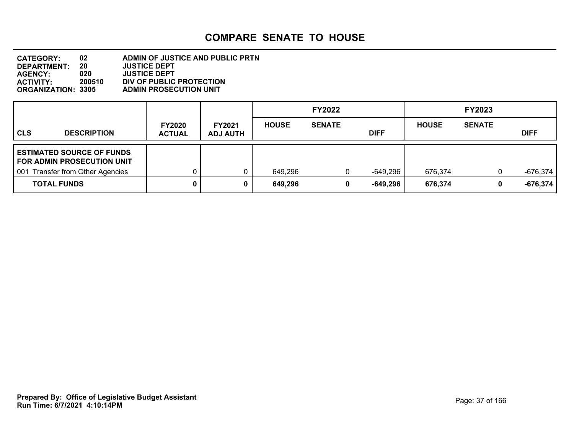#### **DEPARTMENT: 20 JUSTICE DEPT CATEGORY: 02 ADMIN OF JUSTICE AND PUBLIC PRTN AGENCY: 020 JUSTICE DEPT ACTIVITY: 200510 DIV OF PUBLIC PROTECTION ADMIN PROSECUTION UNIT**

|                                                                    |                                |                                  |                    | <b>FY2022</b> |                      |                    | <b>FY2023</b> |                          |
|--------------------------------------------------------------------|--------------------------------|----------------------------------|--------------------|---------------|----------------------|--------------------|---------------|--------------------------|
| l CLS<br><b>DESCRIPTION</b>                                        | <b>FY2020</b><br><b>ACTUAL</b> | <b>FY2021</b><br><b>ADJ AUTH</b> | <b>HOUSE</b>       | <b>SENATE</b> | <b>DIFF</b>          | <b>HOUSE</b>       | <b>SENATE</b> | <b>DIFF</b>              |
| ESTIMATED SOURCE OF FUNDS<br>FOR ADMIN PROSECUTION UNIT            |                                |                                  |                    |               |                      |                    |               |                          |
| <b>Transfer from Other Agencies</b><br>  001<br><b>TOTAL FUNDS</b> |                                |                                  | 649,296<br>649,296 | 0             | -649,296<br>-649,296 | 676,374<br>676,374 |               | $-676,374$<br>$-676,374$ |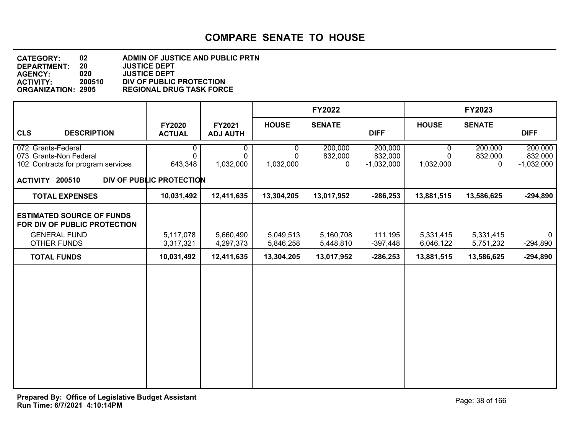#### **DEPARTMENT: 20 JUSTICE DEPT CATEGORY: 02 ADMIN OF JUSTICE AND PUBLIC PRTN AGENCY: 020 JUSTICE DEPT ACTIVITY: 200510 DIV OF PUBLIC PROTECTION ORGANIZATION: 2905 REGIONAL DRUG TASK FORCE**

|                                                                                    |                                |                           |                        | <b>FY2022</b>           |                                    |                        | FY2023                             |                                    |
|------------------------------------------------------------------------------------|--------------------------------|---------------------------|------------------------|-------------------------|------------------------------------|------------------------|------------------------------------|------------------------------------|
| <b>CLS</b><br><b>DESCRIPTION</b>                                                   | <b>FY2020</b><br><b>ACTUAL</b> | FY2021<br><b>ADJ AUTH</b> | <b>HOUSE</b>           | <b>SENATE</b>           | <b>DIFF</b>                        | <b>HOUSE</b>           | <b>SENATE</b>                      | <b>DIFF</b>                        |
| 072 Grants-Federal<br>073 Grants-Non Federal<br>102 Contracts for program services | 0<br>$\Omega$<br>643,348       | 0<br>0<br>1,032,000       | 0<br>0<br>1,032,000    | 200,000<br>832,000<br>0 | 200,000<br>832,000<br>$-1,032,000$ | 0<br>0<br>1,032,000    | 200,000<br>832,000<br>$\mathbf{0}$ | 200,000<br>832,000<br>$-1,032,000$ |
| ACTIVITY 200510                                                                    | DIV OF PUBLIC PROTECTION       |                           |                        |                         |                                    |                        |                                    |                                    |
| <b>TOTAL EXPENSES</b>                                                              | 10,031,492                     | 12,411,635                | 13,304,205             | 13,017,952              | $-286,253$                         | 13,881,515             | 13,586,625                         | $-294,890$                         |
| <b>ESTIMATED SOURCE OF FUNDS</b><br>FOR DIV OF PUBLIC PROTECTION                   |                                |                           |                        |                         |                                    |                        |                                    |                                    |
| <b>GENERAL FUND</b><br>OTHER FUNDS                                                 | 5,117,078<br>3,317,321         | 5,660,490<br>4,297,373    | 5,049,513<br>5,846,258 | 5,160,708<br>5,448,810  | 111,195<br>$-397,448$              | 5,331,415<br>6,046,122 | 5,331,415<br>5,751,232             | $\mathbf{0}$<br>$-294,890$         |
| <b>TOTAL FUNDS</b>                                                                 | 10,031,492                     | 12,411,635                | 13,304,205             | 13,017,952              | $-286,253$                         | 13,881,515             | 13,586,625                         | $-294,890$                         |
|                                                                                    |                                |                           |                        |                         |                                    |                        |                                    |                                    |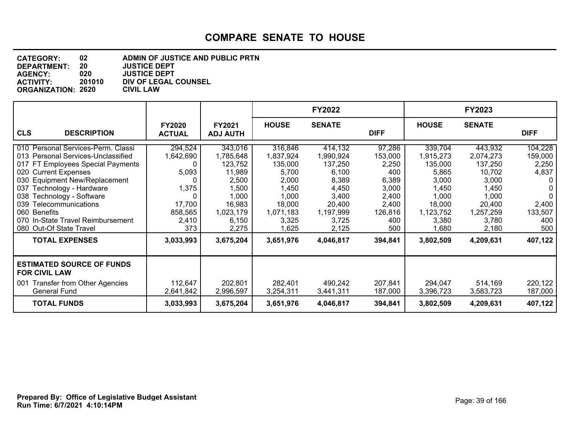| <b>CATEGORY:</b>          | 02     | ADMIN OF JUSTICE AND PUBLIC PRTN |
|---------------------------|--------|----------------------------------|
| <b>DEPARTMENT:</b>        | 20     | <b>JUSTICE DEPT</b>              |
| <b>AGENCY:</b>            | 020    | <b>JUSTICE DEPT</b>              |
| <b>ACTIVITY:</b>          | 201010 | DIV OF LEGAL COUNSEL             |
| <b>ORGANIZATION: 2620</b> |        | <b>CIVIL LAW</b>                 |

|                                                                                                                                                                                                                                                                                                                                               |                                                                                       |                                                                                                               |                                                                                                              | <b>FY2022</b>                                                                                                |                                                                                                |                                                                                                              | FY2023                                                                                                        |                                                                                       |
|-----------------------------------------------------------------------------------------------------------------------------------------------------------------------------------------------------------------------------------------------------------------------------------------------------------------------------------------------|---------------------------------------------------------------------------------------|---------------------------------------------------------------------------------------------------------------|--------------------------------------------------------------------------------------------------------------|--------------------------------------------------------------------------------------------------------------|------------------------------------------------------------------------------------------------|--------------------------------------------------------------------------------------------------------------|---------------------------------------------------------------------------------------------------------------|---------------------------------------------------------------------------------------|
| <b>CLS</b><br><b>DESCRIPTION</b>                                                                                                                                                                                                                                                                                                              | <b>FY2020</b><br><b>ACTUAL</b>                                                        | <b>FY2021</b><br><b>ADJ AUTH</b>                                                                              | <b>HOUSE</b>                                                                                                 | <b>SENATE</b>                                                                                                | <b>DIFF</b>                                                                                    | <b>HOUSE</b>                                                                                                 | <b>SENATE</b>                                                                                                 | <b>DIFF</b>                                                                           |
| 010 Personal Services-Perm. Classi<br>013 Personal Services-Unclassified<br>017 FT Employees Special Payments<br>020 Current Expenses<br>030 Equipment New/Replacement<br>037 Technology - Hardware<br>038 Technology - Software<br>Telecommunications<br>039<br>060 Benefits<br>070 In-State Travel Reimbursement<br>080 Out-Of State Travel | 294,524<br>1,642,690<br>0<br>5,093<br>0<br>1,375<br>17,700<br>858,565<br>2,410<br>373 | 343,016<br>1,785,648<br>123,752<br>11,989<br>2,500<br>1,500<br>1,000<br>16,983<br>1,023,179<br>6,150<br>2,275 | 316,846<br>1,837,924<br>135,000<br>5,700<br>2,000<br>1,450<br>1,000<br>18,000<br>1,071,183<br>3,325<br>1,625 | 414,132<br>1,990,924<br>137,250<br>6,100<br>8,389<br>4,450<br>3,400<br>20,400<br>1,197,999<br>3,725<br>2,125 | 97,286<br>153,000<br>2,250<br>400<br>6,389<br>3,000<br>2,400<br>2,400<br>126,816<br>400<br>500 | 339,704<br>1,915,273<br>135,000<br>5,865<br>3,000<br>1,450<br>1,000<br>18,000<br>1,123,752<br>3,380<br>1,680 | 443,932<br>2,074,273<br>137,250<br>10,702<br>3,000<br>1,450<br>1,000<br>20,400<br>1,257,259<br>3,780<br>2,180 | 104,228<br>159,000<br>2,250<br>4,837<br>0<br>0<br>0<br>2,400<br>133,507<br>400<br>500 |
| <b>TOTAL EXPENSES</b>                                                                                                                                                                                                                                                                                                                         | 3,033,993                                                                             | 3,675,204                                                                                                     | 3,651,976                                                                                                    | 4,046,817                                                                                                    | 394,841                                                                                        | 3,802,509                                                                                                    | 4,209,631                                                                                                     | 407,122                                                                               |
| <b>ESTIMATED SOURCE OF FUNDS</b><br><b>FOR CIVIL LAW</b><br>001 Transfer from Other Agencies<br><b>General Fund</b>                                                                                                                                                                                                                           | 112,647<br>2,641,842                                                                  | 202,801<br>2,996,597                                                                                          | 282,401<br>3,254,311                                                                                         | 490,242<br>3,441,311                                                                                         | 207,841<br>187,000                                                                             | 294,047<br>3,396,723                                                                                         | 514,169<br>3,583,723                                                                                          | 220,122<br>187,000                                                                    |
| <b>TOTAL FUNDS</b>                                                                                                                                                                                                                                                                                                                            | 3,033,993                                                                             | 3,675,204                                                                                                     | 3,651,976                                                                                                    | 4,046,817                                                                                                    | 394,841                                                                                        | 3,802,509                                                                                                    | 4,209,631                                                                                                     | 407,122                                                                               |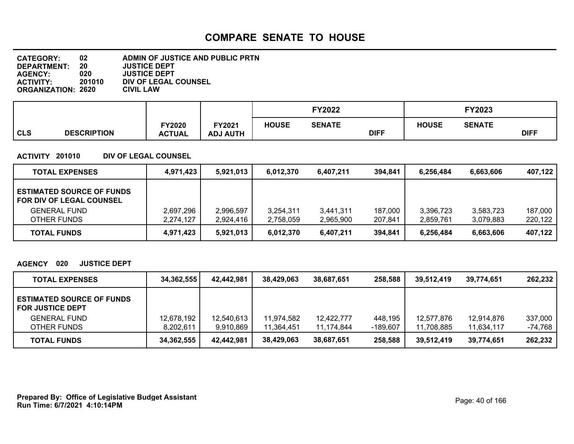| <b>CATEGORY:</b>          | 02     | ADMIN OF JUSTICE AND PUBLIC PRTN |
|---------------------------|--------|----------------------------------|
| <b>DEPARTMENT:</b>        | 20     | <b>JUSTICE DEPT</b>              |
| <b>AGENCY:</b>            | 020    | <b>JUSTICE DEPT</b>              |
| <b>ACTIVITY:</b>          | 201010 | DIV OF LEGAL COUNSEL             |
| <b>ORGANIZATION: 2620</b> |        | <b>CIVIL LAW</b>                 |

|            |                    |                         |                           |              | <b>FY2022</b> |             |              | FY2023        |             |  |
|------------|--------------------|-------------------------|---------------------------|--------------|---------------|-------------|--------------|---------------|-------------|--|
| <b>CLS</b> | <b>DESCRIPTION</b> | FY2020<br><b>ACTUAL</b> | FY2021<br><b>ADJ AUTH</b> | <b>HOUSE</b> | <b>SENATE</b> | <b>DIFF</b> | <b>HOUSE</b> | <b>SENATE</b> | <b>DIFF</b> |  |

#### **ACTIVITY 201010 DIV OF LEGAL COUNSEL**

| <b>TOTAL EXPENSES</b>                                        | 4,971,423 | 5,921,013 | 6.012.370 | 6.407.211 | 394.841 | 6.256.484 | 6.663.606 | 407,122 |
|--------------------------------------------------------------|-----------|-----------|-----------|-----------|---------|-----------|-----------|---------|
| <b>ESTIMATED SOURCE OF FUNDS</b><br>FOR DIV OF LEGAL COUNSEL |           |           |           |           |         |           |           |         |
| <b>GENERAL FUND</b>                                          | 2,697,296 | 2,996,597 | 3,254,311 | 3.441.311 | 187,000 | 3,396,723 | 3,583,723 | 187,000 |
| OTHER FUNDS                                                  | 2,274,127 | 2,924,416 | 2,758,059 | 2,965,900 | 207,841 | 2.859.761 | 3,079,883 | 220,122 |
| <b>TOTAL FUNDS</b>                                           | 4,971,423 | 5,921,013 | 6,012,370 | 6,407,211 | 394,841 | 6,256,484 | 6,663,606 | 407,122 |

#### **AGENCY 020 JUSTICE DEPT**

| <b>TOTAL EXPENSES</b>                                       | 34.362.555 | 42,442,981 | 38,429,063 | 38,687,651 | 258,588  | 39,512,419 | 39,774,651 | 262,232 |
|-------------------------------------------------------------|------------|------------|------------|------------|----------|------------|------------|---------|
| <b>ESTIMATED SOURCE OF FUNDS</b><br><b>FOR JUSTICE DEPT</b> |            |            |            |            |          |            |            |         |
| <b>GENERAL FUND</b>                                         | 12,678,192 | 12,540,613 | 11,974,582 | 12,422,777 | 448,195  | 12,577,876 | 12,914,876 | 337,000 |
| OTHER FUNDS                                                 | 8.202.611  | 9,910,869  | 11.364.451 | 11.174.844 | -189.607 | 11.708.885 | 11.634.117 | -74,768 |
| <b>TOTAL FUNDS</b>                                          | 34,362,555 | 42.442.981 | 38,429,063 | 38,687,651 | 258,588  | 39,512,419 | 39.774.651 | 262,232 |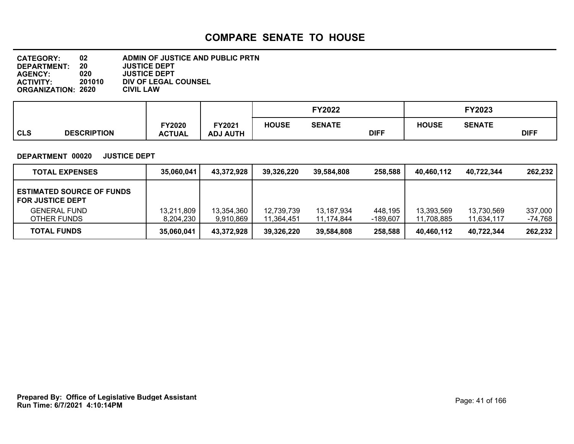| <b>CATEGORY:</b>          | 02     | ADMIN OF JUSTICE AND PUBLIC PRTN |
|---------------------------|--------|----------------------------------|
| DEPARTMENT:               | 20     | <b>JUSTICE DEPT</b>              |
| <b>AGENCY:</b>            | 020    | <b>JUSTICE DEPT</b>              |
| <b>ACTIVITY:</b>          | 201010 | DIV OF LEGAL COUNSEL             |
| <b>ORGANIZATION: 2620</b> |        | <b>CIVIL LAW</b>                 |

|            |                    |                         |                           |              | <b>FY2022</b> |             |              | <b>FY2023</b> |             |  |
|------------|--------------------|-------------------------|---------------------------|--------------|---------------|-------------|--------------|---------------|-------------|--|
| <b>CLS</b> | <b>DESCRIPTION</b> | FY2020<br><b>ACTUAL</b> | FY2021<br><b>ADJ AUTH</b> | <b>HOUSE</b> | <b>SENATE</b> | <b>DIFF</b> | <b>HOUSE</b> | <b>SENATE</b> | <b>DIFF</b> |  |

#### **DEPARTMENT 00020 JUSTICE DEPT**

| <b>TOTAL EXPENSES</b>                                       | 35,060,041              | 43,372,928              | 39,326,220               | 39,584,808               | 258,588             | 40.460.112               | 40.722.344               | 262,232            |
|-------------------------------------------------------------|-------------------------|-------------------------|--------------------------|--------------------------|---------------------|--------------------------|--------------------------|--------------------|
| <b>ESTIMATED SOURCE OF FUNDS</b><br><b>FOR JUSTICE DEPT</b> |                         |                         |                          |                          |                     |                          |                          |                    |
| <b>GENERAL FUND</b><br>OTHER FUNDS                          | 13,211,809<br>8.204.230 | 13,354,360<br>9,910,869 | 12,739,739<br>11.364.451 | 13,187,934<br>11,174,844 | 448,195<br>-189,607 | 13,393,569<br>11.708.885 | 13,730,569<br>11,634,117 | 337,000<br>-74,768 |
| <b>TOTAL FUNDS</b>                                          | 35,060,041              | 43,372,928              | 39,326,220               | 39.584.808               | 258,588             | 40.460.112               | 40,722,344               | 262,232            |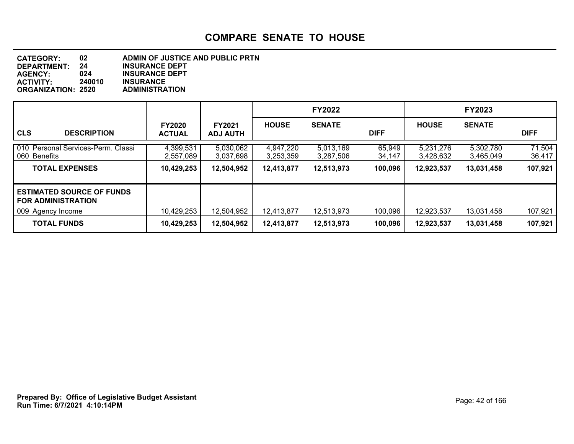**DEPARTMENT: 24 INSURANCE DEPT CATEGORY: 02 ADMIN OF JUSTICE AND PUBLIC PRTN AGENCY: 024 INSURANCE DEPT INSURANCE<br>ADMINISTRATION ORGANIZATION: 2520** 

|                                                                                    |                                |                                  |                        | <b>FY2022</b>          |                  |                        | <b>FY2023</b>          |                  |
|------------------------------------------------------------------------------------|--------------------------------|----------------------------------|------------------------|------------------------|------------------|------------------------|------------------------|------------------|
| <b>CLS</b><br><b>DESCRIPTION</b>                                                   | <b>FY2020</b><br><b>ACTUAL</b> | <b>FY2021</b><br><b>ADJ AUTH</b> | <b>HOUSE</b>           | <b>SENATE</b>          | <b>DIFF</b>      | <b>HOUSE</b>           | <b>SENATE</b>          | <b>DIFF</b>      |
| 010 Personal Services-Perm. Classi<br>060 Benefits                                 | 4,399,531<br>2,557,089         | 5,030,062<br>3,037,698           | 4,947,220<br>3,253,359 | 5,013,169<br>3,287,506 | 65,949<br>34,147 | 5,231,276<br>3,428,632 | 5,302,780<br>3,465,049 | 71,504<br>36,417 |
| <b>TOTAL EXPENSES</b>                                                              | 10,429,253                     | 12,504,952                       | 12,413,877             | 12,513,973             | 100,096          | 12,923,537             | 13,031,458             | 107,921          |
| <b>ESTIMATED SOURCE OF FUNDS</b><br><b>FOR ADMINISTRATION</b><br>009 Agency Income | 10,429,253                     | 12,504,952                       | 12,413,877             | 12,513,973             | 100,096          | 12,923,537             | 13,031,458             | 107,921          |
| <b>TOTAL FUNDS</b>                                                                 | 10,429,253                     | 12,504,952                       | 12,413,877             | 12,513,973             | 100,096          | 12,923,537             | 13,031,458             | 107,921          |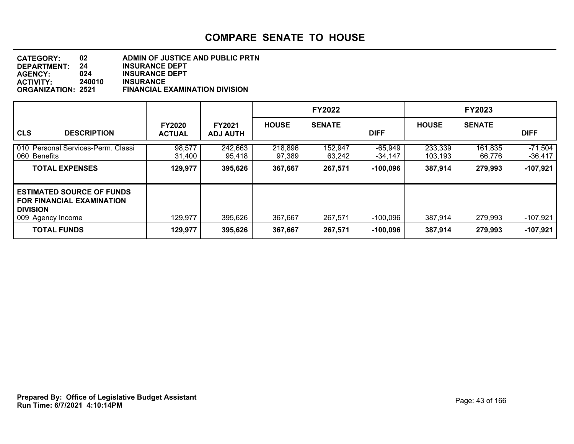#### **DEPARTMENT: 24 INSURANCE DEPT CATEGORY: 02 ADMIN OF JUSTICE AND PUBLIC PRTN AGENCY: 024 INSURANCE DEPT ACTIVITY: 240010 INSURANCE ORGANIZATION: 2521 FINANCIAL EXAMINATION DIVISION**

|                                                                                                         |                                |                                  |                   | <b>FY2022</b>     |                        |                    | <b>FY2023</b>     |                      |
|---------------------------------------------------------------------------------------------------------|--------------------------------|----------------------------------|-------------------|-------------------|------------------------|--------------------|-------------------|----------------------|
| <b>CLS</b><br><b>DESCRIPTION</b>                                                                        | <b>FY2020</b><br><b>ACTUAL</b> | <b>FY2021</b><br><b>ADJ AUTH</b> | <b>HOUSE</b>      | <b>SENATE</b>     | <b>DIFF</b>            | <b>HOUSE</b>       | <b>SENATE</b>     | <b>DIFF</b>          |
| 010 Personal Services-Perm. Classi<br>060 Benefits                                                      | 98,577<br>31,400               | 242,663<br>95,418                | 218,896<br>97,389 | 152,947<br>63.242 | $-65,949$<br>$-34,147$ | 233,339<br>103.193 | 161,835<br>66,776 | $-71,504$<br>-36,417 |
| <b>TOTAL EXPENSES</b>                                                                                   | 129,977                        | 395,626                          | 367,667           | 267,571           | $-100,096$             | 387,914            | 279,993           | $-107,921$           |
| <b>ESTIMATED SOURCE OF FUNDS</b><br>I FOR FINANCIAL EXAMINATION<br><b>DIVISION</b><br>009 Agency Income | 129,977                        | 395,626                          | 367,667           | 267,571           | -100,096               | 387,914            | 279,993           | $-107,921$           |
| <b>TOTAL FUNDS</b>                                                                                      | 129,977                        | 395,626                          | 367,667           | 267,571           | $-100,096$             | 387,914            | 279,993           | $-107,921$           |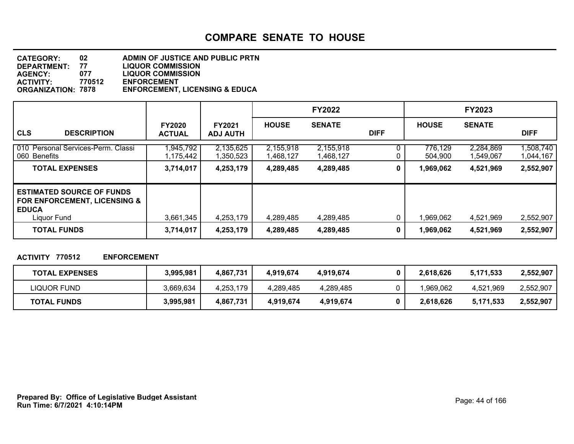| <b>CATEGORY:</b>          | 02     | ADMIN OF JUSTICE AND PUBLIC PRTN          |
|---------------------------|--------|-------------------------------------------|
| <b>DEPARTMENT:</b>        | 77     | <b>LIQUOR COMMISSION</b>                  |
| <b>AGENCY:</b>            | 077    | <b>LIQUOR COMMISSION</b>                  |
| <b>ACTIVITY:</b>          | 770512 | <b>ENFORCEMENT</b>                        |
| <b>ORGANIZATION: 7878</b> |        | <b>ENFORCEMENT, LICENSING &amp; EDUCA</b> |

|                                                                                                            |                                |                                  |                        | <b>FY2022</b>          |             |                    | <b>FY2023</b>          |                        |
|------------------------------------------------------------------------------------------------------------|--------------------------------|----------------------------------|------------------------|------------------------|-------------|--------------------|------------------------|------------------------|
| <b>CLS</b><br><b>DESCRIPTION</b>                                                                           | <b>FY2020</b><br><b>ACTUAL</b> | <b>FY2021</b><br><b>ADJ AUTH</b> | <b>HOUSE</b>           | <b>SENATE</b>          | <b>DIFF</b> | <b>HOUSE</b>       | <b>SENATE</b>          | <b>DIFF</b>            |
| 010 Personal Services-Perm. Classi<br>060 Benefits                                                         | 1,945,792<br>1,175,442         | 2,135,625<br>1,350,523           | 2,155,918<br>1,468,127 | 2,155,918<br>1,468,127 |             | 776,129<br>504.900 | 2,284,869<br>1,549,067 | 1,508,740<br>1,044,167 |
| <b>TOTAL EXPENSES</b>                                                                                      | 3,714,017                      | 4,253,179                        | 4,289,485              | 4,289,485              | 0           | 1,969,062          | 4,521,969              | 2,552,907              |
| <b>ESTIMATED SOURCE OF FUNDS</b><br><b>FOR ENFORCEMENT, LICENSING &amp;</b><br><b>EDUCA</b><br>Liquor Fund | 3,661,345                      | 4,253,179                        | 4,289,485              | 4,289,485              |             | 1,969,062          | 4,521,969              | 2,552,907              |
| <b>TOTAL FUNDS</b>                                                                                         | 3,714,017                      | 4,253,179                        | 4,289,485              | 4,289,485              | $\bf{0}$    | 1,969,062          | 4,521,969              | 2,552,907              |

#### **ACTIVITY 770512 ENFORCEMENT**

| <b>TOTAL EXPENSES</b> | 3,995,981 | 4,867,731 | 4.919.674 | 4.919.674 | 2,618,626 | 5,171,533 | 2,552,907 |
|-----------------------|-----------|-----------|-----------|-----------|-----------|-----------|-----------|
| LIQUOR FUND           | 3,669,634 | 4,253,179 | 4,289,485 | 4,289,485 | .969.062  | 4.521.969 | 2,552,907 |
| <b>TOTAL FUNDS</b>    | 3,995,981 | 4,867,731 | 4,919,674 | 4,919,674 | 2.618.626 | 5,171,533 | 2,552,907 |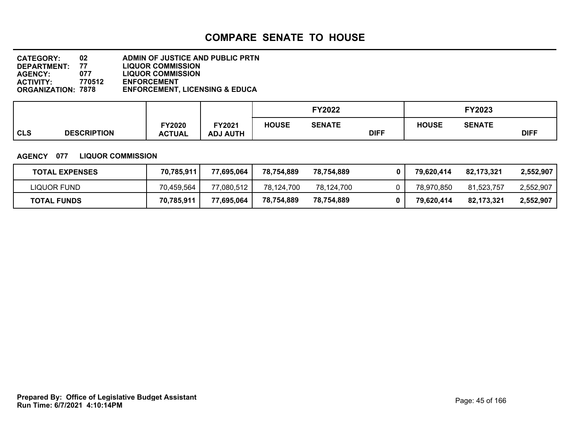| <b>CATEGORY:</b>          | 02     | ADMIN OF JUSTICE AND PUBLIC PRTN          |
|---------------------------|--------|-------------------------------------------|
| <b>DEPARTMENT:</b>        | 77     | <b>LIQUOR COMMISSION</b>                  |
| <b>AGENCY:</b>            | 077    | <b>LIQUOR COMMISSION</b>                  |
| <b>ACTIVITY:</b>          | 770512 | <b>ENFORCEMENT</b>                        |
| <b>ORGANIZATION: 7878</b> |        | <b>ENFORCEMENT, LICENSING &amp; EDUCA</b> |

|            |                    |                                |                           | <b>FY2022</b> |               |             |              |               |             |
|------------|--------------------|--------------------------------|---------------------------|---------------|---------------|-------------|--------------|---------------|-------------|
| <b>CLS</b> | <b>DESCRIPTION</b> | <b>FY2020</b><br><b>ACTUAL</b> | FY2021<br><b>ADJ AUTH</b> | <b>HOUSE</b>  | <b>SENATE</b> | <b>DIFF</b> | <b>HOUSE</b> | <b>SENATE</b> | <b>DIFF</b> |

#### **AGENCY 077 LIQUOR COMMISSION**

| <b>TOTAL EXPENSES</b> | 70,785,911 | 77,695,064 | 78,754,889 | 78.754.889 | 79.620.414 | 82.173.321 | 2.552.907 |
|-----------------------|------------|------------|------------|------------|------------|------------|-----------|
| LIQUOR FUND           | 70.459.564 | 77.080.512 | 78.124.700 | 78.124.700 | 78.970.850 | 81.523.757 | 2,552,907 |
| <b>TOTAL FUNDS</b>    | 70.785.911 | 77,695,064 | 78,754,889 | 78,754,889 | 79.620.414 | 82.173.321 | 2.552.907 |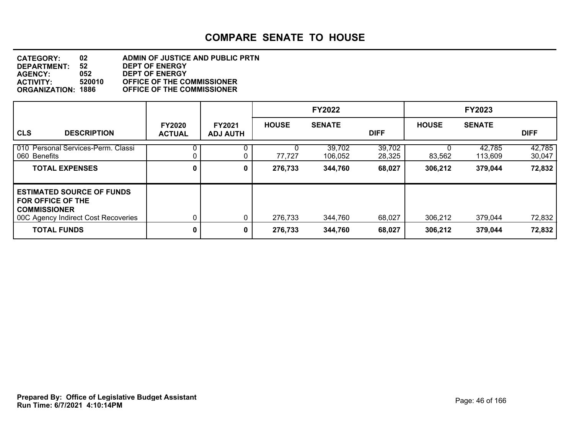#### **DEPARTMENT: 52 DEPT OF ENERGY CATEGORY: 02 ADMIN OF JUSTICE AND PUBLIC PRTN AGENCY: 052 DEPT OF ENERGY ACTIVITY: 520010 OFFICE OF THE COMMISSIONER ORGANIZATION: 1886 OFFICE OF THE COMMISSIONER**

|                                                                                                                            |                                |                                  |              | <b>FY2022</b>     |                  |              | <b>FY2023</b>     |                  |
|----------------------------------------------------------------------------------------------------------------------------|--------------------------------|----------------------------------|--------------|-------------------|------------------|--------------|-------------------|------------------|
| <b>CLS</b><br><b>DESCRIPTION</b>                                                                                           | <b>FY2020</b><br><b>ACTUAL</b> | <b>FY2021</b><br><b>ADJ AUTH</b> | <b>HOUSE</b> | <b>SENATE</b>     | <b>DIFF</b>      | <b>HOUSE</b> | <b>SENATE</b>     | <b>DIFF</b>      |
| 010 Personal Services-Perm. Classi<br>060 Benefits                                                                         |                                |                                  | 77,727       | 39,702<br>106.052 | 39,702<br>28,325 | 83,562       | 42,785<br>113,609 | 42,785<br>30,047 |
| <b>TOTAL EXPENSES</b>                                                                                                      | 0                              | 0                                | 276,733      | 344,760           | 68,027           | 306,212      | 379,044           | 72,832           |
| <b>ESTIMATED SOURCE OF FUNDS</b><br><b>FOR OFFICE OF THE</b><br><b>COMMISSIONER</b><br>00C Agency Indirect Cost Recoveries |                                | 0                                | 276,733      | 344,760           | 68,027           | 306,212      | 379,044           | 72,832           |
| <b>TOTAL FUNDS</b>                                                                                                         | 0                              | 0                                | 276,733      | 344,760           | 68,027           | 306,212      | 379,044           | 72,832           |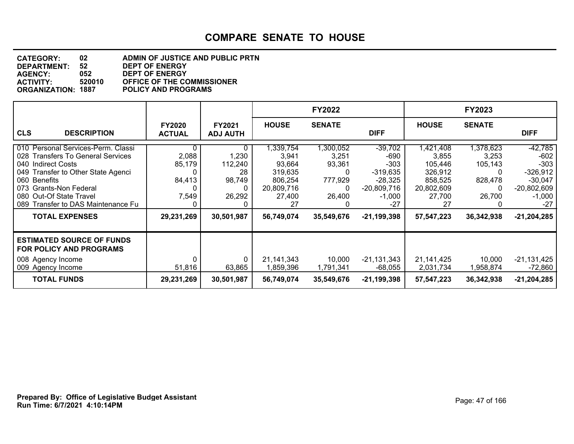#### **DEPARTMENT: 52 DEPT OF ENERGY CATEGORY: 02 ADMIN OF JUSTICE AND PUBLIC PRTN AGENCY: 052 DEPT OF ENERGY ACTIVITY: 520010 OFFICE OF THE COMMISSIONER POLICY AND PROGRAMS**

|                                                                                                                                                                                                                                                                         |                                                       |                                                               |                                                                                               | <b>FY2022</b>                                                       |                                                                                                             |                                                                                               | FY2023                                                           |                                                                                                               |
|-------------------------------------------------------------------------------------------------------------------------------------------------------------------------------------------------------------------------------------------------------------------------|-------------------------------------------------------|---------------------------------------------------------------|-----------------------------------------------------------------------------------------------|---------------------------------------------------------------------|-------------------------------------------------------------------------------------------------------------|-----------------------------------------------------------------------------------------------|------------------------------------------------------------------|---------------------------------------------------------------------------------------------------------------|
| <b>CLS</b><br><b>DESCRIPTION</b>                                                                                                                                                                                                                                        | <b>FY2020</b><br><b>ACTUAL</b>                        | <b>FY2021</b><br><b>ADJ AUTH</b>                              | <b>HOUSE</b>                                                                                  | <b>SENATE</b>                                                       | <b>DIFF</b>                                                                                                 | <b>HOUSE</b>                                                                                  | <b>SENATE</b>                                                    | <b>DIFF</b>                                                                                                   |
| 010 Personal Services-Perm. Classi<br>028 Transfers To General Services<br>040 Indirect Costs<br>049 Transfer to Other State Agenci<br>060 Benefits<br>073 Grants-Non Federal<br>080 Out-Of State Travel<br>089 Transfer to DAS Maintenance Fu<br><b>TOTAL EXPENSES</b> | 0<br>2,088<br>85,179<br>84,413<br>7,549<br>29,231,269 | 0<br>1,230<br>112,240<br>28<br>98,749<br>26,292<br>30,501,987 | ,339,754<br>3,941<br>93,664<br>319,635<br>806,254<br>20,809,716<br>27,400<br>27<br>56,749,074 | ,300,052<br>3,251<br>93,361<br>0<br>777,929<br>26,400<br>35,549,676 | -39,702<br>$-690$<br>$-303$<br>$-319,635$<br>$-28,325$<br>$-20,809,716$<br>$-1,000$<br>-27<br>$-21,199,398$ | 421,408<br>3,855<br>105,446<br>326,912<br>858,525<br>20,802,609<br>27,700<br>27<br>57,547,223 | 1,378,623<br>3,253<br>105,143<br>828,478<br>26,700<br>36,342,938 | $-42,785$<br>$-602$<br>$-303$<br>$-326,912$<br>$-30,047$<br>$-20,802,609$<br>$-1,000$<br>-27<br>$-21,204,285$ |
| <b>ESTIMATED SOURCE OF FUNDS</b><br><b>FOR POLICY AND PROGRAMS</b><br>008 Agency Income<br>009 Agency Income<br><b>TOTAL FUNDS</b>                                                                                                                                      | 0<br>51,816<br>29,231,269                             | 63,865<br>30,501,987                                          | 21,141,343<br>1,859,396<br>56,749,074                                                         | 10,000<br>1,791,341<br>35,549,676                                   | $-21,131,343$<br>$-68,055$<br>-21,199,398                                                                   | 21,141,425<br>2,031,734<br>57,547,223                                                         | 10,000<br>1,958,874<br>36,342,938                                | $-21,131,425$<br>$-72,860$<br>$-21,204,285$                                                                   |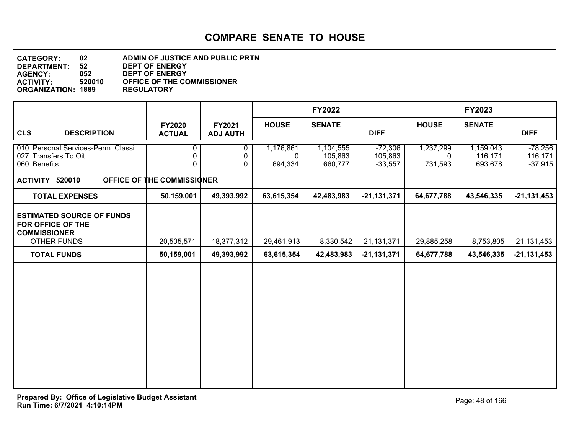**DEPARTMENT: 52 DEPT OF ENERGY CATEGORY: 02 ADMIN OF JUSTICE AND PUBLIC PRTN AGENCY: 052 DEPT OF ENERGY ACTIVITY: OF THE COMMISSIONER**<br>REGULATORY **ORGANIZATION: 1889** 

|                                                                                             |                                          |                           |                           | <b>FY2022</b>                   |                                   |                                     | <b>FY2023</b>                   |                                   |
|---------------------------------------------------------------------------------------------|------------------------------------------|---------------------------|---------------------------|---------------------------------|-----------------------------------|-------------------------------------|---------------------------------|-----------------------------------|
| <b>CLS</b><br><b>DESCRIPTION</b>                                                            | <b>FY2020</b><br><b>ACTUAL</b>           | FY2021<br><b>ADJ AUTH</b> | <b>HOUSE</b>              | <b>SENATE</b>                   | <b>DIFF</b>                       | <b>HOUSE</b>                        | <b>SENATE</b>                   | <b>DIFF</b>                       |
| 010 Personal Services-Perm. Classi<br>027 Transfers To Oit<br>060 Benefits                  | 0<br>0<br>0                              | 0<br>0<br>0               | 1,176,861<br>0<br>694,334 | 1,104,555<br>105,863<br>660,777 | $-72,306$<br>105,863<br>$-33,557$ | 1,237,299<br>$\mathbf 0$<br>731,593 | 1,159,043<br>116,171<br>693,678 | $-78,256$<br>116,171<br>$-37,915$ |
| ACTIVITY 520010<br><b>TOTAL EXPENSES</b>                                                    | OFFICE OF THE COMMISSIONER<br>50,159,001 | 49,393,992                | 63,615,354                | 42,483,983                      | $-21,131,371$                     | 64,677,788                          | 43,546,335                      | $-21,131,453$                     |
| <b>ESTIMATED SOURCE OF FUNDS</b><br>FOR OFFICE OF THE<br><b>COMMISSIONER</b><br>OTHER FUNDS | 20,505,571                               | 18,377,312                | 29,461,913                | 8,330,542                       | $-21, 131, 371$                   | 29,885,258                          | 8,753,805                       | $-21,131,453$                     |
| <b>TOTAL FUNDS</b>                                                                          | 50,159,001                               | 49,393,992                | 63,615,354                | 42,483,983                      | $-21,131,371$                     | 64,677,788                          | 43,546,335                      | $-21,131,453$                     |
|                                                                                             |                                          |                           |                           |                                 |                                   |                                     |                                 |                                   |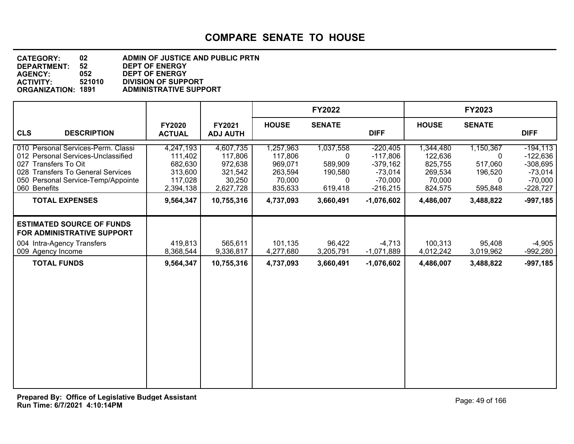| <b>CATEGORY:</b>          | 02     | ADMIN OF JUSTICE AND PUBLIC PRTN |
|---------------------------|--------|----------------------------------|
| DEPARTMENT:               | 52     | <b>DEPT OF ENERGY</b>            |
| <b>AGENCY:</b>            | 052    | <b>DEPT OF ENERGY</b>            |
| <b>ACTIVITY:</b>          | 521010 | <b>DIVISION OF SUPPORT</b>       |
| <b>ORGANIZATION: 1891</b> |        | <b>ADMINISTRATIVE SUPPORT</b>    |

|                                                                                                                                                                                                                      |                                                                                 |                                                                                 |                                                                              | <b>FY2022</b>                                                     |                                                                                                |                                                                              | <b>FY2023</b>                                                     |                                                                                               |
|----------------------------------------------------------------------------------------------------------------------------------------------------------------------------------------------------------------------|---------------------------------------------------------------------------------|---------------------------------------------------------------------------------|------------------------------------------------------------------------------|-------------------------------------------------------------------|------------------------------------------------------------------------------------------------|------------------------------------------------------------------------------|-------------------------------------------------------------------|-----------------------------------------------------------------------------------------------|
| <b>CLS</b><br><b>DESCRIPTION</b>                                                                                                                                                                                     | <b>FY2020</b><br><b>ACTUAL</b>                                                  | FY2021<br><b>ADJ AUTH</b>                                                       | <b>HOUSE</b>                                                                 | <b>SENATE</b>                                                     | <b>DIFF</b>                                                                                    | <b>HOUSE</b>                                                                 | <b>SENATE</b>                                                     | <b>DIFF</b>                                                                                   |
| 010 Personal Services-Perm. Classi<br>012 Personal Services-Unclassified<br>027 Transfers To Oit<br>028 Transfers To General Services<br>050 Personal Service-Temp/Appointe<br>060 Benefits<br><b>TOTAL EXPENSES</b> | 4,247,193<br>111,402<br>682,630<br>313,600<br>117,028<br>2,394,138<br>9,564,347 | 4,607,735<br>117,806<br>972,638<br>321,542<br>30,250<br>2,627,728<br>10,755,316 | 1,257,963<br>117,806<br>969,071<br>263,594<br>70,000<br>835,633<br>4,737,093 | 1,037,558<br>0<br>589,909<br>190,580<br>0<br>619,418<br>3,660,491 | $-220,405$<br>$-117,806$<br>$-379,162$<br>$-73,014$<br>$-70,000$<br>$-216,215$<br>$-1,076,602$ | 1,344,480<br>122,636<br>825,755<br>269,534<br>70,000<br>824,575<br>4,486,007 | 1,150,367<br>0<br>517,060<br>196,520<br>0<br>595,848<br>3,488,822 | $-194, 113$<br>$-122,636$<br>$-308,695$<br>$-73,014$<br>$-70,000$<br>$-228,727$<br>$-997,185$ |
| <b>ESTIMATED SOURCE OF FUNDS</b><br>FOR ADMINISTRATIVE SUPPORT<br>004 Intra-Agency Transfers<br>009 Agency Income                                                                                                    | 419,813<br>8,368,544                                                            | 565,611<br>9,336,817                                                            | 101,135<br>4,277,680                                                         | 96,422<br>3,205,791                                               | $-4,713$<br>$-1,071,889$                                                                       | 100,313<br>4,012,242                                                         | 95,408<br>3,019,962                                               | $-4,905$<br>-992,280                                                                          |
| <b>TOTAL FUNDS</b>                                                                                                                                                                                                   | 9,564,347                                                                       | 10,755,316                                                                      | 4,737,093                                                                    | 3,660,491                                                         | $-1,076,602$                                                                                   | 4,486,007                                                                    | 3,488,822                                                         | $-997,185$                                                                                    |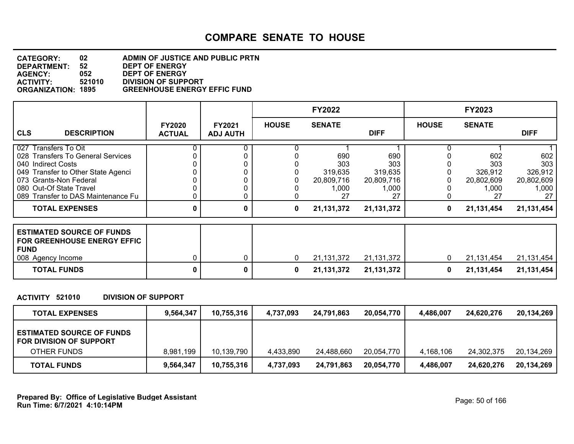#### **DEPARTMENT: 52 DEPT OF ENERGY CATEGORY: 02 ADMIN OF JUSTICE AND PUBLIC PRTN AGENCY: 052 DEPT OF ENERGY ACTIVITY: 521010 DIVISION OF SUPPORT GREENHOUSE ENERGY EFFIC FUND**

|                                                                                                                                                                                                                  |                                |                                  |              | <b>FY2022</b>                                      |                                                    |              | <b>FY2023</b>                                      |                                                    |
|------------------------------------------------------------------------------------------------------------------------------------------------------------------------------------------------------------------|--------------------------------|----------------------------------|--------------|----------------------------------------------------|----------------------------------------------------|--------------|----------------------------------------------------|----------------------------------------------------|
| <b>CLS</b><br><b>DESCRIPTION</b>                                                                                                                                                                                 | <b>FY2020</b><br><b>ACTUAL</b> | <b>FY2021</b><br><b>ADJ AUTH</b> | <b>HOUSE</b> | <b>SENATE</b>                                      | <b>DIFF</b>                                        | <b>HOUSE</b> | <b>SENATE</b>                                      | <b>DIFF</b>                                        |
| 027 Transfers To Oit<br>028 Transfers To General Services<br>040 Indirect Costs<br>049 Transfer to Other State Agenci<br>073 Grants-Non Federal<br>080 Out-Of State Travel<br>089 Transfer to DAS Maintenance Fu |                                |                                  |              | 690<br>303<br>319,635<br>20,809,716<br>1,000<br>27 | 690<br>303<br>319,635<br>20,809,716<br>1,000<br>27 |              | 602<br>303<br>326,912<br>20,802,609<br>1,000<br>27 | 602<br>303<br>326,912<br>20,802,609<br>1,000<br>27 |
| <b>TOTAL EXPENSES</b>                                                                                                                                                                                            | 0                              | 0                                | 0            | 21,131,372                                         | 21,131,372                                         | 0            | 21,131,454                                         | 21,131,454                                         |
| <b>ESTIMATED SOURCE OF FUNDS</b><br><b>FOR GREENHOUSE ENERGY EFFIC</b><br><b>FUND</b><br>008 Agency Income                                                                                                       |                                | 0                                | $\mathbf{0}$ | 21,131,372                                         | 21, 131, 372                                       | 0            | 21,131,454                                         | 21,131,454                                         |
| <b>TOTAL FUNDS</b>                                                                                                                                                                                               | 0                              | 0                                | 0            | 21, 131, 372                                       | 21,131,372                                         | 0            | 21,131,454                                         | 21,131,454                                         |

#### **ACTIVITY 521010 DIVISION OF SUPPORT**

| <b>TOTAL EXPENSES</b>                                       | 9,564,347 | 10,755,316 | 4,737,093 | 24,791,863 | 20,054,770 | 4,486,007 | 24,620,276 | 20,134,269 |
|-------------------------------------------------------------|-----------|------------|-----------|------------|------------|-----------|------------|------------|
| <b>ESTIMATED SOURCE OF FUNDS</b><br>FOR DIVISION OF SUPPORT |           |            |           |            |            |           |            |            |
| OTHER FUNDS                                                 | 8,981,199 | 10,139,790 | 4,433,890 | 24,488,660 | 20,054,770 | 4.168.106 | 24,302,375 | 20,134,269 |
| <b>TOTAL FUNDS</b>                                          | 9,564,347 | 10,755,316 | 4,737,093 | 24,791,863 | 20,054,770 | 4,486,007 | 24,620,276 | 20,134,269 |

**Run Time: 6/7/2021 4:10:14PM Prepared By: Office of Legislative Budget Assistant** Page: 50 of 166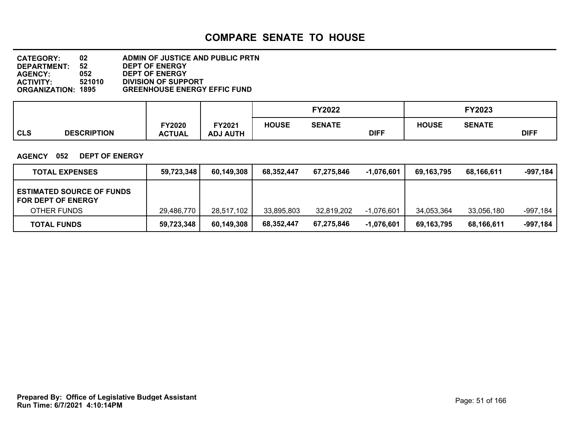#### **DEPARTMENT: 52 DEPT OF ENERGY CATEGORY: 02 ADMIN OF JUSTICE AND PUBLIC PRTN AGENCY: 052 DEPT OF ENERGY ACTIVITY: 521010 DIVISION OF SUPPORT GREENHOUSE ENERGY EFFIC FUND**

|                                  |                        |                                  |              | <b>FY2022</b> |             |              | FY2023        |             |
|----------------------------------|------------------------|----------------------------------|--------------|---------------|-------------|--------------|---------------|-------------|
| <b>CLS</b><br><b>DESCRIPTION</b> | Y2020<br><b>ACTUAL</b> | <b>FY2021</b><br><b>ADJ AUTH</b> | <b>HOUSE</b> | <b>SENATE</b> | <b>DIFF</b> | <b>HOUSE</b> | <b>SENATE</b> | <b>DIFF</b> |

#### **AGENCY 052 DEPT OF ENERGY**

| <b>TOTAL EXPENSES</b>                                         | 59,723,348 | 60,149,308 | 68.352.447 | 67,275,846 | -1.076.601   | 69.163.795 | 68,166,611 | -997,184 |
|---------------------------------------------------------------|------------|------------|------------|------------|--------------|------------|------------|----------|
| <b>ESTIMATED SOURCE OF FUNDS</b><br><b>FOR DEPT OF ENERGY</b> |            |            |            |            |              |            |            |          |
| OTHER FUNDS                                                   | 29,486,770 | 28,517,102 | 33,895,803 | 32,819,202 | $-1,076,601$ | 34.053.364 | 33,056,180 | -997,184 |
| <b>TOTAL FUNDS</b>                                            | 59,723,348 | 60,149,308 | 68.352.447 | 67,275,846 | $-1,076,601$ | 69,163,795 | 68,166,611 | -997,184 |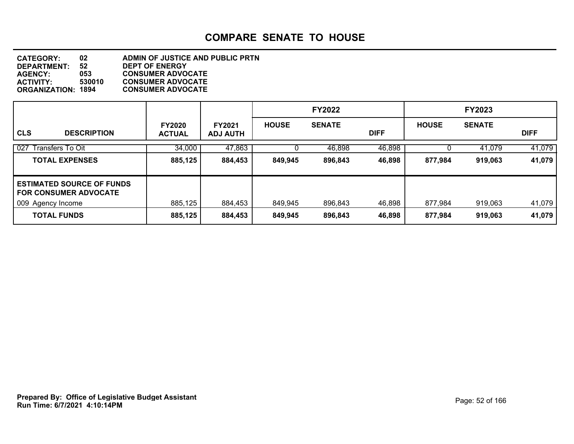|                                                                  |                                |                                  |              | <b>FY2022</b> |             |              | <b>FY2023</b> |             |
|------------------------------------------------------------------|--------------------------------|----------------------------------|--------------|---------------|-------------|--------------|---------------|-------------|
| <b>CLS</b><br><b>DESCRIPTION</b>                                 | <b>FY2020</b><br><b>ACTUAL</b> | <b>FY2021</b><br><b>ADJ AUTH</b> | <b>HOUSE</b> | <b>SENATE</b> | <b>DIFF</b> | <b>HOUSE</b> | <b>SENATE</b> | <b>DIFF</b> |
| 027 Transfers To Oit                                             | 34,000                         | 47,863                           |              | 46,898        | 46,898      |              | 41,079        | 41,079      |
| <b>TOTAL EXPENSES</b>                                            | 885,125                        | 884,453                          | 849,945      | 896,843       | 46,898      | 877,984      | 919,063       | 41,079      |
| <b>ESTIMATED SOURCE OF FUNDS</b><br><b>FOR CONSUMER ADVOCATE</b> |                                |                                  |              |               |             |              |               |             |
| 009 Agency Income                                                | 885,125                        | 884,453                          | 849,945      | 896,843       | 46,898      | 877,984      | 919,063       | 41,079      |
| <b>TOTAL FUNDS</b>                                               | 885,125                        | 884,453                          | 849,945      | 896,843       | 46,898      | 877,984      | 919,063       | 41,079      |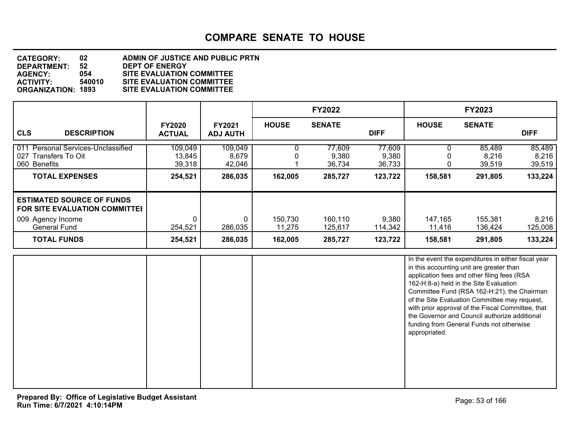#### **DEPARTMENT: 52 DEPT OF ENERGY CATEGORY: 02 ADMIN OF JUSTICE AND PUBLIC PRTN AGENCY: 054 SITE EVALUATION COMMITTEE ACTIVITY: 540010 SITE EVALUATION COMMITTEE SITE EVALUATION COMMITTEE**

|                                                                                                                      |                                |                                  |                   | <b>FY2022</b>             |                           |                   | <b>FY2023</b>             |                           |
|----------------------------------------------------------------------------------------------------------------------|--------------------------------|----------------------------------|-------------------|---------------------------|---------------------------|-------------------|---------------------------|---------------------------|
| <b>CLS</b><br><b>DESCRIPTION</b>                                                                                     | <b>FY2020</b><br><b>ACTUAL</b> | <b>FY2021</b><br><b>ADJ AUTH</b> | <b>HOUSE</b>      | <b>SENATE</b>             | <b>DIFF</b>               | <b>HOUSE</b>      | <b>SENATE</b>             | <b>DIFF</b>               |
| <b>Personal Services-Unclassified</b><br>011<br>027<br>Transfers To Oit<br>060 Benefits                              | 109,049<br>13,845<br>39,318    | 109,049<br>8,679<br>42,046       |                   | 77,609<br>9,380<br>36,734 | 77,609<br>9,380<br>36,733 |                   | 85,489<br>8,216<br>39,519 | 85,489<br>8,216<br>39,519 |
| <b>TOTAL EXPENSES</b>                                                                                                | 254,521                        | 286,035                          | 162,005           | 285,727                   | 123,722                   | 158,581           | 291,805                   | 133,224                   |
| <b>ESTIMATED SOURCE OF FUNDS</b><br><b>FOR SITE EVALUATION COMMITTEE</b><br>009 Agency Income<br><b>General Fund</b> | 254,521                        | 286,035                          | 150,730<br>11,275 | 160,110<br>125,617        | 9,380<br>114,342          | 147,165<br>11,416 | 155,381<br>136,424        | 8,216<br>125,008          |
| <b>TOTAL FUNDS</b>                                                                                                   | 254,521                        | 286,035                          | 162,005           | 285,727                   | 123,722                   | 158,581           | 291,805                   | 133,224                   |

|  | In the event the expenditures in either fiscal year<br>in this accounting unit are greater than<br>application fees and other filing fees (RSA<br>162-H:8-a) held in the Site Evaluation<br>Committee Fund (RSA 162-H:21), the Chairman<br>of the Site Evaluation Committee may request,<br>with prior approval of the Fiscal Committee, that<br>the Governor and Council authorize additional<br>funding from General Funds not otherwise<br>appropriated. |
|--|-------------------------------------------------------------------------------------------------------------------------------------------------------------------------------------------------------------------------------------------------------------------------------------------------------------------------------------------------------------------------------------------------------------------------------------------------------------|
|  |                                                                                                                                                                                                                                                                                                                                                                                                                                                             |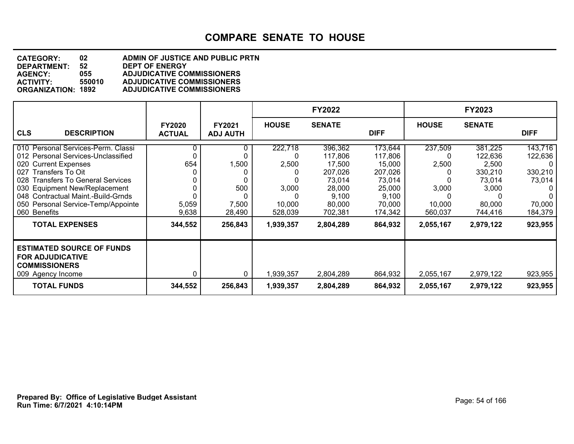#### **DEPARTMENT: 52 DEPT OF ENERGY<br>AGENCY: 055 ADJUDICATIVE CO CATEGORY: 02 ADMIN OF JUSTICE AND PUBLIC PRTN AGENCY: 055 ADJUDICATIVE COMMISSIONERS ACTIVITY: 550010 ADJUDICATIVE COMMISSIONERS ADJUDICATIVE COMMISSIONERS**

|                                                                                                                                                                                                                                                                                                      |                                |                                 |                                                     | <b>FY2022</b>                                                                             |                                                                                           |                                                | FY2023                                                                         |                                                                             |
|------------------------------------------------------------------------------------------------------------------------------------------------------------------------------------------------------------------------------------------------------------------------------------------------------|--------------------------------|---------------------------------|-----------------------------------------------------|-------------------------------------------------------------------------------------------|-------------------------------------------------------------------------------------------|------------------------------------------------|--------------------------------------------------------------------------------|-----------------------------------------------------------------------------|
| <b>CLS</b><br><b>DESCRIPTION</b>                                                                                                                                                                                                                                                                     | <b>FY2020</b><br><b>ACTUAL</b> | FY2021<br><b>ADJ AUTH</b>       | <b>HOUSE</b>                                        | <b>SENATE</b>                                                                             | <b>DIFF</b>                                                                               | <b>HOUSE</b>                                   | <b>SENATE</b>                                                                  | <b>DIFF</b>                                                                 |
| 010 Personal Services-Perm. Classi<br>012 Personal Services-Unclassified<br><b>Current Expenses</b><br>020<br>027 Transfers To Oit<br>028 Transfers To General Services<br>030 Equipment New/Replacement<br>048 Contractual Maint.-Build-Grnds<br>050 Personal Service-Temp/Appointe<br>060 Benefits | 654<br>5,059<br>9,638          | 1,500<br>500<br>7,500<br>28,490 | 222,718<br>ი<br>2,500<br>3,000<br>10,000<br>528,039 | 396,362<br>117,806<br>17,500<br>207,026<br>73,014<br>28,000<br>9,100<br>80,000<br>702,381 | 173,644<br>117,806<br>15,000<br>207,026<br>73,014<br>25,000<br>9,100<br>70,000<br>174,342 | 237,509<br>2,500<br>3,000<br>10,000<br>560,037 | 381,225<br>122,636<br>2,500<br>330,210<br>73,014<br>3,000<br>80,000<br>744,416 | 143,716<br>122,636<br>0<br>330,210<br>73,014<br>0<br>0<br>70,000<br>184,379 |
| <b>TOTAL EXPENSES</b>                                                                                                                                                                                                                                                                                | 344,552                        | 256,843                         | 1,939,357                                           | 2,804,289                                                                                 | 864,932                                                                                   | 2,055,167                                      | 2,979,122                                                                      | 923,955                                                                     |
| <b>ESTIMATED SOURCE OF FUNDS</b><br><b>FOR ADJUDICATIVE</b><br><b>COMMISSIONERS</b><br>009 Agency Income                                                                                                                                                                                             |                                | 0                               | 1,939,357                                           | 2,804,289                                                                                 | 864,932                                                                                   | 2,055,167                                      | 2,979,122                                                                      | 923,955                                                                     |
| <b>TOTAL FUNDS</b>                                                                                                                                                                                                                                                                                   | 344,552                        | 256,843                         | 1,939,357                                           | 2,804,289                                                                                 | 864,932                                                                                   | 2,055,167                                      | 2,979,122                                                                      | 923,955                                                                     |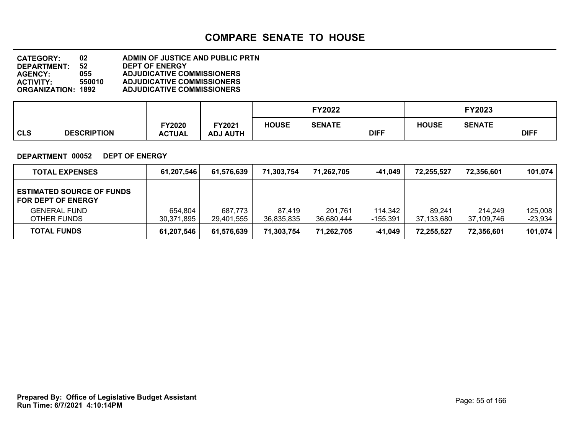#### **DEPARTMENT: 52 DEPT OF ENERGY CATEGORY: 02 ADMIN OF JUSTICE AND PUBLIC PRTN AGENCY: 055 ADJUDICATIVE COMMISSIONERS ACTIVITY: 550010 ADJUDICATIVE COMMISSIONERS ADJUDICATIVE COMMISSIONERS**

|            |                    |                        |                                  |              | <b>FY2022</b> |             |              | FY2023        |             |
|------------|--------------------|------------------------|----------------------------------|--------------|---------------|-------------|--------------|---------------|-------------|
| <b>CLS</b> | <b>DESCRIPTION</b> | Y2020<br><b>ACTUAL</b> | <b>FY2021</b><br><b>ADJ AUTH</b> | <b>HOUSE</b> | <b>SENATE</b> | <b>DIFF</b> | <b>HOUSE</b> | <b>SENATE</b> | <b>DIFF</b> |

#### **DEPARTMENT 00052 DEPT OF ENERGY**

| <b>TOTAL EXPENSES</b>                                         | 61,207,546            | 61,576,639            | 71,303,754           | 71,262,705            | $-41,049$           | 72,255,527           | 72,356,601            | 101,074            |
|---------------------------------------------------------------|-----------------------|-----------------------|----------------------|-----------------------|---------------------|----------------------|-----------------------|--------------------|
| <b>ESTIMATED SOURCE OF FUNDS</b><br><b>FOR DEPT OF ENERGY</b> |                       |                       |                      |                       |                     |                      |                       |                    |
| <b>GENERAL FUND</b><br>OTHER FUNDS                            | 654,804<br>30,371,895 | 687,773<br>29,401,555 | 87.419<br>36.835.835 | 201,761<br>36,680,444 | 114,342<br>-155,391 | 89,241<br>37,133,680 | 214.249<br>37,109,746 | 125,008<br>-23,934 |
| <b>TOTAL FUNDS</b>                                            | 61,207,546            | 61,576,639            | 71,303,754           | 71,262,705            | -41,049             | 72,255,527           | 72,356,601            | 101,074            |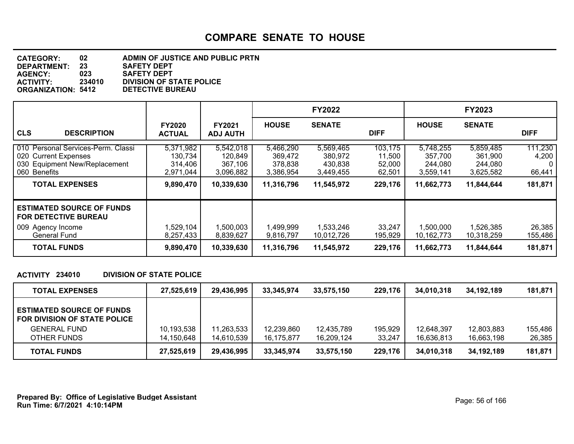| <b>CATEGORY:</b>          | 02     | <b>ADMIN OF JUSTICE AND PUBLIC PRTN</b> |
|---------------------------|--------|-----------------------------------------|
| DEPARTMENT:               | 23     | <b>SAFETY DEPT</b>                      |
| <b>AGENCY:</b>            | 023    | <b>SAFETY DEPT</b>                      |
| <b>ACTIVITY:</b>          | 234010 | <b>DIVISION OF STATE POLICE</b>         |
| <b>ORGANIZATION: 5412</b> |        | <b>DETECTIVE BUREAU</b>                 |

|                                                                                                                                      |                                                           |                                                            |                                                            | <b>FY2022</b>                                              |                                                  |                                                            | <b>FY2023</b>                                              |                                       |
|--------------------------------------------------------------------------------------------------------------------------------------|-----------------------------------------------------------|------------------------------------------------------------|------------------------------------------------------------|------------------------------------------------------------|--------------------------------------------------|------------------------------------------------------------|------------------------------------------------------------|---------------------------------------|
| <b>CLS</b><br><b>DESCRIPTION</b>                                                                                                     | <b>FY2020</b><br><b>ACTUAL</b>                            | <b>FY2021</b><br><b>ADJ AUTH</b>                           | <b>HOUSE</b>                                               | <b>SENATE</b>                                              | <b>DIFF</b>                                      | <b>HOUSE</b>                                               | <b>SENATE</b>                                              | <b>DIFF</b>                           |
| 010 Personal Services-Perm. Classi<br>020 Current Expenses<br>030 Equipment New/Replacement<br>060 Benefits<br><b>TOTAL EXPENSES</b> | 5,371,982<br>130,734<br>314,406<br>2,971,044<br>9,890,470 | 5,542,018<br>120,849<br>367,106<br>3,096,882<br>10,339,630 | 5,466,290<br>369,472<br>378,838<br>3,386,954<br>11,316,796 | 5,569,465<br>380,972<br>430.838<br>3,449,455<br>11,545,972 | 103,175<br>11,500<br>52,000<br>62,501<br>229,176 | 5,748,255<br>357,700<br>244,080<br>3,559,141<br>11,662,773 | 5,859,485<br>361,900<br>244,080<br>3,625,582<br>11,844,644 | 111,230<br>4,200<br>66,441<br>181,871 |
| <b>ESTIMATED SOURCE OF FUNDS</b><br><b>FOR DETECTIVE BUREAU</b><br>009 Agency Income<br><b>General Fund</b>                          | 1,529,104<br>8,257,433                                    | 1,500,003<br>8.839.627                                     | 1,499,999<br>9,816,797                                     | 1,533,246<br>10,012,726                                    | 33,247<br>195,929                                | 1,500,000<br>10,162,773                                    | 1,526,385<br>10,318,259                                    | 26,385<br>155,486                     |
| <b>TOTAL FUNDS</b>                                                                                                                   | 9,890,470                                                 | 10,339,630                                                 | 11,316,796                                                 | 11,545,972                                                 | 229,176                                          | 11,662,773                                                 | 11,844,644                                                 | 181,871                               |

#### **ACTIVITY 234010 DIVISION OF STATE POLICE**

| <b>TOTAL EXPENSES</b>                                            | 27,525,619 | 29,436,995 | 33.345.974 | 33.575.150 | 229,176 | 34.010.318 | 34.192.189 | 181,871 |
|------------------------------------------------------------------|------------|------------|------------|------------|---------|------------|------------|---------|
| <b>ESTIMATED SOURCE OF FUNDS</b><br>FOR DIVISION OF STATE POLICE |            |            |            |            |         |            |            |         |
| <b>GENERAL FUND</b>                                              | 10,193,538 | 11,263,533 | 12,239,860 | 12,435,789 | 195,929 | 12.648.397 | 12,803,883 | 155,486 |
| OTHER FUNDS                                                      | 14,150,648 | 14,610,539 | 16.175.877 | 16.209.124 | 33,247  | 16.636.813 | 16.663.198 | 26,385  |
| <b>TOTAL FUNDS</b>                                               | 27,525,619 | 29,436,995 | 33,345,974 | 33.575.150 | 229,176 | 34,010,318 | 34,192,189 | 181,871 |

**Run Time: 6/7/2021 4:10:14PM Prepared By: Office of Legislative Budget Assistant** Page: 56 of 166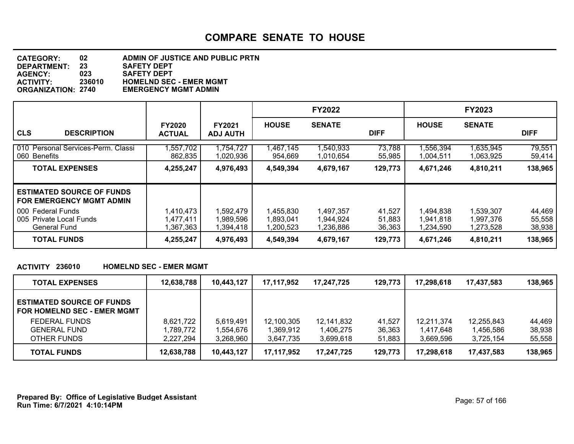#### **DEPARTMENT: 23 SAFETY DEPT CATEGORY: 02 ADMIN OF JUSTICE AND PUBLIC PRTN AGENCY: 023 SAFETY DEPT ACTIVITY: 236010 HOMELND SEC - EMER MGMT EMERGENCY MGMT ADMIN**

|                                                                       |                                     |                                     |                                     | <b>FY2022</b>                       |                            |                                     | <b>FY2023</b>                       |                            |
|-----------------------------------------------------------------------|-------------------------------------|-------------------------------------|-------------------------------------|-------------------------------------|----------------------------|-------------------------------------|-------------------------------------|----------------------------|
| <b>CLS</b><br><b>DESCRIPTION</b>                                      | <b>FY2020</b><br><b>ACTUAL</b>      | <b>FY2021</b><br><b>ADJ AUTH</b>    | <b>HOUSE</b>                        | <b>SENATE</b>                       | <b>DIFF</b>                | <b>HOUSE</b>                        | <b>SENATE</b>                       | <b>DIFF</b>                |
| 010 Personal Services-Perm. Classi<br>060 Benefits                    | 557,702<br>862,835                  | 1,754,727<br>1,020,936              | I,467,145<br>954,669                | 1,540,933<br>1,010,654              | 73,788<br>55,985           | 556,394<br>1,004,511                | 1,635,945<br>1,063,925              | 79,551<br>59,414           |
| <b>TOTAL EXPENSES</b>                                                 | 4,255,247                           | 4,976,493                           | 4,549,394                           | 4,679,167                           | 129,773                    | 4,671,246                           | 4,810,211                           | 138,965                    |
| <b>ESTIMATED SOURCE OF FUNDS</b><br><b>FOR EMERGENCY MGMT ADMIN</b>   |                                     |                                     |                                     |                                     |                            |                                     |                                     |                            |
| l 000 Federal Funds<br>005 Private Local Funds<br><b>General Fund</b> | 1,410,473<br>1,477,411<br>367,363,ا | 1,592,479<br>1.989.596<br>1.394.418 | 1,455,830<br>1,893,041<br>1,200,523 | 1,497,357<br>1,944,924<br>1,236,886 | 41,527<br>51,883<br>36,363 | 1,494,838<br>1.941.818<br>1,234,590 | 1,539,307<br>1,997,376<br>1,273,528 | 44,469<br>55,558<br>38,938 |
| <b>TOTAL FUNDS</b>                                                    | 4,255,247                           | 4,976,493                           | 4,549,394                           | 4,679,167                           | 129,773                    | 4,671,246                           | 4,810,211                           | 138,965                    |

#### **ACTIVITY 236010 HOMELND SEC - EMER MGMT**

| <b>TOTAL EXPENSES</b>                                                  | 12,638,788 | 10,443,127 | 17,117,952 | 17,247,725 | 129,773 | 17,298,618 | 17,437,583 | 138,965 |
|------------------------------------------------------------------------|------------|------------|------------|------------|---------|------------|------------|---------|
| <b>ESTIMATED SOURCE OF FUNDS</b><br><b>FOR HOMELND SEC - EMER MGMT</b> |            |            |            |            |         |            |            |         |
| <b>FEDERAL FUNDS</b>                                                   | 8,621,722  | 5,619,491  | 12,100,305 | 12,141,832 | 41,527  | 12.211.374 | 12,255,843 | 44.469  |
| <b>GENERAL FUND</b>                                                    | 1,789,772  | 1,554,676  | 1,369,912  | 1,406,275  | 36,363  | 1,417,648  | 1,456,586  | 38,938  |
| OTHER FUNDS                                                            | 2,227,294  | 3,268,960  | 3,647,735  | 3,699,618  | 51,883  | 3.669.596  | 3.725.154  | 55,558  |
| <b>TOTAL FUNDS</b>                                                     | 12,638,788 | 10,443,127 | 17,117,952 | 17,247,725 | 129,773 | 17,298,618 | 17,437,583 | 138,965 |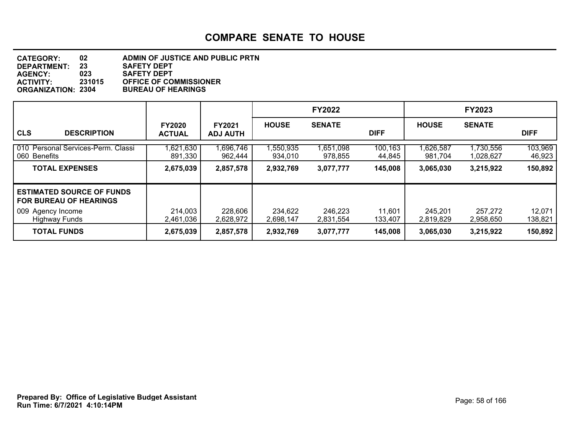| <b>CATEGORY:</b>          | 02     | ADMIN OF JUSTICE AND PUBLIC PRTN |
|---------------------------|--------|----------------------------------|
| <b>DEPARTMENT:</b>        | 23     | <b>SAFETY DEPT</b>               |
| <b>AGENCY:</b>            | 023    | <b>SAFETY DEPT</b>               |
| <b>ACTIVITY:</b>          | 231015 | <b>OFFICE OF COMMISSIONER</b>    |
| <b>ORGANIZATION: 2304</b> |        | <b>BUREAU OF HEARINGS</b>        |

|                                                                                                                |                                |                                  |                      | <b>FY2022</b>        |                   |                      | <b>FY2023</b>          |                   |
|----------------------------------------------------------------------------------------------------------------|--------------------------------|----------------------------------|----------------------|----------------------|-------------------|----------------------|------------------------|-------------------|
| <b>CLS</b><br><b>DESCRIPTION</b>                                                                               | <b>FY2020</b><br><b>ACTUAL</b> | <b>FY2021</b><br><b>ADJ AUTH</b> | <b>HOUSE</b>         | <b>SENATE</b>        | <b>DIFF</b>       | <b>HOUSE</b>         | <b>SENATE</b>          | <b>DIFF</b>       |
| 010 Personal Services-Perm. Classi<br>060 Benefits                                                             | 1,621,630<br>891,330           | 1,696,746<br>962,444             | ,550,935<br>934.010  | 1,651,098<br>978,855 | 100,163<br>44,845 | 1,626,587<br>981,704 | 1,730,556<br>1,028,627 | 103,969<br>46,923 |
| <b>TOTAL EXPENSES</b>                                                                                          | 2,675,039                      | 2,857,578                        | 2,932,769            | 3,077,777            | 145,008           | 3,065,030            | 3,215,922              | 150,892           |
| <b>ESTIMATED SOURCE OF FUNDS</b><br><b>FOR BUREAU OF HEARINGS</b><br>009 Agency Income<br><b>Highway Funds</b> | 214,003<br>2,461,036           | 228,606<br>2.628.972             | 234,622<br>2,698,147 | 246,223<br>2,831,554 | 11,601<br>133,407 | 245,201<br>2,819,829 | 257,272<br>2,958,650   | 12,071<br>138,821 |
| <b>TOTAL FUNDS</b>                                                                                             | 2,675,039                      | 2,857,578                        | 2,932,769            | 3,077,777            | 145,008           | 3,065,030            | 3,215,922              | 150,892           |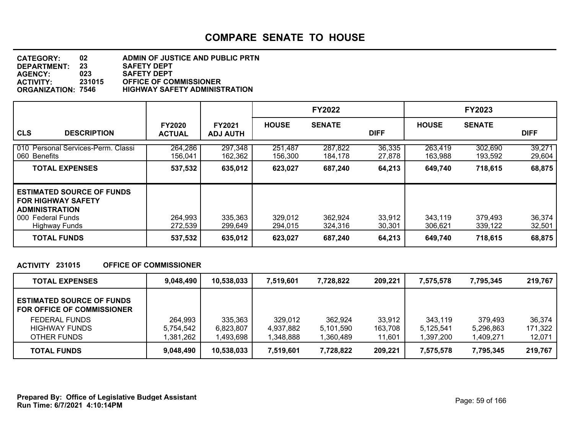#### **DEPARTMENT: 23 SAFETY DEPT CATEGORY: 02 ADMIN OF JUSTICE AND PUBLIC PRTN AGENCY: 023 SAFETY DEPT ACTIVITY: 231015 OFFICE OF COMMISSIONER ORGANIZATION: 7546 HIGHWAY SAFETY ADMINISTRATION**

|                                                                                                                                                      |                                |                                  |                               | <b>FY2022</b>                 |                            |                               | <b>FY2023</b>                 |                            |
|------------------------------------------------------------------------------------------------------------------------------------------------------|--------------------------------|----------------------------------|-------------------------------|-------------------------------|----------------------------|-------------------------------|-------------------------------|----------------------------|
| <b>CLS</b><br><b>DESCRIPTION</b>                                                                                                                     | <b>FY2020</b><br><b>ACTUAL</b> | <b>FY2021</b><br><b>ADJ AUTH</b> | <b>HOUSE</b>                  | <b>SENATE</b>                 | <b>DIFF</b>                | <b>HOUSE</b>                  | <b>SENATE</b>                 | <b>DIFF</b>                |
| 010 Personal Services-Perm. Classi<br>060 Benefits                                                                                                   | 264,286<br>156,041             | 297,348<br>162,362               | 251,487<br>156,300            | 287,822<br>184,178            | 36,335<br>27,878           | 263,419<br>163,988            | 302,690<br>193,592            | 39,271<br>29,604           |
| <b>TOTAL EXPENSES</b>                                                                                                                                | 537,532                        | 635,012                          | 623,027                       | 687,240                       | 64,213                     | 649,740                       | 718,615                       | 68,875                     |
| <b>ESTIMATED SOURCE OF FUNDS</b><br>  FOR HIGHWAY SAFETY<br><b>ADMINISTRATION</b><br>000 Federal Funds<br><b>Highway Funds</b><br><b>TOTAL FUNDS</b> | 264,993<br>272,539<br>537,532  | 335,363<br>299,649<br>635,012    | 329,012<br>294.015<br>623,027 | 362,924<br>324.316<br>687,240 | 33,912<br>30,301<br>64,213 | 343,119<br>306.621<br>649,740 | 379,493<br>339,122<br>718,615 | 36,374<br>32,501<br>68,875 |

#### **ACTIVITY 231015 OFFICE OF COMMISSIONER**

| <b>TOTAL EXPENSES</b>                                                 | 9,048,490 | 10,538,033 | 7,519,601 | 7,728,822 | 209,221 | 7.575.578 | 7,795,345 | 219,767 |
|-----------------------------------------------------------------------|-----------|------------|-----------|-----------|---------|-----------|-----------|---------|
| <b>ESTIMATED SOURCE OF FUNDS</b><br><b>FOR OFFICE OF COMMISSIONER</b> |           |            |           |           |         |           |           |         |
| <b>FEDERAL FUNDS</b>                                                  | 264.993   | 335,363    | 329.012   | 362,924   | 33,912  | 343,119   | 379.493   | 36,374  |
| <b>HIGHWAY FUNDS</b>                                                  | 5,754,542 | 6,823,807  | 4,937,882 | 5,101,590 | 163,708 | 5.125.541 | 5,296,863 | 171,322 |
| OTHER FUNDS                                                           | .381,262  | 1,493,698  | 1,348,888 | 1,360,489 | 11,601  | 1,397,200 | 1,409,271 | 12,071  |
| <b>TOTAL FUNDS</b>                                                    | 9,048,490 | 10,538,033 | 7,519,601 | 7,728,822 | 209,221 | 7,575,578 | 7,795,345 | 219,767 |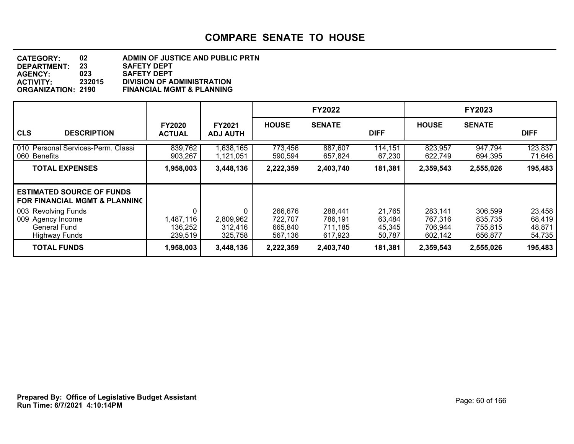#### **DEPARTMENT: 23 SAFETY DEPT CATEGORY: 02 ADMIN OF JUSTICE AND PUBLIC PRTN AGENCY: 023 SAFETY DEPT ACTIVITY: 232015 DIVISION OF ADMINISTRATION FINANCIAL MGMT & PLANNING**

|                                                                                         |                                      |                                      |                                          | <b>FY2022</b>                            |                                      |                                          | <b>FY2023</b>                            |                                      |
|-----------------------------------------------------------------------------------------|--------------------------------------|--------------------------------------|------------------------------------------|------------------------------------------|--------------------------------------|------------------------------------------|------------------------------------------|--------------------------------------|
| <b>CLS</b><br><b>DESCRIPTION</b>                                                        | <b>FY2020</b><br><b>ACTUAL</b>       | <b>FY2021</b><br><b>ADJ AUTH</b>     | <b>HOUSE</b>                             | <b>SENATE</b>                            | <b>DIFF</b>                          | <b>HOUSE</b>                             | <b>SENATE</b>                            | <b>DIFF</b>                          |
| 010 Personal Services-Perm. Classi<br>060 Benefits                                      | 839,762<br>903,267                   | 1,638,165<br>1,121,051               | 773,456<br>590,594                       | 887,607<br>657,824                       | 114,151<br>67,230                    | 823,957<br>622,749                       | 947,794<br>694,395                       | 123,837<br>71,646                    |
| <b>TOTAL EXPENSES</b>                                                                   | 1,958,003                            | 3,448,136                            | 2,222,359                                | 2,403,740                                | 181,381                              | 2,359,543                                | 2,555,026                                | 195,483                              |
| <b>ESTIMATED SOURCE OF FUNDS</b><br><b>FOR FINANCIAL MGMT &amp; PLANNING</b>            |                                      |                                      |                                          |                                          |                                      |                                          |                                          |                                      |
| 003 Revolving Funds<br>009 Agency Income<br><b>General Fund</b><br><b>Highway Funds</b> | 0<br>1,487,116<br>136,252<br>239,519 | 0<br>2,809,962<br>312,416<br>325,758 | 266,676<br>722,707<br>665,840<br>567,136 | 288,441<br>786,191<br>711,185<br>617,923 | 21,765<br>63,484<br>45,345<br>50,787 | 283,141<br>767,316<br>706,944<br>602,142 | 306,599<br>835,735<br>755,815<br>656,877 | 23,458<br>68,419<br>48,871<br>54,735 |
| <b>TOTAL FUNDS</b>                                                                      | 1,958,003                            | 3,448,136                            | 2,222,359                                | 2,403,740                                | 181,381                              | 2,359,543                                | 2,555,026                                | 195,483                              |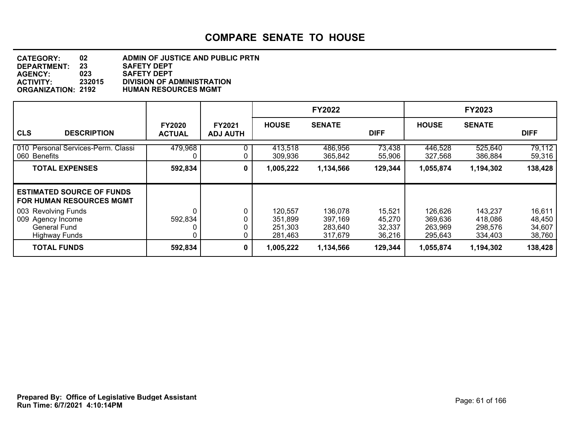#### **DEPARTMENT: 23 SAFETY DEPT CATEGORY: 02 ADMIN OF JUSTICE AND PUBLIC PRTN AGENCY: 023 SAFETY DEPT ACTIVITY: 232015 DIVISION OF ADMINISTRATION ORGANIZATION: 2192 HUMAN RESOURCES MGMT**

|                                                                                         |                                |                                  |                                          | <b>FY2022</b>                            |                                      |                                          | <b>FY2023</b>                            |                                      |
|-----------------------------------------------------------------------------------------|--------------------------------|----------------------------------|------------------------------------------|------------------------------------------|--------------------------------------|------------------------------------------|------------------------------------------|--------------------------------------|
| <b>CLS</b><br><b>DESCRIPTION</b>                                                        | <b>FY2020</b><br><b>ACTUAL</b> | <b>FY2021</b><br><b>ADJ AUTH</b> | <b>HOUSE</b>                             | <b>SENATE</b>                            | <b>DIFF</b>                          | <b>HOUSE</b>                             | <b>SENATE</b>                            | <b>DIFF</b>                          |
| 010 Personal Services-Perm. Classi<br>060 Benefits                                      | 479,968                        | 0                                | 413,518<br>309,936                       | 486,956<br>365,842                       | 73,438<br>55,906                     | 446,528<br>327,568                       | 525,640<br>386,884                       | 79,112<br>59,316                     |
| <b>TOTAL EXPENSES</b>                                                                   | 592,834                        | 0                                | 1,005,222                                | 1,134,566                                | 129,344                              | 1,055,874                                | 1,194,302                                | 138,428                              |
| <b>ESTIMATED SOURCE OF FUNDS</b><br><b>FOR HUMAN RESOURCES MGMT</b>                     |                                |                                  |                                          |                                          |                                      |                                          |                                          |                                      |
| 003 Revolving Funds<br>009 Agency Income<br><b>General Fund</b><br><b>Highway Funds</b> | 592,834                        | 0                                | 120.557<br>351,899<br>251,303<br>281,463 | 136,078<br>397,169<br>283,640<br>317,679 | 15,521<br>45,270<br>32,337<br>36,216 | 126,626<br>369,636<br>263,969<br>295,643 | 143,237<br>418,086<br>298,576<br>334,403 | 16,611<br>48,450<br>34,607<br>38,760 |
| <b>TOTAL FUNDS</b>                                                                      | 592,834                        | 0                                | 1,005,222                                | 1,134,566                                | 129,344                              | 1,055,874                                | 1,194,302                                | 138,428                              |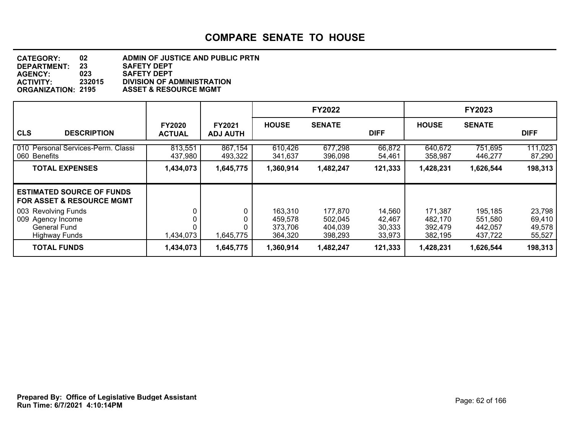#### **DEPARTMENT: 23 SAFETY DEPT CATEGORY: 02 ADMIN OF JUSTICE AND PUBLIC PRTN AGENCY: 023 SAFETY DEPT ACTIVITY: 232015 DIVISION OF ADMINISTRATION ORGANIZATION: 2195 ASSET & RESOURCE MGMT**

|                                                                                         |                                |                                  |                                          | <b>FY2022</b>                            |                                      |                                          | <b>FY2023</b>                            |                                      |
|-----------------------------------------------------------------------------------------|--------------------------------|----------------------------------|------------------------------------------|------------------------------------------|--------------------------------------|------------------------------------------|------------------------------------------|--------------------------------------|
| <b>CLS</b><br><b>DESCRIPTION</b>                                                        | <b>FY2020</b><br><b>ACTUAL</b> | <b>FY2021</b><br><b>ADJ AUTH</b> | <b>HOUSE</b>                             | <b>SENATE</b>                            | <b>DIFF</b>                          | <b>HOUSE</b>                             | <b>SENATE</b>                            | <b>DIFF</b>                          |
| 010 Personal Services-Perm. Classi<br>060 Benefits                                      | 813,551<br>437,980             | 867,154<br>493,322               | 610,426<br>341,637                       | 677,298<br>396,098                       | 66,872<br>54,461                     | 640,672<br>358,987                       | 751,695<br>446,277                       | 111,023<br>87,290                    |
| <b>TOTAL EXPENSES</b>                                                                   | 1,434,073                      | 1,645,775                        | 1,360,914                                | 1,482,247                                | 121,333                              | 1,428,231                                | 1,626,544                                | 198,313                              |
| <b>ESTIMATED SOURCE OF FUNDS</b><br><b>FOR ASSET &amp; RESOURCE MGMT</b>                |                                |                                  |                                          |                                          |                                      |                                          |                                          |                                      |
| 003 Revolving Funds<br>009 Agency Income<br><b>General Fund</b><br><b>Highway Funds</b> | 1,434,073                      | 1,645,775                        | 163,310<br>459,578<br>373,706<br>364,320 | 177,870<br>502,045<br>404,039<br>398,293 | 14,560<br>42,467<br>30,333<br>33,973 | 171,387<br>482,170<br>392,479<br>382,195 | 195,185<br>551,580<br>442,057<br>437,722 | 23,798<br>69,410<br>49,578<br>55,527 |
| <b>TOTAL FUNDS</b>                                                                      | 1,434,073                      | 1,645,775                        | 1,360,914                                | 1,482,247                                | 121,333                              | 1,428,231                                | 1,626,544                                | 198,313                              |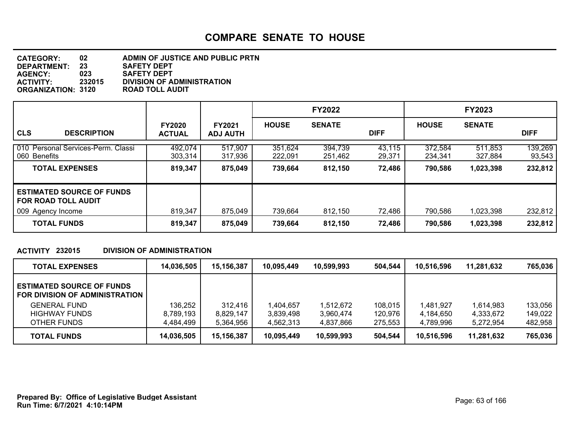| <b>CATEGORY:</b>          | 02     | ADMIN OF JUSTICE AND PUBLIC PRTN  |
|---------------------------|--------|-----------------------------------|
| <b>DEPARTMENT:</b>        | 23     | <b>SAFETY DEPT</b>                |
| <b>AGENCY:</b>            | 023    | <b>SAFETY DEPT</b>                |
| <b>ACTIVITY:</b>          | 232015 | <b>DIVISION OF ADMINISTRATION</b> |
| <b>ORGANIZATION: 3120</b> |        | <b>ROAD TOLL AUDIT</b>            |

|                                                                |                                |                                  |                    | <b>FY2022</b>      |                  |                    | <b>FY2023</b>      |                   |
|----------------------------------------------------------------|--------------------------------|----------------------------------|--------------------|--------------------|------------------|--------------------|--------------------|-------------------|
| <b>CLS</b><br><b>DESCRIPTION</b>                               | <b>FY2020</b><br><b>ACTUAL</b> | <b>FY2021</b><br><b>ADJ AUTH</b> | <b>HOUSE</b>       | <b>SENATE</b>      | <b>DIFF</b>      | <b>HOUSE</b>       | <b>SENATE</b>      | <b>DIFF</b>       |
| 010 Personal Services-Perm. Classi<br>060 Benefits             | 492,074<br>303,314             | 517,907<br>317,936               | 351,624<br>222,091 | 394,739<br>251,462 | 43,115<br>29,371 | 372,584<br>234,341 | 511,853<br>327,884 | 139,269<br>93,543 |
| <b>TOTAL EXPENSES</b>                                          | 819,347                        | 875,049                          | 739,664            | 812,150            | 72,486           | 790,586            | 1,023,398          | 232,812           |
| <b>ESTIMATED SOURCE OF FUNDS</b><br><b>FOR ROAD TOLL AUDIT</b> |                                |                                  |                    |                    |                  |                    |                    |                   |
| 009 Agency Income                                              | 819,347                        | 875,049                          | 739,664            | 812,150            | 72,486           | 790,586            | 1,023,398          | 232,812           |
| <b>TOTAL FUNDS</b>                                             | 819,347                        | 875,049                          | 739,664            | 812,150            | 72,486           | 790,586            | 1,023,398          | 232,812           |

#### **ACTIVITY 232015 DIVISION OF ADMINISTRATION**

| <b>TOTAL EXPENSES</b>                                              | 14,036,505 | 15,156,387 | 10.095,449 | 10,599,993 | 504.544 | 10,516,596 | 11,281,632 | 765,036 |
|--------------------------------------------------------------------|------------|------------|------------|------------|---------|------------|------------|---------|
| <b>ESTIMATED SOURCE OF FUNDS</b><br>FOR DIVISION OF ADMINISTRATION |            |            |            |            |         |            |            |         |
| GENERAL FUND                                                       | 136,252    | 312.416    | 1,404,657  | 1,512,672  | 108,015 | 1,481,927  | 1,614,983  | 133.056 |
| <b>HIGHWAY FUNDS</b>                                               | 8,789,193  | 8,829,147  | 3,839,498  | 3,960,474  | 120,976 | 4,184,650  | 4,333,672  | 149,022 |
| OTHER FUNDS                                                        | 4,484,499  | 5.364.956  | 4,562,313  | 4,837,866  | 275.553 | 4.789.996  | 5.272.954  | 482,958 |
| <b>TOTAL FUNDS</b>                                                 | 14,036,505 | 15,156,387 | 10,095,449 | 10,599,993 | 504,544 | 10,516,596 | 11,281,632 | 765,036 |

**Run Time: 6/7/2021 4:10:14PM Prepared By: Office of Legislative Budget Assistant** Page: 63 of 166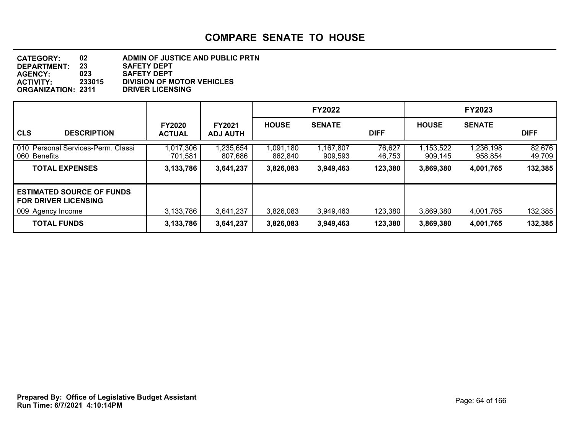| <b>CATEGORY:</b>          | 02     | ADMIN OF JUSTICE AND PUBLIC PRTN  |
|---------------------------|--------|-----------------------------------|
| <b>DEPARTMENT:</b>        | 23     | <b>SAFETY DEPT</b>                |
| <b>AGENCY:</b>            | 023    | <b>SAFETY DEPT</b>                |
| <b>ACTIVITY:</b>          | 233015 | <b>DIVISION OF MOTOR VEHICLES</b> |
| <b>ORGANIZATION: 2311</b> |        | <b>DRIVER LICENSING</b>           |

|                                                                                      |                                |                                  |                      | <b>FY2022</b>        |                  |                      | <b>FY2023</b>        |                  |
|--------------------------------------------------------------------------------------|--------------------------------|----------------------------------|----------------------|----------------------|------------------|----------------------|----------------------|------------------|
| <b>CLS</b><br><b>DESCRIPTION</b>                                                     | <b>FY2020</b><br><b>ACTUAL</b> | <b>FY2021</b><br><b>ADJ AUTH</b> | <b>HOUSE</b>         | <b>SENATE</b>        | <b>DIFF</b>      | <b>HOUSE</b>         | <b>SENATE</b>        | <b>DIFF</b>      |
| 010 Personal Services-Perm. Classi<br>060 Benefits                                   | 1,017,306<br>701,581           | 1,235,654<br>807,686             | 1,091,180<br>862,840 | 1,167,807<br>909,593 | 76,627<br>46,753 | 1,153,522<br>909,145 | 1,236,198<br>958,854 | 82,676<br>49,709 |
| <b>TOTAL EXPENSES</b>                                                                | 3,133,786                      | 3,641,237                        | 3,826,083            | 3,949,463            | 123,380          | 3,869,380            | 4,001,765            | 132,385          |
| <b>ESTIMATED SOURCE OF FUNDS</b><br><b>FOR DRIVER LICENSING</b><br>009 Agency Income | 3,133,786                      | 3,641,237                        | 3,826,083            | 3,949,463            | 123,380          | 3,869,380            | 4,001,765            | 132,385          |
| <b>TOTAL FUNDS</b>                                                                   | 3,133,786                      | 3,641,237                        | 3,826,083            | 3,949,463            | 123,380          | 3,869,380            | 4,001,765            | 132,385          |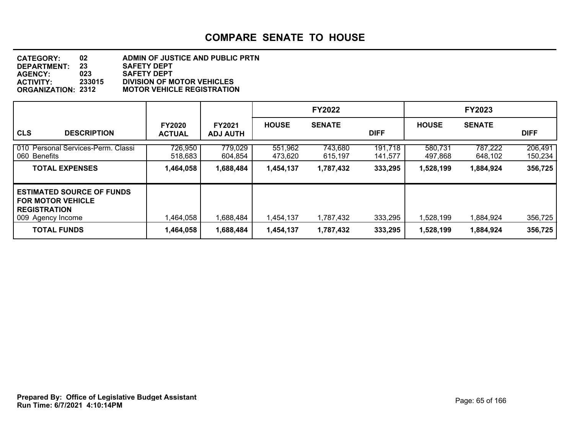#### **DEPARTMENT: 23 SAFETY DEPT CATEGORY: 02 ADMIN OF JUSTICE AND PUBLIC PRTN AGENCY: 023 SAFETY DEPT ACTIVITY: 233015 DIVISION OF MOTOR VEHICLES MOTOR VEHICLE REGISTRATION**

|                                                                                                     |                                |                                  |                    | <b>FY2022</b>      |                    |                    | <b>FY2023</b>      |                    |
|-----------------------------------------------------------------------------------------------------|--------------------------------|----------------------------------|--------------------|--------------------|--------------------|--------------------|--------------------|--------------------|
| <b>CLS</b><br><b>DESCRIPTION</b>                                                                    | <b>FY2020</b><br><b>ACTUAL</b> | <b>FY2021</b><br><b>ADJ AUTH</b> | <b>HOUSE</b>       | <b>SENATE</b>      | <b>DIFF</b>        | <b>HOUSE</b>       | <b>SENATE</b>      | <b>DIFF</b>        |
| 010 Personal Services-Perm. Classi<br>060 Benefits                                                  | 726,950<br>518,683             | 779,029<br>604,854               | 551,962<br>473,620 | 743,680<br>615,197 | 191,718<br>141,577 | 580,731<br>497,868 | 787,222<br>648,102 | 206,491<br>150,234 |
| <b>TOTAL EXPENSES</b>                                                                               | 1,464,058                      | 1,688,484                        | 1,454,137          | 1,787,432          | 333,295            | 1,528,199          | 1,884,924          | 356,725            |
| <b>ESTIMATED SOURCE OF FUNDS</b><br>I FOR MOTOR VEHICLE<br><b>REGISTRATION</b><br>009 Agency Income | .464,058                       | 1,688,484                        | 1,454,137          | 1,787,432          | 333,295            | 1,528,199          | 1,884,924          | 356,725            |
| <b>TOTAL FUNDS</b>                                                                                  | 1,464,058                      | 1,688,484                        | 1,454,137          | 1,787,432          | 333,295            | 1,528,199          | 1,884,924          | 356,725            |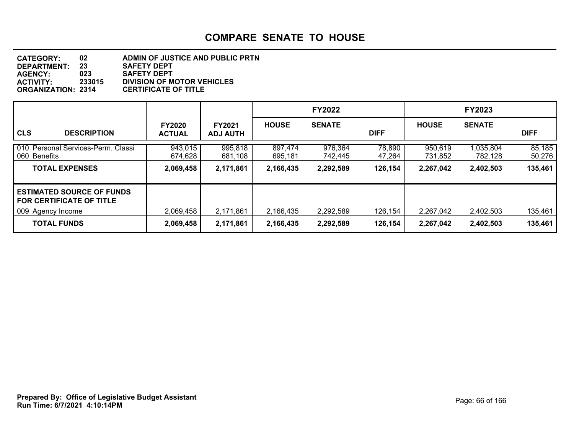| <b>CATEGORY:</b>          | 02     | ADMIN OF JUSTICE AND PUBLIC PRTN  |
|---------------------------|--------|-----------------------------------|
| <b>DEPARTMENT:</b>        | 23     | <b>SAFETY DEPT</b>                |
| <b>AGENCY:</b>            | 023    | <b>SAFETY DEPT</b>                |
| <b>ACTIVITY:</b>          | 233015 | <b>DIVISION OF MOTOR VEHICLES</b> |
| <b>ORGANIZATION: 2314</b> |        | <b>CERTIFICATE OF TITLE</b>       |

|                                                                                   |                                |                                  |                    | <b>FY2022</b>      |                  |                    | <b>FY2023</b>        |                  |
|-----------------------------------------------------------------------------------|--------------------------------|----------------------------------|--------------------|--------------------|------------------|--------------------|----------------------|------------------|
| <b>CLS</b><br><b>DESCRIPTION</b>                                                  | <b>FY2020</b><br><b>ACTUAL</b> | <b>FY2021</b><br><b>ADJ AUTH</b> | <b>HOUSE</b>       | <b>SENATE</b>      | <b>DIFF</b>      | <b>HOUSE</b>       | <b>SENATE</b>        | <b>DIFF</b>      |
| 010 Personal Services-Perm. Classi<br>060 Benefits                                | 943,015<br>674.628             | 995,818<br>681,108               | 897.474<br>695,181 | 976,364<br>742.445 | 78,890<br>47,264 | 950.619<br>731,852 | 1,035,804<br>782,128 | 85,185<br>50,276 |
| <b>TOTAL EXPENSES</b>                                                             | 2,069,458                      | 2,171,861                        | 2,166,435          | 2,292,589          | 126,154          | 2,267,042          | 2,402,503            | 135,461          |
| <b>ESTIMATED SOURCE OF FUNDS</b><br>FOR CERTIFICATE OF TITLE<br>009 Agency Income | 2,069,458                      | 2,171,861                        | 2,166,435          | 2,292,589          | 126,154          | 2,267,042          | 2,402,503            | 135,461          |
| <b>TOTAL FUNDS</b>                                                                | 2,069,458                      | 2,171,861                        | 2,166,435          | 2,292,589          | 126,154          | 2,267,042          | 2,402,503            | 135,461          |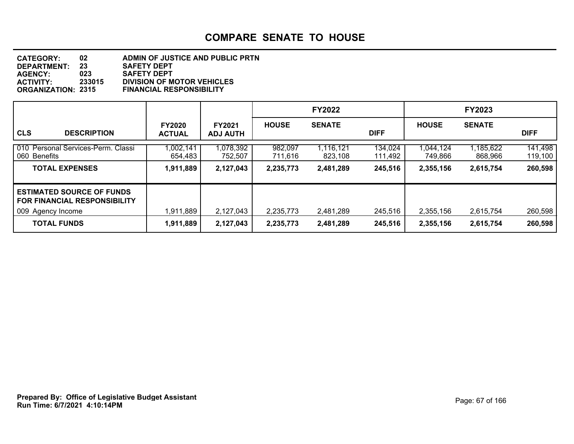#### **DEPARTMENT: 23 SAFETY DEPT CATEGORY: 02 ADMIN OF JUSTICE AND PUBLIC PRTN AGENCY: 023 SAFETY DEPT ACTIVITY: 233015 DIVISION OF MOTOR VEHICLES ORGANIZATION: 2315 FINANCIAL RESPONSIBILITY**

|                                                                                          |                                |                                  |                    | <b>FY2022</b>        |                    |                      | <b>FY2023</b>        |                    |
|------------------------------------------------------------------------------------------|--------------------------------|----------------------------------|--------------------|----------------------|--------------------|----------------------|----------------------|--------------------|
| <b>CLS</b><br><b>DESCRIPTION</b>                                                         | <b>FY2020</b><br><b>ACTUAL</b> | <b>FY2021</b><br><b>ADJ AUTH</b> | <b>HOUSE</b>       | <b>SENATE</b>        | <b>DIFF</b>        | <b>HOUSE</b>         | <b>SENATE</b>        | <b>DIFF</b>        |
| Personal Services-Perm. Classi<br>l 010<br>060 Benefits                                  | 1,002,141<br>654,483           | 1,078,392<br>752,507             | 982,097<br>711.616 | 1,116,121<br>823,108 | 134,024<br>111,492 | 1,044,124<br>749,866 | 1,185,622<br>868,966 | 141,498<br>119,100 |
| <b>TOTAL EXPENSES</b>                                                                    | 1,911,889                      | 2,127,043                        | 2,235,773          | 2,481,289            | 245,516            | 2,355,156            | 2,615,754            | 260,598            |
| <b>LESTIMATED SOURCE OF FUNDS</b><br>I FOR FINANCIAL RESPONSIBILITY<br>009 Agency Income | 1,911,889                      | 2,127,043                        | 2,235,773          | 2,481,289            | 245,516            | 2,355,156            | 2,615,754            | 260,598            |
| <b>TOTAL FUNDS</b>                                                                       | 1,911,889                      | 2,127,043                        | 2,235,773          | 2,481,289            | 245,516            | 2,355,156            | 2,615,754            | 260,598            |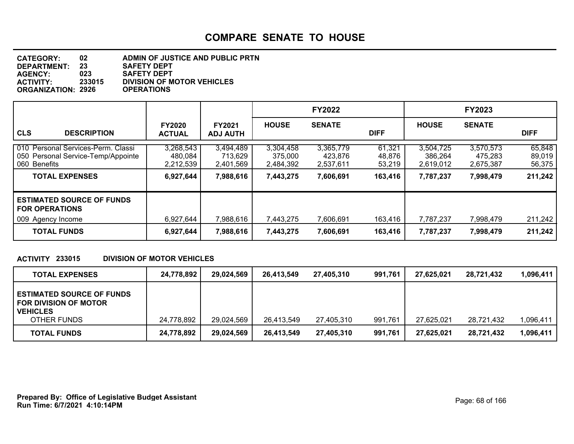| <b>CATEGORY:</b>          | 02     | ADMIN OF JUSTICE AND PUBLIC PRTN  |
|---------------------------|--------|-----------------------------------|
| DEPARTMENT:               | 23     | <b>SAFETY DEPT</b>                |
| <b>AGENCY:</b>            | 023    | <b>SAFETY DEPT</b>                |
| <b>ACTIVITY:</b>          | 233015 | <b>DIVISION OF MOTOR VEHICLES</b> |
| <b>ORGANIZATION: 2926</b> |        | <b>OPERATIONS</b>                 |

|                                                                                          |                                   |                                   |                                   | <b>FY2022</b>                     |                            |                                   | FY2023                            |                            |
|------------------------------------------------------------------------------------------|-----------------------------------|-----------------------------------|-----------------------------------|-----------------------------------|----------------------------|-----------------------------------|-----------------------------------|----------------------------|
| <b>CLS</b><br><b>DESCRIPTION</b>                                                         | <b>FY2020</b><br><b>ACTUAL</b>    | <b>FY2021</b><br><b>ADJ AUTH</b>  | <b>HOUSE</b>                      | <b>SENATE</b>                     | <b>DIFF</b>                | <b>HOUSE</b>                      | <b>SENATE</b>                     | <b>DIFF</b>                |
| 010 Personal Services-Perm. Classi<br>050 Personal Service-Temp/Appointe<br>060 Benefits | 3,268,543<br>480,084<br>2,212,539 | 3,494,489<br>713,629<br>2,401,569 | 3,304,458<br>375,000<br>2,484,392 | 3,365,779<br>423,876<br>2,537,611 | 61,321<br>48,876<br>53,219 | 3,504,725<br>386,264<br>2,619,012 | 3,570,573<br>475,283<br>2,675,387 | 65,848<br>89,019<br>56,375 |
| <b>TOTAL EXPENSES</b>                                                                    | 6,927,644                         | 7,988,616                         | 7,443,275                         | 7,606,691                         | 163,416                    | 7,787,237                         | 7,998,479                         | 211,242                    |
| <b>ESTIMATED SOURCE OF FUNDS</b><br><b>FOR OPERATIONS</b>                                |                                   |                                   |                                   |                                   |                            |                                   |                                   |                            |
| 009 Agency Income                                                                        | 6,927,644                         | 7,988,616                         | 7,443,275                         | 7,606,691                         | 163,416                    | 7,787,237                         | 7,998,479                         | 211,242                    |
| <b>TOTAL FUNDS</b>                                                                       | 6,927,644                         | 7,988,616                         | 7,443,275                         | 7,606,691                         | 163,416                    | 7,787,237                         | 7,998,479                         | 211,242                    |

#### **ACTIVITY 233015 DIVISION OF MOTOR VEHICLES**

| <b>TOTAL EXPENSES</b>                                                               | 24,778,892 | 29.024.569 | 26,413,549 | 27.405.310 | 991,761 | 27.625.021 | 28,721,432 | 1,096,411 |
|-------------------------------------------------------------------------------------|------------|------------|------------|------------|---------|------------|------------|-----------|
| <b>ESTIMATED SOURCE OF FUNDS</b><br><b>FOR DIVISION OF MOTOR</b><br><b>VEHICLES</b> |            |            |            |            |         |            |            |           |
| OTHER FUNDS                                                                         | 24,778,892 | 29,024,569 | 26,413,549 | 27.405.310 | 991,761 | 27.625.021 | 28.721.432 | ,096,411  |
| <b>TOTAL FUNDS</b>                                                                  | 24,778,892 | 29,024,569 | 26,413,549 | 27,405,310 | 991,761 | 27,625,021 | 28,721,432 | 1,096,411 |

**Run Time: 6/7/2021 4:10:14PM Prepared By: Office of Legislative Budget Assistant** Page: 68 of 166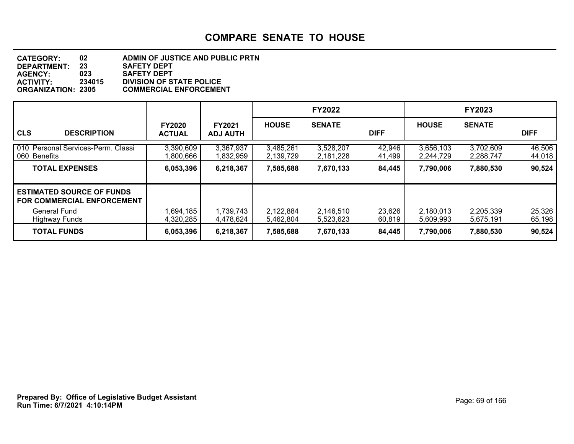#### **DEPARTMENT: 23 SAFETY DEPT CATEGORY: 02 ADMIN OF JUSTICE AND PUBLIC PRTN AGENCY: 023 SAFETY DEPT ACTIVITY: 234015 DIVISION OF STATE POLICE ORGANIZATION: 2305 COMMERCIAL ENFORCEMENT**

|                                                                                                               |                                |                                  |                        | <b>FY2022</b>          |                  |                        | <b>FY2023</b>          |                  |
|---------------------------------------------------------------------------------------------------------------|--------------------------------|----------------------------------|------------------------|------------------------|------------------|------------------------|------------------------|------------------|
| <b>CLS</b><br><b>DESCRIPTION</b>                                                                              | <b>FY2020</b><br><b>ACTUAL</b> | <b>FY2021</b><br><b>ADJ AUTH</b> | <b>HOUSE</b>           | <b>SENATE</b>          | <b>DIFF</b>      | <b>HOUSE</b>           | <b>SENATE</b>          | <b>DIFF</b>      |
| 010 Personal Services-Perm. Classi<br>060 Benefits                                                            | 3,390,609<br>1,800,666         | 3,367,937<br>1,832,959           | 3,485,261<br>2,139,729 | 3,528,207<br>2,181,228 | 42,946<br>41,499 | 3,656,103<br>2,244,729 | 3,702,609<br>2,288,747 | 46,506<br>44,018 |
| <b>TOTAL EXPENSES</b>                                                                                         | 6,053,396                      | 6,218,367                        | 7,585,688              | 7,670,133              | 84,445           | 7,790,006              | 7,880,530              | 90,524           |
| <b>ESTIMATED SOURCE OF FUNDS</b><br><b>FOR COMMERCIAL ENFORCEMENT</b><br>General Fund<br><b>Highway Funds</b> | 1,694,185<br>4,320,285         | 1,739,743<br>4,478,624           | 2,122,884<br>5,462,804 | 2,146,510<br>5,523,623 | 23,626<br>60,819 | 2,180,013<br>5,609,993 | 2,205,339<br>5,675,191 | 25,326<br>65,198 |
| <b>TOTAL FUNDS</b>                                                                                            | 6,053,396                      | 6,218,367                        | 7,585,688              | 7,670,133              | 84,445           | 7,790,006              | 7,880,530              | 90,524           |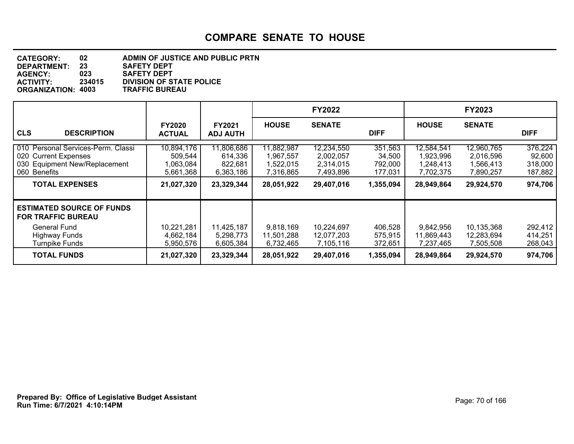| <b>CATEGORY:</b>          | 02     | ADMIN OF JUSTICE AND PUBLIC PRTN |
|---------------------------|--------|----------------------------------|
| DEPARTMENT:               | 23     | <b>SAFETY DEPT</b>               |
| <b>AGENCY:</b>            | 023    | <b>SAFETY DEPT</b>               |
| <b>ACTIVITY:</b>          | 234015 | <b>DIVISION OF STATE POLICE</b>  |
| <b>ORGANIZATION: 4003</b> |        | <b>TRAFFIC BUREAU</b>            |

|                                                                                                                                      |                                                              |                                                             |                                                                 | <b>FY2022</b>                                                   |                                                      |                                                                 | <b>FY2023</b>                                                   |                                                    |
|--------------------------------------------------------------------------------------------------------------------------------------|--------------------------------------------------------------|-------------------------------------------------------------|-----------------------------------------------------------------|-----------------------------------------------------------------|------------------------------------------------------|-----------------------------------------------------------------|-----------------------------------------------------------------|----------------------------------------------------|
| <b>CLS</b><br><b>DESCRIPTION</b>                                                                                                     | <b>FY2020</b><br><b>ACTUAL</b>                               | <b>FY2021</b><br><b>ADJ AUTH</b>                            | <b>HOUSE</b>                                                    | <b>SENATE</b>                                                   | <b>DIFF</b>                                          | <b>HOUSE</b>                                                    | <b>SENATE</b>                                                   | <b>DIFF</b>                                        |
| 010 Personal Services-Perm. Classi<br>020 Current Expenses<br>030 Equipment New/Replacement<br>060 Benefits<br><b>TOTAL EXPENSES</b> | 10,894,176<br>509,544<br>.063,084<br>5,661,368<br>21,027,320 | 11,806,686<br>614,336<br>822,681<br>6,363,186<br>23,329,344 | 11,882,987<br>1,967,557<br>1,522,015<br>7,316,865<br>28,051,922 | 12,234,550<br>2,002,057<br>2,314,015<br>7,493,896<br>29,407,016 | 351,563<br>34,500<br>792,000<br>177,031<br>1,355,094 | 12,584,541<br>1,923,996<br>1,248,413<br>7,702,375<br>28,949,864 | 12,960,765<br>2,016,596<br>1,566,413<br>7,890,257<br>29,924,570 | 376,224<br>92,600<br>318,000<br>187,882<br>974,706 |
| <b>ESTIMATED SOURCE OF FUNDS</b><br><b>FOR TRAFFIC BUREAU</b><br><b>General Fund</b>                                                 | 10,221,281                                                   | 11,425,187                                                  | 9,818,169                                                       | 10,224,697                                                      | 406,528                                              | 9,842,956                                                       | 10,135,368                                                      | 292,412                                            |
| <b>Highway Funds</b><br><b>Turnpike Funds</b>                                                                                        | 4,662,184<br>5,950,576                                       | 5,298,773<br>6,605,384                                      | 11,501,288<br>6,732,465                                         | 12,077,203<br>7,105,116                                         | 575,915<br>372,651                                   | 11,869,443<br>7,237,465                                         | 12,283,694<br>7,505,508                                         | 414,251<br>268,043                                 |
| <b>TOTAL FUNDS</b>                                                                                                                   | 21,027,320                                                   | 23,329,344                                                  | 28,051,922                                                      | 29,407,016                                                      | 1,355,094                                            | 28,949,864                                                      | 29,924,570                                                      | 974,706                                            |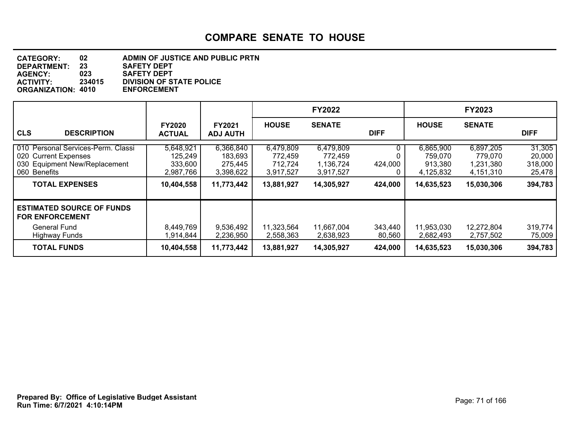| <b>CATEGORY:</b>          | 02     | ADMIN OF JUSTICE AND PUBLIC PRTN |
|---------------------------|--------|----------------------------------|
| DEPARTMENT:               | 23     | <b>SAFETY DEPT</b>               |
| <b>AGENCY:</b>            | 023    | <b>SAFETY DEPT</b>               |
| <b>ACTIVITY:</b>          | 234015 | <b>DIVISION OF STATE POLICE</b>  |
| <b>ORGANIZATION: 4010</b> |        | <b>ENFORCEMENT</b>               |

|                                                                                                                                      |                                                            |                                                            |                                                            | <b>FY2022</b>                                                |                    |                                                            | <b>FY2023</b>                                                |                                                  |
|--------------------------------------------------------------------------------------------------------------------------------------|------------------------------------------------------------|------------------------------------------------------------|------------------------------------------------------------|--------------------------------------------------------------|--------------------|------------------------------------------------------------|--------------------------------------------------------------|--------------------------------------------------|
| <b>CLS</b><br><b>DESCRIPTION</b>                                                                                                     | <b>FY2020</b><br><b>ACTUAL</b>                             | <b>FY2021</b><br><b>ADJ AUTH</b>                           | <b>HOUSE</b>                                               | <b>SENATE</b>                                                | <b>DIFF</b>        | <b>HOUSE</b>                                               | <b>SENATE</b>                                                | <b>DIFF</b>                                      |
| 010 Personal Services-Perm. Classi<br>020 Current Expenses<br>030 Equipment New/Replacement<br>060 Benefits<br><b>TOTAL EXPENSES</b> | 5,648,921<br>125,249<br>333,600<br>2,987,766<br>10,404,558 | 6,366,840<br>183,693<br>275,445<br>3,398,622<br>11,773,442 | 6,479,809<br>772,459<br>712,724<br>3,917,527<br>13,881,927 | 6,479,809<br>772,459<br>1,136,724<br>3,917,527<br>14,305,927 | 424,000<br>424,000 | 6,865,900<br>759.070<br>913,380<br>4,125,832<br>14,635,523 | 6,897,205<br>779,070<br>1,231,380<br>4,151,310<br>15,030,306 | 31,305<br>20,000<br>318,000<br>25,478<br>394,783 |
| <b>ESTIMATED SOURCE OF FUNDS</b><br><b>FOR ENFORCEMENT</b><br><b>General Fund</b><br><b>Highway Funds</b>                            | 8,449,769<br>.914,844                                      | 9,536,492<br>2,236,950                                     | 11,323,564<br>2,558,363                                    | 11,667,004<br>2,638,923                                      | 343,440<br>80,560  | 11,953,030<br>2,682,493                                    | 12,272,804<br>2,757,502                                      | 319,774<br>75,009                                |
| <b>TOTAL FUNDS</b>                                                                                                                   | 10,404,558                                                 | 11,773,442                                                 | 13,881,927                                                 | 14,305,927                                                   | 424,000            | 14,635,523                                                 | 15,030,306                                                   | 394,783                                          |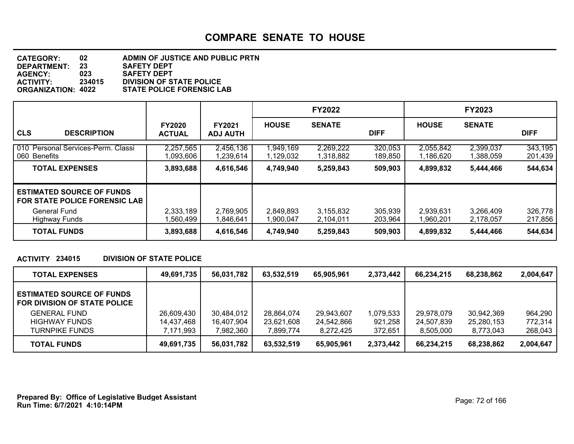#### **DEPARTMENT: 23 SAFETY DEPT CATEGORY: 02 ADMIN OF JUSTICE AND PUBLIC PRTN AGENCY: 023 SAFETY DEPT ACTIVITY: 234015 DIVISION OF STATE POLICE STATE POLICE FORENSIC LAB**

|                                                                                          |                                |                                  |                        | <b>FY2022</b>          |                    |                        | <b>FY2023</b>          |                    |
|------------------------------------------------------------------------------------------|--------------------------------|----------------------------------|------------------------|------------------------|--------------------|------------------------|------------------------|--------------------|
| <b>CLS</b><br><b>DESCRIPTION</b>                                                         | <b>FY2020</b><br><b>ACTUAL</b> | <b>FY2021</b><br><b>ADJ AUTH</b> | <b>HOUSE</b>           | <b>SENATE</b>          | <b>DIFF</b>        | <b>HOUSE</b>           | <b>SENATE</b>          | <b>DIFF</b>        |
| 010 Personal Services-Perm. Classi<br>060 Benefits                                       | 2,257,565<br>1,093,606         | 2,456,136<br>1,239,614           | 1,949,169<br>1,129,032 | 2,269,222<br>1,318,882 | 320,053<br>189,850 | 2,055,842<br>1,186,620 | 2,399,037<br>1,388,059 | 343,195<br>201,439 |
| <b>TOTAL EXPENSES</b>                                                                    | 3,893,688                      | 4,616,546                        | 4,749,940              | 5,259,843              | 509,903            | 4,899,832              | 5,444,466              | 544,634            |
| <b>ESTIMATED SOURCE OF FUNDS</b><br><b>FOR STATE POLICE FORENSIC LAB</b><br>General Fund | 2,333,189                      | 2,769,905                        | 2,849,893              | 3,155,832              | 305,939            | 2,939,631              | 3,266,409              | 326,778            |
| Highway Funds                                                                            | .560.499                       | 1,846,641                        | 1,900,047              | 2,104,011              | 203.964            | 1,960,201              | 2,178,057              | 217,856            |
| <b>TOTAL FUNDS</b>                                                                       | 3,893,688                      | 4,616,546                        | 4,749,940              | 5,259,843              | 509,903            | 4,899,832              | 5,444,466              | 544,634            |

#### **ACTIVITY 234015 DIVISION OF STATE POLICE**

| <b>TOTAL EXPENSES</b>                                            | 49,691,735 | 56,031,782 | 63,532,519 | 65,905,961 | 2,373,442 | 66,234,215 | 68,238,862 | 2,004,647 |
|------------------------------------------------------------------|------------|------------|------------|------------|-----------|------------|------------|-----------|
| <b>ESTIMATED SOURCE OF FUNDS</b><br>FOR DIVISION OF STATE POLICE |            |            |            |            |           |            |            |           |
| <b>GENERAL FUND</b>                                              | 26,609,430 | 30,484,012 | 28,864,074 | 29,943,607 | 1,079,533 | 29,978,079 | 30,942,369 | 964,290   |
| <b>HIGHWAY FUNDS</b>                                             | 14,437,468 | 16,407,904 | 23,621,608 | 24,542,866 | 921,258   | 24,507,839 | 25,280,153 | 772,314   |
| <b>TURNPIKE FUNDS</b>                                            | 7,171,993  | 7,982,360  | 7.899.774  | 8,272,425  | 372,651   | 8,505,000  | 8,773,043  | 268,043   |
| <b>TOTAL FUNDS</b>                                               | 49,691,735 | 56,031,782 | 63,532,519 | 65,905,961 | 2,373,442 | 66,234,215 | 68,238,862 | 2,004,647 |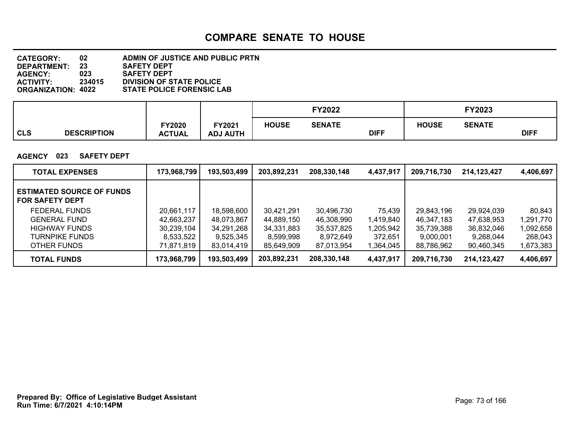| <b>CATEGORY:</b>          | 02     | ADMIN OF JUSTICE AND PUBLIC PRTN |
|---------------------------|--------|----------------------------------|
| DEPARTMENT:               | 23     | <b>SAFETY DEPT</b>               |
| <b>AGENCY:</b>            | 023    | <b>SAFETY DEPT</b>               |
| <b>ACTIVITY:</b>          | 234015 | <b>DIVISION OF STATE POLICE</b>  |
| <b>ORGANIZATION: 4022</b> |        | <b>STATE POLICE FORENSIC LAB</b> |

|     |                    |                                |                           |              | Y2022         |             | FY2023       |               |             |
|-----|--------------------|--------------------------------|---------------------------|--------------|---------------|-------------|--------------|---------------|-------------|
| CLS | <b>DESCRIPTION</b> | <b>FY2020</b><br><b>ACTUAL</b> | FY2021<br><b>ADJ AUTH</b> | <b>HOUSE</b> | <b>SENATE</b> | <b>DIFF</b> | <b>HOUSE</b> | <b>SENATE</b> | <b>DIFF</b> |

#### **AGENCY 023 SAFETY DEPT**

| <b>TOTAL EXPENSES</b>                                      | 173,968,799 | 193,503,499 | 203,892,231 | 208,330,148 | 4,437,917 | 209,716,730 | 214,123,427 | 4,406,697 |
|------------------------------------------------------------|-------------|-------------|-------------|-------------|-----------|-------------|-------------|-----------|
| <b>ESTIMATED SOURCE OF FUNDS</b><br><b>FOR SAFETY DEPT</b> |             |             |             |             |           |             |             |           |
| FEDERAL FUNDS                                              | 20,661,117  | 18,598,600  | 30.421.291  | 30.496.730  | 75,439    | 29,843,196  | 29,924,039  | 80.843    |
| <b>GENERAL FUND</b>                                        | 42,663,237  | 48,073,867  | 44,889,150  | 46,308,990  | 1,419,840 | 46,347,183  | 47,638,953  | 1,291,770 |
| HIGHWAY FUNDS                                              | 30,239,104  | 34,291,268  | 34,331,883  | 35,537,825  | 1,205,942 | 35,739,388  | 36,832,046  | 1,092,658 |
| TURNPIKE FUNDS                                             | 8,533,522   | 9,525,345   | 8,599,998   | 8,972,649   | 372,651   | 9,000,001   | 9,268,044   | 268,043   |
| OTHER FUNDS                                                | 71,871,819  | 83.014.419  | 85.649.909  | 87,013,954  | 1,364,045 | 88,786,962  | 90,460,345  | 1,673,383 |
| <b>TOTAL FUNDS</b>                                         | 173,968,799 | 193,503,499 | 203,892,231 | 208,330,148 | 4,437,917 | 209,716,730 | 214,123,427 | 4,406,697 |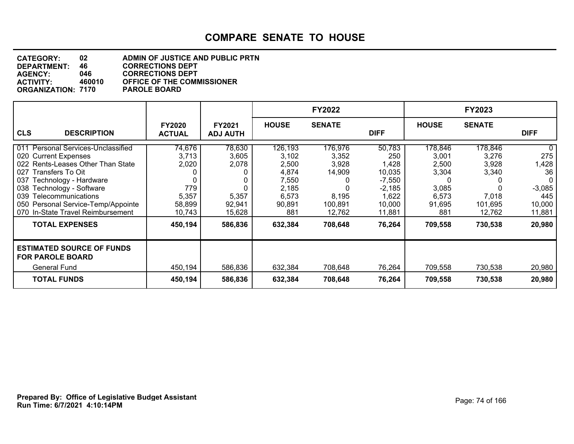| <b>CATEGORY:</b>          | 02     | <b>ADMIN OF JUSTICE AND PUBLIC PRTN</b> |
|---------------------------|--------|-----------------------------------------|
| DEPARTMENT:               | 46     | <b>CORRECTIONS DEPT</b>                 |
| <b>AGENCY:</b>            | 046.   | <b>CORRECTIONS DEPT</b>                 |
| <b>ACTIVITY:</b>          | 460010 | <b>OFFICE OF THE COMMISSIONER</b>       |
| <b>ORGANIZATION: 7170</b> |        | <b>PAROLE BOARD</b>                     |

|                                                                                                                                                                                                                                                                                                 |                                                              |                                                       |                                                                                | <b>FY2022</b>                                                     |                                                                                       |                                                                       | <b>FY2023</b>                                                    |                                                                |
|-------------------------------------------------------------------------------------------------------------------------------------------------------------------------------------------------------------------------------------------------------------------------------------------------|--------------------------------------------------------------|-------------------------------------------------------|--------------------------------------------------------------------------------|-------------------------------------------------------------------|---------------------------------------------------------------------------------------|-----------------------------------------------------------------------|------------------------------------------------------------------|----------------------------------------------------------------|
| <b>CLS</b><br><b>DESCRIPTION</b>                                                                                                                                                                                                                                                                | <b>FY2020</b><br><b>ACTUAL</b>                               | FY2021<br><b>ADJ AUTH</b>                             | <b>HOUSE</b>                                                                   | <b>SENATE</b>                                                     | <b>DIFF</b>                                                                           | <b>HOUSE</b>                                                          | <b>SENATE</b>                                                    | <b>DIFF</b>                                                    |
| Personal Services-Unclassified<br>011<br>020 Current Expenses<br>022 Rents-Leases Other Than State<br>Transfers To Oit<br>027<br>Technology - Hardware<br>037<br>038 Technology - Software<br>039 Telecommunications<br>050 Personal Service-Temp/Appointe<br>070 In-State Travel Reimbursement | 74,676<br>3,713<br>2,020<br>779<br>5,357<br>58,899<br>10,743 | 78,630<br>3,605<br>2,078<br>5,357<br>92,941<br>15,628 | 126,193<br>3,102<br>2,500<br>4,874<br>7,550<br>2,185<br>6,573<br>90,891<br>881 | 176,976<br>3,352<br>3,928<br>14,909<br>8,195<br>100,891<br>12,762 | 50,783<br>250<br>1,428<br>10,035<br>$-7,550$<br>$-2,185$<br>1,622<br>10,000<br>11,881 | 178,846<br>3,001<br>2,500<br>3,304<br>3,085<br>6,573<br>91,695<br>881 | 178,846<br>3,276<br>3,928<br>3,340<br>7,018<br>101,695<br>12,762 | 0<br>275<br>1,428<br>36<br>$-3,085$<br>445<br>10,000<br>11,881 |
| <b>TOTAL EXPENSES</b><br><b>ESTIMATED SOURCE OF FUNDS</b><br><b>FOR PAROLE BOARD</b><br>General Fund                                                                                                                                                                                            | 450,194<br>450,194                                           | 586,836<br>586,836                                    | 632,384<br>632,384                                                             | 708,648<br>708,648                                                | 76,264<br>76,264                                                                      | 709,558<br>709,558                                                    | 730,538<br>730,538                                               | 20,980<br>20,980                                               |
| <b>TOTAL FUNDS</b>                                                                                                                                                                                                                                                                              | 450,194                                                      | 586,836                                               | 632,384                                                                        | 708,648                                                           | 76,264                                                                                | 709,558                                                               | 730,538                                                          | 20,980                                                         |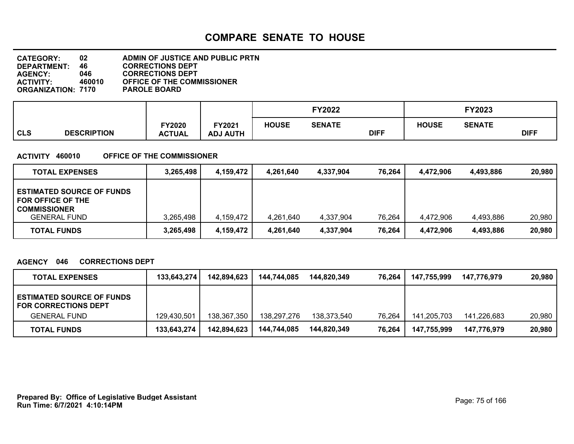| 02                        | ADMIN OF JUSTICE AND PUBLIC PRTN  |
|---------------------------|-----------------------------------|
| 46.                       | <b>CORRECTIONS DEPT</b>           |
| 046.                      | <b>CORRECTIONS DEPT</b>           |
| 460010                    | <b>OFFICE OF THE COMMISSIONER</b> |
| <b>ORGANIZATION: 7170</b> | <b>PAROLE BOARD</b>               |
|                           |                                   |

|            |                    |                                |                                  |              | <b>FY2022</b> |             | <b>FY2023</b> |               |             |
|------------|--------------------|--------------------------------|----------------------------------|--------------|---------------|-------------|---------------|---------------|-------------|
| <b>CLS</b> | <b>DESCRIPTION</b> | <b>FY2020</b><br><b>ACTUAL</b> | <b>FY2021</b><br><b>ADJ AUTH</b> | <b>HOUSE</b> | <b>SENATE</b> | <b>DIFF</b> | <b>HOUSE</b>  | <b>SENATE</b> | <b>DIFF</b> |

#### **ACTIVITY 460010 OFFICE OF THE COMMISSIONER**

| <b>TOTAL EXPENSES</b>                                                                               | 3,265,498 | 4,159,472 | 4,261,640 | 4,337,904 | 76,264 | 4,472,906 | 4,493,886 | 20,980 |
|-----------------------------------------------------------------------------------------------------|-----------|-----------|-----------|-----------|--------|-----------|-----------|--------|
| <b>ESTIMATED SOURCE OF FUNDS</b><br>FOR OFFICE OF THE<br><b>COMMISSIONER</b><br><b>GENERAL FUND</b> | 3,265,498 | 4,159,472 | 4,261,640 | 4,337,904 | 76,264 | 4,472,906 | 4,493,886 | 20,980 |
| <b>TOTAL FUNDS</b>                                                                                  | 3,265,498 | 4,159,472 | 4,261,640 | 4,337,904 | 76,264 | 4,472,906 | 4,493,886 | 20,980 |

#### **AGENCY 046 CORRECTIONS DEPT**

| <b>TOTAL EXPENSES</b>                                           | 133,643,274 | 142,894,623 | 144,744,085 | 144.820.349 | 76.264 | 147,755,999 | 147.776.979 | 20,980 |
|-----------------------------------------------------------------|-------------|-------------|-------------|-------------|--------|-------------|-------------|--------|
| <b>ESTIMATED SOURCE OF FUNDS</b><br><b>FOR CORRECTIONS DEPT</b> |             |             |             |             |        |             |             |        |
| <b>GENERAL FUND</b>                                             | 129,430,501 | 138,367,350 | 138,297,276 | 138.373.540 | 76,264 | 141,205,703 | 141.226.683 | 20.980 |
| <b>TOTAL FUNDS</b>                                              | 133,643,274 | 142,894,623 | 144.744.085 | 144.820.349 | 76,264 | 147,755,999 | 147,776,979 | 20,980 |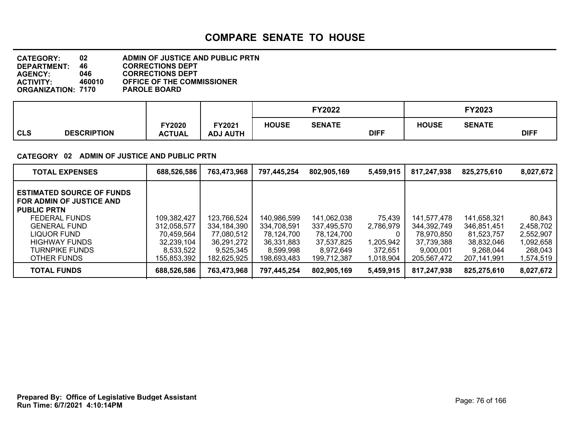| <b>CATEGORY:</b>          | 02     | <b>ADMIN OF JUSTICE AND PUBLIC PRTN</b> |
|---------------------------|--------|-----------------------------------------|
| DEPARTMENT:               | 46.    | <b>CORRECTIONS DEPT</b>                 |
| <b>AGENCY:</b>            | 046    | <b>CORRECTIONS DEPT</b>                 |
| <b>ACTIVITY:</b>          | 460010 | <b>OFFICE OF THE COMMISSIONER</b>       |
| <b>ORGANIZATION: 7170</b> |        | <b>PAROLE BOARD</b>                     |

|            |                    |                                |                           |              | <b>FY2022</b> |             | <b>FY2023</b> |               |             |
|------------|--------------------|--------------------------------|---------------------------|--------------|---------------|-------------|---------------|---------------|-------------|
| <b>CLS</b> | <b>DESCRIPTION</b> | <b>FY2020</b><br><b>ACTUAL</b> | FY2021<br><b>ADJ AUTH</b> | <b>HOUSE</b> | <b>SENATE</b> | <b>DIFF</b> | <b>HOUSE</b>  | <b>SENATE</b> | <b>DIFF</b> |

#### **CATEGORY 02 ADMIN OF JUSTICE AND PUBLIC PRTN**

| <b>TOTAL EXPENSES</b>                                                                                                                                                               | 688,526,586                                                         | 763,473,968                                                         | 797,445,254                                                         | 802,905,169                                                         | 5,459,915                                        | 817,247,938                                                         | 825,275,610                                                         | 8,027,672                                                |
|-------------------------------------------------------------------------------------------------------------------------------------------------------------------------------------|---------------------------------------------------------------------|---------------------------------------------------------------------|---------------------------------------------------------------------|---------------------------------------------------------------------|--------------------------------------------------|---------------------------------------------------------------------|---------------------------------------------------------------------|----------------------------------------------------------|
| <b>ESTIMATED SOURCE OF FUNDS</b><br>FOR ADMIN OF JUSTICE AND<br><b>PUBLIC PRTN</b><br><b>FEDERAL FUNDS</b><br>GENERAL FUND<br>LIQUOR FUND<br><b>HIGHWAY FUNDS</b><br>TURNPIKE FUNDS | 109,382,427<br>312.058.577<br>70.459.564<br>32,239,104<br>8,533,522 | 123,766,524<br>334,184,390<br>77,080,512<br>36,291,272<br>9,525,345 | 140,986,599<br>334,708,591<br>78,124,700<br>36,331,883<br>8,599,998 | 141,062,038<br>337.495.570<br>78,124,700<br>37,537,825<br>8.972.649 | 75,439<br>2,786,979<br>0<br>1,205,942<br>372,651 | 141,577,478<br>344.392.749<br>78.970.850<br>37,739,388<br>9.000.001 | 141,658,321<br>346.851.451<br>81,523,757<br>38,832,046<br>9.268.044 | 80,843<br>2,458,702<br>2,552,907<br>1,092,658<br>268.043 |
| OTHER FUNDS                                                                                                                                                                         | 155,853,392                                                         | 182,625,925                                                         | 198,693,483                                                         | 199,712,387                                                         | 1,018,904                                        | 205,567,472                                                         | 207,141,991                                                         | 1,574,519                                                |
| <b>TOTAL FUNDS</b>                                                                                                                                                                  | 688,526,586                                                         | 763,473,968                                                         | 797,445,254                                                         | 802,905,169                                                         | 5,459,915                                        | 817,247,938                                                         | 825,275,610                                                         | 8,027,672                                                |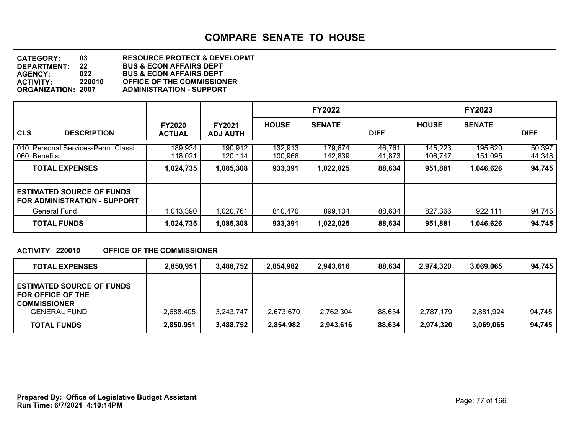**DEPARTMENT: 22 BUS & ECON AFFAIRS DEPT CATEGORY: 03 RESOURCE PROTECT & DEVELOPMT AGENCY: 022 BUS & ECON AFFAIRS DEPT ACTIVITY: 220010 OFFICE OF THE COMMISSIONER ORGANIZATION: 2007 ADMINISTRATION - SUPPORT**

|                                                                         |                                |                                  |                    | <b>FY2022</b>      |                  |                    | <b>FY2023</b>      |                  |
|-------------------------------------------------------------------------|--------------------------------|----------------------------------|--------------------|--------------------|------------------|--------------------|--------------------|------------------|
| <b>CLS</b><br><b>DESCRIPTION</b>                                        | <b>FY2020</b><br><b>ACTUAL</b> | <b>FY2021</b><br><b>ADJ AUTH</b> | <b>HOUSE</b>       | <b>SENATE</b>      | <b>DIFF</b>      | <b>HOUSE</b>       | <b>SENATE</b>      | <b>DIFF</b>      |
| 010 Personal Services-Perm. Classi<br>060 Benefits                      | 189,934<br>118,021             | 190,912<br>120,114               | 132,913<br>100,966 | 179,674<br>142,839 | 46,761<br>41,873 | 145,223<br>106,747 | 195,620<br>151,095 | 50,397<br>44,348 |
| <b>TOTAL EXPENSES</b>                                                   | 1,024,735                      | 1,085,308                        | 933,391            | 1,022,025          | 88,634           | 951,881            | 1,046,626          | 94,745           |
| <b>ESTIMATED SOURCE OF FUNDS</b><br><b>FOR ADMINISTRATION - SUPPORT</b> |                                |                                  |                    |                    |                  |                    |                    |                  |
| <b>General Fund</b>                                                     | 1,013,390                      | 1,020,761                        | 810,470            | 899,104            | 88,634           | 827,366            | 922,111            | 94,745           |
| <b>TOTAL FUNDS</b>                                                      | 1,024,735                      | 1,085,308                        | 933,391            | 1,022,025          | 88,634           | 951,881            | 1,046,626          | 94,745           |

#### **ACTIVITY 220010 OFFICE OF THE COMMISSIONER**

| <b>TOTAL EXPENSES</b>                                                                               | 2,850,951 | 3,488,752 | 2.854.982 | 2.943.616 | 88.634 | 2,974,320 | 3.069.065 | 94.745 |
|-----------------------------------------------------------------------------------------------------|-----------|-----------|-----------|-----------|--------|-----------|-----------|--------|
| <b>ESTIMATED SOURCE OF FUNDS</b><br>FOR OFFICE OF THE<br><b>COMMISSIONER</b><br><b>GENERAL FUND</b> | 2,688,405 | 3,243,747 | 2.673.670 | 2,762,304 | 88,634 | 2,787,179 | 2,881,924 | 94,745 |
| <b>TOTAL FUNDS</b>                                                                                  | 2,850,951 | 3,488,752 | 2,854,982 | 2,943,616 | 88,634 | 2,974,320 | 3,069,065 | 94,745 |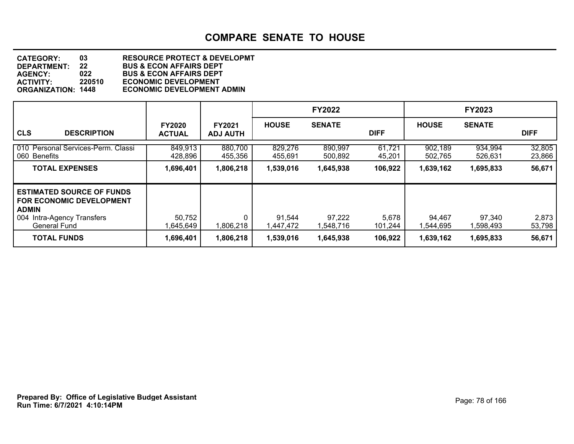**DEPARTMENT: 22 BUS & ECON AFFAIRS DEPT CATEGORY: 03 RESOURCE PROTECT & DEVELOPMT AGENCY: 022 BUS & ECON AFFAIRS DEPT ACTIVITY: 220510 ECONOMIC DEVELOPMENT ECONOMIC DEVELOPMENT ADMIN** 

|                                                                                                                                                    |                                |                                  |                     | <b>FY2022</b>       |                  |                     | <b>FY2023</b>       |                  |
|----------------------------------------------------------------------------------------------------------------------------------------------------|--------------------------------|----------------------------------|---------------------|---------------------|------------------|---------------------|---------------------|------------------|
| <b>CLS</b><br><b>DESCRIPTION</b>                                                                                                                   | <b>FY2020</b><br><b>ACTUAL</b> | <b>FY2021</b><br><b>ADJ AUTH</b> | <b>HOUSE</b>        | <b>SENATE</b>       | <b>DIFF</b>      | <b>HOUSE</b>        | <b>SENATE</b>       | <b>DIFF</b>      |
| 010 Personal Services-Perm. Classi<br>060 Benefits                                                                                                 | 849,913<br>428,896             | 880,700<br>455,356               | 829,276<br>455,691  | 890,997<br>500,892  | 61,721<br>45,201 | 902,189<br>502,765  | 934,994<br>526,631  | 32,805<br>23,866 |
| <b>TOTAL EXPENSES</b>                                                                                                                              | 1,696,401                      | 1,806,218                        | 1,539,016           | 1,645,938           | 106,922          | 1,639,162           | 1,695,833           | 56,671           |
| <b>ESTIMATED SOURCE OF FUNDS</b><br><b>FOR ECONOMIC DEVELOPMENT</b><br><b>ADMIN</b><br><b>Intra-Agency Transfers</b><br>004<br><b>General Fund</b> | 50,752<br>1,645,649            | 0<br>1,806,218                   | 91,544<br>1,447,472 | 97,222<br>1.548.716 | 5,678<br>101,244 | 94,467<br>1.544.695 | 97,340<br>598,493.ا | 2,873<br>53,798  |
| <b>TOTAL FUNDS</b>                                                                                                                                 | 1,696,401                      | 1,806,218                        | 1,539,016           | 1,645,938           | 106,922          | 1,639,162           | 1,695,833           | 56,671           |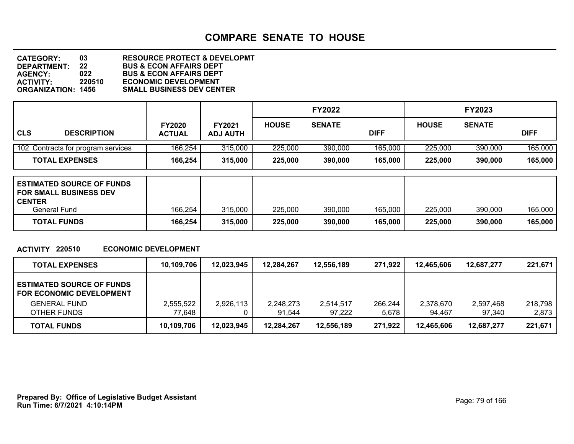**DEPARTMENT: 22 BUS & ECON AFFAIRS DEPT CATEGORY: 03 RESOURCE PROTECT & DEVELOPMT AGENCY: 022 BUS & ECON AFFAIRS DEPT ACTIVITY: 220510 ECONOMIC DEVELOPMENT SMALL BUSINESS DEV CENTER** 

|                                    |                                |                           |              | <b>FY2022</b> |             |              | <b>FY2023</b> |             |  |
|------------------------------------|--------------------------------|---------------------------|--------------|---------------|-------------|--------------|---------------|-------------|--|
| <b>CLS</b><br><b>DESCRIPTION</b>   | <b>FY2020</b><br><b>ACTUAL</b> | FY2021<br><b>ADJ AUTH</b> | <b>HOUSE</b> | <b>SENATE</b> | <b>DIFF</b> | <b>HOUSE</b> | <b>SENATE</b> | <b>DIFF</b> |  |
| 102 Contracts for program services | 166,254                        | 315,000                   | 225,000      | 390,000       | 165,000     | 225,000      | 390,000       | 165,000     |  |
| <b>TOTAL EXPENSES</b>              | 166,254                        | 315,000                   | 225,000      | 390,000       | 165,000     | 225,000      | 390,000       | 165,000     |  |

| <b>ESTIMATED SOURCE OF FUNDS</b><br><b>FOR SMALL BUSINESS DEV</b><br><b>CENTER</b> |         |         |         |         |         |         |         |         |
|------------------------------------------------------------------------------------|---------|---------|---------|---------|---------|---------|---------|---------|
| General Fund                                                                       | 166,254 | 315,000 | 225,000 | 390,000 | 165,000 | 225,000 | 390,000 | 165,000 |
| <b>TOTAL FUNDS</b>                                                                 | 166,254 | 315,000 | 225,000 | 390,000 | 165,000 | 225,000 | 390,000 | 165,000 |

#### **ACTIVITY 220510 ECONOMIC DEVELOPMENT**

| <b>TOTAL EXPENSES</b>                                               | 10,109,706 | 12,023,945 | 12,284,267 | 12,556,189 | 271,922 | 12.465.606 | 12.687.277 | 221,671 |
|---------------------------------------------------------------------|------------|------------|------------|------------|---------|------------|------------|---------|
| <b>ESTIMATED SOURCE OF FUNDS</b><br><b>FOR ECONOMIC DEVELOPMENT</b> |            |            |            |            |         |            |            |         |
| <b>GENERAL FUND</b>                                                 | 2,555,522  | 2,926,113  | 2,248,273  | 2,514,517  | 266,244 | 2,378,670  | 2.597.468  | 218,798 |
| OTHER FUNDS                                                         | 77,648     |            | 91.544     | 97.222     | 5,678   | 94.467     | 97.340     | 2,873   |
| <b>TOTAL FUNDS</b>                                                  | 10,109,706 | 12,023,945 | 12,284,267 | 12,556,189 | 271,922 | 12.465.606 | 12.687.277 | 221,671 |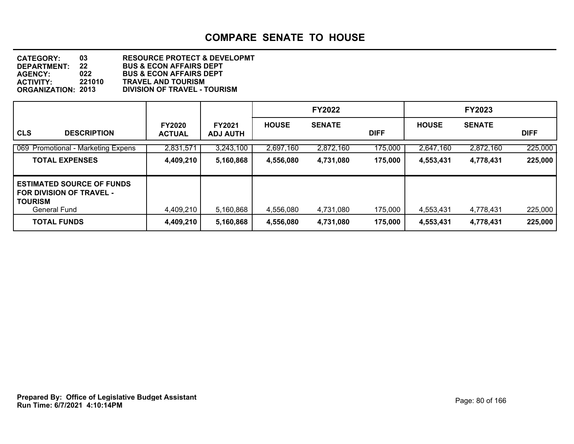**DEPARTMENT: 22 BUS & ECON AFFAIRS DEPT CATEGORY: 03 RESOURCE PROTECT & DEVELOPMT AGENCY: 022 BUS & ECON AFFAIRS DEPT ACTIVITY: 221010 TRAVEL AND TOURISM ORGANIZATION: 2013 DIVISION OF TRAVEL - TOURISM**

|                                                                                                                                    |                                |                                  |                        | <b>FY2022</b>          |                    |                        | <b>FY2023</b>          |                    |
|------------------------------------------------------------------------------------------------------------------------------------|--------------------------------|----------------------------------|------------------------|------------------------|--------------------|------------------------|------------------------|--------------------|
| <b>CLS</b><br><b>DESCRIPTION</b>                                                                                                   | <b>FY2020</b><br><b>ACTUAL</b> | <b>FY2021</b><br><b>ADJ AUTH</b> | <b>HOUSE</b>           | <b>SENATE</b>          | <b>DIFF</b>        | <b>HOUSE</b>           | <b>SENATE</b>          | <b>DIFF</b>        |
| 069 Promotional - Marketing Expens                                                                                                 | 2,831,571                      | 3,243,100                        | 2,697,160              | 2,872,160              | 175,000            | 2,647,160              | 2,872,160              | 225,000            |
| <b>TOTAL EXPENSES</b>                                                                                                              | 4,409,210                      | 5,160,868                        | 4,556,080              | 4,731,080              | 175,000            | 4,553,431              | 4,778,431              | 225,000            |
| <b>ESTIMATED SOURCE OF FUNDS</b><br><b>FOR DIVISION OF TRAVEL -</b><br><b>TOURISM</b><br><b>General Fund</b><br><b>TOTAL FUNDS</b> | 4,409,210<br>4,409,210         | 5,160,868<br>5,160,868           | 4,556,080<br>4,556,080 | 4,731,080<br>4,731,080 | 175,000<br>175,000 | 4,553,431<br>4,553,431 | 4,778,431<br>4,778,431 | 225,000<br>225,000 |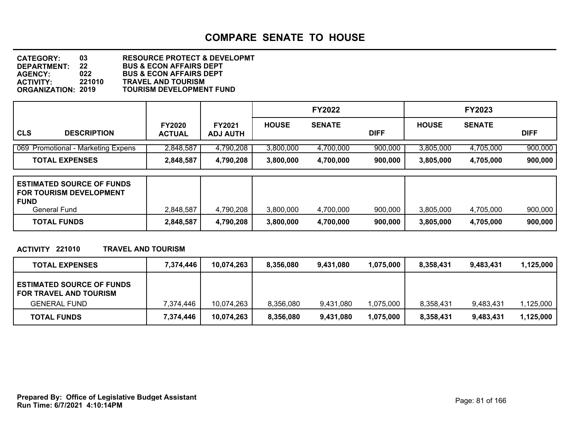**DEPARTMENT: 22 BUS & ECON AFFAIRS DEPT CATEGORY: 03 RESOURCE PROTECT & DEVELOPMT AGENCY: 022 BUS & ECON AFFAIRS DEPT ACTIVITY: 221010 TRAVEL AND TOURISM TOURISM DEVELOPMENT FUND** 

|            |                                    |               |                 |              | <b>FY2022</b> |             |              | <b>FY2023</b> |             |  |
|------------|------------------------------------|---------------|-----------------|--------------|---------------|-------------|--------------|---------------|-------------|--|
| <b>CLS</b> | <b>DESCRIPTION</b>                 | <b>FY2020</b> | <b>FY2021</b>   | <b>HOUSE</b> | <b>SENATE</b> | <b>DIFF</b> | <b>HOUSE</b> | <b>SENATE</b> | <b>DIFF</b> |  |
|            |                                    | <b>ACTUAL</b> | <b>ADJ AUTH</b> |              |               |             |              |               |             |  |
|            | 069 Promotional - Marketing Expens | 2,848,587     | 4,790,208       | 3,800,000    | 4,700,000     | 900,000     | 3,805,000    | 4,705,000     | 900,000     |  |
|            | <b>TOTAL EXPENSES</b>              | 2,848,587     | 4,790,208       | 3,800,000    | 4,700,000     | 900,000     | 3,805,000    | 4,705,000     | 900,000     |  |

| <b>ESTIMATED SOURCE OF FUNDS</b><br><b>FOR TOURISM DEVELOPMENT</b><br><b>FUND</b> |           |           |           |           |         |           |           |         |
|-----------------------------------------------------------------------------------|-----------|-----------|-----------|-----------|---------|-----------|-----------|---------|
| General Fund                                                                      | 2,848,587 | 4,790,208 | 3,800,000 | 4.700.000 | 900,000 | 3.805.000 | 4.705.000 | 900,000 |
| <b>TOTAL FUNDS</b>                                                                | 2,848,587 | 4,790,208 | 3,800,000 | 4,700,000 | 900,000 | 3,805,000 | 4,705,000 | 900,000 |

#### **ACTIVITY 221010 TRAVEL AND TOURISM**

| <b>TOTAL EXPENSES</b>                                      | 7.374.446 | 10,074,263 | 8,356,080 | 9.431.080 | 1,075,000 | 8.358.431 | 9,483,431 | 1,125,000 |
|------------------------------------------------------------|-----------|------------|-----------|-----------|-----------|-----------|-----------|-----------|
| <b>ESTIMATED SOURCE OF FUNDS</b><br>FOR TRAVEL AND TOURISM |           |            |           |           |           |           |           |           |
| <b>GENERAL FUND</b>                                        | 7.374.446 | 10,074,263 | 8,356,080 | 9.431.080 | 1,075,000 | 8,358,431 | 9,483,431 | ,125,000  |
| <b>TOTAL FUNDS</b>                                         | 7,374,446 | 10,074,263 | 8,356,080 | 9,431,080 | 1,075,000 | 8,358,431 | 9,483,431 | 1,125,000 |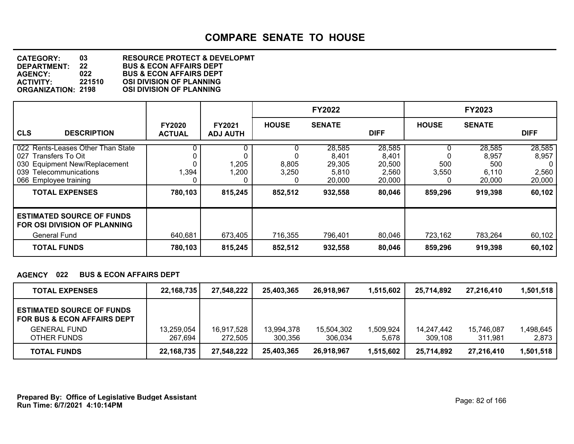**DEPARTMENT: 22 BUS & ECON AFFAIRS DEPT CATEGORY: 03 RESOURCE PROTECT & DEVELOPMT AGENCY: 022 BUS & ECON AFFAIRS DEPT ACTIVITY: 221510 OSI DIVISION OF PLANNING OSI DIVISION OF PLANNING** 

|                                                                                                                                                                           |                                |                                    |                                     | <b>FY2022</b>                                           |                                                        |                                   | <b>FY2023</b>                                        |                                                   |
|---------------------------------------------------------------------------------------------------------------------------------------------------------------------------|--------------------------------|------------------------------------|-------------------------------------|---------------------------------------------------------|--------------------------------------------------------|-----------------------------------|------------------------------------------------------|---------------------------------------------------|
| <b>CLS</b><br><b>DESCRIPTION</b>                                                                                                                                          | <b>FY2020</b><br><b>ACTUAL</b> | FY2021<br><b>ADJ AUTH</b>          | <b>HOUSE</b>                        | <b>SENATE</b>                                           | <b>DIFF</b>                                            | <b>HOUSE</b>                      | <b>SENATE</b>                                        | <b>DIFF</b>                                       |
| 022 Rents-Leases Other Than State<br>Transfers To Oit<br>027<br>030 Equipment New/Replacement<br>039 Telecommunications<br>066 Employee training<br><b>TOTAL EXPENSES</b> | 0<br>1,394<br>0<br>780,103     | 0.<br>.205<br>,200<br>0<br>815,245 | υ<br>8,805<br>3,250<br>0<br>852,512 | 28,585<br>8,401<br>29,305<br>5,810<br>20,000<br>932,558 | 28,585<br>8,401<br>20,500<br>2,560<br>20,000<br>80,046 | υ<br>500<br>3,550<br>0<br>859,296 | 28,585<br>8,957<br>500<br>6,110<br>20,000<br>919,398 | 28,585<br>8,957<br>0<br>2,560<br>20,000<br>60,102 |
| <b>ESTIMATED SOURCE OF FUNDS</b><br>FOR OSI DIVISION OF PLANNING<br>General Fund<br><b>TOTAL FUNDS</b>                                                                    | 640,681<br>780,103             | 673,405<br>815,245                 | 716,355<br>852,512                  | 796,401<br>932,558                                      | 80,046<br>80,046                                       | 723,162<br>859,296                | 783,264<br>919,398                                   | 60,102<br>60,102                                  |

#### **AGENCY 022 BUS & ECON AFFAIRS DEPT**

| <b>TOTAL EXPENSES</b>                                              | 22,168,735   | 27,548,222 | 25.403.365 | 26.918.967 | 1,515,602 | 25,714,892 | 27.216.410 | 1,501,518 |
|--------------------------------------------------------------------|--------------|------------|------------|------------|-----------|------------|------------|-----------|
| <b>LESTIMATED SOURCE OF FUNDS</b><br>I FOR BUS & ECON AFFAIRS DEPT |              |            |            |            |           |            |            |           |
| <b>GENERAL FUND</b>                                                | 13,259,054   | 16,917,528 | 13,994,378 | 15,504,302 | 1,509,924 | 14.247.442 | 15,746,087 | ,498,645  |
| OTHER FUNDS                                                        | 267.694      | 272.505    | 300.356    | 306.034    | 5,678     | 309.108    | 311.981    | 2,873     |
| <b>TOTAL FUNDS</b>                                                 | 22, 168, 735 | 27,548,222 | 25,403,365 | 26,918,967 | 1,515,602 | 25,714,892 | 27,216,410 | 1,501,518 |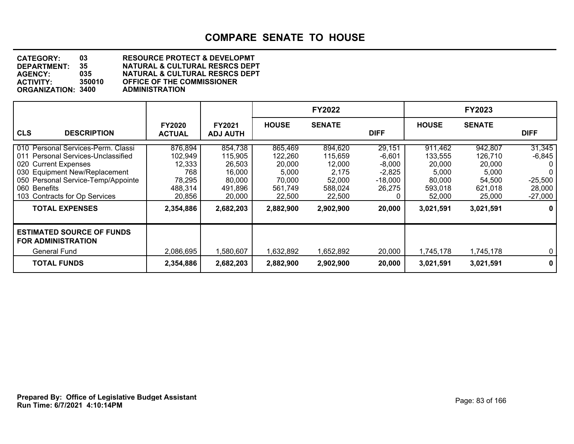**DEPARTMENT: 35 NATURAL & CULTURAL RESRCS DEPT CATEGORY: 03 RESOURCE PROTECT & DEVELOPMT AGENCY: 035 NATURAL & CULTURAL RESRCS DEPT ACTIVITY: OF THE COMMISSIONER**<br>ADMINISTRATION **ORGANIZATION: 3400** 

|                                                                                                                                                                                                                          |                                                                    |                                                                       |                                                                      | <b>FY2022</b>                                                        |                                                                 |                                                                      | <b>FY2023</b>                                                        |                                                                  |
|--------------------------------------------------------------------------------------------------------------------------------------------------------------------------------------------------------------------------|--------------------------------------------------------------------|-----------------------------------------------------------------------|----------------------------------------------------------------------|----------------------------------------------------------------------|-----------------------------------------------------------------|----------------------------------------------------------------------|----------------------------------------------------------------------|------------------------------------------------------------------|
| <b>CLS</b><br><b>DESCRIPTION</b>                                                                                                                                                                                         | <b>FY2020</b><br><b>ACTUAL</b>                                     | FY2021<br><b>ADJ AUTH</b>                                             | <b>HOUSE</b>                                                         | <b>SENATE</b>                                                        | <b>DIFF</b>                                                     | <b>HOUSE</b>                                                         | <b>SENATE</b>                                                        | <b>DIFF</b>                                                      |
| 010 Personal Services-Perm. Classi<br>011 Personal Services-Unclassified<br>020 Current Expenses<br>030 Equipment New/Replacement<br>050 Personal Service-Temp/Appointe<br>060 Benefits<br>103 Contracts for Op Services | 876,894<br>102,949<br>12,333<br>768<br>78,295<br>488,314<br>20,856 | 854,738<br>115,905<br>26,503<br>16,000<br>80,000<br>491,896<br>20,000 | 865,469<br>122,260<br>20,000<br>5,000<br>70.000<br>561,749<br>22,500 | 894,620<br>115,659<br>12,000<br>2,175<br>52,000<br>588,024<br>22,500 | 29,151<br>$-6,601$<br>$-8,000$<br>$-2,825$<br>-18,000<br>26,275 | 911,462<br>133,555<br>20,000<br>5,000<br>80,000<br>593,018<br>52,000 | 942,807<br>126,710<br>20,000<br>5,000<br>54,500<br>621,018<br>25,000 | 31,345<br>$-6,845$<br>0<br>0<br>$-25,500$<br>28,000<br>$-27,000$ |
| <b>TOTAL EXPENSES</b>                                                                                                                                                                                                    | 2,354,886                                                          | 2,682,203                                                             | 2,882,900                                                            | 2,902,900                                                            | 20,000                                                          | 3,021,591                                                            | 3,021,591                                                            | 0                                                                |
| <b>ESTIMATED SOURCE OF FUNDS</b><br><b>FOR ADMINISTRATION</b><br>General Fund                                                                                                                                            | 2,086,695                                                          | 1,580,607                                                             | 1,632,892                                                            | 1,652,892                                                            | 20,000                                                          | 1,745,178                                                            | 1,745,178                                                            | 0 <sup>1</sup>                                                   |
| <b>TOTAL FUNDS</b>                                                                                                                                                                                                       | 2,354,886                                                          | 2,682,203                                                             | 2,882,900                                                            | 2,902,900                                                            | 20,000                                                          | 3,021,591                                                            | 3,021,591                                                            | 0                                                                |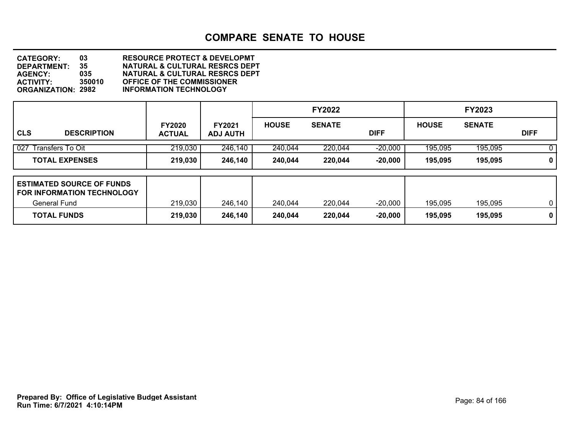**DEPARTMENT: 35 NATURAL & CULTURAL RESRCS DEPT CATEGORY: 03 RESOURCE PROTECT & DEVELOPMT AGENCY: 035 NATURAL & CULTURAL RESRCS DEPT ACTIVITY: 350010 OFFICE OF THE COMMISSIONER ORGANIZATION: 2982 INFORMATION TECHNOLOGY**

|                                                                       |                                |                                  |              | <b>FY2022</b> |             |              | <b>FY2023</b> |              |
|-----------------------------------------------------------------------|--------------------------------|----------------------------------|--------------|---------------|-------------|--------------|---------------|--------------|
| CLS<br><b>DESCRIPTION</b>                                             | <b>FY2020</b><br><b>ACTUAL</b> | <b>FY2021</b><br><b>ADJ AUTH</b> | <b>HOUSE</b> | <b>SENATE</b> | <b>DIFF</b> | <b>HOUSE</b> | <b>SENATE</b> | <b>DIFF</b>  |
| 027<br>Transfers To Oit                                               | 219,030                        | 246,140                          | 240,044      | 220,044       | $-20,000$   | 195,095      | 195,095       | 0            |
| <b>TOTAL EXPENSES</b>                                                 | 219,030                        | 246,140                          | 240,044      | 220,044       | $-20,000$   | 195,095      | 195,095       | 0            |
| <b>ESTIMATED SOURCE OF FUNDS</b><br><b>FOR INFORMATION TECHNOLOGY</b> |                                |                                  |              |               |             |              |               |              |
| <b>General Fund</b>                                                   | 219,030                        | 246,140                          | 240,044      | 220,044       | $-20,000$   | 195,095      | 195,095       | $\mathbf{0}$ |
| <b>TOTAL FUNDS</b>                                                    | 219,030                        | 246,140                          | 240,044      | 220,044       | $-20,000$   | 195,095      | 195,095       | $\mathbf 0$  |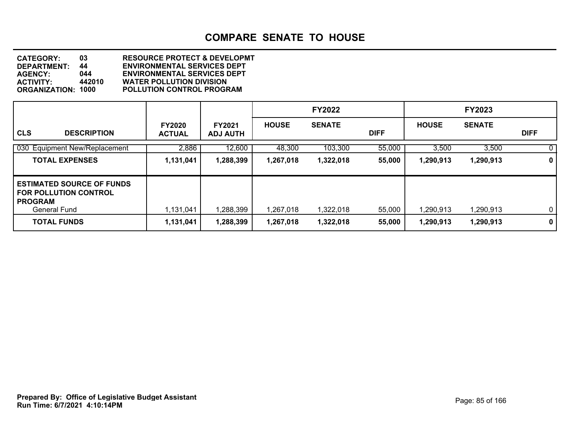**DEPARTMENT: 44 ENVIRONMENTAL SERVICES DEPT CATEGORY: 03 RESOURCE PROTECT & DEVELOPMT AGENCY: 044 ENVIRONMENTAL SERVICES DEPT ACTIVITY: 442010 WATER POLLUTION DIVISION POLLUTION CONTROL PROGRAM** 

|                                                                                                           |                                |                                  |              | <b>FY2022</b> |             |              | <b>FY2023</b> |             |
|-----------------------------------------------------------------------------------------------------------|--------------------------------|----------------------------------|--------------|---------------|-------------|--------------|---------------|-------------|
| <b>CLS</b><br><b>DESCRIPTION</b>                                                                          | <b>FY2020</b><br><b>ACTUAL</b> | <b>FY2021</b><br><b>ADJ AUTH</b> | <b>HOUSE</b> | <b>SENATE</b> | <b>DIFF</b> | <b>HOUSE</b> | <b>SENATE</b> | <b>DIFF</b> |
| 030 Equipment New/Replacement                                                                             | 2,886                          | 12,600                           | 48,300       | 103,300       | 55,000      | 3,500        | 3,500         | 0           |
| <b>TOTAL EXPENSES</b>                                                                                     | 1,131,041                      | 1,288,399                        | 1,267,018    | 1,322,018     | 55,000      | 1,290,913    | 1,290,913     | 0           |
| <b>ESTIMATED SOURCE OF FUNDS</b><br><b>FOR POLLUTION CONTROL</b><br><b>PROGRAM</b><br><b>General Fund</b> | 1,131,041                      | .288,399                         | 1,267,018    | 322,018       | 55,000      | .290,913     | 1,290,913     | $\mathbf 0$ |
| <b>TOTAL FUNDS</b>                                                                                        | 1,131,041                      | ,288,399                         | 1,267,018    | 1,322,018     | 55,000      | 1,290,913    | 1,290,913     | $\mathbf 0$ |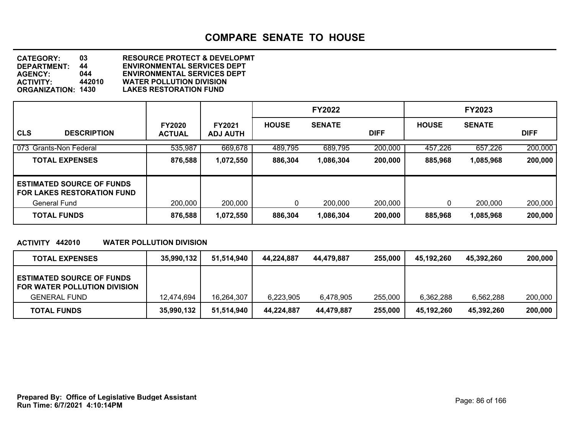**DEPARTMENT: 44 ENVIRONMENTAL SERVICES DEPT CATEGORY: 03 RESOURCE PROTECT & DEVELOPMT AGENCY: 044 ENVIRONMENTAL SERVICES DEPT ACTIVITY: 442010 WATER POLLUTION DIVISION LAKES RESTORATION FUND** 

|                                                                       |                                |                                  |              | <b>FY2022</b> |             |              | <b>FY2023</b> |             |
|-----------------------------------------------------------------------|--------------------------------|----------------------------------|--------------|---------------|-------------|--------------|---------------|-------------|
| <b>CLS</b><br><b>DESCRIPTION</b>                                      | <b>FY2020</b><br><b>ACTUAL</b> | <b>FY2021</b><br><b>ADJ AUTH</b> | <b>HOUSE</b> | <b>SENATE</b> | <b>DIFF</b> | <b>HOUSE</b> | <b>SENATE</b> | <b>DIFF</b> |
| 073 Grants-Non Federal                                                | 535,987                        | 669,678                          | 489,795      | 689,795       | 200,000     | 457,226      | 657,226       | 200,000     |
| <b>TOTAL EXPENSES</b>                                                 | 876,588                        | 1,072,550                        | 886,304      | 1,086,304     | 200,000     | 885,968      | 1,085,968     | 200,000     |
| <b>ESTIMATED SOURCE OF FUNDS</b><br><b>FOR LAKES RESTORATION FUND</b> |                                |                                  |              |               |             |              |               |             |
| General Fund                                                          | 200,000                        | 200,000                          | 0            | 200,000       | 200,000     | 0            | 200,000       | 200,000     |
| <b>TOTAL FUNDS</b>                                                    | 876,588                        | 1,072,550                        | 886,304      | 1,086,304     | 200,000     | 885,968      | 1,085,968     | 200,000     |

#### **ACTIVITY 442010 WATER POLLUTION DIVISION**

| <b>TOTAL EXPENSES</b>                                            | 35,990,132 | 51.514.940 | 44.224.887 | 44,479,887 | 255,000 | 45.192.260 | 45.392.260 | 200,000 |
|------------------------------------------------------------------|------------|------------|------------|------------|---------|------------|------------|---------|
| <b>ESTIMATED SOURCE OF FUNDS</b><br>FOR WATER POLLUTION DIVISION |            |            |            |            |         |            |            |         |
| <b>GENERAL FUND</b>                                              | 12,474,694 | 16.264.307 | 6,223,905  | 6,478,905  | 255,000 | 6.362.288  | 6,562,288  | 200,000 |
| <b>TOTAL FUNDS</b>                                               | 35,990,132 | 51,514,940 | 44,224,887 | 44,479,887 | 255,000 | 45,192,260 | 45.392.260 | 200,000 |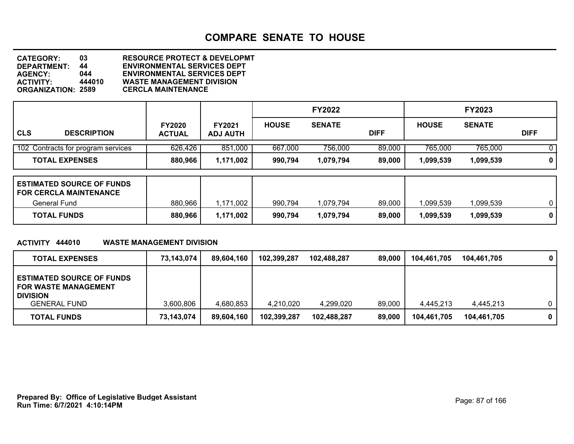**DEPARTMENT: 44 ENVIRONMENTAL SERVICES DEPT CATEGORY: 03 RESOURCE PROTECT & DEVELOPMT AGENCY: 044 ENVIRONMENTAL SERVICES DEPT ACTIVITY: 444010 WASTE MANAGEMENT DIVISION ORGANIZATION: 2589 CERCLA MAINTENANCE**

|                                    |                                |                           |              | <b>FY2022</b> |             |              | <b>FY2023</b> |              |
|------------------------------------|--------------------------------|---------------------------|--------------|---------------|-------------|--------------|---------------|--------------|
| <b>CLS</b><br><b>DESCRIPTION</b>   | <b>FY2020</b><br><b>ACTUAL</b> | FY2021<br><b>ADJ AUTH</b> | <b>HOUSE</b> | <b>SENATE</b> | <b>DIFF</b> | <b>HOUSE</b> | <b>SENATE</b> | <b>DIFF</b>  |
| 102 Contracts for program services | 626,426                        | 851,000                   | 667,000      | 756,000       | 89,000      | 765,000      | 765,000       | 0            |
| <b>TOTAL EXPENSES</b>              | 880,966                        | 1,171,002                 | 990,794      | 1,079,794     | 89,000      | 1,099,539    | 1,099,539     | $\mathbf{0}$ |

| <b>ESTIMATED SOURCE OF FUNDS</b><br><b>FOR CERCLA MAINTENANCE</b> |         |           |         |           |        |          |           |  |
|-------------------------------------------------------------------|---------|-----------|---------|-----------|--------|----------|-----------|--|
| General Fund                                                      | 880,966 | 1,171,002 | 990,794 | 1.079.794 | 89,000 | .099,539 | ,099,539  |  |
| <b>TOTAL FUNDS</b>                                                | 880,966 | 1,171,002 | 990,794 | 1,079,794 | 89,000 | .099.539 | 1,099,539 |  |

#### **ACTIVITY 444010 WASTE MANAGEMENT DIVISION**

| <b>TOTAL EXPENSES</b>                                                              | 73.143.074 | 89.604.160 | 102,399,287 | 102.488.287 | 89.000 | 104.461.705 | 104.461.705 | $\mathbf{0}$ |
|------------------------------------------------------------------------------------|------------|------------|-------------|-------------|--------|-------------|-------------|--------------|
| <b>ESTIMATED SOURCE OF FUNDS</b><br><b>FOR WASTE MANAGEMENT</b><br><b>DIVISION</b> |            |            |             |             |        |             |             |              |
| <b>GENERAL FUND</b>                                                                | 3,600,806  | 4,680,853  | 4.210.020   | 4,299,020   | 89,000 | 4.445.213   | 4.445.213   | $\mathbf{0}$ |
| <b>TOTAL FUNDS</b>                                                                 | 73,143,074 | 89,604,160 | 102,399,287 | 102,488,287 | 89,000 | 104.461.705 | 104,461,705 | 0            |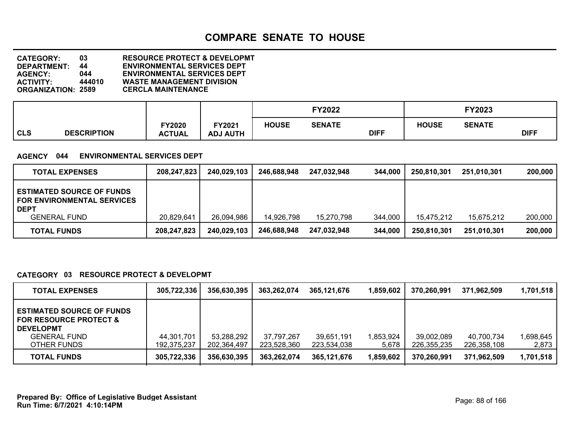**DEPARTMENT: 44 ENVIRONMENTAL SERVICES DEPT CATEGORY: 03 RESOURCE PROTECT & DEVELOPMT AGENCY: 044 ENVIRONMENTAL SERVICES DEPT ACTIVITY: 444010 WASTE MANAGEMENT DIVISION ORGANIZATION: 2589 CERCLA MAINTENANCE**

|            |                    |                         |                          |              | <b>FY2022</b> |             |              | FY2023        |             |
|------------|--------------------|-------------------------|--------------------------|--------------|---------------|-------------|--------------|---------------|-------------|
| <b>CLS</b> | <b>DESCRIPTION</b> | FY2020<br><b>ACTUAL</b> | Y2021<br><b>ADJ AUTH</b> | <b>HOUSE</b> | <b>SENATE</b> | <b>DIFF</b> | <b>HOUSE</b> | <b>SENATE</b> | <b>DIFF</b> |

#### **AGENCY 044 ENVIRONMENTAL SERVICES DEPT**

| <b>TOTAL EXPENSES</b>                                                                | 208,247,823 | 240,029,103 | 246,688,948 | 247.032.948 | 344,000 | 250,810,301 | 251.010.301 | 200,000 |
|--------------------------------------------------------------------------------------|-------------|-------------|-------------|-------------|---------|-------------|-------------|---------|
| <b>ESTIMATED SOURCE OF FUNDS</b><br><b>FOR ENVIRONMENTAL SERVICES</b><br><b>DEPT</b> |             |             |             |             |         |             |             |         |
| <b>GENERAL FUND</b>                                                                  | 20,829,641  | 26,094,986  | 14,926,798  | 15.270.798  | 344.000 | 15.475.212  | 15,675,212  | 200,000 |
| <b>TOTAL FUNDS</b>                                                                   | 208,247,823 | 240,029,103 | 246,688,948 | 247.032.948 | 344,000 | 250,810,301 | 251,010,301 | 200,000 |

#### **CATEGORY 03 RESOURCE PROTECT & DEVELOPMT**

| <b>TOTAL EXPENSES</b>                                                                                                           | 305,722,336               | 356,630,395               | 363,262,074               | 365.121.676               | 1,859,602          | 370,260,991               | 371,962,509               | 1,701,518         |
|---------------------------------------------------------------------------------------------------------------------------------|---------------------------|---------------------------|---------------------------|---------------------------|--------------------|---------------------------|---------------------------|-------------------|
| <b>ESTIMATED SOURCE OF FUNDS</b><br><b>FOR RESOURCE PROTECT &amp;</b><br><b>DEVELOPMT</b><br><b>GENERAL FUND</b><br>OTHER FUNDS | 44,301,701<br>192.375.237 | 53,288,292<br>202,364,497 | 37,797,267<br>223.528.360 | 39.651.191<br>223,534,038 | 1,853,924<br>5,678 | 39,002,089<br>226,355,235 | 40,700,734<br>226,358,108 | 698,645.<br>2,873 |
| <b>TOTAL FUNDS</b>                                                                                                              | 305,722,336               | 356,630,395               | 363,262,074               | 365.121.676               | 1,859,602          | 370.260.991               | 371.962.509               | 1,701,518         |

**Run Time: 6/7/2021 4:10:14PM Prepared By: Office of Legislative Budget Assistant** Page: 88 of 166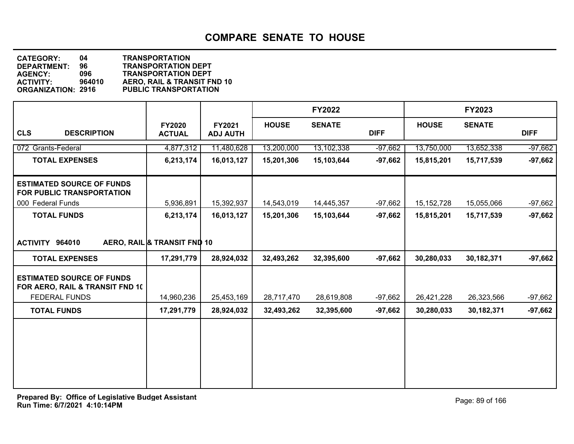| <b>CATEGORY:</b>          | 04.    | <b>TRANSPORTATION</b>        |
|---------------------------|--------|------------------------------|
| <b>DEPARTMENT:</b>        | 96.    | <b>TRANSPORTATION DEPT</b>   |
| <b>AGENCY:</b>            | 096    | <b>TRANSPORTATION DEPT</b>   |
| <b>ACTIVITY:</b>          | 964010 | AERO, RAIL & TRANSIT FND 10  |
| <b>ORGANIZATION: 2916</b> |        | <b>PUBLIC TRANSPORTATION</b> |
|                           |        |                              |

|                                                                     |                                |                           |              | <b>FY2022</b> |             |              | FY2023        |             |
|---------------------------------------------------------------------|--------------------------------|---------------------------|--------------|---------------|-------------|--------------|---------------|-------------|
| <b>CLS</b><br><b>DESCRIPTION</b>                                    | <b>FY2020</b><br><b>ACTUAL</b> | FY2021<br><b>ADJ AUTH</b> | <b>HOUSE</b> | <b>SENATE</b> | <b>DIFF</b> | <b>HOUSE</b> | <b>SENATE</b> | <b>DIFF</b> |
| 072 Grants-Federal                                                  | 4,877,312                      | 11,480,628                | 13,200,000   | 13,102,338    | $-97,662$   | 13,750,000   | 13,652,338    | $-97,662$   |
| <b>TOTAL EXPENSES</b>                                               | 6,213,174                      | 16,013,127                | 15,201,306   | 15,103,644    | $-97,662$   | 15,815,201   | 15,717,539    | $-97,662$   |
| <b>ESTIMATED SOURCE OF FUNDS</b><br>FOR PUBLIC TRANSPORTATION       |                                |                           |              |               |             |              |               |             |
| 000 Federal Funds                                                   | 5,936,891                      | 15,392,937                | 14,543,019   | 14,445,357    | -97,662     | 15, 152, 728 | 15,055,066    | $-97,662$   |
| <b>TOTAL FUNDS</b>                                                  | 6,213,174                      | 16,013,127                | 15,201,306   | 15,103,644    | $-97,662$   | 15,815,201   | 15,717,539    | $-97,662$   |
|                                                                     |                                |                           |              |               |             |              |               |             |
| ACTIVITY 964010                                                     | AERO, RAIL & TRANSIT FND 10    |                           |              |               |             |              |               |             |
| <b>TOTAL EXPENSES</b>                                               | 17,291,779                     | 28,924,032                | 32,493,262   | 32,395,600    | $-97,662$   | 30,280,033   | 30,182,371    | $-97,662$   |
| <b>ESTIMATED SOURCE OF FUNDS</b><br>FOR AERO, RAIL & TRANSIT FND 10 |                                |                           |              |               |             |              |               |             |
| FEDERAL FUNDS                                                       | 14,960,236                     | 25,453,169                | 28,717,470   | 28,619,808    | $-97,662$   | 26,421,228   | 26,323,566    | $-97,662$   |
| <b>TOTAL FUNDS</b>                                                  | 17,291,779                     | 28,924,032                | 32,493,262   | 32,395,600    | $-97,662$   | 30,280,033   | 30,182,371    | $-97,662$   |
|                                                                     |                                |                           |              |               |             |              |               |             |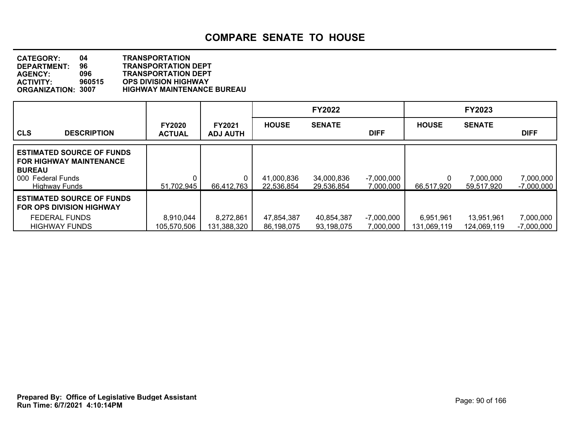| <b>CATEGORY:</b>          | 04     | <b>TRANSPORTATION</b>             |
|---------------------------|--------|-----------------------------------|
| DEPARTMENT:               | 96     | <b>TRANSPORTATION DEPT</b>        |
| <b>AGENCY:</b>            | 096    | <b>TRANSPORTATION DEPT</b>        |
| <b>ACTIVITY:</b>          | 960515 | <b>OPS DIVISION HIGHWAY</b>       |
| <b>ORGANIZATION: 3007</b> |        | <b>HIGHWAY MAINTENANCE BUREAU</b> |

|                                                                                                                                  |                                |                                  |                          | <b>FY2022</b>            |                           |                          | <b>FY2023</b>             |                           |
|----------------------------------------------------------------------------------------------------------------------------------|--------------------------------|----------------------------------|--------------------------|--------------------------|---------------------------|--------------------------|---------------------------|---------------------------|
| <b>CLS</b><br><b>DESCRIPTION</b>                                                                                                 | <b>FY2020</b><br><b>ACTUAL</b> | <b>FY2021</b><br><b>ADJ AUTH</b> | <b>HOUSE</b>             | <b>SENATE</b>            | <b>DIFF</b>               | <b>HOUSE</b>             | <b>SENATE</b>             | <b>DIFF</b>               |
| <b>ESTIMATED SOURCE OF FUNDS</b><br><b>FOR HIGHWAY MAINTENANCE</b><br><b>BUREAU</b><br>000 Federal Funds<br><b>Highway Funds</b> | 51,702,945                     | 66,412,763                       | 41,000,836<br>22,536,854 | 34,000,836<br>29,536,854 | $-7,000,000$<br>7,000,000 | 66,517,920               | 7.000,000<br>59,517,920   | 7,000,000<br>$-7,000,000$ |
| <b>ESTIMATED SOURCE OF FUNDS</b><br><b>FOR OPS DIVISION HIGHWAY</b>                                                              |                                |                                  |                          |                          |                           |                          |                           |                           |
| <b>FEDERAL FUNDS</b><br><b>HIGHWAY FUNDS</b>                                                                                     | 8,910,044<br>105,570,506       | 8,272,861<br>131,388,320         | 47,854,387<br>86,198,075 | 40,854,387<br>93,198,075 | $-7,000,000$<br>7,000,000 | 6,951,961<br>131.069.119 | 13,951,961<br>124,069,119 | 7,000,000<br>$-7,000,000$ |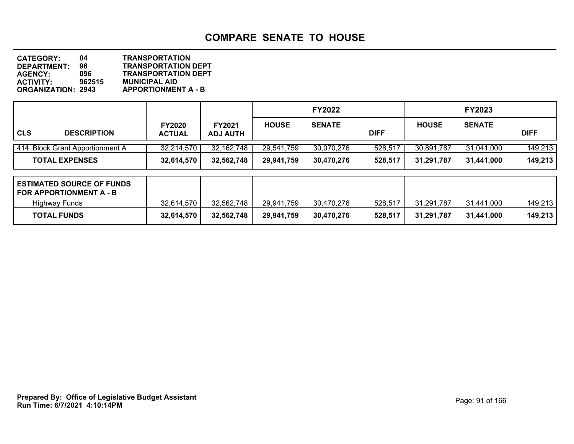**DEPARTMENT: 96 TRANSPORTATION DEPT CATEGORY: 04 TRANSPORTATION AGENCY: 096 TRANSPORTATION DEPT ACTIVITY: 962515 MUNICIPAL AID APPORTIONMENT A - B** 

|                                 |                                |                                  |              | <b>FY2022</b> |             |              | <b>FY2023</b> |             |
|---------------------------------|--------------------------------|----------------------------------|--------------|---------------|-------------|--------------|---------------|-------------|
| l CLS<br><b>DESCRIPTION</b>     | <b>FY2020</b><br><b>ACTUAL</b> | <b>FY2021</b><br><b>ADJ AUTH</b> | <b>HOUSE</b> | <b>SENATE</b> | <b>DIFF</b> | <b>HOUSE</b> | <b>SENATE</b> | <b>DIFF</b> |
| 414 Block Grant Apportionment A | 32,214,570                     | 32, 162, 748                     | 29,541,759   | 30,070,276    | 528,517     | 30,891,787   | 31,041,000    | 149,213     |
| <b>TOTAL EXPENSES</b>           | 32,614,570                     | 32,562,748                       | 29,941,759   | 30,470,276    | 528,517     | 31,291,787   | 31,441,000    | 149,213     |
| ESTIMATED SOURCE OF FUNDS       |                                |                                  |              |               |             |              |               |             |

| I ESTIMATED SUURUE UF FUNDS<br>  FOR APPORTIONMENT A - B |            |            |            |            |         |            |            |         |
|----------------------------------------------------------|------------|------------|------------|------------|---------|------------|------------|---------|
| <b>Highway Funds</b>                                     | 32,614,570 | 32,562,748 | 29,941,759 | 30,470,276 | 528,517 | 31.291.787 | 31.441.000 | 149,213 |
| <b>TOTAL FUNDS</b>                                       | 32,614,570 | 32,562,748 | 29,941,759 | 30,470,276 | 528,517 | 31,291,787 | 31.441.000 | 149,213 |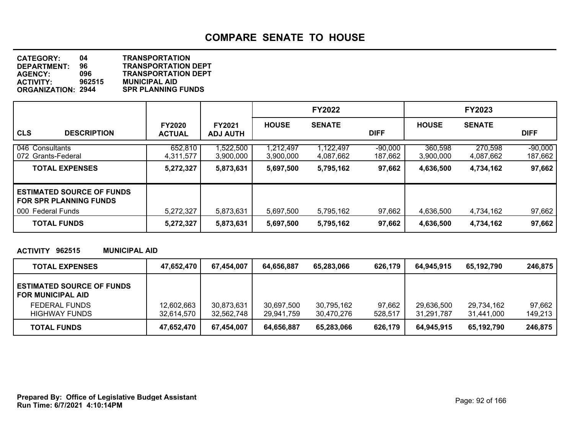**DEPARTMENT: 96 TRANSPORTATION DEPT CATEGORY: 04 TRANSPORTATION AGENCY: 096 TRANSPORTATION DEPT ACTIVITY: 962515 MUNICIPAL AID SPR PLANNING FUNDS** 

|                                                                   |                                |                                  |                        | <b>FY2022</b>          |                      |                      | <b>FY2023</b>        |                      |
|-------------------------------------------------------------------|--------------------------------|----------------------------------|------------------------|------------------------|----------------------|----------------------|----------------------|----------------------|
| <b>CLS</b><br><b>DESCRIPTION</b>                                  | <b>FY2020</b><br><b>ACTUAL</b> | <b>FY2021</b><br><b>ADJ AUTH</b> | <b>HOUSE</b>           | <b>SENATE</b>          | <b>DIFF</b>          | <b>HOUSE</b>         | <b>SENATE</b>        | <b>DIFF</b>          |
| 046 Consultants<br>072 Grants-Federal                             | 652,810<br>4,311,577           | ,522,500<br>3,900,000            | 1,212,497<br>3,900,000 | 1,122,497<br>4,087,662 | $-90,000$<br>187,662 | 360,598<br>3,900,000 | 270,598<br>4,087,662 | $-90,000$<br>187,662 |
| <b>TOTAL EXPENSES</b>                                             | 5,272,327                      | 5,873,631                        | 5,697,500              | 5,795,162              | 97,662               | 4,636,500            | 4,734,162            | 97,662               |
| <b>ESTIMATED SOURCE OF FUNDS</b><br><b>FOR SPR PLANNING FUNDS</b> |                                |                                  |                        |                        |                      |                      |                      |                      |
| 000 Federal Funds                                                 | 5,272,327                      | 5,873,631                        | 5,697,500              | 5,795,162              | 97,662               | 4,636,500            | 4,734,162            | 97,662               |
| <b>TOTAL FUNDS</b>                                                | 5,272,327                      | 5,873,631                        | 5,697,500              | 5,795,162              | 97,662               | 4,636,500            | 4,734,162            | 97,662               |

#### **ACTIVITY 962515 MUNICIPAL AID**

| <b>TOTAL EXPENSES</b>                                        | 47,652,470 | 67,454,007 | 64,656,887 | 65,283,066 | 626,179 | 64.945.915 | 65.192.790 | 246.875 |
|--------------------------------------------------------------|------------|------------|------------|------------|---------|------------|------------|---------|
| <b>ESTIMATED SOURCE OF FUNDS</b><br><b>FOR MUNICIPAL AID</b> |            |            |            |            |         |            |            |         |
| FEDERAL FUNDS                                                | 12,602,663 | 30,873,631 | 30,697,500 | 30.795.162 | 97,662  | 29.636.500 | 29,734,162 | 97,662  |
| <b>HIGHWAY FUNDS</b>                                         | 32,614,570 | 32,562,748 | 29.941.759 | 30.470.276 | 528.517 | 31.291.787 | 31.441.000 | 149,213 |
| <b>TOTAL FUNDS</b>                                           | 47,652,470 | 67,454,007 | 64,656,887 | 65,283,066 | 626,179 | 64.945.915 | 65,192,790 | 246,875 |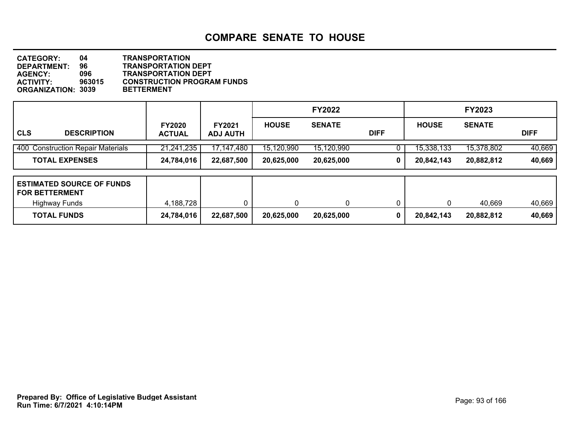**DEPARTMENT: 96 TRANSPORTATION DEPT CATEGORY: 04 TRANSPORTATION AGENCY: 096 TRANSPORTATION DEPT CONSTRUCTION PROGRAM FUNDS<br>BETTERMENT ORGANIZATION: 3039** 

|                                                                                   |                                |                                  |              | <b>FY2022</b> |             |              | <b>FY2023</b> |             |
|-----------------------------------------------------------------------------------|--------------------------------|----------------------------------|--------------|---------------|-------------|--------------|---------------|-------------|
| <b>CLS</b><br><b>DESCRIPTION</b>                                                  | <b>FY2020</b><br><b>ACTUAL</b> | <b>FY2021</b><br><b>ADJ AUTH</b> | <b>HOUSE</b> | <b>SENATE</b> | <b>DIFF</b> | <b>HOUSE</b> | <b>SENATE</b> | <b>DIFF</b> |
| 400 Construction Repair Materials                                                 | 21,241,235                     | 17,147,480                       | 15,120,990   | 15,120,990    |             | 15,338,133   | 15,378,802    | 40,669      |
| <b>TOTAL EXPENSES</b>                                                             | 24,784,016                     | 22,687,500                       | 20,625,000   | 20,625,000    | 0           | 20,842,143   | 20,882,812    | 40,669      |
| <b>ESTIMATED SOURCE OF FUNDS</b><br><b>FOR BETTERMENT</b><br><b>Highway Funds</b> | 4,188,728                      |                                  | U            | 0             |             | 0            | 40,669        | 40,669      |
| <b>TOTAL FUNDS</b>                                                                | 24,784,016                     | 22,687,500                       | 20,625,000   | 20,625,000    | 0           | 20,842,143   | 20,882,812    | 40,669      |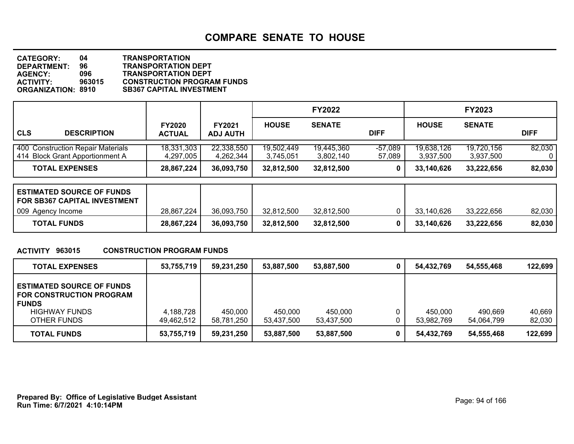| <b>CATEGORY:</b>          | 04     | <b>TRANSPORTATION</b>             |
|---------------------------|--------|-----------------------------------|
| <b>DEPARTMENT:</b>        | 96     | <b>TRANSPORTATION DEPT</b>        |
| <b>AGENCY:</b>            | 096    | <b>TRANSPORTATION DEPT</b>        |
| <b>ACTIVITY:</b>          | 963015 | <b>CONSTRUCTION PROGRAM FUNDS</b> |
| <b>ORGANIZATION: 8910</b> |        | <b>SB367 CAPITAL INVESTMENT</b>   |

|                                                                      |                                |                                  |                         | <b>FY2022</b>           |                     |                         | <b>FY2023</b>           |             |
|----------------------------------------------------------------------|--------------------------------|----------------------------------|-------------------------|-------------------------|---------------------|-------------------------|-------------------------|-------------|
| <b>CLS</b><br><b>DESCRIPTION</b>                                     | <b>FY2020</b><br><b>ACTUAL</b> | <b>FY2021</b><br><b>ADJ AUTH</b> | <b>HOUSE</b>            | <b>SENATE</b>           | <b>DIFF</b>         | <b>HOUSE</b>            | <b>SENATE</b>           | <b>DIFF</b> |
| 400 Construction Repair Materials<br>414 Block Grant Apportionment A | 18,331,303<br>4,297,005        | 22,338,550<br>4,262,344          | 19,502,449<br>3.745.051 | 19,445,360<br>3,802,140 | $-57,089$<br>57,089 | 19,638,126<br>3,937,500 | 19,720,156<br>3.937.500 | 82,030      |
| <b>TOTAL EXPENSES</b>                                                | 28,867,224                     | 36,093,750                       | 32,812,500              | 32,812,500              |                     | 33,140,626              | 33,222,656              | 82,030      |

| <b>ESTIMATED SOURCE OF FUNDS</b><br><b>FOR SB367 CAPITAL INVESTMENT</b> |            |            |            |            |            |            |        |
|-------------------------------------------------------------------------|------------|------------|------------|------------|------------|------------|--------|
| 009 Agency Income                                                       | 28,867,224 | 36.093.750 | 32,812,500 | 32.812.500 | 33.140.626 | 33.222.656 | 82,030 |
| <b>TOTAL FUNDS</b>                                                      | 28,867,224 | 36,093,750 | 32,812,500 | 32,812,500 | 33.140.626 | 33.222.656 | 82,030 |

#### **ACTIVITY 963015 CONSTRUCTION PROGRAM FUNDS**

| <b>TOTAL EXPENSES</b>                                                                                                      | 53,755,719              | 59,231,250            | 53,887,500            | 53,887,500            | 54,432,769            | 54,555,468            | 122,699          |
|----------------------------------------------------------------------------------------------------------------------------|-------------------------|-----------------------|-----------------------|-----------------------|-----------------------|-----------------------|------------------|
| <b>ESTIMATED SOURCE OF FUNDS</b><br><b>FOR CONSTRUCTION PROGRAM</b><br><b>FUNDS</b><br><b>HIGHWAY FUNDS</b><br>OTHER FUNDS | 4,188,728<br>49,462,512 | 450,000<br>58,781,250 | 450,000<br>53,437,500 | 450.000<br>53.437.500 | 450.000<br>53,982,769 | 490.669<br>54.064.799 | 40,669<br>82,030 |
| <b>TOTAL FUNDS</b>                                                                                                         | 53,755,719              | 59,231,250            | 53,887,500            | 53,887,500            | 54,432,769            | 54,555,468            | 122,699          |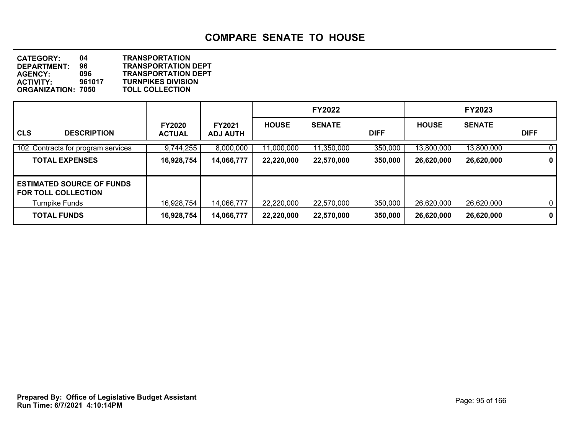**DEPARTMENT:** 96 **TRANSPORTATION DEPT**<br>AGENCY: 096 **TRANSPORTATION DEPT CATEGORY: 04 TRANSPORTATION AGENCY: 096 TRANSPORTATION DEPT ACTIVITY: 961017 TURNPIKES DIVISION ORGANIZATION: 7050** 

|                                                                |                                |                                  |              | <b>FY2022</b> |             |              | <b>FY2023</b> |              |
|----------------------------------------------------------------|--------------------------------|----------------------------------|--------------|---------------|-------------|--------------|---------------|--------------|
| <b>CLS</b><br><b>DESCRIPTION</b>                               | <b>FY2020</b><br><b>ACTUAL</b> | <b>FY2021</b><br><b>ADJ AUTH</b> | <b>HOUSE</b> | <b>SENATE</b> | <b>DIFF</b> | <b>HOUSE</b> | <b>SENATE</b> | <b>DIFF</b>  |
| 102 Contracts for program services                             | 9,744,255                      | 8,000,000                        | 11,000,000   | 11,350,000    | 350,000     | 13,800,000   | 13,800,000    | 0            |
| <b>TOTAL EXPENSES</b>                                          | 16,928,754                     | 14,066,777                       | 22,220,000   | 22,570,000    | 350,000     | 26,620,000   | 26,620,000    | 0            |
| <b>ESTIMATED SOURCE OF FUNDS</b><br><b>FOR TOLL COLLECTION</b> |                                |                                  |              |               |             |              |               |              |
| <b>Turnpike Funds</b>                                          | 16,928,754                     | 14,066,777                       | 22,220,000   | 22,570,000    | 350,000     | 26,620,000   | 26,620,000    | $\mathbf{0}$ |
| <b>TOTAL FUNDS</b>                                             | 16,928,754                     | 14,066,777                       | 22,220,000   | 22,570,000    | 350,000     | 26,620,000   | 26,620,000    | 0            |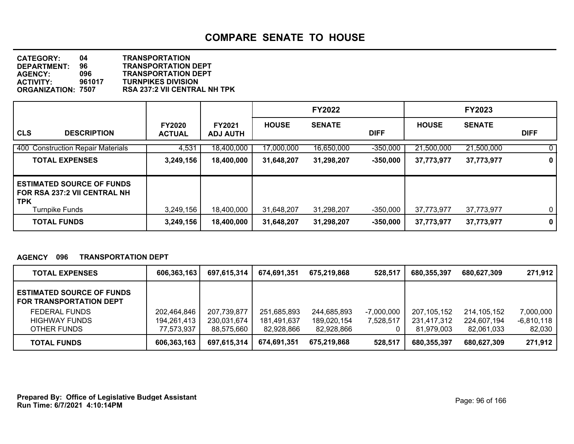**DEPARTMENT: 96 TRANSPORTATION DEPT CATEGORY: 04 TRANSPORTATION AGENCY: 096 TRANSPORTATION DEPT ACTIVITY: 961017 TURNPIKES DIVISION ORGANIZATION: 7507 RSA 237:2 VII CENTRAL NH TPK**

|                                                                                                         |                                |                                  |              | <b>FY2022</b> |             |              | <b>FY2023</b> |             |
|---------------------------------------------------------------------------------------------------------|--------------------------------|----------------------------------|--------------|---------------|-------------|--------------|---------------|-------------|
| <b>CLS</b><br><b>DESCRIPTION</b>                                                                        | <b>FY2020</b><br><b>ACTUAL</b> | <b>FY2021</b><br><b>ADJ AUTH</b> | <b>HOUSE</b> | <b>SENATE</b> | <b>DIFF</b> | <b>HOUSE</b> | <b>SENATE</b> | <b>DIFF</b> |
| 400 Construction Repair Materials                                                                       | 4,531                          | 18,400,000                       | 17,000,000   | 16,650,000    | $-350,000$  | 21,500,000   | 21,500,000    | $\mathbf 0$ |
| <b>TOTAL EXPENSES</b>                                                                                   | 3,249,156                      | 18,400,000                       | 31,648,207   | 31,298,207    | $-350,000$  | 37,773,977   | 37,773,977    | 0           |
| <b>ESTIMATED SOURCE OF FUNDS</b><br>FOR RSA 237:2 VII CENTRAL NH<br><b>TPK</b><br><b>Turnpike Funds</b> | 3,249,156                      | 18,400,000                       | 31,648,207   | 31,298,207    | $-350,000$  | 37,773,977   | 37,773,977    | $\mathbf 0$ |
| <b>TOTAL FUNDS</b>                                                                                      | 3,249,156                      | 18,400,000                       | 31,648,207   | 31,298,207    | $-350,000$  | 37,773,977   | 37,773,977    | $\mathbf 0$ |

#### **AGENCY 096 TRANSPORTATION DEPT**

| <b>TOTAL EXPENSES</b>                                              | 606,363,163 | 697,615,314 | 674,691,351 | 675.219.868 | 528,517    | 680,355,397 | 680,627,309   | 271,912      |
|--------------------------------------------------------------------|-------------|-------------|-------------|-------------|------------|-------------|---------------|--------------|
| <b>ESTIMATED SOURCE OF FUNDS</b><br><b>FOR TRANSPORTATION DEPT</b> |             |             |             |             |            |             |               |              |
| FEDERAL FUNDS                                                      | 202,464,846 | 207.739.877 | 251,685,893 | 244,685,893 | -7,000,000 | 207,105,152 | 214, 105, 152 | 7,000,000    |
| <b>HIGHWAY FUNDS</b>                                               | 194,261,413 | 230,031,674 | 181,491,637 | 189,020,154 | 7,528,517  | 231,417,312 | 224,607,194   | $-6,810,118$ |
| OTHER FUNDS                                                        | 77,573,937  | 88,575,660  | 82,928,866  | 82,928,866  |            | 81.979.003  | 82,061,033    | 82,030       |
| <b>TOTAL FUNDS</b>                                                 | 606,363,163 | 697,615,314 | 674,691,351 | 675.219.868 | 528,517    | 680.355.397 | 680,627,309   | 271,912      |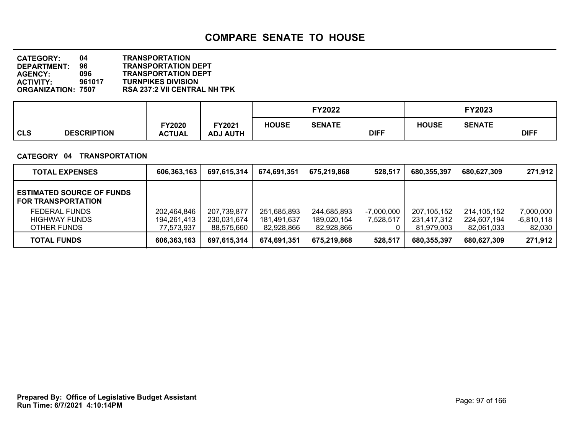| <b>CATEGORY:</b>          | 04     | <b>TRANSPORTATION</b>               |
|---------------------------|--------|-------------------------------------|
| DEPARTMENT:               | 96     | <b>TRANSPORTATION DEPT</b>          |
| <b>AGENCY:</b>            | 096    | <b>TRANSPORTATION DEPT</b>          |
| <b>ACTIVITY:</b>          | 961017 | <b>TURNPIKES DIVISION</b>           |
| <b>ORGANIZATION: 7507</b> |        | <b>RSA 237:2 VII CENTRAL NH TPK</b> |

|            |                    |                                |                          |              | <b>FY2022</b> |             |              | FY2023        |             |
|------------|--------------------|--------------------------------|--------------------------|--------------|---------------|-------------|--------------|---------------|-------------|
| <b>CLS</b> | <b>DESCRIPTION</b> | <b>FY2020</b><br><b>ACTUAL</b> | Y2021<br><b>ADJ AUTH</b> | <b>HOUSE</b> | <b>SENATE</b> | <b>DIFF</b> | <b>HOUSE</b> | <b>SENATE</b> | <b>DIFF</b> |

#### **CATEGORY 04 TRANSPORTATION**

| <b>TOTAL EXPENSES</b>                                         | 606,363,163 | 697,615,314 | 674,691,351 | 675.219.868 | 528,517      | 680,355,397 | 680,627,309 | 271,912      |
|---------------------------------------------------------------|-------------|-------------|-------------|-------------|--------------|-------------|-------------|--------------|
| <b>ESTIMATED SOURCE OF FUNDS</b><br><b>FOR TRANSPORTATION</b> |             |             |             |             |              |             |             |              |
| <b>FEDERAL FUNDS</b>                                          | 202,464,846 | 207,739,877 | 251,685,893 | 244,685,893 | $-7,000,000$ | 207,105,152 | 214,105,152 | 7,000,000    |
| <b>HIGHWAY FUNDS</b><br>OTHER FUNDS                           | 194.261.413 | 230,031,674 | 181,491,637 | 189,020,154 | 7,528,517    | 231,417,312 | 224,607,194 | $-6,810,118$ |
|                                                               | 77,573,937  | 88,575,660  | 82,928,866  | 82,928,866  |              | 81,979,003  | 82,061,033  | 82,030       |
| <b>TOTAL FUNDS</b>                                            | 606,363,163 | 697,615,314 | 674,691,351 | 675,219,868 | 528,517      | 680.355.397 | 680,627,309 | 271,912      |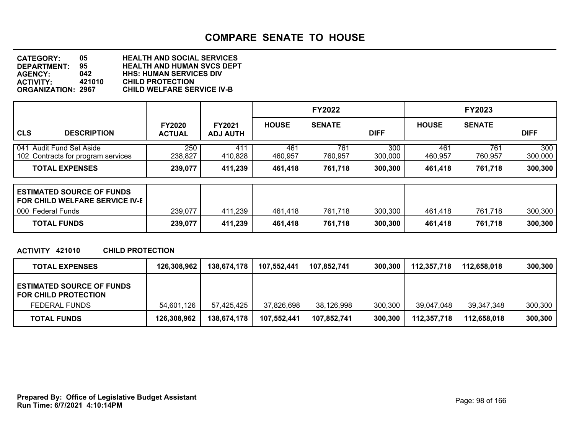**DEPARTMENT: 95 HEALTH AND HUMAN SVCS DEPT CATEGORY: 05 HEALTH AND SOCIAL SERVICES AGENCY: 042 HHS: HUMAN SERVICES DIV ACTIVITY: 421010 CHILD PROTECTION ORGANIZATION: 2967 CHILD WELFARE SERVICE IV-B**

|                                                                |                                |                                  |                | <b>FY2022</b>  |                |                | <b>FY2023</b>  |                |
|----------------------------------------------------------------|--------------------------------|----------------------------------|----------------|----------------|----------------|----------------|----------------|----------------|
| <b>CLS</b><br><b>DESCRIPTION</b>                               | <b>FY2020</b><br><b>ACTUAL</b> | <b>FY2021</b><br><b>ADJ AUTH</b> | <b>HOUSE</b>   | <b>SENATE</b>  | <b>DIFF</b>    | <b>HOUSE</b>   | <b>SENATE</b>  | <b>DIFF</b>    |
| 041 Audit Fund Set Aside<br>102 Contracts for program services | 250<br>238,827                 | 411<br>410,828                   | 461<br>460,957 | 761<br>760,957 | 300<br>300,000 | 461<br>460,957 | 761<br>760,957 | 300<br>300,000 |
| <b>TOTAL EXPENSES</b>                                          | 239,077                        | 411,239                          | 461,418        | 761,718        | 300,300        | 461,418        | 761,718        | 300,300        |
|                                                                |                                |                                  |                |                |                |                |                |                |

| <b>ESTIMATED SOURCE OF FUNDS</b><br><b>FOR CHILD WELFARE SERVICE IV-E</b> |         |         |         |         |         |         |         |         |
|---------------------------------------------------------------------------|---------|---------|---------|---------|---------|---------|---------|---------|
| 000 Federal Funds                                                         | 239,077 | 411,239 | 461.418 | 761,718 | 300,300 | 461.418 | 761,718 | 300,300 |
| <b>TOTAL FUNDS</b>                                                        | 239,077 | 411,239 | 461,418 | 761,718 | 300,300 | 461.418 | 761,718 | 300,300 |

#### **ACTIVITY 421010 CHILD PROTECTION**

| <b>TOTAL EXPENSES</b>                                           | 126,308,962 | 138,674,178 | 107,552,441 | 107,852,741 | 300,300 | 112,357,718 | 112,658,018 | 300,300 |
|-----------------------------------------------------------------|-------------|-------------|-------------|-------------|---------|-------------|-------------|---------|
| <b>ESTIMATED SOURCE OF FUNDS</b><br><b>FOR CHILD PROTECTION</b> |             |             |             |             |         |             |             |         |
| <b>FEDERAL FUNDS</b>                                            | 54,601,126  | 57.425.425  | 37,826,698  | 38,126,998  | 300,300 | 39.047.048  | 39.347.348  | 300,300 |
| <b>TOTAL FUNDS</b>                                              | 126,308,962 | 138,674,178 | 107,552,441 | 107,852,741 | 300,300 | 112,357,718 | 112,658,018 | 300,300 |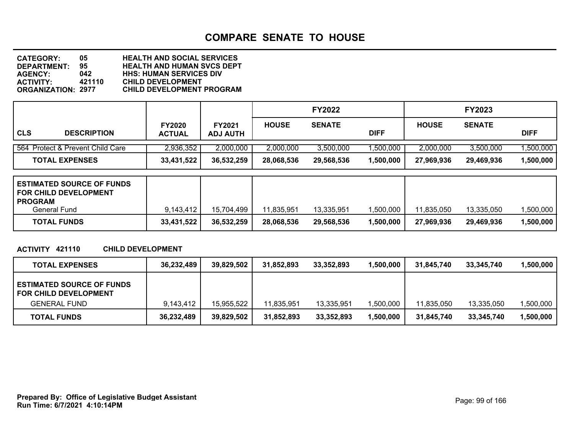| <b>CATEGORY:</b>          | 05.    | <b>HEALTH AND SOCIAL SERVICES</b> |
|---------------------------|--------|-----------------------------------|
| <b>DEPARTMENT:</b>        | 95.    | <b>HEALTH AND HUMAN SVCS DEPT</b> |
| <b>AGENCY:</b>            | 042    | <b>HHS: HUMAN SERVICES DIV</b>    |
| <b>ACTIVITY:</b>          | 421110 | <b>CHILD DEVELOPMENT</b>          |
| <b>ORGANIZATION: 2977</b> |        | <b>CHILD DEVELOPMENT PROGRAM</b>  |

|            |                                  |                                |                                  |              | <b>FY2022</b> |             |              | <b>FY2023</b> |             |
|------------|----------------------------------|--------------------------------|----------------------------------|--------------|---------------|-------------|--------------|---------------|-------------|
| <b>CLS</b> | <b>DESCRIPTION</b>               | <b>FY2020</b><br><b>ACTUAL</b> | <b>FY2021</b><br><b>ADJ AUTH</b> | <b>HOUSE</b> | <b>SENATE</b> | <b>DIFF</b> | <b>HOUSE</b> | <b>SENATE</b> | <b>DIFF</b> |
|            | 564 Protect & Prevent Child Care | 2,936,352                      | 2,000,000                        | 2,000,000    | 3.500.000     | ,500,000    | 2,000,000    | 3.500.000     | ,500,000    |
|            | <b>TOTAL EXPENSES</b>            | 33,431,522                     | 36,532,259                       | 28,068,536   | 29,568,536    | 1,500,000   | 27,969,936   | 29,469,936    | 1,500,000   |

| <b>PROGRAM</b><br>General Fund<br><b>TOTAL FUNDS</b><br>33,431,522 | 9.143.412 | 15,704,499<br>36,532,259 | 11,835,951<br>28,068,536 | 13,335,951<br>29,568,536 | ,500,000<br>1,500,000 | 11.835.050<br>27,969,936 | 13,335,050<br>29,469,936 | ,500,000<br>,500,000 |
|--------------------------------------------------------------------|-----------|--------------------------|--------------------------|--------------------------|-----------------------|--------------------------|--------------------------|----------------------|
|                                                                    |           |                          |                          |                          |                       |                          |                          |                      |

#### **ACTIVITY 421110 CHILD DEVELOPMENT**

| <b>TOTAL EXPENSES</b>                                            | 36,232,489 | 39,829,502 | 31,852,893 | 33,352,893 | 1,500,000 | 31.845.740 | 33,345,740 | ,500,000  |
|------------------------------------------------------------------|------------|------------|------------|------------|-----------|------------|------------|-----------|
| <b>ESTIMATED SOURCE OF FUNDS</b><br><b>FOR CHILD DEVELOPMENT</b> |            |            |            |            |           |            |            |           |
| <b>GENERAL FUND</b>                                              | 9.143.412  | 15,955,522 | 11.835.951 | 13,335,951 | 1,500,000 | 11.835.050 | 13.335.050 | ,500,000  |
| <b>TOTAL FUNDS</b>                                               | 36,232,489 | 39,829,502 | 31,852,893 | 33,352,893 | 1,500,000 | 31,845,740 | 33,345,740 | 1,500,000 |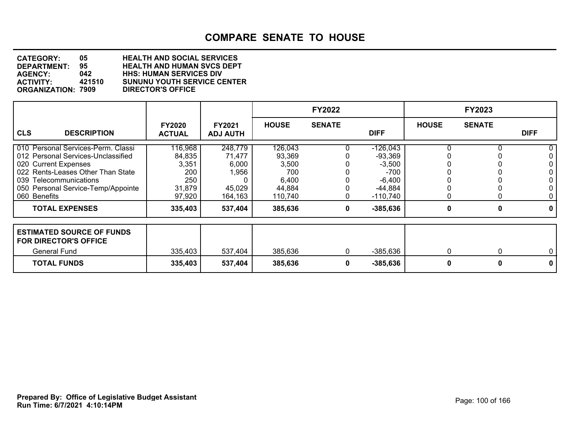| <b>CATEGORY:</b>          | 05     | <b>HEALTH AND SOCIAL SERVICES</b>  |
|---------------------------|--------|------------------------------------|
| <b>DEPARTMENT:</b>        | 95.    | <b>HEALTH AND HUMAN SVCS DEPT</b>  |
| <b>AGENCY:</b>            | 042    | <b>HHS: HUMAN SERVICES DIV</b>     |
| <b>ACTIVITY:</b>          | 421510 | <b>SUNUNU YOUTH SERVICE CENTER</b> |
| <b>ORGANIZATION: 7909</b> |        | <b>DIRECTOR'S OFFICE</b>           |

|                                                                                                                                                                                                                       |                                                              |                                                          |                                                                 | <b>FY2022</b> |                                                                                      |              | <b>FY2023</b> |                                  |
|-----------------------------------------------------------------------------------------------------------------------------------------------------------------------------------------------------------------------|--------------------------------------------------------------|----------------------------------------------------------|-----------------------------------------------------------------|---------------|--------------------------------------------------------------------------------------|--------------|---------------|----------------------------------|
| <b>CLS</b><br><b>DESCRIPTION</b>                                                                                                                                                                                      | <b>FY2020</b><br><b>ACTUAL</b>                               | <b>FY2021</b><br><b>ADJ AUTH</b>                         | <b>HOUSE</b>                                                    | <b>SENATE</b> | <b>DIFF</b>                                                                          | <b>HOUSE</b> | <b>SENATE</b> | <b>DIFF</b>                      |
| 010 Personal Services-Perm. Classi<br>012 Personal Services-Unclassified<br>020 Current Expenses<br>022 Rents-Leases Other Than State<br>039 Telecommunications<br>050 Personal Service-Temp/Appointe<br>060 Benefits | 116,968<br>84,835<br>3,351<br>200<br>250<br>31,879<br>97,920 | 248,779<br>71,477<br>6,000<br>1,956<br>45,029<br>164,163 | 126,043<br>93,369<br>3,500<br>700<br>6,400<br>44,884<br>110,740 | 0             | $-126,043$<br>$-93,369$<br>$-3,500$<br>$-700$<br>$-6,400$<br>$-44,884$<br>$-110,740$ | 0            |               | 0.<br>0<br>0<br>0<br>0<br>0<br>0 |
| <b>TOTAL EXPENSES</b>                                                                                                                                                                                                 | 335,403                                                      | 537,404                                                  | 385,636                                                         | 0             | $-385,636$                                                                           | 0            | 0             | 0                                |
| <b>ESTIMATED SOURCE OF FUNDS</b><br><b>FOR DIRECTOR'S OFFICE</b><br><b>General Fund</b>                                                                                                                               | 335,403                                                      | 537,404                                                  | 385,636                                                         | 0             | $-385,636$                                                                           | 0            | 0             | $\overline{0}$                   |
| <b>TOTAL FUNDS</b>                                                                                                                                                                                                    | 335,403                                                      | 537,404                                                  | 385,636                                                         | 0             | $-385,636$                                                                           | 0            | 0             | 0                                |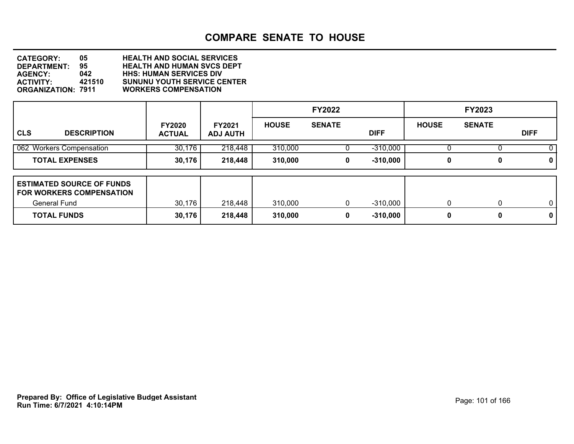**DEPARTMENT: 95 HEALTH AND HUMAN SVCS DEPT CATEGORY: 05 HEALTH AND SOCIAL SERVICES AGENCY: 042 HHS: HUMAN SERVICES DIV ACTIVITY: 421510 SUNUNU YOUTH SERVICE CENTER ORGANIZATION: 7911 WORKERS COMPENSATION**

|                                                                                            |                                |                                  |              | <b>FY2022</b> |             |              | <b>FY2023</b> |              |
|--------------------------------------------------------------------------------------------|--------------------------------|----------------------------------|--------------|---------------|-------------|--------------|---------------|--------------|
| <b>CLS</b><br><b>DESCRIPTION</b>                                                           | <b>FY2020</b><br><b>ACTUAL</b> | <b>FY2021</b><br><b>ADJ AUTH</b> | <b>HOUSE</b> | <b>SENATE</b> | <b>DIFF</b> | <b>HOUSE</b> | <b>SENATE</b> | <b>DIFF</b>  |
| 062 Workers Compensation                                                                   | 30,176                         | 218,448                          | 310,000      |               | $-310,000$  |              |               | 0            |
| <b>TOTAL EXPENSES</b>                                                                      | 30,176                         | 218,448                          | 310,000      | 0             | $-310,000$  | 0            | 0             | $\mathbf 0$  |
| <b>ESTIMATED SOURCE OF FUNDS</b><br><b>FOR WORKERS COMPENSATION</b><br><b>General Fund</b> | 30,176                         | 218,448                          | 310,000      | 0             | $-310,000$  | 0            | 0             | $\mathbf{0}$ |
| <b>TOTAL FUNDS</b>                                                                         | 30,176                         | 218,448                          | 310,000      | 0             | $-310,000$  | 0            | 0             | $\mathbf 0$  |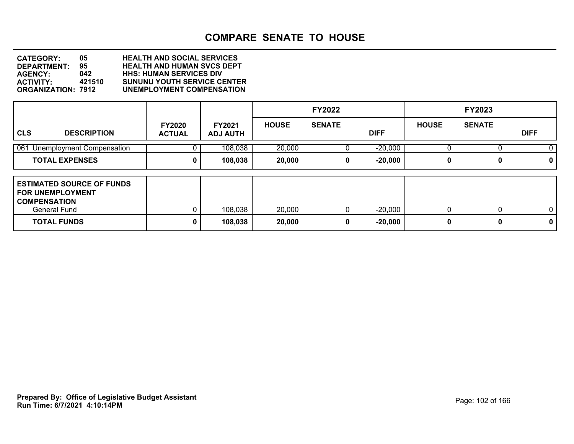**DEPARTMENT: 95 HEALTH AND HUMAN SVCS DEPT CATEGORY: 05 HEALTH AND SOCIAL SERVICES AGENCY: 042 HHS: HUMAN SERVICES DIV ACTIVITY: 421510 SUNUNU YOUTH SERVICE CENTER ORGANIZATION: 7912 UNEMPLOYMENT COMPENSATION**

|                                                                                                                                 |                                |                                  |                  | <b>FY2022</b> |                        |               | <b>FY2023</b> |                             |
|---------------------------------------------------------------------------------------------------------------------------------|--------------------------------|----------------------------------|------------------|---------------|------------------------|---------------|---------------|-----------------------------|
| <b>CLS</b><br><b>DESCRIPTION</b>                                                                                                | <b>FY2020</b><br><b>ACTUAL</b> | <b>FY2021</b><br><b>ADJ AUTH</b> | <b>HOUSE</b>     | <b>SENATE</b> | <b>DIFF</b>            | <b>HOUSE</b>  | <b>SENATE</b> | <b>DIFF</b>                 |
| 061 Unemployment Compensation                                                                                                   |                                | 108,038                          | 20,000           |               | $-20,000$              |               |               | 0.                          |
| <b>TOTAL EXPENSES</b>                                                                                                           | 0                              | 108,038                          | 20,000           | 0             | $-20,000$              | 0             | 0             | 0                           |
| <b>ESTIMATED SOURCE OF FUNDS</b><br><b>FOR UNEMPLOYMENT</b><br><b>COMPENSATION</b><br><b>General Fund</b><br><b>TOTAL FUNDS</b> | 0                              | 108,038<br>108,038               | 20,000<br>20,000 | 0<br>0        | $-20,000$<br>$-20,000$ | $\Omega$<br>0 | 0             | $\mathbf{0}$<br>$\mathbf 0$ |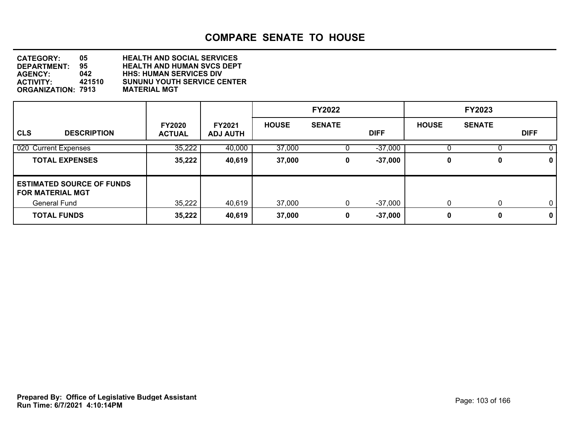| <b>CATEGORY:</b>          | 05.    | <b>HEALTH AND SOCIAL SERVICES</b>  |
|---------------------------|--------|------------------------------------|
| <b>DEPARTMENT:</b>        | 95.    | <b>HEALTH AND HUMAN SVCS DEPT</b>  |
| <b>AGENCY:</b>            | 042    | <b>HHS: HUMAN SERVICES DIV</b>     |
| <b>ACTIVITY:</b>          | 421510 | <b>SUNUNU YOUTH SERVICE CENTER</b> |
| <b>ORGANIZATION: 7913</b> |        | <b>MATERIAL MGT</b>                |

|                                                             |                                |                                  |              | <b>FY2022</b> |             |              | <b>FY2023</b> |             |
|-------------------------------------------------------------|--------------------------------|----------------------------------|--------------|---------------|-------------|--------------|---------------|-------------|
| <b>CLS</b><br><b>DESCRIPTION</b>                            | <b>FY2020</b><br><b>ACTUAL</b> | <b>FY2021</b><br><b>ADJ AUTH</b> | <b>HOUSE</b> | <b>SENATE</b> | <b>DIFF</b> | <b>HOUSE</b> | <b>SENATE</b> | <b>DIFF</b> |
| 020 Current Expenses                                        | 35,222                         | 40,000                           | 37,000       |               | $-37,000$   |              |               |             |
| <b>TOTAL EXPENSES</b>                                       | 35,222                         | 40,619                           | 37,000       | 0             | $-37,000$   | 0            | 0             | $\mathbf 0$ |
| <b>ESTIMATED SOURCE OF FUNDS</b><br><b>FOR MATERIAL MGT</b> |                                |                                  |              |               |             |              |               |             |
| General Fund                                                | 35,222                         | 40,619                           | 37,000       | 0             | $-37,000$   | $\mathbf{0}$ | $\Omega$      | $\mathbf 0$ |
| <b>TOTAL FUNDS</b>                                          | 35,222                         | 40,619                           | 37,000       | 0             | $-37,000$   | 0            | 0             | $\mathbf 0$ |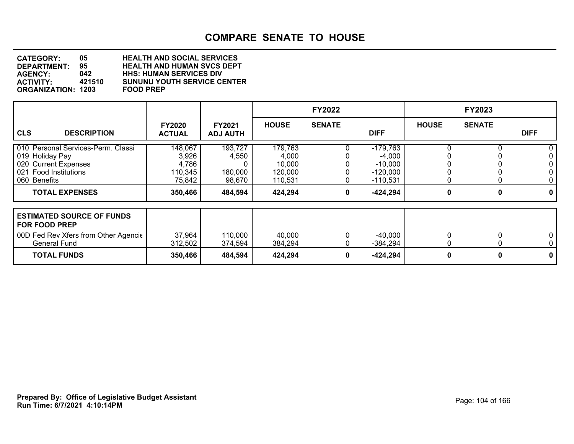| <b>CATEGORY:</b>          | 05.    | <b>HEALTH AND SOCIAL SERVICES</b>  |
|---------------------------|--------|------------------------------------|
| <b>DEPARTMENT:</b>        | 95.    | <b>HEALTH AND HUMAN SVCS DEPT</b>  |
| <b>AGENCY:</b>            | 042    | <b>HHS: HUMAN SERVICES DIV</b>     |
| <b>ACTIVITY:</b>          | 421510 | <b>SUNUNU YOUTH SERVICE CENTER</b> |
| <b>ORGANIZATION: 1203</b> |        | <b>FOOD PREP</b>                   |

|                                                                                                                                  |                                                |                                       |                                                  | <b>FY2022</b> |                                                                 |              | <b>FY2023</b> |             |
|----------------------------------------------------------------------------------------------------------------------------------|------------------------------------------------|---------------------------------------|--------------------------------------------------|---------------|-----------------------------------------------------------------|--------------|---------------|-------------|
| <b>CLS</b><br><b>DESCRIPTION</b>                                                                                                 | <b>FY2020</b><br><b>ACTUAL</b>                 | <b>FY2021</b><br><b>ADJ AUTH</b>      | <b>HOUSE</b>                                     | <b>SENATE</b> | <b>DIFF</b>                                                     | <b>HOUSE</b> | <b>SENATE</b> | <b>DIFF</b> |
| 010 Personal Services-Perm. Classi<br>019 Holiday Pay<br>020 Current Expenses<br><b>Food Institutions</b><br>021<br>060 Benefits | 148,067<br>3,926<br>4,786<br>110,345<br>75,842 | 193,727<br>4,550<br>180,000<br>98,670 | 179,763<br>4,000<br>10,000<br>120,000<br>110,531 |               | $-179,763$<br>$-4,000$<br>$-10,000$<br>$-120,000$<br>$-110,531$ |              |               | 0           |
| <b>TOTAL EXPENSES</b>                                                                                                            | 350,466                                        | 484,594                               | 424,294                                          | 0             | $-424,294$                                                      | 0            | 0             | 0           |
| <b>ESTIMATED SOURCE OF FUNDS</b><br><b>FOR FOOD PREP</b><br>00D Fed Rev Xfers from Other Agencie<br><b>General Fund</b>          | 37,964<br>312,502                              | 110,000<br>374,594                    | 40,000<br>384,294                                |               | $-40,000$<br>$-384,294$                                         |              |               | 0<br>0      |
| <b>TOTAL FUNDS</b>                                                                                                               | 350,466                                        | 484,594                               | 424,294                                          | 0             | $-424,294$                                                      | 0            | 0             | 0           |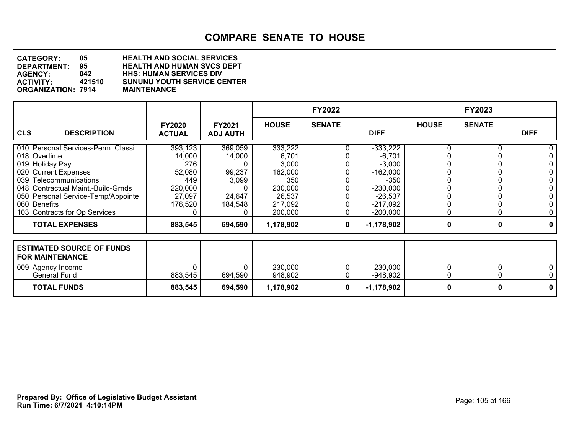| <b>CATEGORY:</b>          | 05     | <b>HEALTH AND SOCIAL SERVICES</b>  |
|---------------------------|--------|------------------------------------|
| DEPARTMENT:               | 95     | <b>HEALTH AND HUMAN SVCS DEPT</b>  |
| <b>AGENCY:</b>            | 042    | <b>HHS: HUMAN SERVICES DIV</b>     |
| <b>ACTIVITY:</b>          | 421510 | <b>SUNUNU YOUTH SERVICE CENTER</b> |
| <b>ORGANIZATION: 7914</b> |        | <b>MAINTENANCE</b>                 |

|                                                                          |                                |                           |                   | <b>FY2022</b> |                         |              | <b>FY2023</b> |              |
|--------------------------------------------------------------------------|--------------------------------|---------------------------|-------------------|---------------|-------------------------|--------------|---------------|--------------|
| <b>CLS</b><br><b>DESCRIPTION</b>                                         | <b>FY2020</b><br><b>ACTUAL</b> | FY2021<br><b>ADJ AUTH</b> | <b>HOUSE</b>      | <b>SENATE</b> | <b>DIFF</b>             | <b>HOUSE</b> | <b>SENATE</b> | <b>DIFF</b>  |
| 010 Personal Services-Perm. Classi                                       | 393,123                        | 369,059                   | 333,222           |               | $-333,222$              |              |               | 0            |
| 018 Overtime<br>019 Holiday Pay                                          | 14,000<br>276                  | 14,000                    | 6.701<br>3,000    |               | $-6,701$<br>$-3,000$    |              |               | 0<br>0       |
| 020 Current Expenses                                                     | 52,080                         | 99,237                    | 162,000           |               | $-162,000$              |              |               | 0            |
| 039 Telecommunications                                                   | 449                            | 3,099                     | 350               |               | $-350$                  |              |               | 0            |
| 048 Contractual Maint.-Build-Grnds<br>050 Personal Service-Temp/Appointe | 220,000<br>27,097              | 24,647                    | 230,000<br>26,537 |               | $-230,000$<br>$-26,537$ |              |               | 0<br>0       |
| 060 Benefits                                                             | 176,520                        | 184,548                   | 217,092           |               | $-217,092$              |              |               | 0            |
| 103 Contracts for Op Services                                            |                                |                           | 200,000           |               | $-200,000$              |              |               | 0            |
| <b>TOTAL EXPENSES</b>                                                    | 883,545                        | 694,590                   | 1,178,902         | 0             | $-1,178,902$            | 0            | 0             | $\mathbf{0}$ |
|                                                                          |                                |                           |                   |               |                         |              |               |              |
| <b>ESTIMATED SOURCE OF FUNDS</b><br><b>FOR MAINTENANCE</b>               |                                |                           |                   |               |                         |              |               |              |
| 009 Agency Income                                                        |                                |                           | 230,000           | 0             | $-230,000$              | 0            |               | 0            |
| General Fund                                                             | 883,545                        | 694,590                   | 948,902           | 0             | $-948,902$              | 0            |               | 0            |
| <b>TOTAL FUNDS</b>                                                       | 883,545                        | 694,590                   | 1,178,902         | 0             | $-1,178,902$            | 0            | Λ             | 0            |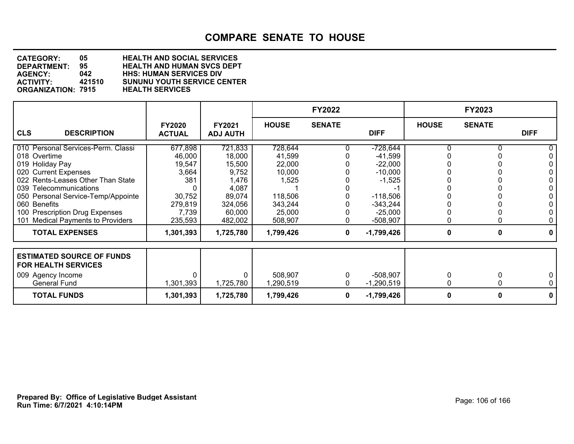| <b>CATEGORY:</b>          | 05     | <b>HEALTH AND SOCIAL SERVICES</b>  |
|---------------------------|--------|------------------------------------|
| DEPARTMENT:               | 95.    | <b>HEALTH AND HUMAN SVCS DEPT</b>  |
| <b>AGENCY:</b>            | 042    | <b>HHS: HUMAN SERVICES DIV</b>     |
| <b>ACTIVITY:</b>          | 421510 | <b>SUNUNU YOUTH SERVICE CENTER</b> |
| <b>ORGANIZATION: 7915</b> |        | <b>HEALTH SERVICES</b>             |

|                                                                |                                |                                  |              | <b>FY2022</b> |              |              | <b>FY2023</b> |                |
|----------------------------------------------------------------|--------------------------------|----------------------------------|--------------|---------------|--------------|--------------|---------------|----------------|
| <b>CLS</b><br><b>DESCRIPTION</b>                               | <b>FY2020</b><br><b>ACTUAL</b> | <b>FY2021</b><br><b>ADJ AUTH</b> | <b>HOUSE</b> | <b>SENATE</b> | <b>DIFF</b>  | <b>HOUSE</b> | <b>SENATE</b> | <b>DIFF</b>    |
| 010 Personal Services-Perm. Classi                             | 677,898                        | 721,833                          | 728,644      |               | $-728,644$   |              |               | 0              |
| 018 Overtime                                                   | 46,000                         | 18,000                           | 41,599       |               | $-41,599$    |              |               | 0              |
| 019 Holiday Pay                                                | 19,547                         | 15,500                           | 22,000       |               | $-22,000$    |              |               | 0              |
| 020 Current Expenses                                           | 3,664                          | 9,752                            | 10,000       |               | $-10,000$    |              |               | 0              |
| 022 Rents-Leases Other Than State                              | 381                            | 1,476                            | 1,525        |               | $-1,525$     |              |               | 0              |
| 039 Telecommunications                                         |                                | 4,087                            |              |               |              |              |               | 0              |
| 050 Personal Service-Temp/Appointe                             | 30,752                         | 89,074                           | 118,506      |               | $-118,506$   |              |               | 0              |
| 060 Benefits                                                   | 279,819                        | 324,056                          | 343,244      |               | $-343,244$   |              |               | 0              |
| 100 Prescription Drug Expenses                                 | 7,739                          | 60,000                           | 25,000       |               | $-25,000$    |              |               | 0              |
| 101 Medical Payments to Providers                              | 235,593                        | 482,002                          | 508,907      | 0             | -508,907     | 0            |               | 0              |
| <b>TOTAL EXPENSES</b>                                          | 1,301,393                      | 1,725,780                        | 1,799,426    | 0             | $-1,799,426$ | 0            | 0             | $\mathbf{0}$   |
| <b>ESTIMATED SOURCE OF FUNDS</b><br><b>FOR HEALTH SERVICES</b> |                                |                                  |              |               |              |              |               |                |
| 009 Agency Income                                              |                                |                                  | 508,907      |               | $-508,907$   |              |               | 0              |
| <b>General Fund</b>                                            | 1,301,393                      | 1,725,780                        | 1,290,519    | 0             | $-1,290,519$ | 0            |               | 0 <sup>1</sup> |
| <b>TOTAL FUNDS</b>                                             | 1,301,393                      | 1,725,780                        | 1,799,426    | 0             | $-1,799,426$ | 0            | Λ             | 0              |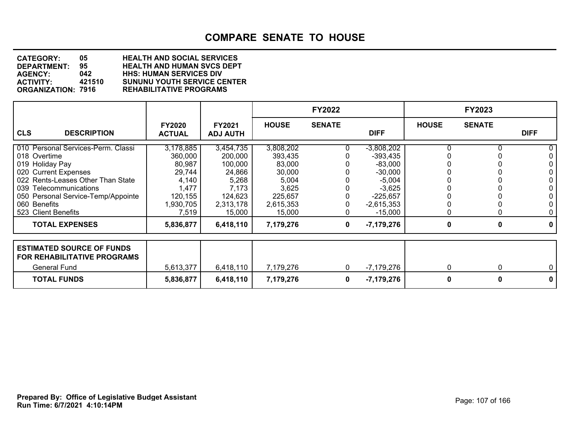| <b>CATEGORY:</b>          | 05     | <b>HEALTH AND SOCIAL SERVICES</b>  |
|---------------------------|--------|------------------------------------|
| DEPARTMENT:               | 95.    | <b>HEALTH AND HUMAN SVCS DEPT</b>  |
| <b>AGENCY:</b>            | 042    | <b>HHS: HUMAN SERVICES DIV</b>     |
| <b>ACTIVITY:</b>          | 421510 | <b>SUNUNU YOUTH SERVICE CENTER</b> |
| <b>ORGANIZATION: 7916</b> |        | <b>REHABILITATIVE PROGRAMS</b>     |

|                                                                                                                                                                                                                                           |                                                                                             |                                                                                               |                                                                                              | <b>FY2022</b> |                                                                                                                         |              | <b>FY2023</b> |                                           |
|-------------------------------------------------------------------------------------------------------------------------------------------------------------------------------------------------------------------------------------------|---------------------------------------------------------------------------------------------|-----------------------------------------------------------------------------------------------|----------------------------------------------------------------------------------------------|---------------|-------------------------------------------------------------------------------------------------------------------------|--------------|---------------|-------------------------------------------|
| <b>CLS</b><br><b>DESCRIPTION</b>                                                                                                                                                                                                          | <b>FY2020</b><br><b>ACTUAL</b>                                                              | <b>FY2021</b><br><b>ADJ AUTH</b>                                                              | <b>HOUSE</b>                                                                                 | <b>SENATE</b> | <b>DIFF</b>                                                                                                             | <b>HOUSE</b> | <b>SENATE</b> | <b>DIFF</b>                               |
| 010 Personal Services-Perm. Classi<br>018 Overtime<br>019 Holiday Pay<br>020 Current Expenses<br>022 Rents-Leases Other Than State<br>039 Telecommunications<br>050 Personal Service-Temp/Appointe<br>060 Benefits<br>523 Client Benefits | 3,178,885<br>360,000<br>80,987<br>29,744<br>4,140<br>1,477<br>120,155<br>1,930,705<br>7,519 | 3,454,735<br>200,000<br>100,000<br>24,866<br>5,268<br>7,173<br>124,623<br>2,313,178<br>15,000 | 3,808,202<br>393,435<br>83,000<br>30,000<br>5,004<br>3,625<br>225,657<br>2,615,353<br>15,000 |               | $-3,808,202$<br>$-393,435$<br>$-83,000$<br>$-30,000$<br>$-5,004$<br>$-3,625$<br>$-225,657$<br>$-2,615,353$<br>$-15,000$ | 0            |               | 0<br>0<br>0<br>0<br>0<br>0<br>0<br>0<br>0 |
| <b>TOTAL EXPENSES</b>                                                                                                                                                                                                                     | 5,836,877                                                                                   | 6,418,110                                                                                     | 7,179,276                                                                                    | 0             | $-7,179,276$                                                                                                            | 0            | 0             | 0                                         |
| <b>ESTIMATED SOURCE OF FUNDS</b><br><b>FOR REHABILITATIVE PROGRAMS</b><br><b>General Fund</b>                                                                                                                                             | 5,613,377                                                                                   | 6,418,110                                                                                     | 7,179,276                                                                                    | 0             | $-7,179,276$                                                                                                            | 0            | 0             | 0                                         |
| <b>TOTAL FUNDS</b>                                                                                                                                                                                                                        | 5,836,877                                                                                   | 6,418,110                                                                                     | 7,179,276                                                                                    | 0             | $-7,179,276$                                                                                                            | 0            | 0             | 0                                         |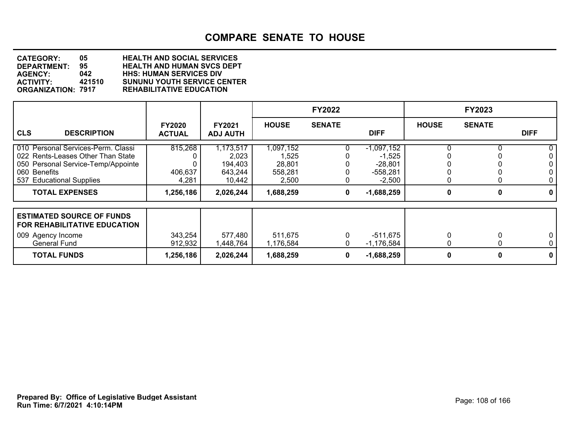| <b>CATEGORY:</b>          | 05     | <b>HEALTH AND SOCIAL SERVICES</b>  |
|---------------------------|--------|------------------------------------|
| <b>DEPARTMENT:</b>        | 95     | <b>HEALTH AND HUMAN SVCS DEPT</b>  |
| <b>AGENCY:</b>            | 042    | <b>HHS: HUMAN SERVICES DIV</b>     |
| <b>ACTIVITY:</b>          | 421510 | <b>SUNUNU YOUTH SERVICE CENTER</b> |
| <b>ORGANIZATION: 7917</b> |        | <b>REHABILITATIVE EDUCATION</b>    |

|                                                                                                                                                           |                                |                                                    |                                                  | <b>FY2022</b> |                                                                 |              | FY2023        |                   |
|-----------------------------------------------------------------------------------------------------------------------------------------------------------|--------------------------------|----------------------------------------------------|--------------------------------------------------|---------------|-----------------------------------------------------------------|--------------|---------------|-------------------|
| <b>CLS</b><br><b>DESCRIPTION</b>                                                                                                                          | <b>FY2020</b><br><b>ACTUAL</b> | <b>FY2021</b><br><b>ADJ AUTH</b>                   | <b>HOUSE</b>                                     | <b>SENATE</b> | <b>DIFF</b>                                                     | <b>HOUSE</b> | <b>SENATE</b> | <b>DIFF</b>       |
| 010 Personal Services-Perm. Classi<br>022 Rents-Leases Other Than State<br>050 Personal Service-Temp/Appointe<br>060 Benefits<br>537 Educational Supplies | 815,268<br>406,637<br>4,281    | 1,173,517<br>2,023<br>194,403<br>643,244<br>10,442 | 1,097,152<br>1,525<br>28,801<br>558,281<br>2,500 |               | $-1,097,152$<br>$-1,525$<br>$-28,801$<br>$-558,281$<br>$-2,500$ |              |               | 0                 |
| <b>TOTAL EXPENSES</b>                                                                                                                                     | 1,256,186                      | 2,026,244                                          | 1,688,259                                        | 0             | $-1,688,259$                                                    | 0            | 0             | 0                 |
| <b>ESTIMATED SOURCE OF FUNDS</b><br>FOR REHABILITATIVE EDUCATION<br>009 Agency Income                                                                     | 343,254                        | 577,480                                            | 511,675                                          |               | -511,675                                                        |              |               | 0                 |
| <b>General Fund</b><br><b>TOTAL FUNDS</b>                                                                                                                 | 912,932<br>1,256,186           | 1,448,764<br>2,026,244                             | 1,176,584<br>1,688,259                           | 0             | $-1,176,584$<br>$-1,688,259$                                    | 0            | 0             | $\mathbf{0}$<br>0 |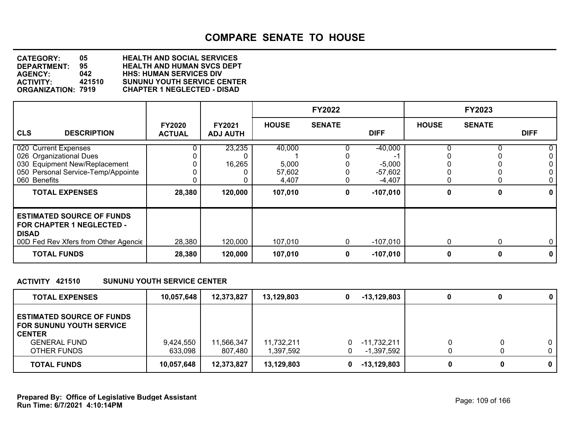**DEPARTMENT: 95 HEALTH AND HUMAN SVCS DEPT CATEGORY: 05 HEALTH AND SOCIAL SERVICES AGENCY: 042 HHS: HUMAN SERVICES DIV ACTIVITY: 421510 SUNUNU YOUTH SERVICE CENTER ORGANIZATION: 7919 CHAPTER 1 NEGLECTED - DISAD**

|                                                                                                                                                                 |                                |                                  |                                               | <b>FY2022</b> |                                                              |              | <b>FY2023</b> |                  |
|-----------------------------------------------------------------------------------------------------------------------------------------------------------------|--------------------------------|----------------------------------|-----------------------------------------------|---------------|--------------------------------------------------------------|--------------|---------------|------------------|
| <b>CLS</b><br><b>DESCRIPTION</b>                                                                                                                                | <b>FY2020</b><br><b>ACTUAL</b> | <b>FY2021</b><br><b>ADJ AUTH</b> | <b>HOUSE</b>                                  | <b>SENATE</b> | <b>DIFF</b>                                                  | <b>HOUSE</b> | <b>SENATE</b> | <b>DIFF</b>      |
| 020 Current Expenses<br>026 Organizational Dues<br>030 Equipment New/Replacement<br>050 Personal Service-Temp/Appointe<br>060 Benefits<br><b>TOTAL EXPENSES</b> | 28,380                         | 23,235<br>16,265<br>120,000      | 40,000<br>5,000<br>57,602<br>4,407<br>107,010 | 0             | $-40,000$<br>$-5,000$<br>$-57,602$<br>$-4,407$<br>$-107,010$ | 0            | 0             | 0<br>0           |
| <b>ESTIMATED SOURCE OF FUNDS</b><br><b>FOR CHAPTER 1 NEGLECTED -</b><br><b>DISAD</b><br>00D Fed Rev Xfers from Other Agencie<br><b>TOTAL FUNDS</b>              | 28,380<br>28,380               | 120,000<br>120,000               | 107,010<br>107,010                            | 0<br>0        | -107,010<br>$-107,010$                                       | 0<br>0       | $\Omega$      | $\mathbf 0$<br>0 |

### **ACTIVITY 421510 SUNUNU YOUTH SERVICE CENTER**

| <b>TOTAL EXPENSES</b>                                                                                                      | 10,057,648           | 12,373,827            | 13,129,803              | $-13,129,803$               | 0 | $\mathbf 0$ |
|----------------------------------------------------------------------------------------------------------------------------|----------------------|-----------------------|-------------------------|-----------------------------|---|-------------|
| <b>ESTIMATED SOURCE OF FUNDS</b><br><b>FOR SUNUNU YOUTH SERVICE</b><br><b>CENTER</b><br><b>GENERAL FUND</b><br>OTHER FUNDS | 9,424,550<br>633,098 | 11,566,347<br>807,480 | 11,732,211<br>1,397,592 | $-11,732,211$<br>-1,397,592 |   |             |
| <b>TOTAL FUNDS</b>                                                                                                         | 10,057,648           | 12,373,827            | 13,129,803              | $-13,129,803$               | 0 | 0           |

**Run Time: 6/7/2021 4:10:14PM Prepared By: Office of Legislative Budget Assistant** Page: 109 of 166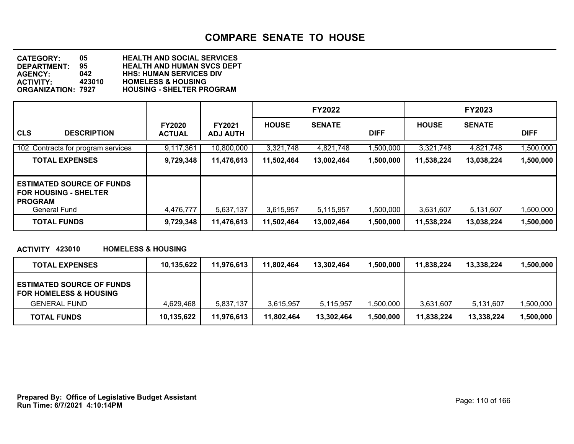**DEPARTMENT: 95 HEALTH AND HUMAN SVCS DEPT CATEGORY: 05 HEALTH AND SOCIAL SERVICES AGENCY: 042 HHS: HUMAN SERVICES DIV ACTIVITY: 423010 HOMELESS & HOUSING HOUSING - SHELTER PROGRAM** 

|                                                                                                    |                                |                                  |              | <b>FY2022</b> |             |              | <b>FY2023</b> |             |
|----------------------------------------------------------------------------------------------------|--------------------------------|----------------------------------|--------------|---------------|-------------|--------------|---------------|-------------|
| <b>CLS</b><br><b>DESCRIPTION</b>                                                                   | <b>FY2020</b><br><b>ACTUAL</b> | <b>FY2021</b><br><b>ADJ AUTH</b> | <b>HOUSE</b> | <b>SENATE</b> | <b>DIFF</b> | <b>HOUSE</b> | <b>SENATE</b> | <b>DIFF</b> |
| 102 Contracts for program services                                                                 | 9,117,361                      | 10,800,000                       | 3,321,748    | 4,821,748     | 1,500,000   | 3,321,748    | 4,821,748     | 1,500,000   |
| <b>TOTAL EXPENSES</b>                                                                              | 9,729,348                      | 11,476,613                       | 11,502,464   | 13,002,464    | 1,500,000   | 11,538,224   | 13,038,224    | 1,500,000   |
| <b>ESTIMATED SOURCE OF FUNDS</b><br><b>FOR HOUSING - SHELTER</b><br><b>PROGRAM</b><br>General Fund | 4,476,777                      | 5,637,137                        | 3,615,957    | 5,115,957     | 1,500,000   | 3,631,607    | 5,131,607     | 1,500,000   |
| <b>TOTAL FUNDS</b>                                                                                 | 9,729,348                      | 11,476,613                       | 11,502,464   | 13,002,464    | 1,500,000   | 11,538,224   | 13,038,224    | 1,500,000   |

### **ACTIVITY 423010 HOMELESS & HOUSING**

| <b>TOTAL EXPENSES</b>                                                 | 10,135,622 | 11,976,613 | 11,802,464 | 13,302,464 | 1,500,000 | 11.838.224 | 13,338,224 | .500.000 |
|-----------------------------------------------------------------------|------------|------------|------------|------------|-----------|------------|------------|----------|
| <b>ESTIMATED SOURCE OF FUNDS</b><br><b>FOR HOMELESS &amp; HOUSING</b> |            |            |            |            |           |            |            |          |
| <b>GENERAL FUND</b>                                                   | 4.629.468  | 5,837,137  | 3,615,957  | 5,115,957  | 1,500,000 | 3.631.607  | 5,131,607  | ,500,000 |
| <b>TOTAL FUNDS</b>                                                    | 10,135,622 | 11,976,613 | 11.802.464 | 13,302,464 | 1,500,000 | 11.838.224 | 13,338,224 | ,500,000 |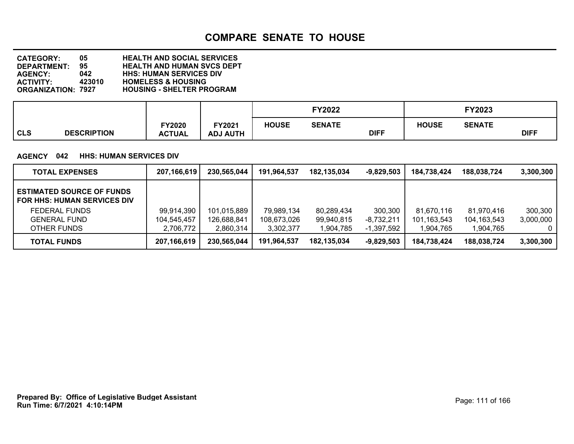**DEPARTMENT: 95 HEALTH AND HUMAN SVCS DEPT CATEGORY: 05 HEALTH AND SOCIAL SERVICES AGENCY: 042 HHS: HUMAN SERVICES DIV ACTIVITY: 423010 HOMELESS & HOUSING HOUSING - SHELTER PROGRAM** 

|            |                    |               |                 | <b>FY2022</b> |               |             | FY2023       |               |             |
|------------|--------------------|---------------|-----------------|---------------|---------------|-------------|--------------|---------------|-------------|
|            |                    | <b>FY2020</b> | FY2021          | <b>HOUSE</b>  | <b>SENATE</b> |             | <b>HOUSE</b> | <b>SENATE</b> |             |
| <b>CLS</b> | <b>DESCRIPTION</b> | <b>ACTUAL</b> | <b>ADJ AUTH</b> |               |               | <b>DIFF</b> |              |               | <b>DIFF</b> |

### **AGENCY 042 HHS: HUMAN SERVICES DIV**

| <b>TOTAL EXPENSES</b>                                                  | 207,166,619 | 230,565,044 | 191,964,537 | 182,135,034 | $-9,829,503$ | 184,738,424 | 188,038,724   | 3,300,300      |
|------------------------------------------------------------------------|-------------|-------------|-------------|-------------|--------------|-------------|---------------|----------------|
| <b>ESTIMATED SOURCE OF FUNDS</b><br><b>FOR HHS: HUMAN SERVICES DIV</b> |             |             |             |             |              |             |               |                |
| <b>FEDERAL FUNDS</b>                                                   | 99,914,390  | 101,015,889 | 79,989,134  | 80,289,434  | 300,300      | 81.670.116  | 81,970,416    | 300,300        |
| <b>GENERAL FUND</b>                                                    | 104,545,457 | 126,688,841 | 108,673,026 | 99,940,815  | $-8,732,211$ | 101,163,543 | 104, 163, 543 | 3,000,000      |
| OTHER FUNDS                                                            | 2.706.772   | 2,860,314   | 3.302.377   | 1,904,785   | -1,397,592   | .904.765    | 1,904,765     | $\overline{0}$ |
| <b>TOTAL FUNDS</b>                                                     | 207,166,619 | 230,565,044 | 191,964,537 | 182.135.034 | $-9,829,503$ | 184,738,424 | 188,038,724   | 3,300,300      |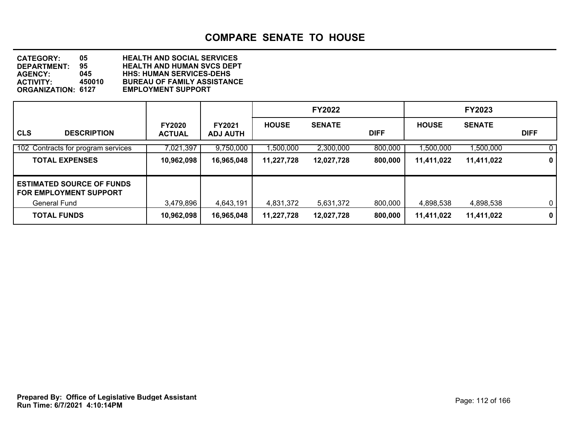**DEPARTMENT: 95 HEALTH AND HUMAN SVCS DEPT CATEGORY: 05 HEALTH AND SOCIAL SERVICES AGENCY: 045 HHS: HUMAN SERVICES-DEHS ACTIVITY: 450010 BUREAU OF FAMILY ASSISTANCE ORGANIZATION: 6127 EMPLOYMENT SUPPORT**

|                                                                   |                                |                                  |              | <b>FY2022</b> |             |              | <b>FY2023</b> |              |
|-------------------------------------------------------------------|--------------------------------|----------------------------------|--------------|---------------|-------------|--------------|---------------|--------------|
| <b>CLS</b><br><b>DESCRIPTION</b>                                  | <b>FY2020</b><br><b>ACTUAL</b> | <b>FY2021</b><br><b>ADJ AUTH</b> | <b>HOUSE</b> | <b>SENATE</b> | <b>DIFF</b> | <b>HOUSE</b> | <b>SENATE</b> | <b>DIFF</b>  |
| 102 Contracts for program services                                | 7,021,397                      | 9,750,000                        | ,500,000     | 2,300,000     | 800,000     | ,500,000     | ,500,000      | 0            |
| <b>TOTAL EXPENSES</b>                                             | 10,962,098                     | 16,965,048                       | 11,227,728   | 12,027,728    | 800,000     | 11,411,022   | 11,411,022    | 0            |
| <b>ESTIMATED SOURCE OF FUNDS</b><br><b>FOR EMPLOYMENT SUPPORT</b> |                                |                                  |              |               |             |              |               |              |
| <b>General Fund</b>                                               | 3.479.896                      | 4.643.191                        | 4,831,372    | 5,631,372     | 800,000     | 4,898,538    | 4,898,538     | $\mathbf{0}$ |
| <b>TOTAL FUNDS</b>                                                | 10,962,098                     | 16,965,048                       | 11,227,728   | 12,027,728    | 800,000     | 11,411,022   | 11,411,022    | $\mathbf 0$  |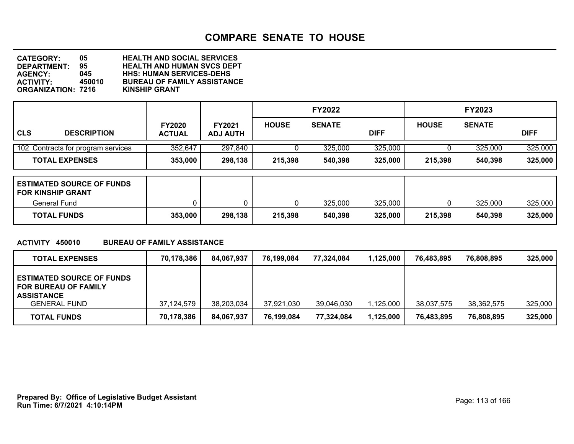**DEPARTMENT: 95 HEALTH AND HUMAN SVCS DEPT CATEGORY: 05 HEALTH AND SOCIAL SERVICES AGENCY: 045 HHS: HUMAN SERVICES-DEHS BUREAU OF FAMILY ASSISTANCE**<br>KINSHIP GRANT **ORGANIZATION: 7216** 

|                                    |                                | <b>FY2022</b>                    |              |               | <b>FY2023</b> |              |               |             |
|------------------------------------|--------------------------------|----------------------------------|--------------|---------------|---------------|--------------|---------------|-------------|
| <b>CLS</b><br><b>DESCRIPTION</b>   | <b>FY2020</b><br><b>ACTUAL</b> | <b>FY2021</b><br><b>ADJ AUTH</b> | <b>HOUSE</b> | <b>SENATE</b> | <b>DIFF</b>   | <b>HOUSE</b> | <b>SENATE</b> | <b>DIFF</b> |
| 102 Contracts for program services | 352,647                        | 297,840                          |              | 325,000       | 325,000       |              | 325,000       | 325,000     |
| <b>TOTAL EXPENSES</b>              | 353,000                        | 298,138                          | 215,398      | 540,398       | 325,000       | 215,398      | 540,398       | 325,000     |

| <b>ESTIMATED SOURCE OF FUNDS</b><br><b>FOR KINSHIP GRANT</b> |         |         |         |         |         |         |         |         |
|--------------------------------------------------------------|---------|---------|---------|---------|---------|---------|---------|---------|
| General Fund                                                 |         |         |         | 325,000 | 325,000 |         | 325,000 | 325,000 |
| <b>TOTAL FUNDS</b>                                           | 353,000 | 298,138 | 215,398 | 540,398 | 325,000 | 215,398 | 540,398 | 325,000 |

### **ACTIVITY 450010 BUREAU OF FAMILY ASSISTANCE**

| <b>TOTAL EXPENSES</b>                                                                | 70.178.386 | 84.067.937 | 76,199,084 | 77.324.084 | 1,125,000 | 76.483.895 | 76,808,895 | 325,000 |
|--------------------------------------------------------------------------------------|------------|------------|------------|------------|-----------|------------|------------|---------|
| <b>ESTIMATED SOURCE OF FUNDS</b><br><b>FOR BUREAU OF FAMILY</b><br><b>ASSISTANCE</b> |            |            |            |            |           |            |            |         |
| <b>GENERAL FUND</b>                                                                  | 37.124.579 | 38,203,034 | 37,921,030 | 39,046,030 | 1,125,000 | 38,037,575 | 38,362,575 | 325,000 |
| <b>TOTAL FUNDS</b>                                                                   | 70,178,386 | 84,067,937 | 76,199,084 | 77,324,084 | 1,125,000 | 76,483,895 | 76,808,895 | 325,000 |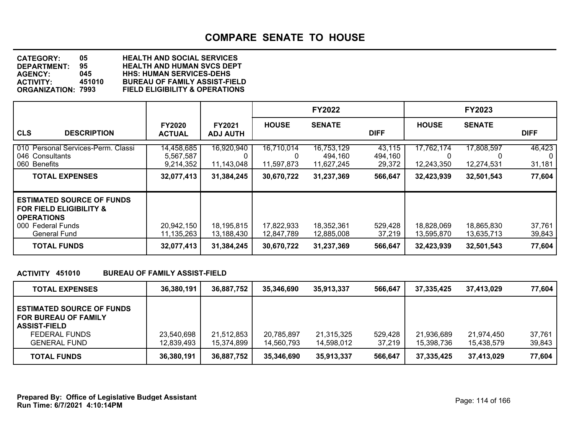**DEPARTMENT: 95 HEALTH AND HUMAN SVCS DEPT CATEGORY: 05 HEALTH AND SOCIAL SERVICES AGENCY: 045 HHS: HUMAN SERVICES-DEHS ACTIVITY: 451010 BUREAU OF FAMILY ASSIST-FIELD FIELD ELIGIBILITY & OPERATIONS** 

|                                                                                                                                         |                                      |                                  |                                      | <b>FY2022</b>                       |                             |                          | <b>FY2023</b>            |                              |
|-----------------------------------------------------------------------------------------------------------------------------------------|--------------------------------------|----------------------------------|--------------------------------------|-------------------------------------|-----------------------------|--------------------------|--------------------------|------------------------------|
| <b>CLS</b><br><b>DESCRIPTION</b>                                                                                                        | <b>FY2020</b><br><b>ACTUAL</b>       | <b>FY2021</b><br><b>ADJ AUTH</b> | <b>HOUSE</b>                         | <b>SENATE</b>                       | <b>DIFF</b>                 | <b>HOUSE</b>             | <b>SENATE</b>            | <b>DIFF</b>                  |
| 010 Personal Services-Perm. Classi<br>046 Consultants<br>Benefits<br>060                                                                | 14,458,685<br>5,567,587<br>9,214,352 | 16,920,940<br>11,143,048         | 16,710,014<br>$\Omega$<br>11,597,873 | 16,753,129<br>494.160<br>11,627,245 | 43,115<br>494,160<br>29,372 | 17,762,174<br>12,243,350 | 17,808,597<br>12,274,531 | 46,423<br>$\Omega$<br>31,181 |
| <b>TOTAL EXPENSES</b>                                                                                                                   | 32,077,413                           | 31,384,245                       | 30,670,722                           | 31,237,369                          | 566,647                     | 32,423,939               | 32,501,543               | 77,604                       |
| <b>ESTIMATED SOURCE OF FUNDS</b><br><b>FOR FIELD ELIGIBILITY &amp;</b><br><b>OPERATIONS</b><br>000 Federal Funds<br><b>General Fund</b> | 20,942,150<br>11,135,263             | 18,195,815<br>13,188,430         | 17,822,933<br>12,847,789             | 18,352,361<br>12,885,008            | 529,428<br>37,219           | 18,828,069<br>13,595,870 | 18,865,830<br>13,635,713 | 37,761<br>39,843             |
| <b>TOTAL FUNDS</b>                                                                                                                      | 32,077,413                           | 31,384,245                       | 30,670,722                           | 31,237,369                          | 566,647                     | 32,423,939               | 32,501,543               | 77,604                       |

### **ACTIVITY 451010 BUREAU OF FAMILY ASSIST-FIELD**

| <b>TOTAL EXPENSES</b>                                                                                                          | 36,380,191               | 36,887,752               | 35,346,690               | 35,913,337               | 566.647           | 37.335.425               | 37,413,029               | 77.604           |
|--------------------------------------------------------------------------------------------------------------------------------|--------------------------|--------------------------|--------------------------|--------------------------|-------------------|--------------------------|--------------------------|------------------|
| <b>ESTIMATED SOURCE OF FUNDS</b><br><b>FOR BUREAU OF FAMILY</b><br><b>ASSIST-FIELD</b><br>FEDERAL FUNDS<br><b>GENERAL FUND</b> | 23,540,698<br>12,839,493 | 21,512,853<br>15,374,899 | 20,785,897<br>14,560,793 | 21,315,325<br>14,598,012 | 529,428<br>37,219 | 21,936,689<br>15.398.736 | 21,974,450<br>15.438.579 | 37,761<br>39,843 |
| <b>TOTAL FUNDS</b>                                                                                                             | 36,380,191               | 36,887,752               | 35,346,690               | 35,913,337               | 566,647           | 37,335,425               | 37,413,029               | 77,604           |

**Run Time: 6/7/2021 4:10:14PM Prepared By: Office of Legislative Budget Assistant** Prepared By: 0ffice of Legislative Budget Assistant Page: 114 of 166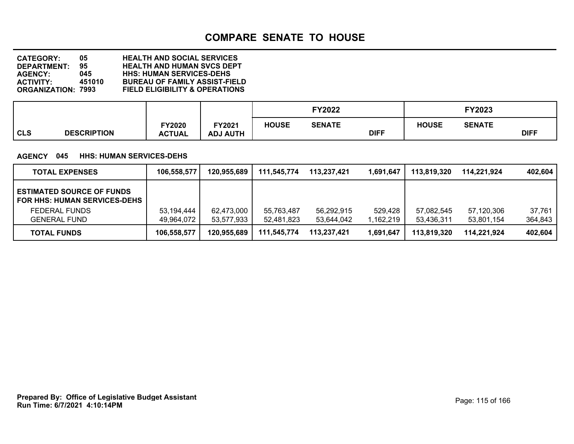**DEPARTMENT: 95 HEALTH AND HUMAN SVCS DEPT CATEGORY: 05 HEALTH AND SOCIAL SERVICES AGENCY: 045 HHS: HUMAN SERVICES-DEHS ACTIVITY: 451010 BUREAU OF FAMILY ASSIST-FIELD FIELD ELIGIBILITY & OPERATIONS** 

|            |                    |               |                 |              | FY2022        |             |              | <b>FY2023</b> |             |
|------------|--------------------|---------------|-----------------|--------------|---------------|-------------|--------------|---------------|-------------|
|            |                    | <b>FY2020</b> | FY2021          | <b>HOUSE</b> | <b>SENATE</b> |             | <b>HOUSE</b> | <b>SENATE</b> |             |
| <b>CLS</b> | <b>DESCRIPTION</b> | <b>ACTUAL</b> | <b>ADJ AUTH</b> |              |               | <b>DIFF</b> |              |               | <b>DIFF</b> |

### **AGENCY 045 HHS: HUMAN SERVICES-DEHS**

| <b>TOTAL EXPENSES</b>                                                   | 106,558,577 | 120,955,689 | 111,545,774 | 113.237.421 | 1,691,647 | 113.819.320 | 114.221.924 | 402,604 |
|-------------------------------------------------------------------------|-------------|-------------|-------------|-------------|-----------|-------------|-------------|---------|
| <b>ESTIMATED SOURCE OF FUNDS</b><br><b>FOR HHS: HUMAN SERVICES-DEHS</b> |             |             |             |             |           |             |             |         |
| FEDERAL FUNDS                                                           | 53,194,444  | 62,473,000  | 55,763,487  | 56,292,915  | 529.428   | 57,082,545  | 57,120,306  | 37.761  |
| <b>GENERAL FUND</b>                                                     | 49,964,072  | 53,577,933  | 52,481,823  | 53,644,042  | 1,162,219 | 53,436,311  | 53,801,154  | 364,843 |
| <b>TOTAL FUNDS</b>                                                      | 106,558,577 | 120,955,689 | 111.545.774 | 113.237.421 | 1,691,647 | 113.819.320 | 114.221.924 | 402,604 |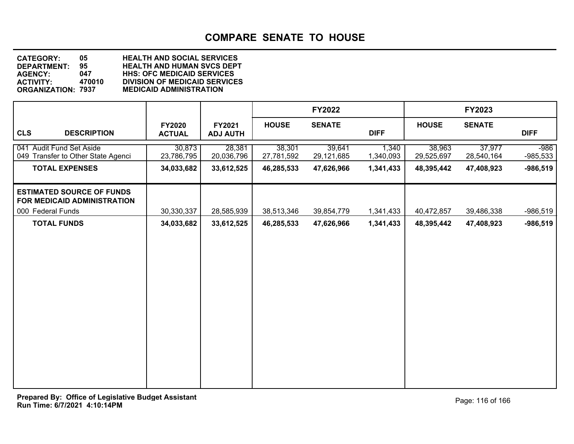**DEPARTMENT: 95 HEALTH AND HUMAN SVCS DEPT CATEGORY: 05 HEALTH AND SOCIAL SERVICES AGENCY: 047 HHS: OFC MEDICAID SERVICES ACTIVITY: 470010 DIVISION OF MEDICAID SERVICES ORGANIZATION: 7937 MEDICAID ADMINISTRATION**

|                                                                 |                                |                           |                      | <b>FY2022</b>        |                    |                      | <b>FY2023</b>        |                      |
|-----------------------------------------------------------------|--------------------------------|---------------------------|----------------------|----------------------|--------------------|----------------------|----------------------|----------------------|
| <b>CLS</b><br><b>DESCRIPTION</b>                                | <b>FY2020</b><br><b>ACTUAL</b> | FY2021<br><b>ADJ AUTH</b> | <b>HOUSE</b>         | <b>SENATE</b>        | <b>DIFF</b>        | <b>HOUSE</b>         | <b>SENATE</b>        | <b>DIFF</b>          |
| 041 Audit Fund Set Aside<br>049 Transfer to Other State Agenci  | 30,873<br>23,786,795           | 28,381<br>20,036,796      | 38,301<br>27,781,592 | 39,641<br>29,121,685 | 1,340<br>1,340,093 | 38,963<br>29,525,697 | 37,977<br>28,540,164 | $-986$<br>$-985,533$ |
| <b>TOTAL EXPENSES</b>                                           | 34,033,682                     | 33,612,525                | 46,285,533           | 47,626,966           | 1,341,433          | 48,395,442           | 47,408,923           | $-986,519$           |
| <b>ESTIMATED SOURCE OF FUNDS</b><br>FOR MEDICAID ADMINISTRATION |                                |                           |                      |                      |                    |                      |                      |                      |
| 000 Federal Funds                                               | 30,330,337                     | 28,585,939                | 38,513,346           | 39,854,779           | 1,341,433          | 40,472,857           | 39,486,338           | $-986,519$           |
| <b>TOTAL FUNDS</b>                                              | 34,033,682                     | 33,612,525                | 46,285,533           | 47,626,966           | 1,341,433          | 48,395,442           | 47,408,923           | $-986,519$           |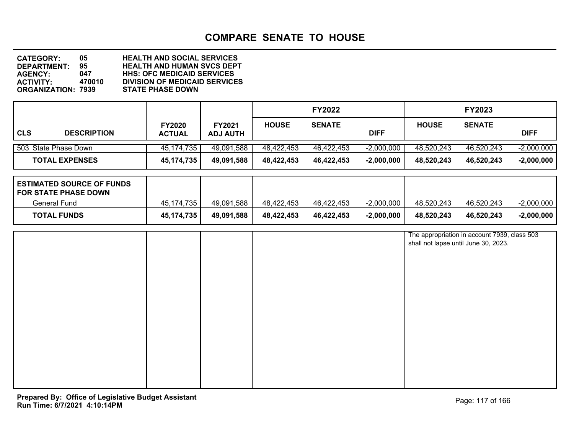**DEPARTMENT: 95 HEALTH AND HUMAN SVCS DEPT CATEGORY: 05 HEALTH AND SOCIAL SERVICES AGENCY: 047 HHS: OFC MEDICAID SERVICES DIVISION OF MEDICAID SERVICES**<br>STATE PHASE DOWN **ORGANIZATION: 7939** 

|            |                       |                                |                                  |              | <b>FY2022</b> |              |              | <b>FY2023</b> |              |
|------------|-----------------------|--------------------------------|----------------------------------|--------------|---------------|--------------|--------------|---------------|--------------|
| <b>CLS</b> | <b>DESCRIPTION</b>    | <b>FY2020</b><br><b>ACTUAL</b> | <b>FY2021</b><br><b>ADJ AUTH</b> | <b>HOUSE</b> | <b>SENATE</b> | <b>DIFF</b>  | <b>HOUSE</b> | <b>SENATE</b> | <b>DIFF</b>  |
|            | 503 State Phase Down  | 45,174,735                     | 49,091,588                       | 48,422,453   | 46,422,453    | $-2,000,000$ | 48,520,243   | 46,520,243    | $-2,000,000$ |
|            | <b>TOTAL EXPENSES</b> | 45, 174, 735                   | 49,091,588                       | 48,422,453   | 46,422,453    | $-2,000,000$ | 48,520,243   | 46,520,243    | $-2,000,000$ |

| <b>ESTIMATED SOURCE OF FUNDS</b><br><b>FOR STATE PHASE DOWN</b> |            |            |            |            |              |            |            |              |
|-----------------------------------------------------------------|------------|------------|------------|------------|--------------|------------|------------|--------------|
| General Fund                                                    | 45.174.735 | 49,091,588 | 48.422.453 | 46.422.453 | $-2,000,000$ | 48.520.243 | 46.520.243 | $-2,000,000$ |
| <b>TOTAL FUNDS</b>                                              | 45,174,735 | 49,091,588 | 48,422,453 | 46.422.453 | $-2,000,000$ | 48,520,243 | 46.520.243 | $-2,000,000$ |

|  |  | The appropriation in account 7939, class 503<br>shall not lapse until June 30, 2023. |
|--|--|--------------------------------------------------------------------------------------|
|  |  |                                                                                      |
|  |  |                                                                                      |
|  |  |                                                                                      |
|  |  |                                                                                      |
|  |  |                                                                                      |
|  |  |                                                                                      |
|  |  |                                                                                      |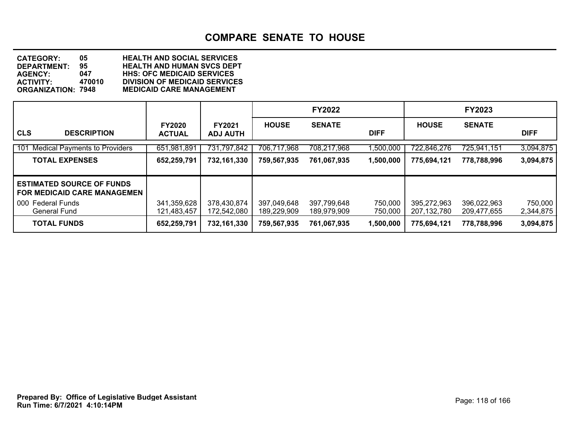**DEPARTMENT: 95 HEALTH AND HUMAN SVCS DEPT CATEGORY: 05 HEALTH AND SOCIAL SERVICES AGENCY: 047 HHS: OFC MEDICAID SERVICES ACTIVITY: 470010 DIVISION OF MEDICAID SERVICES MEDICAID CARE MANAGEMENT** 

|                                                                        |                                |                                  |                            | <b>FY2022</b>              |                    |                              | <b>FY2023</b>              |                      |
|------------------------------------------------------------------------|--------------------------------|----------------------------------|----------------------------|----------------------------|--------------------|------------------------------|----------------------------|----------------------|
| <b>CLS</b><br><b>DESCRIPTION</b>                                       | <b>FY2020</b><br><b>ACTUAL</b> | <b>FY2021</b><br><b>ADJ AUTH</b> | <b>HOUSE</b>               | <b>SENATE</b>              | <b>DIFF</b>        | <b>HOUSE</b>                 | <b>SENATE</b>              | <b>DIFF</b>          |
| 101<br><b>Medical Payments to Providers</b>                            | 651,981,891                    | 731,797,842                      | 706,717,968                | 708,217,968                | 1,500,000          | 722,846,276                  | 725,941,151                | 3,094,875            |
| <b>TOTAL EXPENSES</b>                                                  | 652,259,791                    | 732,161,330                      | 759,567,935                | 761,067,935                | 1,500,000          | 775,694,121                  | 778,788,996                | 3,094,875            |
| <b>ESTIMATED SOURCE OF FUNDS</b><br><b>FOR MEDICAID CARE MANAGEMEN</b> |                                |                                  |                            |                            |                    |                              |                            |                      |
| 000 Federal Funds<br>General Fund                                      | 341,359,628<br>121,483,457     | 378,430,874<br>172,542,080       | 397,049,648<br>189,229,909 | 397,799,648<br>189,979,909 | 750,000<br>750,000 | 395,272,963<br>207, 132, 780 | 396,022,963<br>209,477,655 | 750,000<br>2,344,875 |
| <b>TOTAL FUNDS</b>                                                     | 652,259,791                    | 732,161,330                      | 759,567,935                | 761,067,935                | 1,500,000          | 775,694,121                  | 778,788,996                | 3,094,875            |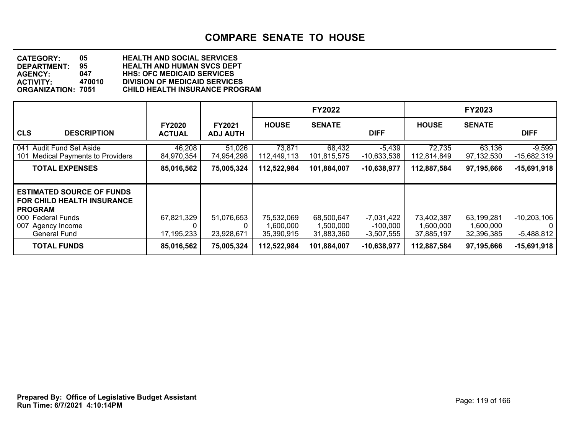| <b>CATEGORY:</b>          | 05     | <b>HEALTH AND SOCIAL SERVICES</b>     |
|---------------------------|--------|---------------------------------------|
| <b>DEPARTMENT:</b>        | 95     | <b>HEALTH AND HUMAN SVCS DEPT</b>     |
| <b>AGENCY:</b>            | 047    | <b>HHS: OFC MEDICAID SERVICES</b>     |
| <b>ACTIVITY:</b>          | 470010 | <b>DIVISION OF MEDICAID SERVICES</b>  |
| <b>ORGANIZATION: 7051</b> |        | <b>CHILD HEALTH INSURANCE PROGRAM</b> |
|                           |        |                                       |

|                                                                                                                                                          |                                |                                  |                                       | <b>FY2022</b>                         |                                        |                                       | <b>FY2023</b>                         |                                               |
|----------------------------------------------------------------------------------------------------------------------------------------------------------|--------------------------------|----------------------------------|---------------------------------------|---------------------------------------|----------------------------------------|---------------------------------------|---------------------------------------|-----------------------------------------------|
| <b>CLS</b><br><b>DESCRIPTION</b>                                                                                                                         | <b>FY2020</b><br><b>ACTUAL</b> | <b>FY2021</b><br><b>ADJ AUTH</b> | <b>HOUSE</b>                          | <b>SENATE</b>                         | <b>DIFF</b>                            | <b>HOUSE</b>                          | <b>SENATE</b>                         | <b>DIFF</b>                                   |
| 041 Audit Fund Set Aside<br>101 Medical Payments to Providers                                                                                            | 46,208<br>84,970,354           | 51,026<br>74,954,298             | 73,871<br>112,449,113                 | 68,432<br>101,815,575                 | $-5,439$<br>$-10,633,538$              | 72,735<br>112,814,849                 | 63,136<br>97,132,530                  | $-9,599$<br>$-15,682,319$                     |
| <b>TOTAL EXPENSES</b>                                                                                                                                    | 85,016,562                     | 75,005,324                       | 112,522,984                           | 101,884,007                           | $-10,638,977$                          | 112,887,584                           | 97,195,666                            | $-15,691,918$                                 |
| <b>ESTIMATED SOURCE OF FUNDS</b><br><b>FOR CHILD HEALTH INSURANCE</b><br><b>PROGRAM</b><br>000 Federal Funds<br>007 Agency Income<br><b>General Fund</b> | 67,821,329<br>17,195,233       | 51,076,653<br>23,928,671         | 75,532,069<br>1,600,000<br>35,390,915 | 68,500,647<br>1,500,000<br>31,883,360 | -7,031,422<br>-100,000<br>$-3,507,555$ | 73,402,387<br>1,600,000<br>37,885,197 | 63,199,281<br>1,600,000<br>32,396,385 | $-10,203,106$<br>$\mathbf{0}$<br>$-5,488,812$ |
| <b>TOTAL FUNDS</b>                                                                                                                                       | 85,016,562                     | 75,005,324                       | 112,522,984                           | 101,884,007                           | $-10,638,977$                          | 112,887,584                           | 97,195,666                            | $-15,691,918$                                 |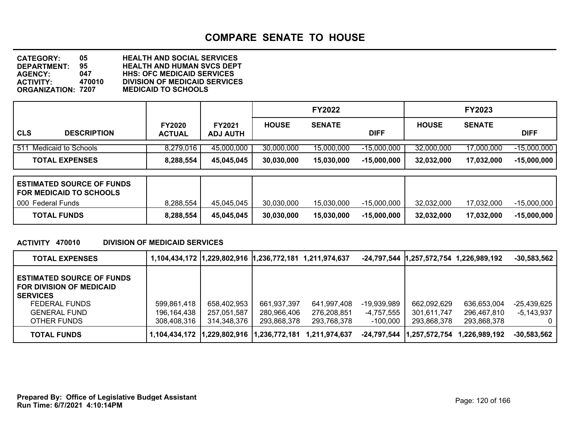**DEPARTMENT: 95 HEALTH AND HUMAN SVCS DEPT CATEGORY: 05 HEALTH AND SOCIAL SERVICES AGENCY: 047 HHS: OFC MEDICAID SERVICES ACTIVITY: 470010 DIVISION OF MEDICAID SERVICES ORGANIZATION: 7207 MEDICAID TO SCHOOLS**

|            |                         |                                |                                  |              | <b>FY2022</b> |               |              | <b>FY2023</b> |               |
|------------|-------------------------|--------------------------------|----------------------------------|--------------|---------------|---------------|--------------|---------------|---------------|
| <b>CLS</b> | <b>DESCRIPTION</b>      | <b>FY2020</b><br><b>ACTUAL</b> | <b>FY2021</b><br><b>ADJ AUTH</b> | <b>HOUSE</b> | <b>SENATE</b> | <b>DIFF</b>   | <b>HOUSE</b> | <b>SENATE</b> | <b>DIFF</b>   |
|            | 511 Medicaid to Schools | 8,279,016                      | 45,000,000                       | 30,000,000   | 15,000,000    | $-15,000,000$ | 32,000,000   | 17,000,000    | $-15,000,000$ |
|            | <b>TOTAL EXPENSES</b>   | 8,288,554                      | 45,045,045                       | 30,030,000   | 15,030,000    | $-15,000,000$ | 32,032,000   | 17,032,000    | $-15,000,000$ |

| <b>ESTIMATED SOURCE OF FUNDS</b><br><b>FOR MEDICAID TO SCHOOLS</b> |           |            |            |            |               |            |            |             |
|--------------------------------------------------------------------|-----------|------------|------------|------------|---------------|------------|------------|-------------|
| 000 Federal Funds                                                  | 8,288,554 | 45.045.045 | 30,030,000 | 15,030,000 | -15.000.000   | 32,032,000 | 17.032.000 | -15,000,000 |
| <b>TOTAL FUNDS</b>                                                 | 8,288,554 | 45.045.045 | 30,030,000 | 15,030,000 | $-15,000,000$ | 32,032,000 | 17,032,000 | -15,000,000 |

### **ACTIVITY 470010 DIVISION OF MEDICAID SERVICES**

| <b>TOTAL EXPENSES</b>                                                                                                                         |                                           | 1,104,434,172  1,229,802,916  1,236,772,181 1,211,974,637 |                                           |                                           |                                           |                                           | -24,797,544  1,257,572,754 1,226,989,192  | $-30,583,562$                 |
|-----------------------------------------------------------------------------------------------------------------------------------------------|-------------------------------------------|-----------------------------------------------------------|-------------------------------------------|-------------------------------------------|-------------------------------------------|-------------------------------------------|-------------------------------------------|-------------------------------|
| <b>ESTIMATED SOURCE OF FUNDS</b><br><b>FOR DIVISION OF MEDICAID</b><br><b>SERVICES</b><br>FEDERAL FUNDS<br><b>GENERAL FUND</b><br>OTHER FUNDS | 599,861,418<br>196,164,438<br>308.408.316 | 658,402,953<br>257,051,587<br>314.348.376                 | 661,937,397<br>280,966,406<br>293,868,378 | 641,997,408<br>276,208,851<br>293.768.378 | $-19,939,989$<br>-4.757.555<br>$-100,000$ | 662,092,629<br>301,611,747<br>293,868,378 | 636,653,004<br>296.467.810<br>293.868.378 | $-25,439,625$<br>$-5,143,937$ |
| <b>TOTAL FUNDS</b>                                                                                                                            | 1.104.434.172                             | 1,229,802,916                                             | 11.236.772.181                            | 1,211,974,637                             | -24.797.544                               | 1,257,572,754                             | 1.226.989.192                             | $-30,583,562$                 |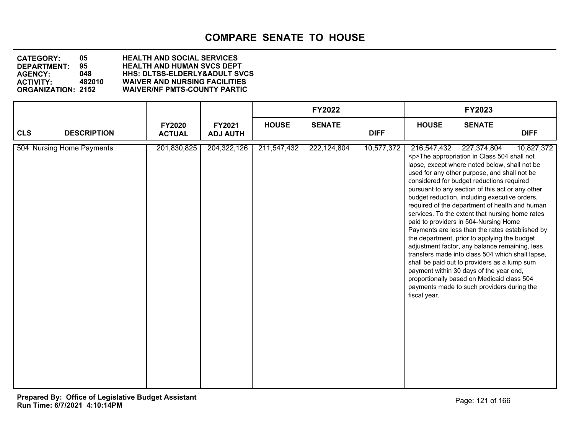**DEPARTMENT: 95 HEALTH AND HUMAN SVCS DEPT CATEGORY: 05 HEALTH AND SOCIAL SERVICES AGENCY: 048 HHS: DLTSS-ELDERLY&ADULT SVCS ACTIVITY: 482010 WAIVER AND NURSING FACILITIES WAIVER/NF PMTS-COUNTY PARTIC** 

|                                  |                                |                           |              | <b>FY2022</b> |             |                             | FY2023                                                                                                                                                                                                                                                                                                                                                                                                                                                                                                                                                                                                                                                                                                                                                                                                                                                                          |             |
|----------------------------------|--------------------------------|---------------------------|--------------|---------------|-------------|-----------------------------|---------------------------------------------------------------------------------------------------------------------------------------------------------------------------------------------------------------------------------------------------------------------------------------------------------------------------------------------------------------------------------------------------------------------------------------------------------------------------------------------------------------------------------------------------------------------------------------------------------------------------------------------------------------------------------------------------------------------------------------------------------------------------------------------------------------------------------------------------------------------------------|-------------|
| <b>CLS</b><br><b>DESCRIPTION</b> | <b>FY2020</b><br><b>ACTUAL</b> | FY2021<br><b>ADJ AUTH</b> | <b>HOUSE</b> | <b>SENATE</b> | <b>DIFF</b> | <b>HOUSE</b>                | <b>SENATE</b>                                                                                                                                                                                                                                                                                                                                                                                                                                                                                                                                                                                                                                                                                                                                                                                                                                                                   | <b>DIFF</b> |
| 504 Nursing Home Payments        | 201,830,825                    | 204, 322, 126             | 211,547,432  | 222, 124, 804 | 10,577,372  | 216,547,432<br>fiscal year. | 227,374,804<br><p>The appropriation in Class 504 shall not<br/>lapse, except where noted below, shall not be<br/>used for any other purpose, and shall not be<br/>considered for budget reductions required<br/>pursuant to any section of this act or any other<br/>budget reduction, including executive orders,<br/>required of the department of health and human<br/>services. To the extent that nursing home rates<br/>paid to providers in 504-Nursing Home<br/>Payments are less than the rates established by<br/>the department, prior to applying the budget<br/>adjustment factor, any balance remaining, less<br/>transfers made into class 504 which shall lapse,<br/>shall be paid out to providers as a lump sum<br/>payment within 30 days of the year end,<br/>proportionally based on Medicaid class 504<br/>payments made to such providers during the</p> | 10,827,372  |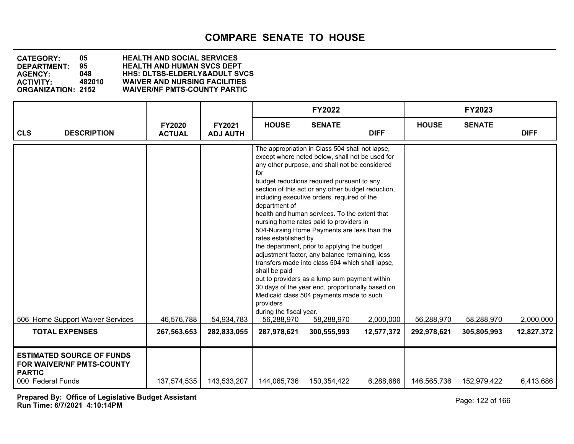### **DEPARTMENT: 95 HEALTH AND HUMAN SVCS DEPT CATEGORY: 05 HEALTH AND SOCIAL SERVICES AGENCY: 048 HHS: DLTSS-ELDERLY&ADULT SVCS ACTIVITY: 482010 WAIVER AND NURSING FACILITIES WAIVER/NF PMTS-COUNTY PARTIC**

|                                                                                                            |                                |                           |                                                                                                                                    | <b>FY2022</b>                                                                                                                                                                                                                                                                                                                                                                                                                                                                                                                                                                                                                                                                                                                                                                          |                         |                           | <b>FY2023</b>             |                         |
|------------------------------------------------------------------------------------------------------------|--------------------------------|---------------------------|------------------------------------------------------------------------------------------------------------------------------------|----------------------------------------------------------------------------------------------------------------------------------------------------------------------------------------------------------------------------------------------------------------------------------------------------------------------------------------------------------------------------------------------------------------------------------------------------------------------------------------------------------------------------------------------------------------------------------------------------------------------------------------------------------------------------------------------------------------------------------------------------------------------------------------|-------------------------|---------------------------|---------------------------|-------------------------|
| <b>CLS</b><br><b>DESCRIPTION</b>                                                                           | <b>FY2020</b><br><b>ACTUAL</b> | FY2021<br><b>ADJ AUTH</b> | <b>HOUSE</b>                                                                                                                       | <b>SENATE</b>                                                                                                                                                                                                                                                                                                                                                                                                                                                                                                                                                                                                                                                                                                                                                                          | <b>DIFF</b>             | <b>HOUSE</b>              | <b>SENATE</b>             | <b>DIFF</b>             |
| 506 Home Support Waiver Services<br><b>TOTAL EXPENSES</b>                                                  | 46,576,788<br>267,563,653      | 54,934,783<br>282,833,055 | for<br>department of<br>rates established by<br>shall be paid<br>providers<br>during the fiscal year.<br>56,288,970<br>287,978,621 | The appropriation in Class 504 shall not lapse,<br>except where noted below, shall not be used for<br>any other purpose, and shall not be considered<br>budget reductions required pursuant to any<br>section of this act or any other budget reduction,<br>including executive orders, required of the<br>health and human services. To the extent that<br>nursing home rates paid to providers in<br>504-Nursing Home Payments are less than the<br>the department, prior to applying the budget<br>adjustment factor, any balance remaining, less<br>transfers made into class 504 which shall lapse,<br>out to providers as a lump sum payment within<br>30 days of the year end, proportionally based on<br>Medicaid class 504 payments made to such<br>58,288,970<br>300,555,993 | 2,000,000<br>12,577,372 | 56,288,970<br>292,978,621 | 58,288,970<br>305,805,993 | 2,000,000<br>12,827,372 |
| <b>ESTIMATED SOURCE OF FUNDS</b><br><b>FOR WAIVER/NF PMTS-COUNTY</b><br><b>PARTIC</b><br>000 Federal Funds | 137,574,535                    | 143,533,207               | 144,065,736                                                                                                                        | 150,354,422                                                                                                                                                                                                                                                                                                                                                                                                                                                                                                                                                                                                                                                                                                                                                                            | 6,288,686               | 146,565,736               | 152,979,422               | 6,413,686               |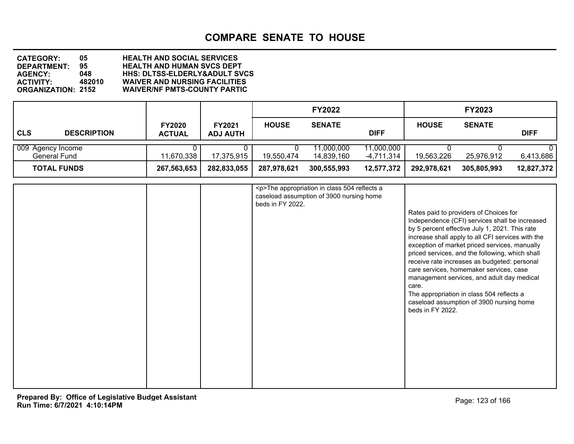**DEPARTMENT: 95 HEALTH AND HUMAN SVCS DEPT CATEGORY: 05 HEALTH AND SOCIAL SERVICES AGENCY: 048 HHS: DLTSS-ELDERLY&ADULT SVCS ACTIVITY: 482010 WAIVER AND NURSING FACILITIES WAIVER/NF PMTS-COUNTY PARTIC** 

|                                   |                                |                                  |              | <b>FY2022</b>            |                            |              | <b>FY2023</b> |             |
|-----------------------------------|--------------------------------|----------------------------------|--------------|--------------------------|----------------------------|--------------|---------------|-------------|
| CLS<br><b>DESCRIPTION</b>         | <b>FY2020</b><br><b>ACTUAL</b> | <b>FY2021</b><br><b>ADJ AUTH</b> | <b>HOUSE</b> | <b>SENATE</b>            | <b>DIFF</b>                | <b>HOUSE</b> | <b>SENATE</b> | <b>DIFF</b> |
| 009 Agency Income<br>General Fund | 11,670,338                     | 17,375,915                       | 19,550,474   | 11,000,000<br>14.839.160 | 11,000,000<br>$-4,711,314$ | 19,563,226   | 25,976,912    | 6,413,686   |
| <b>TOTAL FUNDS</b>                | 267,563,653                    | 282,833,055                      | 287,978,621  | 300,555,993              | 12,577,372                 | 292,978,621  | 305,805,993   | 12,827,372  |

|  | <p>The appropriation in class 504 reflects a<br/>caseload assumption of 3900 nursing home</p> |                                                                                                                                                                                                                                                                                                                                                                                                                                                                                                                                                                    |
|--|-----------------------------------------------------------------------------------------------|--------------------------------------------------------------------------------------------------------------------------------------------------------------------------------------------------------------------------------------------------------------------------------------------------------------------------------------------------------------------------------------------------------------------------------------------------------------------------------------------------------------------------------------------------------------------|
|  | beds in FY 2022.                                                                              |                                                                                                                                                                                                                                                                                                                                                                                                                                                                                                                                                                    |
|  |                                                                                               | Rates paid to providers of Choices for<br>Independence (CFI) services shall be increased<br>by 5 percent effective July 1, 2021. This rate<br>increase shall apply to all CFI services with the<br>exception of market priced services, manually<br>priced services, and the following, which shall<br>receive rate increases as budgeted: personal<br>care services, homemaker services, case<br>management services, and adult day medical<br>care.<br>The appropriation in class 504 reflects a<br>caseload assumption of 3900 nursing home<br>beds in FY 2022. |
|  |                                                                                               |                                                                                                                                                                                                                                                                                                                                                                                                                                                                                                                                                                    |
|  |                                                                                               |                                                                                                                                                                                                                                                                                                                                                                                                                                                                                                                                                                    |
|  |                                                                                               |                                                                                                                                                                                                                                                                                                                                                                                                                                                                                                                                                                    |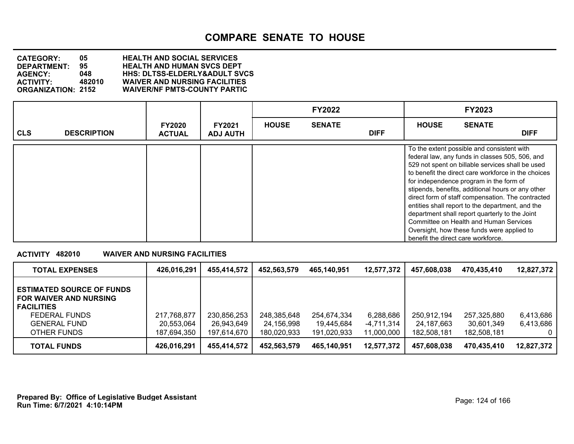**DEPARTMENT: 95 HEALTH AND HUMAN SVCS DEPT CATEGORY: 05 HEALTH AND SOCIAL SERVICES AGENCY: 048 HHS: DLTSS-ELDERLY&ADULT SVCS ACTIVITY: 482010 WAIVER AND NURSING FACILITIES WAIVER/NF PMTS-COUNTY PARTIC** 

|            |                    |                                |                                  |              | <b>FY2022</b> |             |                                                                                                                                                                                                                                                                                                                                                                                                                                                                                       | <b>FY2023</b> |                                                                                                          |
|------------|--------------------|--------------------------------|----------------------------------|--------------|---------------|-------------|---------------------------------------------------------------------------------------------------------------------------------------------------------------------------------------------------------------------------------------------------------------------------------------------------------------------------------------------------------------------------------------------------------------------------------------------------------------------------------------|---------------|----------------------------------------------------------------------------------------------------------|
| <b>CLS</b> | <b>DESCRIPTION</b> | <b>FY2020</b><br><b>ACTUAL</b> | <b>FY2021</b><br><b>ADJ AUTH</b> | <b>HOUSE</b> | <b>SENATE</b> | <b>DIFF</b> | <b>HOUSE</b>                                                                                                                                                                                                                                                                                                                                                                                                                                                                          | <b>SENATE</b> | <b>DIFF</b>                                                                                              |
|            |                    |                                |                                  |              |               |             | To the extent possible and consistent with<br>federal law, any funds in classes 505, 506, and<br>529 not spent on billable services shall be used<br>for independence program in the form of<br>stipends, benefits, additional hours or any other<br>entities shall report to the department, and the<br>department shall report quarterly to the Joint<br>Committee on Health and Human Services<br>Oversight, how these funds were applied to<br>benefit the direct care workforce. |               | to benefit the direct care workforce in the choices<br>direct form of staff compensation. The contracted |

### **ACTIVITY 482010 WAIVER AND NURSING FACILITIES**

| <b>TOTAL EXPENSES</b>                                                                                                                         | 426,016,291                              | 455,414,572                              | 452,563,579                              | 465,140,951                              | 12,577,372               | 457,608,038                | 470,435,410                              | 12,827,372                  |
|-----------------------------------------------------------------------------------------------------------------------------------------------|------------------------------------------|------------------------------------------|------------------------------------------|------------------------------------------|--------------------------|----------------------------|------------------------------------------|-----------------------------|
| <b>ESTIMATED SOURCE OF FUNDS</b><br><b>FOR WAIVER AND NURSING</b><br><b>FACILITIES</b><br>FEDERAL FUNDS<br><b>GENERAL FUND</b><br>OTHER FUNDS | 217,768,877<br>20,553,064<br>187,694,350 | 230,856,253<br>26,943,649<br>197,614,670 | 248,385,648<br>24,156,998<br>180,020,933 | 254,674,334<br>19.445.684<br>191,020,933 | 6,288,686<br>-4,711,314  | 250,912,194<br>24.187.663  | 257,325,880<br>30,601,349<br>182.508.181 | 6,413,686<br>6,413,686<br>0 |
| <b>TOTAL FUNDS</b>                                                                                                                            | 426,016,291                              | 455,414,572                              | 452,563,579                              | 465.140.951                              | 11,000,000<br>12,577,372 | 182,508,181<br>457,608,038 | 470,435,410                              | 12,827,372                  |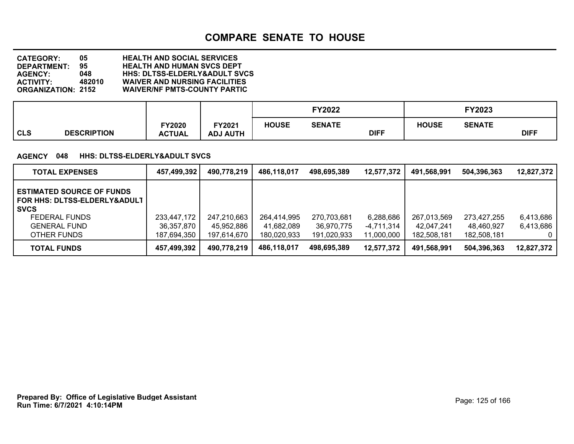**DEPARTMENT: 95 HEALTH AND HUMAN SVCS DEPT CATEGORY: 05 HEALTH AND SOCIAL SERVICES AGENCY: 048 HHS: DLTSS-ELDERLY&ADULT SVCS ACTIVITY: 482010 WAIVER AND NURSING FACILITIES WAIVER/NF PMTS-COUNTY PARTIC** 

|     |                    |                         |                           |              | FY2022        |             |              | FY2023        |             |
|-----|--------------------|-------------------------|---------------------------|--------------|---------------|-------------|--------------|---------------|-------------|
| CLS | <b>DESCRIPTION</b> | FY2020<br><b>ACTUAL</b> | FY2021<br><b>ADJ AUTH</b> | <b>HOUSE</b> | <b>SENATE</b> | <b>DIFF</b> | <b>HOUSE</b> | <b>SENATE</b> | <b>DIFF</b> |

#### **AGENCY 048 HHS: DLTSS-ELDERLY&ADULT SVCS**

| <b>TOTAL EXPENSES</b>                                                                                                                         | 457,499,392                              | 490,778,219                              | 486,118,017                              | 498,695,389                              | 12,577,372                            | 491,568,991                              | 504,396,363                              | 12,827,372             |
|-----------------------------------------------------------------------------------------------------------------------------------------------|------------------------------------------|------------------------------------------|------------------------------------------|------------------------------------------|---------------------------------------|------------------------------------------|------------------------------------------|------------------------|
| <b>ESTIMATED SOURCE OF FUNDS</b><br>FOR HHS: DLTSS-ELDERLY&ADULT<br><b>SVCS</b><br><b>FEDERAL FUNDS</b><br><b>GENERAL FUND</b><br>OTHER FUNDS | 233,447,172<br>36,357,870<br>187,694,350 | 247,210,663<br>45,952,886<br>197,614,670 | 264,414,995<br>41,682,089<br>180.020.933 | 270,703,681<br>36.970.775<br>191,020,933 | 6,288,686<br>-4,711,314<br>11,000,000 | 267,013,569<br>42,047,241<br>182,508,181 | 273,427,255<br>48.460.927<br>182.508.181 | 6,413,686<br>6,413,686 |
| <b>TOTAL FUNDS</b>                                                                                                                            | 457,499,392                              | 490,778,219                              | 486,118,017                              | 498.695.389                              | 12,577,372                            | 491,568,991                              | 504,396,363                              | 12,827,372             |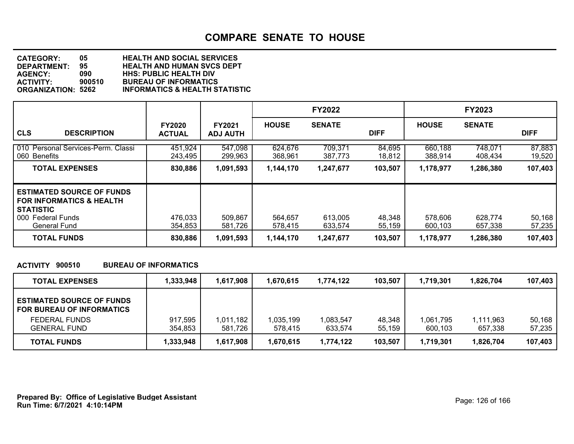| <b>CATEGORY:</b>          | 05     | <b>HEALTH AND SOCIAL SERVICES</b>         |
|---------------------------|--------|-------------------------------------------|
| <b>DEPARTMENT:</b>        | 95     | <b>HEALTH AND HUMAN SVCS DEPT</b>         |
| <b>AGENCY:</b>            | 090    | <b>HHS: PUBLIC HEALTH DIV</b>             |
| <b>ACTIVITY:</b>          | 900510 | <b>BUREAU OF INFORMATICS</b>              |
| <b>ORGANIZATION: 5262</b> |        | <b>INFORMATICS &amp; HEALTH STATISTIC</b> |

|                                                                                                                                  |                                |                                  |                    | <b>FY2022</b>      |                  |                    | <b>FY2023</b>      |                  |
|----------------------------------------------------------------------------------------------------------------------------------|--------------------------------|----------------------------------|--------------------|--------------------|------------------|--------------------|--------------------|------------------|
| <b>CLS</b><br><b>DESCRIPTION</b>                                                                                                 | <b>FY2020</b><br><b>ACTUAL</b> | <b>FY2021</b><br><b>ADJ AUTH</b> | <b>HOUSE</b>       | <b>SENATE</b>      | <b>DIFF</b>      | <b>HOUSE</b>       | <b>SENATE</b>      | <b>DIFF</b>      |
| 010 Personal Services-Perm. Classi<br>060 Benefits                                                                               | 451,924<br>243,495             | 547,098<br>299,963               | 624.676<br>368,961 | 709,371<br>387.773 | 84,695<br>18,812 | 660,188<br>388,914 | 748,071<br>408,434 | 87,883<br>19,520 |
| <b>TOTAL EXPENSES</b>                                                                                                            | 830,886                        | 1,091,593                        | 1,144,170          | 1,247,677          | 103,507          | 1,178,977          | 1,286,380          | 107,403          |
| <b>ESTIMATED SOURCE OF FUNDS</b><br><b>FOR INFORMATICS &amp; HEALTH</b><br><b>STATISTIC</b><br>000 Federal Funds<br>General Fund | 476,033<br>354,853             | 509,867<br>581,726               | 564,657<br>578,415 | 613,005<br>633.574 | 48,348<br>55,159 | 578,606<br>600,103 | 628,774<br>657,338 | 50,168<br>57,235 |
| <b>TOTAL FUNDS</b>                                                                                                               | 830,886                        | 1,091,593                        | 1,144,170          | 1,247,677          | 103,507          | 1,178,977          | 1,286,380          | 107,403          |

### **ACTIVITY 900510 BUREAU OF INFORMATICS**

| <b>TOTAL EXPENSES</b>                                                | 1,333,948 | 1,617,908 | 1.670.615 | 1,774,122 | 103,507 | 1,719,301 | 1.826.704 | 107,403 |
|----------------------------------------------------------------------|-----------|-----------|-----------|-----------|---------|-----------|-----------|---------|
| <b>ESTIMATED SOURCE OF FUNDS</b><br><b>FOR BUREAU OF INFORMATICS</b> |           |           |           |           |         |           |           |         |
| <b>FEDERAL FUNDS</b>                                                 | 917,595   | 1,011,182 | 1,035,199 | 1.083.547 | 48.348  | 1,061,795 | 1,111,963 | 50,168  |
| <b>GENERAL FUND</b>                                                  | 354,853   | 581,726   | 578.415   | 633.574   | 55,159  | 600.103   | 657,338   | 57,235  |
| <b>TOTAL FUNDS</b>                                                   | 1,333,948 | 1,617,908 | 1,670,615 | 1,774,122 | 103,507 | 1,719,301 | 1,826,704 | 107,403 |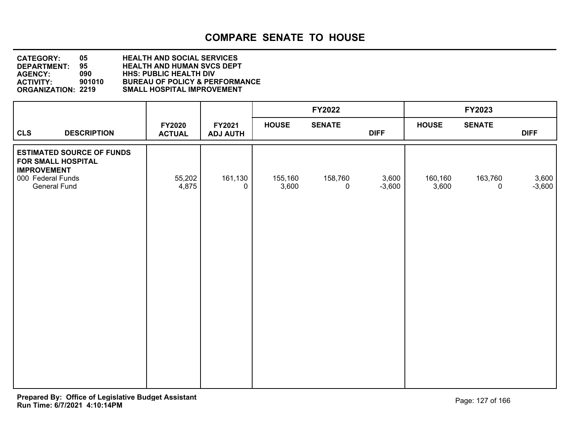| <b>CATEGORY:</b>          | 05     | <b>HEALTH AND SOCIAL SERVICES</b>         |
|---------------------------|--------|-------------------------------------------|
| DEPARTMENT:               | 95     | <b>HEALTH AND HUMAN SVCS DEPT</b>         |
| <b>AGENCY:</b>            | 090    | <b>HHS: PUBLIC HEALTH DIV</b>             |
| <b>ACTIVITY:</b>          | 901010 | <b>BUREAU OF POLICY &amp; PERFORMANCE</b> |
| <b>ORGANIZATION: 2219</b> |        | <b>SMALL HOSPITAL IMPROVEMENT</b>         |

|                                                                                                                   |                         |                           |                  | FY2022                 |                   |                  | FY2023                 |                   |
|-------------------------------------------------------------------------------------------------------------------|-------------------------|---------------------------|------------------|------------------------|-------------------|------------------|------------------------|-------------------|
| <b>CLS</b><br><b>DESCRIPTION</b>                                                                                  | FY2020<br><b>ACTUAL</b> | FY2021<br><b>ADJ AUTH</b> | <b>HOUSE</b>     | <b>SENATE</b>          | <b>DIFF</b>       | <b>HOUSE</b>     | <b>SENATE</b>          | <b>DIFF</b>       |
| <b>ESTIMATED SOURCE OF FUNDS</b><br>FOR SMALL HOSPITAL<br><b>IMPROVEMENT</b><br>000 Federal Funds<br>General Fund | 55,202<br>4,875         | 161,130<br>$\Omega$       | 155,160<br>3,600 | 158,760<br>$\mathbf 0$ | 3,600<br>$-3,600$ | 160,160<br>3,600 | 163,760<br>$\mathbf 0$ | 3,600<br>$-3,600$ |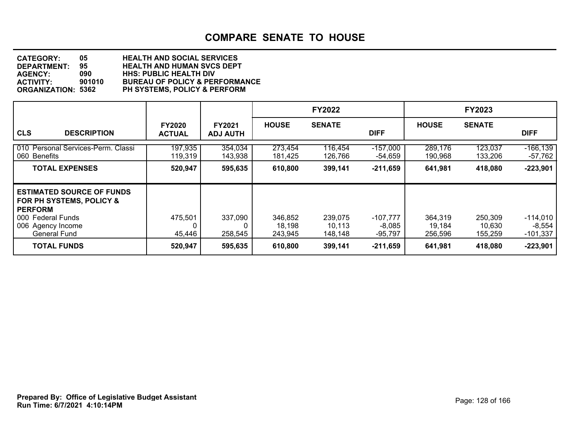| <b>CATEGORY:</b>          | 05     | <b>HEALTH AND SOCIAL SERVICES</b>         |
|---------------------------|--------|-------------------------------------------|
| <b>DEPARTMENT:</b>        | 95     | <b>HEALTH AND HUMAN SVCS DEPT</b>         |
| <b>AGENCY:</b>            | 090    | <b>HHS: PUBLIC HEALTH DIV</b>             |
| <b>ACTIVITY:</b>          | 901010 | <b>BUREAU OF POLICY &amp; PERFORMANCE</b> |
| <b>ORGANIZATION: 5362</b> |        | <b>PH SYSTEMS, POLICY &amp; PERFORM</b>   |

|                                                                                                                                          |                                |                           |                              | <b>FY2022</b>                |                                 |                              | <b>FY2023</b>                |                                      |
|------------------------------------------------------------------------------------------------------------------------------------------|--------------------------------|---------------------------|------------------------------|------------------------------|---------------------------------|------------------------------|------------------------------|--------------------------------------|
| <b>CLS</b><br><b>DESCRIPTION</b>                                                                                                         | <b>FY2020</b><br><b>ACTUAL</b> | FY2021<br><b>ADJ AUTH</b> | <b>HOUSE</b>                 | <b>SENATE</b>                | <b>DIFF</b>                     | <b>HOUSE</b>                 | <b>SENATE</b>                | <b>DIFF</b>                          |
| 010 Personal Services-Perm. Classi<br>060 Benefits                                                                                       | 197,935<br>119,319             | 354,034<br>143,938        | 273,454<br>181,425           | 116,454<br>126,766           | $-157,000$<br>-54,659           | 289,176<br>190,968           | 123,037<br>133,206           | $-166, 139$<br>$-57,762$             |
| <b>TOTAL EXPENSES</b>                                                                                                                    | 520,947                        | 595,635                   | 610,800                      | 399,141                      | $-211,659$                      | 641,981                      | 418,080                      | $-223,901$                           |
| <b>ESTIMATED SOURCE OF FUNDS</b><br>FOR PH SYSTEMS, POLICY &<br><b>PERFORM</b><br>000 Federal Funds<br>006 Agency Income<br>General Fund | 475,501<br>45,446              | 337,090<br>258,545        | 346,852<br>18,198<br>243,945 | 239,075<br>10.113<br>148.148 | -107,777<br>$-8,085$<br>-95.797 | 364,319<br>19,184<br>256,596 | 250,309<br>10,630<br>155,259 | $-114,010$<br>$-8,554$<br>$-101,337$ |
| <b>TOTAL FUNDS</b>                                                                                                                       | 520,947                        | 595,635                   | 610,800                      | 399,141                      | $-211,659$                      | 641,981                      | 418,080                      | $-223,901$                           |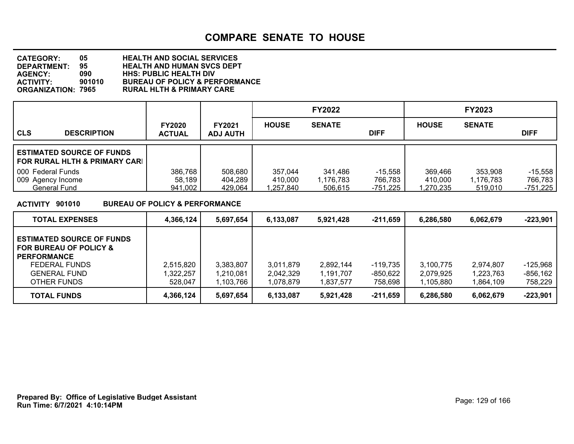| <b>CATEGORY:</b>   | 05     | <b>HEALTH AND SOCIAL SERVICES</b>         |
|--------------------|--------|-------------------------------------------|
| <b>DEPARTMENT:</b> | 95     | <b>HEALTH AND HUMAN SVCS DEPT</b>         |
| <b>AGENCY:</b>     | 090    | <b>HHS: PUBLIC HEALTH DIV</b>             |
| ACTIVITY:          | 901010 | <b>BUREAU OF POLICY &amp; PERFORMANCE</b> |
| ORGANIZATION: 7965 |        | <b>RURAL HLTH &amp; PRIMARY CARE</b>      |

|                                                                   |                                |                                  |                                 | <b>FY2022</b>                   |                                  |                                 | <b>FY2023</b>                   |                                    |
|-------------------------------------------------------------------|--------------------------------|----------------------------------|---------------------------------|---------------------------------|----------------------------------|---------------------------------|---------------------------------|------------------------------------|
| <b>CLS</b><br><b>DESCRIPTION</b>                                  | <b>FY2020</b><br><b>ACTUAL</b> | <b>FY2021</b><br><b>ADJ AUTH</b> | <b>HOUSE</b>                    | <b>SENATE</b>                   | <b>DIFF</b>                      | <b>HOUSE</b>                    | <b>SENATE</b>                   | <b>DIFF</b>                        |
| <b>ESTIMATED SOURCE OF FUNDS</b><br>FOR RURAL HLTH & PRIMARY CARL |                                |                                  |                                 |                                 |                                  |                                 |                                 |                                    |
| 000 Federal Funds<br>009 Agency Income<br>General Fund            | 386,768<br>58,189<br>941,002   | 508,680<br>404,289<br>429,064    | 357,044<br>410,000<br>1,257,840 | 341,486<br>1,176,783<br>506,615 | $-15.558$<br>766,783<br>-751,225 | 369,466<br>410.000<br>1,270,235 | 353,908<br>1,176,783<br>519,010 | $-15,558$<br>766,783<br>$-751,225$ |

**ACTIVITY 901010 BUREAU OF POLICY & PERFORMANCE**

| <b>TOTAL EXPENSES</b>                                                                                                            | 4,366,124                        | 5,697,654                           | 6,133,087                           | 5,921,428                          | $-211,659$                      | 6.286.580                           | 6.062.679                          | $-223.901$                           |
|----------------------------------------------------------------------------------------------------------------------------------|----------------------------------|-------------------------------------|-------------------------------------|------------------------------------|---------------------------------|-------------------------------------|------------------------------------|--------------------------------------|
| <b>ESTIMATED SOURCE OF FUNDS</b><br>FOR BUREAU OF POLICY &<br><b>PERFORMANCE</b><br>FEDERAL FUNDS<br>GENERAL FUND<br>OTHER FUNDS | 2,515,820<br>,322,257<br>528,047 | 3,383,807<br>1,210,081<br>1.103.766 | 3.011.879<br>2,042,329<br>1,078,879 | 2,892,144<br>l.191.707<br>.837.577 | -119.735<br>-850,622<br>758,698 | 3.100.775<br>2.079.925<br>1.105.880 | 2.974.807<br>1,223,763<br>.864.109 | $-125,968$<br>$-856, 162$<br>758,229 |
| <b>TOTAL FUNDS</b>                                                                                                               | 4,366,124                        | 5,697,654                           | 6,133,087                           | 5.921.428                          | -211,659                        | 6,286,580                           | 6,062,679                          | $-223,901$                           |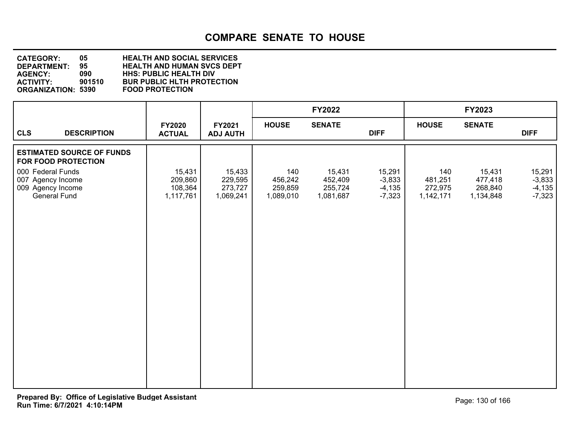| <b>CATEGORY:</b>          | 05     | <b>HEALTH AND SOCIAL SERVICES</b> |
|---------------------------|--------|-----------------------------------|
| DEPARTMENT:               | 95.    | <b>HEALTH AND HUMAN SVCS DEPT</b> |
| <b>AGENCY:</b>            | 090    | <b>HHS: PUBLIC HEALTH DIV</b>     |
| <b>ACTIVITY:</b>          | 901510 | <b>BUR PUBLIC HLTH PROTECTION</b> |
| <b>ORGANIZATION: 5390</b> |        | <b>FOOD PROTECTION</b>            |

|                                                                             |                                           |                                           |                                        | <b>FY2022</b>                             |                                            |                                        | FY2023                                    |                                            |
|-----------------------------------------------------------------------------|-------------------------------------------|-------------------------------------------|----------------------------------------|-------------------------------------------|--------------------------------------------|----------------------------------------|-------------------------------------------|--------------------------------------------|
| <b>CLS</b><br><b>DESCRIPTION</b>                                            | FY2020<br><b>ACTUAL</b>                   | FY2021<br><b>ADJ AUTH</b>                 | <b>HOUSE</b>                           | <b>SENATE</b>                             | <b>DIFF</b>                                | <b>HOUSE</b>                           | <b>SENATE</b>                             | <b>DIFF</b>                                |
| <b>ESTIMATED SOURCE OF FUNDS</b><br>FOR FOOD PROTECTION                     |                                           |                                           |                                        |                                           |                                            |                                        |                                           |                                            |
| 000 Federal Funds<br>007 Agency Income<br>009 Agency Income<br>General Fund | 15,431<br>209,860<br>108,364<br>1,117,761 | 15,433<br>229,595<br>273,727<br>1,069,241 | 140<br>456,242<br>259,859<br>1,089,010 | 15,431<br>452,409<br>255,724<br>1,081,687 | 15,291<br>$-3,833$<br>$-4,135$<br>$-7,323$ | 140<br>481,251<br>272,975<br>1,142,171 | 15,431<br>477,418<br>268,840<br>1,134,848 | 15,291<br>$-3,833$<br>$-4,135$<br>$-7,323$ |
|                                                                             |                                           |                                           |                                        |                                           |                                            |                                        |                                           |                                            |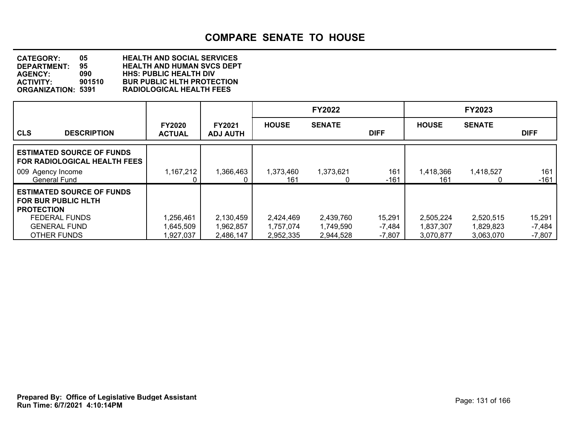**DEPARTMENT: 95 HEALTH AND HUMAN SVCS DEPT CATEGORY: 05 HEALTH AND SOCIAL SERVICES AGENCY: 090 HHS: PUBLIC HEALTH DIV ACTIVITY: 901510 BUR PUBLIC HLTH PROTECTION ORGANIZATION: 5391 RADIOLOGICAL HEALTH FEES**

|                                                                                     |                                |                                  |                        | <b>FY2022</b>          |                    |                        | <b>FY2023</b>          |                    |
|-------------------------------------------------------------------------------------|--------------------------------|----------------------------------|------------------------|------------------------|--------------------|------------------------|------------------------|--------------------|
| <b>CLS</b><br><b>DESCRIPTION</b>                                                    | <b>FY2020</b><br><b>ACTUAL</b> | <b>FY2021</b><br><b>ADJ AUTH</b> | <b>HOUSE</b>           | <b>SENATE</b>          | <b>DIFF</b>        | <b>HOUSE</b>           | <b>SENATE</b>          | <b>DIFF</b>        |
| <b>LESTIMATED SOURCE OF FUNDS</b><br>  FOR RADIOLOGICAL HEALTH FEES_                |                                |                                  |                        |                        |                    |                        |                        |                    |
| 009 Agency Income<br><b>General Fund</b>                                            | 1,167,212                      | 1,366,463                        | 1,373,460<br>161       | 1,373,621<br>0         | 161<br>$-161$      | 1,418,366<br>161       | 1,418,527              | 161<br>$-161$      |
| <b>ESTIMATED SOURCE OF FUNDS</b><br><b>FOR BUR PUBLIC HLTH</b><br><b>PROTECTION</b> |                                |                                  |                        |                        |                    |                        |                        |                    |
| <b>FEDERAL FUNDS</b><br><b>GENERAL FUND</b>                                         | 1,256,461<br>1,645,509         | 2,130,459<br>1,962,857           | 2,424,469<br>1,757,074 | 2,439,760<br>1.749.590 | 15,291<br>$-7,484$ | 2,505,224<br>1,837,307 | 2,520,515<br>1,829,823 | 15,291<br>$-7,484$ |
| OTHER FUNDS                                                                         | 1,927,037                      | 2,486,147                        | 2,952,335              | 2,944,528              | $-7,807$           | 3,070,877              | 3,063,070              | $-7,807$           |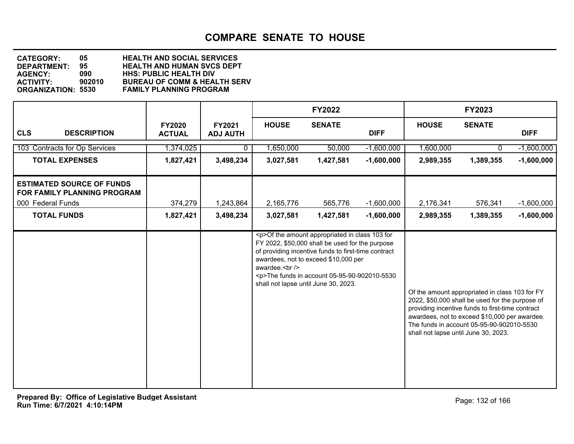| <b>CATEGORY:</b>          | 05.    | <b>HEALTH AND SOCIAL SERVICES</b>       |
|---------------------------|--------|-----------------------------------------|
| DEPARTMENT:               | 95.    | <b>HEALTH AND HUMAN SVCS DEPT</b>       |
| <b>AGENCY:</b>            | 090    | <b>HHS: PUBLIC HEALTH DIV</b>           |
| <b>ACTIVITY:</b>          | 902010 | <b>BUREAU OF COMM &amp; HEALTH SERV</b> |
| <b>ORGANIZATION: 5530</b> |        | <b>FAMILY PLANNING PROGRAM</b>          |

|                                                                                      |                                |                           |              | <b>FY2022</b>                                                                                                                                                                                                                                                                                         |              |              | <b>FY2023</b>                                                                                                                                                                                                                                                                               |              |
|--------------------------------------------------------------------------------------|--------------------------------|---------------------------|--------------|-------------------------------------------------------------------------------------------------------------------------------------------------------------------------------------------------------------------------------------------------------------------------------------------------------|--------------|--------------|---------------------------------------------------------------------------------------------------------------------------------------------------------------------------------------------------------------------------------------------------------------------------------------------|--------------|
| <b>CLS</b><br><b>DESCRIPTION</b>                                                     | <b>FY2020</b><br><b>ACTUAL</b> | FY2021<br><b>ADJ AUTH</b> | <b>HOUSE</b> | <b>SENATE</b>                                                                                                                                                                                                                                                                                         | <b>DIFF</b>  | <b>HOUSE</b> | <b>SENATE</b>                                                                                                                                                                                                                                                                               | <b>DIFF</b>  |
| 103 Contracts for Op Services                                                        | 1,374,025                      | 0                         | 1,650,000    | 50,000                                                                                                                                                                                                                                                                                                | $-1,600,000$ | 1,600,000    | 0.                                                                                                                                                                                                                                                                                          | $-1,600,000$ |
| <b>TOTAL EXPENSES</b>                                                                | 1,827,421                      | 3,498,234                 | 3,027,581    | 1,427,581                                                                                                                                                                                                                                                                                             | $-1,600,000$ | 2,989,355    | 1,389,355                                                                                                                                                                                                                                                                                   | $-1,600,000$ |
| <b>ESTIMATED SOURCE OF FUNDS</b><br>FOR FAMILY PLANNING PROGRAM<br>000 Federal Funds | 374,279                        | 1,243,864                 | 2,165,776    | 565,776                                                                                                                                                                                                                                                                                               | $-1,600,000$ | 2,176,341    | 576,341                                                                                                                                                                                                                                                                                     | $-1,600,000$ |
| <b>TOTAL FUNDS</b>                                                                   | 1,827,421                      | 3,498,234                 | 3,027,581    | 1,427,581                                                                                                                                                                                                                                                                                             | $-1,600,000$ | 2,989,355    | 1,389,355                                                                                                                                                                                                                                                                                   | $-1,600,000$ |
|                                                                                      |                                |                           | awardee.<br> | <p>Of the amount appropriated in class 103 for<br/>FY 2022, \$50,000 shall be used for the purpose<br/>of providing incentive funds to first-time contract<br/>awardees, not to exceed \$10,000 per<br/><p>The funds in account 05-95-90-902010-5530<br/>shall not lapse until June 30, 2023.</p></p> |              |              | Of the amount appropriated in class 103 for FY<br>2022, \$50,000 shall be used for the purpose of<br>providing incentive funds to first-time contract<br>awardees, not to exceed \$10,000 per awardee.<br>The funds in account 05-95-90-902010-5530<br>shall not lapse until June 30, 2023. |              |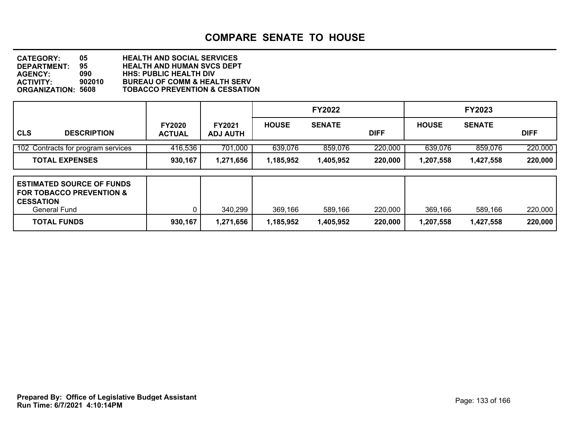| <b>CATEGORY:</b>          | 05     | <b>HEALTH AND SOCIAL SERVICES</b>         |
|---------------------------|--------|-------------------------------------------|
| <b>DEPARTMENT:</b>        | 95     | <b>HEALTH AND HUMAN SVCS DEPT</b>         |
| <b>AGENCY:</b>            | 090    | <b>HHS: PUBLIC HEALTH DIV</b>             |
| <b>ACTIVITY:</b>          | 902010 | <b>BUREAU OF COMM &amp; HEALTH SERV</b>   |
| <b>ORGANIZATION: 5608</b> |        | <b>TOBACCO PREVENTION &amp; CESSATION</b> |

|                                                                                                             |                                |                                  |              | <b>FY2022</b> |             |              | <b>FY2023</b> |             |
|-------------------------------------------------------------------------------------------------------------|--------------------------------|----------------------------------|--------------|---------------|-------------|--------------|---------------|-------------|
| <b>CLS</b><br><b>DESCRIPTION</b>                                                                            | <b>FY2020</b><br><b>ACTUAL</b> | <b>FY2021</b><br><b>ADJ AUTH</b> | <b>HOUSE</b> | <b>SENATE</b> | <b>DIFF</b> | <b>HOUSE</b> | <b>SENATE</b> | <b>DIFF</b> |
| 102 Contracts for program services                                                                          | 416,536                        | 701,000                          | 639,076      | 859,076       | 220,000     | 639,076      | 859,076       | 220,000     |
| <b>TOTAL EXPENSES</b>                                                                                       | 930,167                        | 1,271,656                        | 1,185,952    | 1,405,952     | 220,000     | 1,207,558    | 1,427,558     | 220,000     |
| <b>ESTIMATED SOURCE OF FUNDS</b><br><b>FOR TOBACCO PREVENTION &amp;</b><br><b>CESSATION</b><br>General Fund |                                | 340,299                          | 369,166      | 589,166       | 220,000     | 369,166      | 589,166       | 220,000     |
| <b>TOTAL FUNDS</b>                                                                                          | 930,167                        | 1,271,656                        | 1,185,952    | 1,405,952     | 220,000     | 1,207,558    | 1,427,558     | 220,000     |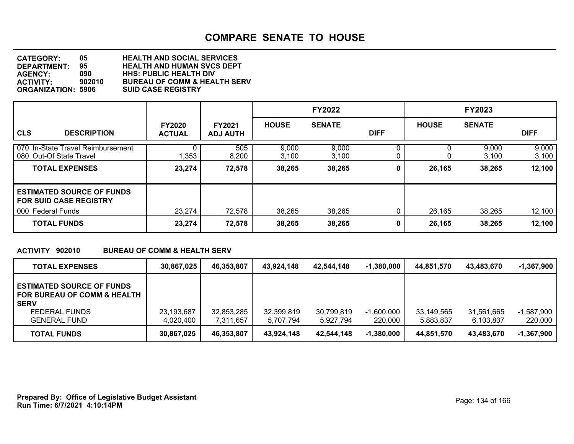| <b>CATEGORY:</b>          | 05.    | <b>HEALTH AND SOCIAL SERVICES</b>       |
|---------------------------|--------|-----------------------------------------|
| <b>DEPARTMENT:</b>        | 95     | <b>HEALTH AND HUMAN SVCS DEPT</b>       |
| <b>AGENCY:</b>            | 090    | <b>HHS: PUBLIC HEALTH DIV</b>           |
| <b>ACTIVITY:</b>          | 902010 | <b>BUREAU OF COMM &amp; HEALTH SERV</b> |
| <b>ORGANIZATION: 5906</b> |        | <b>SUID CASE REGISTRY</b>               |

|                                                                   |                                |                                  |                | <b>FY2022</b>  |             |              | <b>FY2023</b>  |                |
|-------------------------------------------------------------------|--------------------------------|----------------------------------|----------------|----------------|-------------|--------------|----------------|----------------|
| <b>CLS</b><br><b>DESCRIPTION</b>                                  | <b>FY2020</b><br><b>ACTUAL</b> | <b>FY2021</b><br><b>ADJ AUTH</b> | <b>HOUSE</b>   | <b>SENATE</b>  | <b>DIFF</b> | <b>HOUSE</b> | <b>SENATE</b>  | <b>DIFF</b>    |
| 070 In-State Travel Reimbursement<br>080 Out-Of State Travel      | 1,353                          | 505<br>8,200                     | 9,000<br>3,100 | 9,000<br>3,100 |             | 0            | 9,000<br>3,100 | 9,000<br>3,100 |
| <b>TOTAL EXPENSES</b>                                             | 23,274                         | 72,578                           | 38,265         | 38,265         | 0           | 26,165       | 38,265         | 12,100         |
| <b>ESTIMATED SOURCE OF FUNDS</b><br><b>FOR SUID CASE REGISTRY</b> |                                |                                  |                |                |             |              |                |                |
| 000 Federal Funds                                                 | 23,274                         | 72,578                           | 38,265         | 38,265         |             | 26,165       | 38,265         | 12,100         |
| <b>TOTAL FUNDS</b>                                                | 23,274                         | 72,578                           | 38,265         | 38,265         | 0           | 26,165       | 38,265         | 12,100         |

### **ACTIVITY 902010 BUREAU OF COMM & HEALTH SERV**

| <b>TOTAL EXPENSES</b>                                                                                                         | 30,867,025              | 46,353,807              | 43.924.148              | 42.544.148              | $-1,380,000$            | 44,851,570              | 43,483,670              | $-1,367,900$          |
|-------------------------------------------------------------------------------------------------------------------------------|-------------------------|-------------------------|-------------------------|-------------------------|-------------------------|-------------------------|-------------------------|-----------------------|
| <b>ESTIMATED SOURCE OF FUNDS</b><br>FOR BUREAU OF COMM & HEALTH<br><b>SERV</b><br><b>FEDERAL FUNDS</b><br><b>GENERAL FUND</b> | 23,193,687<br>4,020,400 | 32,853,285<br>7,311,657 | 32,399,819<br>5.707.794 | 30,799,819<br>5,927,794 | $-1,600,000$<br>220,000 | 33,149,565<br>5,883,837 | 31,561,665<br>6,103,837 | -1.587.900<br>220,000 |
| <b>TOTAL FUNDS</b>                                                                                                            | 30,867,025              | 46,353,807              | 43.924.148              | 42,544,148              | $-1,380,000$            | 44.851.570              | 43,483,670              | $-1,367,900$          |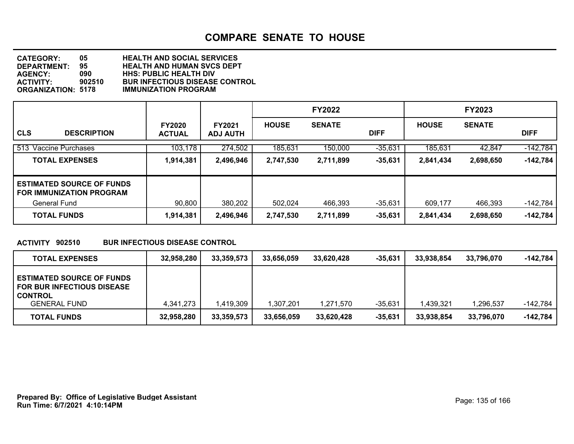| <b>CATEGORY:</b>          | 05     | <b>HEALTH AND SOCIAL SERVICES</b>     |
|---------------------------|--------|---------------------------------------|
| DEPARTMENT:               | 95     | <b>HEALTH AND HUMAN SVCS DEPT</b>     |
| <b>AGENCY:</b>            | 090    | <b>HHS: PUBLIC HEALTH DIV</b>         |
| <b>ACTIVITY:</b>          | 902510 | <b>BUR INFECTIOUS DISEASE CONTROL</b> |
| <b>ORGANIZATION: 5178</b> |        | <b>IMMUNIZATION PROGRAM</b>           |

|                                                                     |                                |                                  |              | <b>FY2022</b> |             |              | <b>FY2023</b> |             |
|---------------------------------------------------------------------|--------------------------------|----------------------------------|--------------|---------------|-------------|--------------|---------------|-------------|
| <b>CLS</b><br><b>DESCRIPTION</b>                                    | <b>FY2020</b><br><b>ACTUAL</b> | <b>FY2021</b><br><b>ADJ AUTH</b> | <b>HOUSE</b> | <b>SENATE</b> | <b>DIFF</b> | <b>HOUSE</b> | <b>SENATE</b> | <b>DIFF</b> |
| 513 Vaccine Purchases                                               | 103,178                        | 274,502                          | 185,631      | 150,000       | $-35,631$   | 185,631      | 42,847        | $-142,784$  |
| <b>TOTAL EXPENSES</b>                                               | 1,914,381                      | 2,496,946                        | 2,747,530    | 2,711,899     | $-35,631$   | 2,841,434    | 2,698,650     | $-142,784$  |
| <b>ESTIMATED SOURCE OF FUNDS</b><br><b>FOR IMMUNIZATION PROGRAM</b> |                                |                                  |              |               |             |              |               |             |
| General Fund                                                        | 90,800                         | 380,202                          | 502,024      | 466,393       | $-35,631$   | 609,177      | 466,393       | $-142,784$  |
| <b>TOTAL FUNDS</b>                                                  | 1,914,381                      | 2,496,946                        | 2,747,530    | 2,711,899     | $-35,631$   | 2,841,434    | 2,698,650     | $-142,784$  |

### **ACTIVITY 902510 BUR INFECTIOUS DISEASE CONTROL**

| <b>TOTAL EXPENSES</b>                                                                                          | 32.958.280 | 33.359.573 | 33.656.059 | 33.620.428 | $-35,631$ | 33.938.854 | 33.796.070 | -142,784   |
|----------------------------------------------------------------------------------------------------------------|------------|------------|------------|------------|-----------|------------|------------|------------|
| <b>ESTIMATED SOURCE OF FUNDS</b><br><b>FOR BUR INFECTIOUS DISEASE</b><br><b>CONTROL</b><br><b>GENERAL FUND</b> |            |            |            |            |           |            |            |            |
|                                                                                                                | 4,341,273  | 1,419,309  | 1,307,201  | 1.271.570  | $-35,631$ | 1.439.321  | 1,296,537  | -142.784   |
| <b>TOTAL FUNDS</b>                                                                                             | 32,958,280 | 33,359,573 | 33,656,059 | 33,620,428 | $-35,631$ | 33,938,854 | 33,796,070 | $-142,784$ |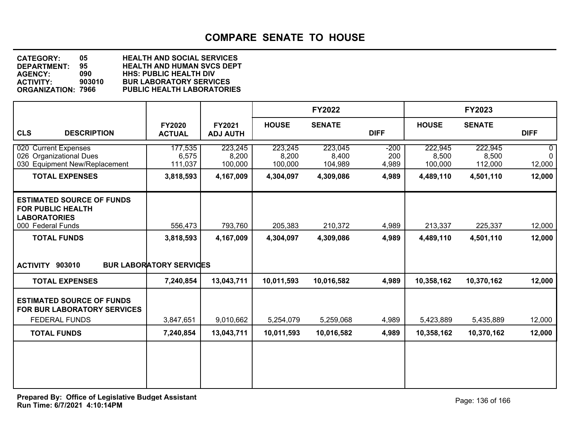| <b>CATEGORY:</b>          | 05     | <b>HEALTH AND SOCIAL SERVICES</b> |
|---------------------------|--------|-----------------------------------|
| DEPARTMENT:               | 95.    | <b>HEALTH AND HUMAN SVCS DEPT</b> |
| <b>AGENCY:</b>            | 090    | <b>HHS: PUBLIC HEALTH DIV</b>     |
| <b>ACTIVITY:</b>          | 903010 | <b>BUR LABORATORY SERVICES</b>    |
| <b>ORGANIZATION: 7966</b> |        | <b>PUBLIC HEALTH LABORATORIES</b> |

|                                                                                                          |                                |                             |                             | <b>FY2022</b>               |                        |                             | FY2023                      |                                        |
|----------------------------------------------------------------------------------------------------------|--------------------------------|-----------------------------|-----------------------------|-----------------------------|------------------------|-----------------------------|-----------------------------|----------------------------------------|
| <b>CLS</b><br><b>DESCRIPTION</b>                                                                         | <b>FY2020</b><br><b>ACTUAL</b> | FY2021<br><b>ADJ AUTH</b>   | <b>HOUSE</b>                | <b>SENATE</b>               | <b>DIFF</b>            | <b>HOUSE</b>                | <b>SENATE</b>               | <b>DIFF</b>                            |
| 020 Current Expenses<br>026<br><b>Organizational Dues</b><br>030 Equipment New/Replacement               | 177,535<br>6,575<br>111,037    | 223,245<br>8,200<br>100,000 | 223,245<br>8,200<br>100,000 | 223,045<br>8,400<br>104,989 | $-200$<br>200<br>4,989 | 222,945<br>8,500<br>100,000 | 222,945<br>8,500<br>112,000 | $\mathbf{0}$<br>$\mathbf{0}$<br>12,000 |
| <b>TOTAL EXPENSES</b>                                                                                    | 3,818,593                      | 4,167,009                   | 4,304,097                   | 4,309,086                   | 4,989                  | 4,489,110                   | 4,501,110                   | 12,000                                 |
| <b>ESTIMATED SOURCE OF FUNDS</b><br><b>FOR PUBLIC HEALTH</b><br><b>LABORATORIES</b><br>000 Federal Funds | 556,473                        | 793,760                     | 205,383                     | 210,372                     | 4,989                  | 213,337                     | 225,337                     | 12,000                                 |
| <b>TOTAL FUNDS</b>                                                                                       | 3,818,593                      | 4,167,009                   | 4,304,097                   | 4,309,086                   | 4,989                  | 4,489,110                   | 4,501,110                   | 12,000                                 |
| ACTIVITY 903010                                                                                          | <b>BUR LABORATORY SERVICES</b> |                             |                             |                             |                        |                             |                             |                                        |
| <b>TOTAL EXPENSES</b>                                                                                    | 7,240,854                      | 13,043,711                  | 10,011,593                  | 10,016,582                  | 4,989                  | 10,358,162                  | 10,370,162                  | 12,000                                 |
| <b>ESTIMATED SOURCE OF FUNDS</b><br><b>FOR BUR LABORATORY SERVICES</b>                                   |                                |                             |                             |                             |                        |                             |                             |                                        |
| <b>FEDERAL FUNDS</b>                                                                                     | 3,847,651                      | 9,010,662                   | 5,254,079                   | 5,259,068                   | 4,989                  | 5,423,889                   | 5,435,889                   | 12,000                                 |
| <b>TOTAL FUNDS</b>                                                                                       | 7,240,854                      | 13,043,711                  | 10,011,593                  | 10,016,582                  | 4,989                  | 10,358,162                  | 10,370,162                  | 12,000                                 |
|                                                                                                          |                                |                             |                             |                             |                        |                             |                             |                                        |
|                                                                                                          |                                |                             |                             |                             |                        |                             |                             |                                        |
|                                                                                                          |                                |                             |                             |                             |                        |                             |                             |                                        |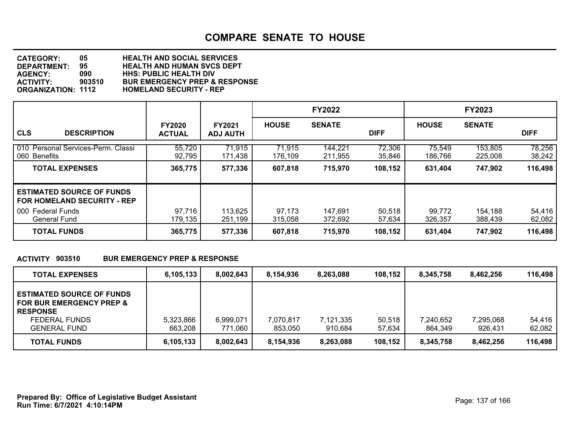| <b>CATEGORY:</b>          | 05     | <b>HEALTH AND SOCIAL SERVICES</b>        |
|---------------------------|--------|------------------------------------------|
| DEPARTMENT:               | 95     | <b>HEALTH AND HUMAN SVCS DEPT</b>        |
| <b>AGENCY:</b>            | 090    | <b>HHS: PUBLIC HEALTH DIV</b>            |
| <b>ACTIVITY:</b>          | 903510 | <b>BUR EMERGENCY PREP &amp; RESPONSE</b> |
| <b>ORGANIZATION: 1112</b> |        | <b>HOMELAND SECURITY - REP</b>           |

|                                                                                                             |                                |                                  |                   | <b>FY2022</b>      |                  |                   | <b>FY2023</b>      |                  |
|-------------------------------------------------------------------------------------------------------------|--------------------------------|----------------------------------|-------------------|--------------------|------------------|-------------------|--------------------|------------------|
| <b>CLS</b><br><b>DESCRIPTION</b>                                                                            | <b>FY2020</b><br><b>ACTUAL</b> | <b>FY2021</b><br><b>ADJ AUTH</b> | <b>HOUSE</b>      | <b>SENATE</b>      | <b>DIFF</b>      | <b>HOUSE</b>      | <b>SENATE</b>      | <b>DIFF</b>      |
| 010 Personal Services-Perm. Classi<br>060 Benefits                                                          | 55,720<br>92,795               | 71,915<br>171,438                | 71,915<br>176,109 | 144,221<br>211,955 | 72,306<br>35,846 | 75,549<br>186,766 | 153,805<br>225,008 | 78,256<br>38,242 |
| <b>TOTAL EXPENSES</b>                                                                                       | 365,775                        | 577,336                          | 607,818           | 715,970            | 108,152          | 631,404           | 747,902            | 116,498          |
| <b>ESTIMATED SOURCE OF FUNDS</b><br><b>FOR HOMELAND SECURITY - REP</b><br>000 Federal Funds<br>General Fund | 97,716<br>179,135              | 113,625<br>251,199               | 97,173<br>315,058 | 147,691<br>372,692 | 50,518<br>57,634 | 99,772<br>326,357 | 154,188<br>388,439 | 54,416<br>62,082 |
| <b>TOTAL FUNDS</b>                                                                                          | 365,775                        | 577,336                          | 607,818           | 715,970            | 108,152          | 631,404           | 747,902            | 116,498          |

### **ACTIVITY 903510 BUR EMERGENCY PREP & RESPONSE**

| <b>TOTAL EXPENSES</b>                                                                                                              | 6,105,133            | 8,002,643            | 8,154,936            | 8,263,088            | 108,152          | 8.345.758            | 8.462.256            | 116,498          |
|------------------------------------------------------------------------------------------------------------------------------------|----------------------|----------------------|----------------------|----------------------|------------------|----------------------|----------------------|------------------|
| <b>ESTIMATED SOURCE OF FUNDS</b><br><b>FOR BUR EMERGENCY PREP &amp;</b><br><b>RESPONSE</b><br>FEDERAL FUNDS<br><b>GENERAL FUND</b> | 5,323,866<br>663.208 | 6,999,071<br>771.060 | 7,070,817<br>853.050 | 7,121,335<br>910.684 | 50.518<br>57.634 | 7,240,652<br>864.349 | 7,295,068<br>926.431 | 54.416<br>62,082 |
| <b>TOTAL FUNDS</b>                                                                                                                 | 6,105,133            | 8.002.643            | 8,154,936            | 8,263,088            | 108,152          | 8.345.758            | 8,462,256            | 116,498          |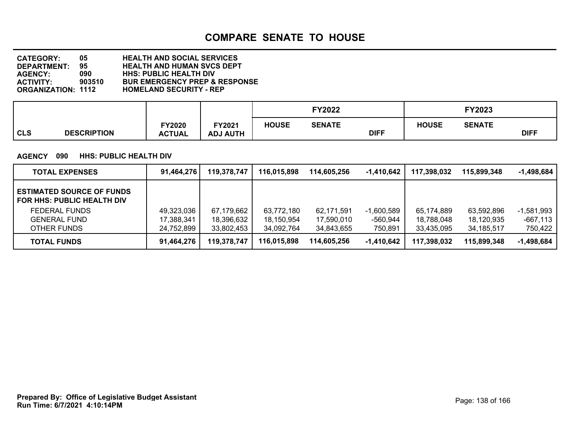**DEPARTMENT: 95 HEALTH AND HUMAN SVCS DEPT CATEGORY: 05 HEALTH AND SOCIAL SERVICES AGENCY: 090 HHS: PUBLIC HEALTH DIV ACTIVITY: 903510 BUR EMERGENCY PREP & RESPONSE HOMELAND SECURITY - REP** 

|                                  |                        |                           |              | <b>FY2022</b> |             |              | FY2023        |             |
|----------------------------------|------------------------|---------------------------|--------------|---------------|-------------|--------------|---------------|-------------|
| <b>CLS</b><br><b>DESCRIPTION</b> | Y2020<br><b>ACTUAL</b> | FY2021<br><b>ADJ AUTH</b> | <b>HOUSE</b> | <b>SENATE</b> | <b>DIFF</b> | <b>HOUSE</b> | <b>SENATE</b> | <b>DIFF</b> |

### **AGENCY 090 HHS: PUBLIC HEALTH DIV**

| <b>TOTAL EXPENSES</b>                                                 | 91,464,276 | 119,378,747 | 116,015,898 | 114.605.256 | -1,410,642   | 117,398,032 | 115,899,348  | $-1,498,684$ |
|-----------------------------------------------------------------------|------------|-------------|-------------|-------------|--------------|-------------|--------------|--------------|
| <b>ESTIMATED SOURCE OF FUNDS</b><br><b>FOR HHS: PUBLIC HEALTH DIV</b> |            |             |             |             |              |             |              |              |
| <b>FEDERAL FUNDS</b>                                                  | 49,323,036 | 67,179,662  | 63,772,180  | 62,171,591  | -1,600,589   | 65,174,889  | 63,592,896   | $-1,581,993$ |
| <b>GENERAL FUND</b>                                                   | 17,388,341 | 18,396,632  | 18,150,954  | 17,590,010  | -560,944     | 18,788,048  | 18,120,935   | $-667,113$   |
| OTHER FUNDS                                                           | 24,752,899 | 33,802,453  | 34,092,764  | 34,843,655  | 750,891      | 33,435,095  | 34, 185, 517 | 750,422      |
| <b>TOTAL FUNDS</b>                                                    | 91,464,276 | 119,378,747 | 116,015,898 | 114,605,256 | $-1,410,642$ | 117,398,032 | 115,899,348  | $-1,498,684$ |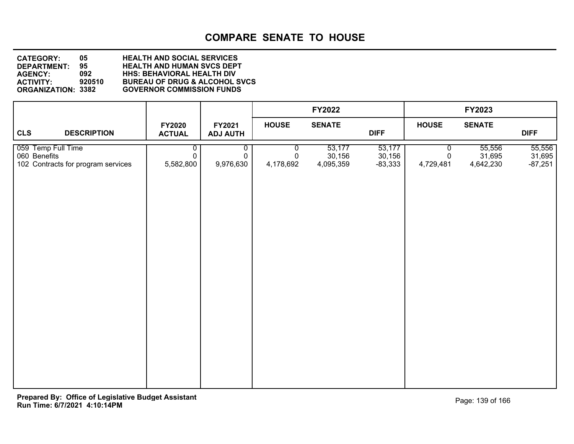| <b>CATEGORY:</b>          | 05     | <b>HEALTH AND SOCIAL SERVICES</b>        |
|---------------------------|--------|------------------------------------------|
| DEPARTMENT:               | 95.    | <b>HEALTH AND HUMAN SVCS DEPT</b>        |
| <b>AGENCY:</b>            | 092    | <b>HHS: BEHAVIORAL HEALTH DIV</b>        |
| <b>ACTIVITY:</b>          | 920510 | <b>BUREAU OF DRUG &amp; ALCOHOL SVCS</b> |
| <b>ORGANIZATION: 3382</b> |        | <b>GOVERNOR COMMISSION FUNDS</b>         |

|                                                                          |                                |                               |                     | <b>FY2022</b>                 |                               |                     | FY2023                        |                               |
|--------------------------------------------------------------------------|--------------------------------|-------------------------------|---------------------|-------------------------------|-------------------------------|---------------------|-------------------------------|-------------------------------|
| <b>CLS</b><br><b>DESCRIPTION</b>                                         | <b>FY2020</b><br><b>ACTUAL</b> | FY2021<br><b>ADJ AUTH</b>     | <b>HOUSE</b>        | <b>SENATE</b>                 | <b>DIFF</b>                   | <b>HOUSE</b>        | <b>SENATE</b>                 | <b>DIFF</b>                   |
| 059 Temp Full Time<br>060 Benefits<br>102 Contracts for program services | 0<br>$\mathbf 0$<br>5,582,800  | 0<br>$\mathbf 0$<br>9,976,630 | 0<br>0<br>4,178,692 | 53,177<br>30,156<br>4,095,359 | 53,177<br>30,156<br>$-83,333$ | 0<br>0<br>4,729,481 | 55,556<br>31,695<br>4,642,230 | 55,556<br>31,695<br>$-87,251$ |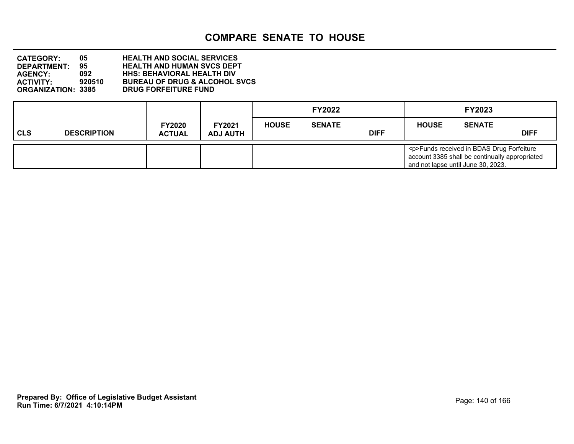**DEPARTMENT: 95 HEALTH AND HUMAN SVCS DEPT CATEGORY: 05 HEALTH AND SOCIAL SERVICES AGENCY: 092 HHS: BEHAVIORAL HEALTH DIV ACTIVITY: 920510 BUREAU OF DRUG & ALCOHOL SVCS DRUG FORFEITURE FUND** 

|            |                    |                                |                                  |              | <b>FY2022</b> |             |              | FY2023                                                                                                                                  |             |
|------------|--------------------|--------------------------------|----------------------------------|--------------|---------------|-------------|--------------|-----------------------------------------------------------------------------------------------------------------------------------------|-------------|
| <b>CLS</b> | <b>DESCRIPTION</b> | <b>FY2020</b><br><b>ACTUAL</b> | <b>FY2021</b><br><b>ADJ AUTH</b> | <b>HOUSE</b> | <b>SENATE</b> | <b>DIFF</b> | <b>HOUSE</b> | <b>SENATE</b>                                                                                                                           | <b>DIFF</b> |
|            |                    |                                |                                  |              |               |             |              | <p>Funds received in BDAS Drug Forfeiture<br/>account 3385 shall be continually appropriated<br/>and not lapse until June 30, 2023.</p> |             |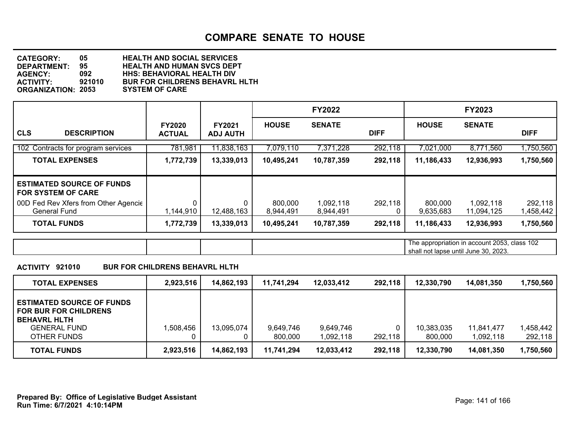**DEPARTMENT: 95 HEALTH AND HUMAN SVCS DEPT CATEGORY: 05 HEALTH AND SOCIAL SERVICES AGENCY: 092 HHS: BEHAVIORAL HEALTH DIV BUR FOR CHILDRENS BEHAVRL HLTH<br>SYSTEM OF CARE ORGANIZATION: 2053** 

|                                                               |                                |                                  |                      | <b>FY2022</b>          |             |                      | <b>FY2023</b>                                                                        |                      |
|---------------------------------------------------------------|--------------------------------|----------------------------------|----------------------|------------------------|-------------|----------------------|--------------------------------------------------------------------------------------|----------------------|
| <b>CLS</b><br><b>DESCRIPTION</b>                              | <b>FY2020</b><br><b>ACTUAL</b> | <b>FY2021</b><br><b>ADJ AUTH</b> | <b>HOUSE</b>         | <b>SENATE</b>          | <b>DIFF</b> | <b>HOUSE</b>         | <b>SENATE</b>                                                                        | <b>DIFF</b>          |
| 102 Contracts for program services                            | 781,981                        | 11,838,163                       | 7,079,110            | 7,371,228              | 292,118     | 7,021,000            | 8,771,560                                                                            | ,750,560             |
| <b>TOTAL EXPENSES</b>                                         | 1,772,739                      | 13,339,013                       | 10,495,241           | 10,787,359             | 292,118     | 11,186,433           | 12,936,993                                                                           | 1,750,560            |
| <b>ESTIMATED SOURCE OF FUNDS</b><br><b>FOR SYSTEM OF CARE</b> |                                |                                  |                      |                        |             |                      |                                                                                      |                      |
| 00D Fed Rev Xfers from Other Agencie<br><b>General Fund</b>   | 1,144,910                      | 12,488,163                       | 800,000<br>8,944,491 | 1,092,118<br>8,944,491 | 292,118     | 800,000<br>9,635,683 | 1,092,118<br>11,094,125                                                              | 292,118<br>1,458,442 |
| <b>TOTAL FUNDS</b>                                            | 1,772,739                      | 13,339,013                       | 10,495,241           | 10,787,359             | 292,118     | 11,186,433           | 12,936,993                                                                           | 1,750,560            |
|                                                               |                                |                                  |                      |                        |             |                      | The appropriation in account 2053, class 102<br>shall not lapse until June 30, 2023. |                      |

#### **ACTIVITY 921010 BUR FOR CHILDRENS BEHAVRL HLTH**

| <b>TOTAL EXPENSES</b>                                                                                                         | 2,923,516 | 14,862,193 | 11,741,294           | 12,033,412             | 292,118 | 12.330.790            | 14,081,350              | 1,750,560            |
|-------------------------------------------------------------------------------------------------------------------------------|-----------|------------|----------------------|------------------------|---------|-----------------------|-------------------------|----------------------|
| <b>ESTIMATED SOURCE OF FUNDS</b><br><b>FOR BUR FOR CHILDRENS</b><br><b>BEHAVRL HLTH</b><br><b>GENERAL FUND</b><br>OTHER FUNDS | 1,508,456 | 13,095,074 | 9,649,746<br>800.000 | 9,649,746<br>1,092,118 | 292,118 | 10,383,035<br>800,000 | 11,841,477<br>1,092,118 | 1,458,442<br>292,118 |
| <b>TOTAL FUNDS</b>                                                                                                            | 2,923,516 | 14,862,193 | 11,741,294           | 12,033,412             | 292,118 | 12,330,790            | 14,081,350              | 1,750,560            |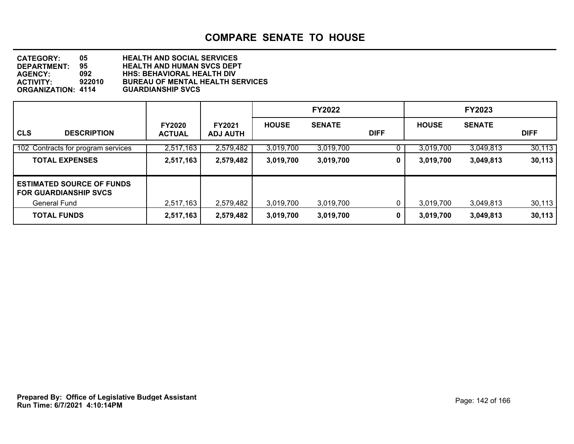| <b>CATEGORY:</b>          | 05.    | <b>HEALTH AND SOCIAL SERVICES</b>       |
|---------------------------|--------|-----------------------------------------|
| <b>DEPARTMENT:</b>        | 95     | <b>HEALTH AND HUMAN SVCS DEPT</b>       |
| <b>AGENCY:</b>            | 092    | <b>HHS: BEHAVIORAL HEALTH DIV</b>       |
| <b>ACTIVITY:</b>          | 922010 | <b>BUREAU OF MENTAL HEALTH SERVICES</b> |
| <b>ORGANIZATION: 4114</b> |        | <b>GUARDIANSHIP SVCS</b>                |

|                                                                  |                                |                                  |              | <b>FY2022</b> |             |              | <b>FY2023</b> |             |
|------------------------------------------------------------------|--------------------------------|----------------------------------|--------------|---------------|-------------|--------------|---------------|-------------|
| <b>CLS</b><br><b>DESCRIPTION</b>                                 | <b>FY2020</b><br><b>ACTUAL</b> | <b>FY2021</b><br><b>ADJ AUTH</b> | <b>HOUSE</b> | <b>SENATE</b> | <b>DIFF</b> | <b>HOUSE</b> | <b>SENATE</b> | <b>DIFF</b> |
| 102 Contracts for program services                               | 2,517,163                      | 2,579,482                        | 3,019,700    | 3,019,700     |             | 3,019,700    | 3,049,813     | 30,113      |
| <b>TOTAL EXPENSES</b>                                            | 2,517,163                      | 2,579,482                        | 3,019,700    | 3,019,700     | 0           | 3,019,700    | 3,049,813     | 30,113      |
| <b>ESTIMATED SOURCE OF FUNDS</b><br><b>FOR GUARDIANSHIP SVCS</b> |                                |                                  |              |               |             |              |               |             |
| General Fund                                                     | 2,517,163                      | 2,579,482                        | 3,019,700    | 3,019,700     |             | 3,019,700    | 3,049,813     | 30,113      |
| <b>TOTAL FUNDS</b>                                               | 2,517,163                      | 2,579,482                        | 3,019,700    | 3,019,700     | 0           | 3,019,700    | 3,049,813     | 30,113      |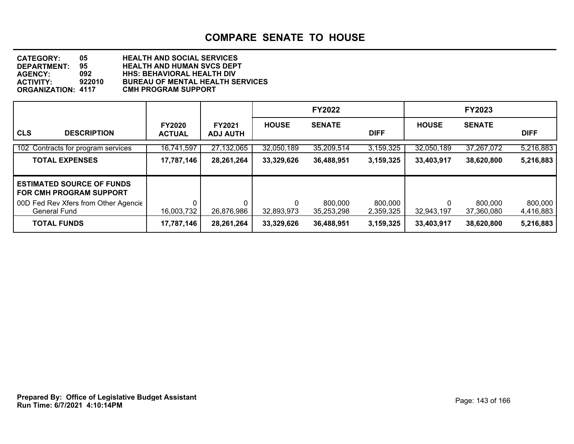| <b>CATEGORY:</b>          | 05.    | <b>HEALTH AND SOCIAL SERVICES</b>       |
|---------------------------|--------|-----------------------------------------|
| <b>DEPARTMENT:</b>        | 95     | <b>HEALTH AND HUMAN SVCS DEPT</b>       |
| <b>AGENCY:</b>            | 092    | <b>HHS: BEHAVIORAL HEALTH DIV</b>       |
| <b>ACTIVITY:</b>          | 922010 | <b>BUREAU OF MENTAL HEALTH SERVICES</b> |
| <b>ORGANIZATION: 4117</b> |        | <b>CMH PROGRAM SUPPORT</b>              |

|                                                                    |                                |                                  |                 | <b>FY2022</b>         |                      |              | <b>FY2023</b>         |                      |
|--------------------------------------------------------------------|--------------------------------|----------------------------------|-----------------|-----------------------|----------------------|--------------|-----------------------|----------------------|
| <b>CLS</b><br><b>DESCRIPTION</b>                                   | <b>FY2020</b><br><b>ACTUAL</b> | <b>FY2021</b><br><b>ADJ AUTH</b> | <b>HOUSE</b>    | <b>SENATE</b>         | <b>DIFF</b>          | <b>HOUSE</b> | <b>SENATE</b>         | <b>DIFF</b>          |
| 102 Contracts for program services                                 | 16,741,597                     | 27,132,065                       | 32,050,189      | 35,209,514            | 3,159,325            | 32,050,189   | 37,267,072            | 5,216,883            |
| <b>TOTAL EXPENSES</b>                                              | 17,787,146                     | 28,261,264                       | 33,329,626      | 36,488,951            | 3,159,325            | 33,403,917   | 38,620,800            | 5,216,883            |
| <b>ESTIMATED SOURCE OF FUNDS</b><br><b>FOR CMH PROGRAM SUPPORT</b> |                                |                                  |                 |                       |                      |              |                       |                      |
| 00D Fed Rev Xfers from Other Agencie<br><b>General Fund</b>        | 0<br>16,003,732                | 0<br>26,876,986                  | 0<br>32,893,973 | 800,000<br>35,253,298 | 800,000<br>2,359,325 | 32,943,197   | 800,000<br>37,360,080 | 800,000<br>4,416,883 |
| <b>TOTAL FUNDS</b>                                                 | 17,787,146                     | 28,261,264                       | 33,329,626      | 36,488,951            | 3,159,325            | 33,403,917   | 38,620,800            | 5,216,883            |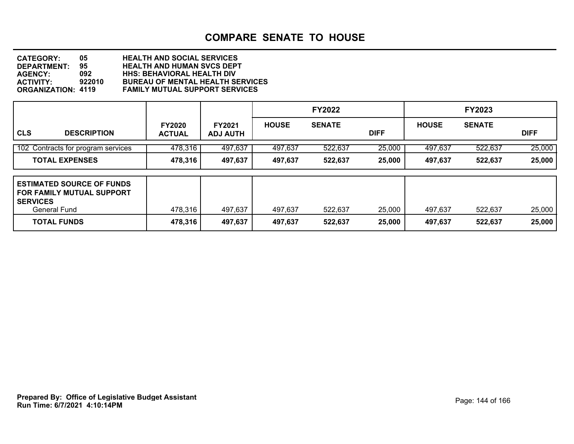| <b>CATEGORY:</b>          | 05     | <b>HEALTH AND SOCIAL SERVICES</b>       |
|---------------------------|--------|-----------------------------------------|
| <b>DEPARTMENT:</b>        | 95.    | <b>HEALTH AND HUMAN SVCS DEPT</b>       |
| <b>AGENCY:</b>            | 092    | <b>HHS: BEHAVIORAL HEALTH DIV</b>       |
| <b>ACTIVITY:</b>          | 922010 | <b>BUREAU OF MENTAL HEALTH SERVICES</b> |
| <b>ORGANIZATION: 4119</b> |        | <b>FAMILY MUTUAL SUPPORT SERVICES</b>   |

|                                                                                                     |                                |                                  |              | <b>FY2022</b> |             |              | <b>FY2023</b> |             |
|-----------------------------------------------------------------------------------------------------|--------------------------------|----------------------------------|--------------|---------------|-------------|--------------|---------------|-------------|
| <b>CLS</b><br><b>DESCRIPTION</b>                                                                    | <b>FY2020</b><br><b>ACTUAL</b> | <b>FY2021</b><br><b>ADJ AUTH</b> | <b>HOUSE</b> | <b>SENATE</b> | <b>DIFF</b> | <b>HOUSE</b> | <b>SENATE</b> | <b>DIFF</b> |
| 102 Contracts for program services                                                                  | 478,316                        | 497,637                          | 497,637      | 522,637       | 25,000      | 497,637      | 522,637       | 25,000      |
| <b>TOTAL EXPENSES</b>                                                                               | 478,316                        | 497,637                          | 497,637      | 522,637       | 25,000      | 497,637      | 522,637       | 25,000      |
| <b>LESTIMATED SOURCE OF FUNDS</b><br>I FOR FAMILY MUTUAL SUPPORT<br><b>SERVICES</b><br>General Fund | 478,316                        | 497,637                          | 497,637      | 522,637       | 25,000      | 497,637      | 522,637       | 25,000      |
| <b>TOTAL FUNDS</b>                                                                                  | 478,316                        | 497,637                          | 497,637      | 522,637       | 25,000      | 497,637      | 522,637       | 25,000      |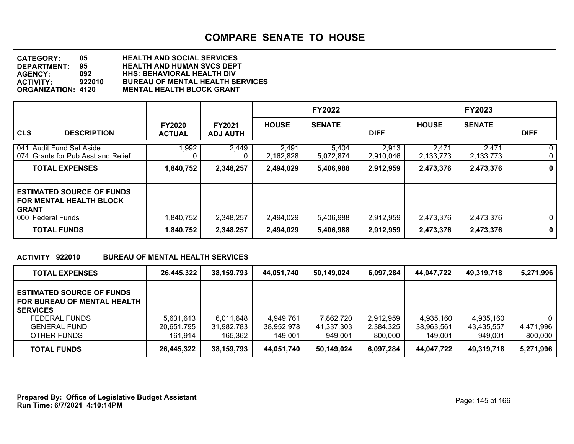**DEPARTMENT: 95 HEALTH AND HUMAN SVCS DEPT CATEGORY: 05 HEALTH AND SOCIAL SERVICES AGENCY: 092 HHS: BEHAVIORAL HEALTH DIV ACTIVITY: 922010 BUREAU OF MENTAL HEALTH SERVICES MENTAL HEALTH BLOCK GRANT** 

|                                                                                                         |                                |                                  |                    | <b>FY2022</b>      |                    |                    | <b>FY2023</b>      |                   |
|---------------------------------------------------------------------------------------------------------|--------------------------------|----------------------------------|--------------------|--------------------|--------------------|--------------------|--------------------|-------------------|
| <b>CLS</b><br><b>DESCRIPTION</b>                                                                        | <b>FY2020</b><br><b>ACTUAL</b> | <b>FY2021</b><br><b>ADJ AUTH</b> | <b>HOUSE</b>       | <b>SENATE</b>      | <b>DIFF</b>        | <b>HOUSE</b>       | <b>SENATE</b>      | <b>DIFF</b>       |
| 041 Audit Fund Set Aside<br>074 Grants for Pub Asst and Relief                                          | 1,992<br>0                     | 2,449<br>0                       | 2,491<br>2,162,828 | 5,404<br>5,072,874 | 2,913<br>2,910,046 | 2,471<br>2,133,773 | 2,471<br>2,133,773 | $\mathbf{0}$<br>0 |
| <b>TOTAL EXPENSES</b>                                                                                   | 1,840,752                      | 2,348,257                        | 2,494,029          | 5,406,988          | 2,912,959          | 2,473,376          | 2,473,376          | 0                 |
| <b>ESTIMATED SOURCE OF FUNDS</b><br><b>FOR MENTAL HEALTH BLOCK</b><br><b>GRANT</b><br>000 Federal Funds | 1,840,752                      | 2,348,257                        | 2,494,029          | 5,406,988          | 2,912,959          | 2,473,376          | 2,473,376          | $\mathbf 0$       |
| <b>TOTAL FUNDS</b>                                                                                      | 1,840,752                      | 2,348,257                        | 2,494,029          | 5,406,988          | 2,912,959          | 2,473,376          | 2,473,376          | $\mathbf 0$       |

#### **ACTIVITY 922010 BUREAU OF MENTAL HEALTH SERVICES**

| <b>TOTAL EXPENSES</b>                                                                                                                     | 26.445.322                         | 38,159,793                         | 44.051.740                         | 50.149.024                         | 6,097,284                         | 44.047.722                         | 49,319,718                         | 5,271,996                 |
|-------------------------------------------------------------------------------------------------------------------------------------------|------------------------------------|------------------------------------|------------------------------------|------------------------------------|-----------------------------------|------------------------------------|------------------------------------|---------------------------|
| <b>ESTIMATED SOURCE OF FUNDS</b><br>FOR BUREAU OF MENTAL HEALTH<br><b>SERVICES</b><br>FEDERAL FUNDS<br><b>GENERAL FUND</b><br>OTHER FUNDS | 5,631,613<br>20,651,795<br>161.914 | 6,011,648<br>31,982,783<br>165,362 | 4,949,761<br>38,952,978<br>149.001 | 7,862,720<br>41,337,303<br>949,001 | 2,912,959<br>2,384,325<br>800,000 | 4,935,160<br>38,963,561<br>149,001 | 4,935,160<br>43,435,557<br>949,001 | 0<br>4,471,996<br>800,000 |
| <b>TOTAL FUNDS</b>                                                                                                                        | 26,445,322                         | 38,159,793                         | 44,051,740                         | 50,149,024                         | 6,097,284                         | 44,047,722                         | 49,319,718                         | 5,271,996                 |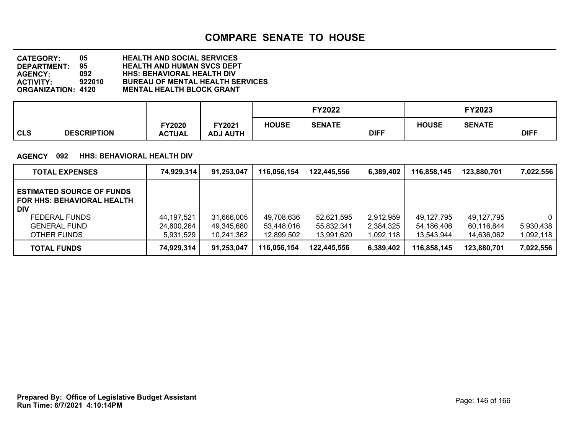| <b>CATEGORY:</b>          | 05     | <b>HEALTH AND SOCIAL SERVICES</b>       |
|---------------------------|--------|-----------------------------------------|
| <b>DEPARTMENT:</b>        | 95     | <b>HEALTH AND HUMAN SVCS DEPT</b>       |
| <b>AGENCY:</b>            | 092    | <b>HHS: BEHAVIORAL HEALTH DIV</b>       |
| <b>ACTIVITY:</b>          | 922010 | <b>BUREAU OF MENTAL HEALTH SERVICES</b> |
| <b>ORGANIZATION: 4120</b> |        | <b>MENTAL HEALTH BLOCK GRANT</b>        |

|                                  |                        |                                  |              | <b>FY2022</b> |             | FY2023       |               |             |
|----------------------------------|------------------------|----------------------------------|--------------|---------------|-------------|--------------|---------------|-------------|
| <b>CLS</b><br><b>DESCRIPTION</b> | Y2020<br><b>ACTUAL</b> | <b>FY2021</b><br><b>ADJ AUTH</b> | <b>HOUSE</b> | <b>SENATE</b> | <b>DIFF</b> | <b>HOUSE</b> | <b>SENATE</b> | <b>DIFF</b> |

#### **AGENCY 092 HHS: BEHAVIORAL HEALTH DIV**

| <b>TOTAL EXPENSES</b>                                                                                                                             | 74,929,314                              | 91,253,047                             | 116,056,154                            | 122.445.556                            | 6,389,402                           | 116,858,145                            | 123,880,701                            | 7,022,556                          |
|---------------------------------------------------------------------------------------------------------------------------------------------------|-----------------------------------------|----------------------------------------|----------------------------------------|----------------------------------------|-------------------------------------|----------------------------------------|----------------------------------------|------------------------------------|
| <b>ESTIMATED SOURCE OF FUNDS</b><br><b>FOR HHS: BEHAVIORAL HEALTH</b><br><b>DIV</b><br><b>FEDERAL FUNDS</b><br><b>GENERAL FUND</b><br>OTHER FUNDS | 44, 197, 521<br>24,800,264<br>5,931,529 | 31,666,005<br>49,345,680<br>10,241,362 | 49,708,636<br>53,448,016<br>12,899,502 | 52,621,595<br>55,832,341<br>13,991,620 | 2,912,959<br>2,384,325<br>1,092,118 | 49.127.795<br>54,186,406<br>13,543,944 | 49,127,795<br>60,116,844<br>14,636,062 | $\Omega$<br>5,930,438<br>1,092,118 |
| <b>TOTAL FUNDS</b>                                                                                                                                | 74,929,314                              | 91,253,047                             | 116,056,154                            | 122.445.556                            | 6,389,402                           | 116,858,145                            | 123,880,701                            | 7,022,556                          |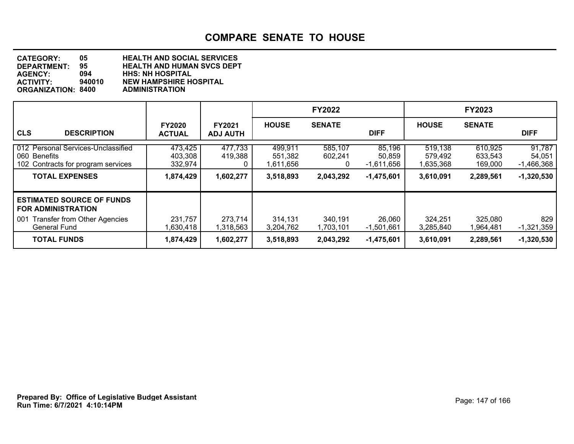| <b>CATEGORY:</b>          | 05     | <b>HEALTH AND SOCIAL SERVICES</b> |
|---------------------------|--------|-----------------------------------|
| DEPARTMENT:               | 95     | <b>HEALTH AND HUMAN SVCS DEPT</b> |
| <b>AGENCY:</b>            | 094    | <b>HHS: NH HOSPITAL</b>           |
| <b>ACTIVITY:</b>          | 940010 | <b>NEW HAMPSHIRE HOSPITAL</b>     |
| <b>ORGANIZATION: 8400</b> |        | <b>ADMINISTRATION</b>             |

|                                                                                                                                    |                                            |                                  |                                              | <b>FY2022</b>                        |                                                |                                              | <b>FY2023</b>                              |                                                  |
|------------------------------------------------------------------------------------------------------------------------------------|--------------------------------------------|----------------------------------|----------------------------------------------|--------------------------------------|------------------------------------------------|----------------------------------------------|--------------------------------------------|--------------------------------------------------|
| <b>CLS</b><br><b>DESCRIPTION</b>                                                                                                   | <b>FY2020</b><br><b>ACTUAL</b>             | <b>FY2021</b><br><b>ADJ AUTH</b> | <b>HOUSE</b>                                 | <b>SENATE</b>                        | <b>DIFF</b>                                    | <b>HOUSE</b>                                 | <b>SENATE</b>                              | <b>DIFF</b>                                      |
| 012 Personal Services-Unclassified<br>060 Benefits<br>102 Contracts for program services<br><b>TOTAL EXPENSES</b>                  | 473,425<br>403,308<br>332,974<br>1,874,429 | 477,733<br>419,388<br>1,602,277  | 499,911<br>551,382<br>1,611,656<br>3,518,893 | 585,107<br>602,241<br>0<br>2,043,292 | 85,196<br>50,859<br>-1,611,656<br>$-1,475,601$ | 519,138<br>579,492<br>1,635,368<br>3,610,091 | 610,925<br>633,543<br>169,000<br>2,289,561 | 91,787<br>54,051<br>$-1,466,368$<br>$-1,320,530$ |
| <b>ESTIMATED SOURCE OF FUNDS</b><br><b>FOR ADMINISTRATION</b><br><b>Transfer from Other Agencies</b><br>001<br><b>General Fund</b> | 231,757<br>1,630,418                       | 273,714<br>1,318,563             | 314,131<br>3,204,762                         | 340,191<br>1,703,101                 | 26,060<br>-1,501,661                           | 324,251<br>3,285,840                         | 325,080<br>1,964,481                       | 829<br>$-1,321,359$                              |
| <b>TOTAL FUNDS</b>                                                                                                                 | 1,874,429                                  | 1,602,277                        | 3,518,893                                    | 2,043,292                            | $-1,475,601$                                   | 3,610,091                                    | 2,289,561                                  | $-1,320,530$                                     |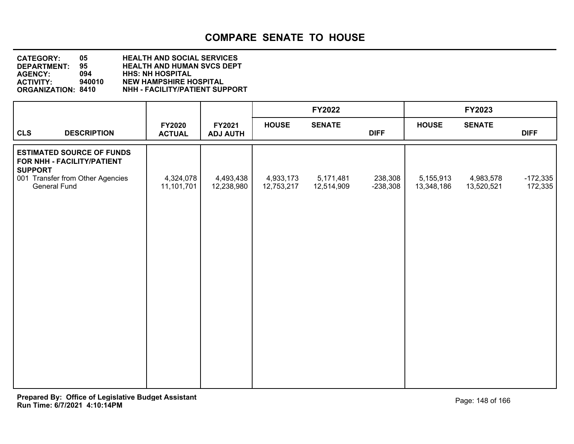| <b>CATEGORY:</b>          | 05.    | <b>HEALTH AND SOCIAL SERVICES</b>     |
|---------------------------|--------|---------------------------------------|
| <b>DEPARTMENT:</b>        | 95.    | <b>HEALTH AND HUMAN SVCS DEPT</b>     |
| <b>AGENCY:</b>            | 094    | <b>HHS: NH HOSPITAL</b>               |
| <b>ACTIVITY:</b>          | 940010 | <b>NEW HAMPSHIRE HOSPITAL</b>         |
| <b>ORGANIZATION: 8410</b> |        | <b>NHH - FACILITY/PATIENT SUPPORT</b> |

|                |                                                                |                         |                           |                         | <b>FY2022</b>           |                       |                         | <b>FY2023</b>           |                       |
|----------------|----------------------------------------------------------------|-------------------------|---------------------------|-------------------------|-------------------------|-----------------------|-------------------------|-------------------------|-----------------------|
| <b>CLS</b>     | <b>DESCRIPTION</b>                                             | FY2020<br><b>ACTUAL</b> | FY2021<br><b>ADJ AUTH</b> | <b>HOUSE</b>            | <b>SENATE</b>           | <b>DIFF</b>           | <b>HOUSE</b>            | <b>SENATE</b>           | <b>DIFF</b>           |
| <b>SUPPORT</b> | <b>ESTIMATED SOURCE OF FUNDS</b><br>FOR NHH - FACILITY/PATIENT |                         |                           |                         |                         |                       |                         |                         |                       |
|                | 001 Transfer from Other Agencies<br>General Fund               | 4,324,078<br>11,101,701 | 4,493,438<br>12,238,980   | 4,933,173<br>12,753,217 | 5,171,481<br>12,514,909 | 238,308<br>$-238,308$ | 5,155,913<br>13,348,186 | 4,983,578<br>13,520,521 | $-172,335$<br>172,335 |
|                |                                                                |                         |                           |                         |                         |                       |                         |                         |                       |
|                |                                                                |                         |                           |                         |                         |                       |                         |                         |                       |
|                |                                                                |                         |                           |                         |                         |                       |                         |                         |                       |
|                |                                                                |                         |                           |                         |                         |                       |                         |                         |                       |
|                |                                                                |                         |                           |                         |                         |                       |                         |                         |                       |
|                |                                                                |                         |                           |                         |                         |                       |                         |                         |                       |
|                |                                                                |                         |                           |                         |                         |                       |                         |                         |                       |
|                |                                                                |                         |                           |                         |                         |                       |                         |                         |                       |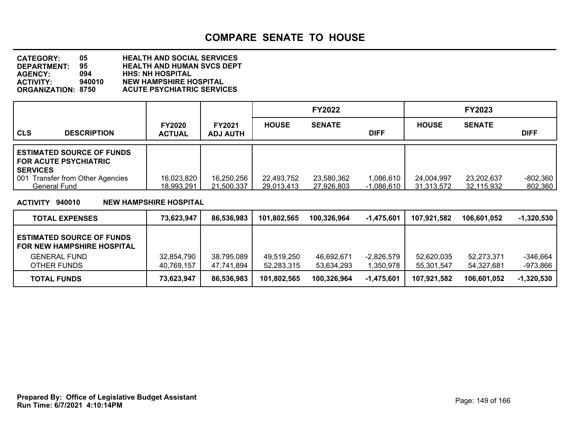| <b>CATEGORY:</b>          | 05.    | <b>HEALTH AND SOCIAL SERVICES</b> |
|---------------------------|--------|-----------------------------------|
| <b>DEPARTMENT:</b>        | 95.    | <b>HEALTH AND HUMAN SVCS DEPT</b> |
| <b>AGENCY:</b>            | 094    | <b>HHS: NH HOSPITAL</b>           |
| <b>ACTIVITY:</b>          | 940010 | <b>NEW HAMPSHIRE HOSPITAL</b>     |
| <b>ORGANIZATION: 8750</b> |        | <b>ACUTE PSYCHIATRIC SERVICES</b> |

|                                                                                     |                                |                                  |                          | <b>FY2022</b>            |                           |                          | <b>FY2023</b>            |                       |
|-------------------------------------------------------------------------------------|--------------------------------|----------------------------------|--------------------------|--------------------------|---------------------------|--------------------------|--------------------------|-----------------------|
| <b>CLS</b><br><b>DESCRIPTION</b>                                                    | <b>FY2020</b><br><b>ACTUAL</b> | <b>FY2021</b><br><b>ADJ AUTH</b> | <b>HOUSE</b>             | <b>SENATE</b>            | <b>DIFF</b>               | <b>HOUSE</b>             | <b>SENATE</b>            | <b>DIFF</b>           |
| <b>ESTIMATED SOURCE OF FUNDS</b><br><b>FOR ACUTE PSYCHIATRIC</b><br><b>SERVICES</b> |                                |                                  |                          |                          |                           |                          |                          |                       |
| <b>Transfer from Other Agencies</b><br>001<br>General Fund                          | 16,023,820<br>18,993,291       | 16,250,256<br>21,500,337         | 22,493,752<br>29,013,413 | 23,580,362<br>27,926,803 | 1,086,610<br>$-1,086,610$ | 24,004,997<br>31,313,572 | 23,202,637<br>32,115,932 | $-802,360$<br>802,360 |

### **ACTIVITY 940010 NEW HAMPSHIRE HOSPITAL**

| <b>TOTAL EXPENSES</b>                                             | 73.623.947 | 86,536,983 | 101,802,565 | 100.326.964 | $-1,475,601$ | 107.921.582 | 106.601.052 | $-1,320,530$ |
|-------------------------------------------------------------------|------------|------------|-------------|-------------|--------------|-------------|-------------|--------------|
| <b>LESTIMATED SOURCE OF FUNDS</b><br>I FOR NEW HAMPSHIRE HOSPITAL |            |            |             |             |              |             |             |              |
| <b>GENERAL FUND</b>                                               | 32,854,790 | 38,795,089 | 49,519,250  | 46,692,671  | $-2,826,579$ | 52,620,035  | 52.273.371  | -346.664     |
| OTHER FUNDS                                                       | 40,769,157 | 47,741,894 | 52,283,315  | 53,634,293  | 1,350,978    | 55.301.547  | 54.327.681  | -973,866     |
| <b>TOTAL FUNDS</b>                                                | 73,623,947 | 86,536,983 | 101,802,565 | 100,326,964 | -1,475,601   | 107.921.582 | 106.601.052 | $-1,320,530$ |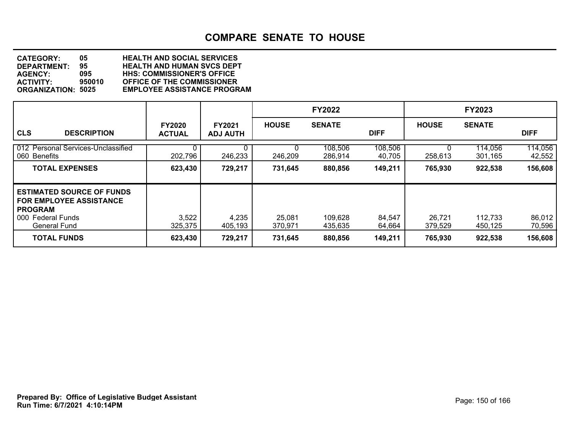**DEPARTMENT: 95 HEALTH AND HUMAN SVCS DEPT CATEGORY: 05 HEALTH AND SOCIAL SERVICES AGENCY: 095 HHS: COMMISSIONER'S OFFICE ACTIVITY: 950010 OFFICE OF THE COMMISSIONER EMPLOYEE ASSISTANCE PROGRAM** 

|                                                                                                                                  |                                |                                  |                   | <b>FY2022</b>      |                   |                   | <b>FY2023</b>      |                   |
|----------------------------------------------------------------------------------------------------------------------------------|--------------------------------|----------------------------------|-------------------|--------------------|-------------------|-------------------|--------------------|-------------------|
| <b>CLS</b><br><b>DESCRIPTION</b>                                                                                                 | <b>FY2020</b><br><b>ACTUAL</b> | <b>FY2021</b><br><b>ADJ AUTH</b> | <b>HOUSE</b>      | <b>SENATE</b>      | <b>DIFF</b>       | <b>HOUSE</b>      | <b>SENATE</b>      | <b>DIFF</b>       |
| 012 Personal Services-Unclassified<br>060 Benefits                                                                               | 202,796                        | 246,233                          | 246,209           | 108,506<br>286,914 | 108,506<br>40,705 | 258,613           | 114,056<br>301,165 | 114,056<br>42,552 |
| <b>TOTAL EXPENSES</b>                                                                                                            | 623,430                        | 729,217                          | 731,645           | 880,856            | 149,211           | 765,930           | 922,538            | 156,608           |
| <b>ESTIMATED SOURCE OF FUNDS</b><br><b>FOR EMPLOYEE ASSISTANCE</b><br><b>PROGRAM</b><br>000 Federal Funds<br><b>General Fund</b> | 3,522<br>325,375               | 4,235<br>405,193                 | 25,081<br>370,971 | 109,628<br>435.635 | 84,547<br>64,664  | 26,721<br>379,529 | 112,733<br>450,125 | 86,012<br>70,596  |
| <b>TOTAL FUNDS</b>                                                                                                               | 623,430                        | 729,217                          | 731,645           | 880,856            | 149,211           | 765,930           | 922,538            | 156,608           |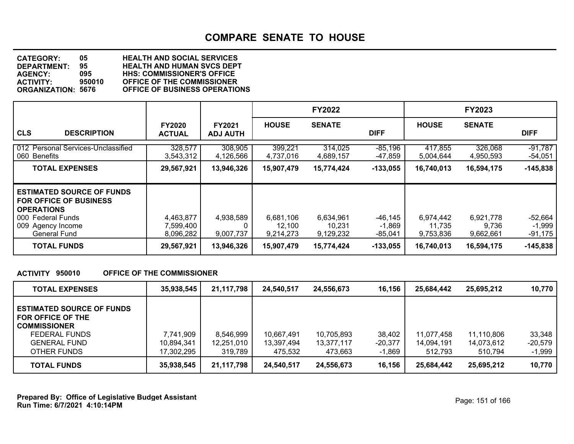**DEPARTMENT: 95 HEALTH AND HUMAN SVCS DEPT CATEGORY: 05 HEALTH AND SOCIAL SERVICES AGENCY: 095 HHS: COMMISSIONER'S OFFICE ACTIVITY: 950010 OFFICE OF THE COMMISSIONER ORGANIZATION: 5676 OFFICE OF BUSINESS OPERATIONS**

|                                                                                                                                                         |                                     |                                  |                                  | <b>FY2022</b>                    |                                |                                  | <b>FY2023</b>                   |                                |
|---------------------------------------------------------------------------------------------------------------------------------------------------------|-------------------------------------|----------------------------------|----------------------------------|----------------------------------|--------------------------------|----------------------------------|---------------------------------|--------------------------------|
| <b>CLS</b><br><b>DESCRIPTION</b>                                                                                                                        | <b>FY2020</b><br><b>ACTUAL</b>      | <b>FY2021</b><br><b>ADJ AUTH</b> | <b>HOUSE</b>                     | <b>SENATE</b>                    | <b>DIFF</b>                    | <b>HOUSE</b>                     | <b>SENATE</b>                   | <b>DIFF</b>                    |
| 012 Personal Services-Unclassified<br>060 Benefits                                                                                                      | 328,577<br>3,543,312                | 308,905<br>4,126,566             | 399,221<br>4,737,016             | 314,025<br>4,689,157             | $-85,196$<br>-47,859           | 417,855<br>5,004,644             | 326,068<br>4,950,593            | $-91,787$<br>$-54,051$         |
| <b>TOTAL EXPENSES</b>                                                                                                                                   | 29,567,921                          | 13,946,326                       | 15,907,479                       | 15,774,424                       | $-133,055$                     | 16,740,013                       | 16,594,175                      | $-145,838$                     |
| <b>ESTIMATED SOURCE OF FUNDS</b><br><b>FOR OFFICE OF BUSINESS</b><br><b>OPERATIONS</b><br>000 Federal Funds<br>009 Agency Income<br><b>General Fund</b> | 4,463,877<br>7,599,400<br>8,096,282 | 4,938,589<br>0<br>9,007,737      | 6,681,106<br>12.100<br>9,214,273 | 6,634,961<br>10,231<br>9,129,232 | -46,145<br>$-1,869$<br>-85,041 | 6,974,442<br>11.735<br>9,753,836 | 6,921,778<br>9,736<br>9,662,661 | -52,664<br>$-1,999$<br>-91,175 |
| <b>TOTAL FUNDS</b>                                                                                                                                      | 29,567,921                          | 13,946,326                       | 15,907,479                       | 15,774,424                       | $-133,055$                     | 16,740,013                       | 16,594,175                      | $-145,838$                     |

#### **ACTIVITY 950010 OFFICE OF THE COMMISSIONER**

| <b>TOTAL EXPENSES</b>                                                                                                               | 35,938,545                            | 21,117,798                         | 24,540,517                          | 24,556,673                          | 16,156                          | 25.684.442                          | 25,695,212                          | 10,770                          |
|-------------------------------------------------------------------------------------------------------------------------------------|---------------------------------------|------------------------------------|-------------------------------------|-------------------------------------|---------------------------------|-------------------------------------|-------------------------------------|---------------------------------|
| <b>ESTIMATED SOURCE OF FUNDS</b><br>FOR OFFICE OF THE<br><b>COMMISSIONER</b><br>FEDERAL FUNDS<br><b>GENERAL FUND</b><br>OTHER FUNDS | 7,741,909<br>10,894,341<br>17,302,295 | 8,546,999<br>12,251,010<br>319,789 | 10,667,491<br>13,397,494<br>475.532 | 10,705,893<br>13,377,117<br>473.663 | 38,402<br>$-20,377$<br>$-1,869$ | 11.077.458<br>14.094.191<br>512.793 | 11,110,806<br>14,073,612<br>510.794 | 33,348<br>$-20,579$<br>$-1,999$ |
| <b>TOTAL FUNDS</b>                                                                                                                  | 35,938,545                            | 21,117,798                         | 24,540,517                          | 24,556,673                          | 16,156                          | 25,684,442                          | 25,695,212                          | 10,770                          |

**Run Time: 6/7/2021 4:10:14PM Prepared By: Office of Legislative Budget Assistant** Prepared By: 0ffice of Legislative Budget Assistant Page: 151 of 166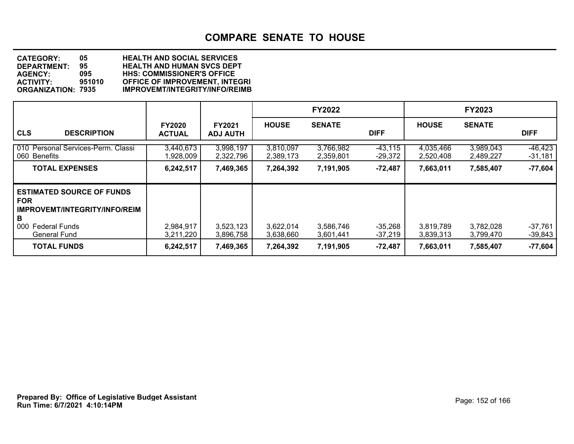| <b>CATEGORY:</b>          | 05.    | <b>HEALTH AND SOCIAL SERVICES</b>     |
|---------------------------|--------|---------------------------------------|
| <b>DEPARTMENT:</b>        | 95.    | <b>HEALTH AND HUMAN SVCS DEPT</b>     |
| <b>AGENCY:</b>            | 095    | <b>HHS: COMMISSIONER'S OFFICE</b>     |
| <b>ACTIVITY:</b>          | 951010 | <b>OFFICE OF IMPROVEMENT, INTEGRI</b> |
| <b>ORGANIZATION: 7935</b> |        | <b>IMPROVEMT/INTEGRITY/INFO/REIMB</b> |
|                           |        |                                       |

|                                                                                                                     |                                |                                  |                        | <b>FY2022</b>          |                        |                        | <b>FY2023</b>          |                        |
|---------------------------------------------------------------------------------------------------------------------|--------------------------------|----------------------------------|------------------------|------------------------|------------------------|------------------------|------------------------|------------------------|
| <b>CLS</b><br><b>DESCRIPTION</b>                                                                                    | <b>FY2020</b><br><b>ACTUAL</b> | <b>FY2021</b><br><b>ADJ AUTH</b> | <b>HOUSE</b>           | <b>SENATE</b>          | <b>DIFF</b>            | <b>HOUSE</b>           | <b>SENATE</b>          | <b>DIFF</b>            |
| 010 Personal Services-Perm. Classi<br>060 Benefits                                                                  | 3,440,673<br>,928,009          | 3,998,197<br>2,322,796           | 3,810,097<br>2,389,173 | 3,766,982<br>2,359,801 | $-43,115$<br>$-29,372$ | 4,035,466<br>2,520,408 | 3,989,043<br>2,489,227 | $-46,423$<br>$-31,181$ |
| <b>TOTAL EXPENSES</b>                                                                                               | 6,242,517                      | 7,469,365                        | 7,264,392              | 7,191,905              | $-72,487$              | 7,663,011              | 7,585,407              | $-77,604$              |
| <b>ESTIMATED SOURCE OF FUNDS</b><br><b>FOR</b><br>IMPROVEMT/INTEGRITY/INFO/REIM<br>в<br>000<br><b>Federal Funds</b> | 2,984,917                      | 3,523,123                        | 3,622,014              | 3,586,746              | $-35,268$              | 3,819,789              | 3,782,028              | $-37,761$              |
| <b>General Fund</b>                                                                                                 | 3,211,220                      | 3,896,758                        | 3,638,660              | 3,601,441              | $-37,219$              | 3,839,313              | 3,799,470              | $-39,843$              |
| <b>TOTAL FUNDS</b>                                                                                                  | 6,242,517                      | 7,469,365                        | 7,264,392              | 7,191,905              | $-72,487$              | 7,663,011              | 7,585,407              | $-77,604$              |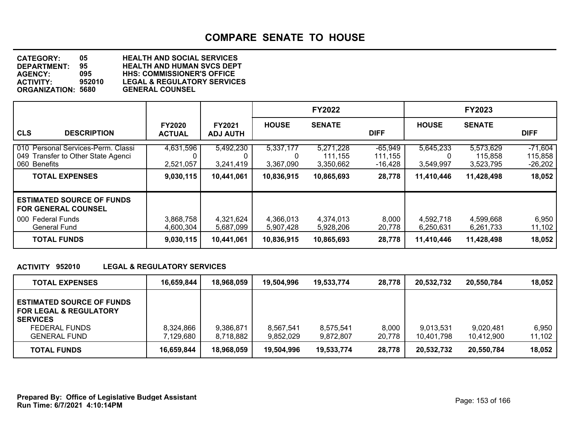**DEPARTMENT: 95 HEALTH AND HUMAN SVCS DEPT CATEGORY: 05 HEALTH AND SOCIAL SERVICES AGENCY: 095 HHS: COMMISSIONER'S OFFICE** LEGAL & REGULATORY SERVICES<br>GENERAL COUNSEL **ORGANIZATION: 5680** 

|                                                                                          |                                |                                  |                             | <b>FY2022</b>                     |                                   |                        | <b>FY2023</b>                     |                                   |
|------------------------------------------------------------------------------------------|--------------------------------|----------------------------------|-----------------------------|-----------------------------------|-----------------------------------|------------------------|-----------------------------------|-----------------------------------|
| <b>CLS</b><br><b>DESCRIPTION</b>                                                         | <b>FY2020</b><br><b>ACTUAL</b> | <b>FY2021</b><br><b>ADJ AUTH</b> | <b>HOUSE</b>                | <b>SENATE</b>                     | <b>DIFF</b>                       | <b>HOUSE</b>           | <b>SENATE</b>                     | <b>DIFF</b>                       |
| 010 Personal Services-Perm. Classi<br>049 Transfer to Other State Agenci<br>060 Benefits | 4,631,596<br>2,521,057         | 5,492,230<br>3,241,419           | 5,337,177<br>0<br>3,367,090 | 5,271,228<br>111,155<br>3,350,662 | $-65,949$<br>111,155<br>$-16,428$ | 5,645,233<br>3,549,997 | 5,573,629<br>115,858<br>3,523,795 | $-71,604$<br>115,858<br>$-26,202$ |
| <b>TOTAL EXPENSES</b>                                                                    | 9,030,115                      | 10,441,061                       | 10,836,915                  | 10,865,693                        | 28,778                            | 11,410,446             | 11,428,498                        | 18,052                            |
| <b>ESTIMATED SOURCE OF FUNDS</b><br><b>FOR GENERAL COUNSEL</b>                           |                                |                                  |                             |                                   |                                   |                        |                                   |                                   |
| 000 Federal Funds<br>General Fund                                                        | 3,868,758<br>4,600,304         | 4,321,624<br>5,687,099           | 4,366,013<br>5,907,428      | 4,374,013<br>5,928,206            | 8,000<br>20,778                   | 4,592,718<br>6,250,631 | 4,599,668<br>6,261,733            | 6,950<br>11,102                   |
| <b>TOTAL FUNDS</b>                                                                       | 9,030,115                      | 10,441,061                       | 10,836,915                  | 10,865,693                        | 28,778                            | 11,410,446             | 11,428,498                        | 18,052                            |

#### **ACTIVITY 952010 LEGAL & REGULATORY SERVICES**

| <b>TOTAL EXPENSES</b>                                                                                                            | 16,659,844             | 18,968,059             | 19,504,996             | 19,533,774             | 28,778          | 20.532.732              | 20,550,784              | 18.052          |
|----------------------------------------------------------------------------------------------------------------------------------|------------------------|------------------------|------------------------|------------------------|-----------------|-------------------------|-------------------------|-----------------|
| <b>ESTIMATED SOURCE OF FUNDS</b><br><b>FOR LEGAL &amp; REGULATORY</b><br><b>SERVICES</b><br>FEDERAL FUNDS<br><b>GENERAL FUND</b> | 8,324,866<br>7,129,680 | 9,386,871<br>8,718,882 | 8.567.541<br>9,852,029 | 8,575,541<br>9,872,807 | 8,000<br>20,778 | 9.013.531<br>10,401,798 | 9,020,481<br>10,412,900 | 6.950<br>11,102 |
| <b>TOTAL FUNDS</b>                                                                                                               | 16,659,844             | 18,968,059             | 19,504,996             | 19,533,774             | 28,778          | 20,532,732              | 20,550,784              | 18,052          |

**Run Time: 6/7/2021 4:10:14PM Prepared By: Office of Legislative Budget Assistant** Page: 153 of 166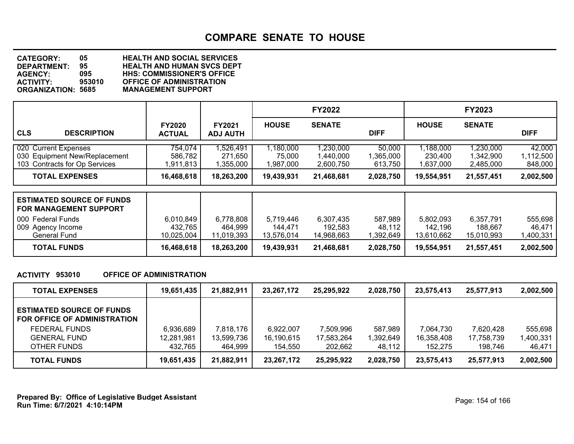**DEPARTMENT: 95 HEALTH AND HUMAN SVCS DEPT CATEGORY: 05 HEALTH AND SOCIAL SERVICES AGENCY: 095 HHS: COMMISSIONER'S OFFICE ACTIVITY: 953010 OFFICE OF ADMINISTRATION ORGANIZATION: 5685 MANAGEMENT SUPPORT**

|                                                                                        |                                    |                                    |                                    | <b>FY2022</b>                       |                                |                                    | <b>FY2023</b>                       |                                |
|----------------------------------------------------------------------------------------|------------------------------------|------------------------------------|------------------------------------|-------------------------------------|--------------------------------|------------------------------------|-------------------------------------|--------------------------------|
| <b>CLS</b><br><b>DESCRIPTION</b>                                                       | <b>FY2020</b><br><b>ACTUAL</b>     | <b>FY2021</b><br><b>ADJ AUTH</b>   | <b>HOUSE</b>                       | <b>SENATE</b>                       | <b>DIFF</b>                    | <b>HOUSE</b>                       | <b>SENATE</b>                       | <b>DIFF</b>                    |
| 020 Current Expenses<br>030 Equipment New/Replacement<br>103 Contracts for Op Services | 754,074<br>586,782<br>1,911,813    | 1,526,491<br>271,650<br>1,355,000  | 1,180,000<br>75,000<br>1,987,000   | 1,230,000<br>1,440,000<br>2.600.750 | 50,000<br>1,365,000<br>613,750 | 1,188,000<br>230,400<br>1,637,000  | 1,230,000<br>1,342,900<br>2,485,000 | 42,000<br>1,112,500<br>848,000 |
| <b>TOTAL EXPENSES</b>                                                                  | 16,468,618                         | 18,263,200                         | 19,439,931                         | 21,468,681                          | 2,028,750                      | 19,554,951                         | 21,557,451                          | 2,002,500                      |
| <b>ESTIMATED SOURCE OF FUNDS</b><br><b>FOR MANAGEMENT SUPPORT</b>                      |                                    |                                    |                                    |                                     |                                |                                    |                                     |                                |
| 000 Federal Funds<br>009 Agency Income<br><b>General Fund</b>                          | 6,010,849<br>432,765<br>10,025,004 | 6,778,808<br>464,999<br>11,019,393 | 5,719,446<br>144,471<br>13,576,014 | 6,307,435<br>192,583<br>14,968,663  | 587,989<br>48,112<br>1,392,649 | 5,802,093<br>142,196<br>13,610,662 | 6,357,791<br>188.667<br>15,010,993  | 555,698<br>46,471<br>,400,331  |
| <b>TOTAL FUNDS</b>                                                                     | 16,468,618                         | 18,263,200                         | 19,439,931                         | 21,468,681                          | 2,028,750                      | 19,554,951                         | 21,557,451                          | 2,002,500                      |

#### **ACTIVITY 953010 OFFICE OF ADMINISTRATION**

| <b>TOTAL EXPENSES</b>                                            | 19,651,435 | 21,882,911 | 23,267,172 | 25.295.922 | 2,028,750 | 23.575.413 | 25,577,913 | 2,002,500 |
|------------------------------------------------------------------|------------|------------|------------|------------|-----------|------------|------------|-----------|
| <b>ESTIMATED SOURCE OF FUNDS</b><br>FOR OFFICE OF ADMINISTRATION |            |            |            |            |           |            |            |           |
| <b>FEDERAL FUNDS</b>                                             | 6,936,689  | 7,818,176  | 6,922,007  | 7,509,996  | 587.989   | 7.064.730  | 7,620,428  | 555,698   |
| <b>GENERAL FUND</b>                                              | 12,281,981 | 13,599,736 | 16,190,615 | 17,583,264 | 1,392,649 | 16,358,408 | 17,758,739 | ,400,331  |
| OTHER FUNDS                                                      | 432.765    | 464,999    | 154.550    | 202.662    | 48,112    | 152.275    | 198.746    | 46.471    |
| <b>TOTAL FUNDS</b>                                               | 19,651,435 | 21,882,911 | 23,267,172 | 25,295,922 | 2,028,750 | 23,575,413 | 25,577,913 | 2,002,500 |

**Run Time: 6/7/2021 4:10:14PM Prepared By: Office of Legislative Budget Assistant** Prepared By: 0ffice of Legislative Budget Assistant Page: 154 of 166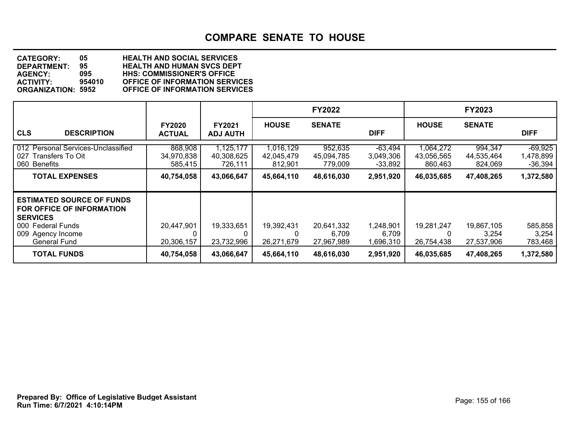**DEPARTMENT: 95 HEALTH AND HUMAN SVCS DEPT CATEGORY: 05 HEALTH AND SOCIAL SERVICES AGENCY: 095 HHS: COMMISSIONER'S OFFICE ACTIVITY: 954010 OFFICE OF INFORMATION SERVICES OFFICE OF INFORMATION SERVICES** 

|                                                                                                                                                   |                                  |                                    |                                    | <b>FY2022</b>                     |                                     |                                    | <b>FY2023</b>                     |                                     |
|---------------------------------------------------------------------------------------------------------------------------------------------------|----------------------------------|------------------------------------|------------------------------------|-----------------------------------|-------------------------------------|------------------------------------|-----------------------------------|-------------------------------------|
| <b>CLS</b><br><b>DESCRIPTION</b>                                                                                                                  | <b>FY2020</b><br><b>ACTUAL</b>   | FY2021<br><b>ADJ AUTH</b>          | <b>HOUSE</b>                       | <b>SENATE</b>                     | <b>DIFF</b>                         | <b>HOUSE</b>                       | <b>SENATE</b>                     | <b>DIFF</b>                         |
| 012 Personal Services-Unclassified<br>027<br>Transfers To Oit<br>Benefits<br>060                                                                  | 868,908<br>34,970,838<br>585,415 | 1,125,177<br>40,308,625<br>726,111 | 1,016,129<br>42,045,479<br>812,901 | 952,635<br>45,094,785<br>779,009  | $-63,494$<br>3,049,306<br>$-33,892$ | 1,064,272<br>43,056,565<br>860,463 | 994,347<br>44,535,464<br>824,069  | $-69,925$<br>1,478,899<br>$-36,394$ |
| <b>TOTAL EXPENSES</b>                                                                                                                             | 40,754,058                       | 43,066,647                         | 45,664,110                         | 48,616,030                        | 2,951,920                           | 46,035,685                         | 47,408,265                        | 1,372,580                           |
| <b>ESTIMATED SOURCE OF FUNDS</b><br>FOR OFFICE OF INFORMATION<br><b>SERVICES</b><br>000 Federal Funds<br>009 Agency Income<br><b>General Fund</b> | 20,447,901<br>20,306,157         | 19,333,651<br>23,732,996           | 19,392,431<br>0<br>26,271,679      | 20,641,332<br>6,709<br>27,967,989 | 1,248,901<br>6,709<br>1,696,310     | 19,281,247<br>0<br>26,754,438      | 19,867,105<br>3,254<br>27,537,906 | 585,858<br>3,254<br>783,468         |
| <b>TOTAL FUNDS</b>                                                                                                                                | 40,754,058                       | 43,066,647                         | 45,664,110                         | 48,616,030                        | 2,951,920                           | 46,035,685                         | 47,408,265                        | 1,372,580                           |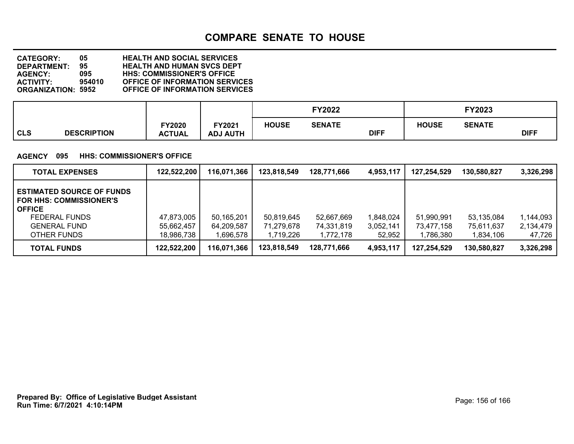**DEPARTMENT: 95 HEALTH AND HUMAN SVCS DEPT CATEGORY: 05 HEALTH AND SOCIAL SERVICES AGENCY: 095 HHS: COMMISSIONER'S OFFICE ACTIVITY: 954010 OFFICE OF INFORMATION SERVICES OFFICE OF INFORMATION SERVICES** 

|                                  |                         |                           |              | FY2022        |             |              | FY2023        |             |
|----------------------------------|-------------------------|---------------------------|--------------|---------------|-------------|--------------|---------------|-------------|
| <b>CLS</b><br><b>DESCRIPTION</b> | FY2020<br><b>ACTUAL</b> | TY2021<br><b>ADJ AUTH</b> | <b>HOUSE</b> | <b>SENATE</b> | <b>DIFF</b> | <b>HOUSE</b> | <b>SENATE</b> | <b>DIFF</b> |

#### **AGENCY 095 HHS: COMMISSIONER'S OFFICE**

| <b>TOTAL EXPENSES</b>                                                                                                                             | 122,522,200                            | 116,071,366                           | 123,818,549                           | 128,771,666                           | 4,953,117                        | 127,254,529                           | 130,580,827                           | 3,326,298                        |
|---------------------------------------------------------------------------------------------------------------------------------------------------|----------------------------------------|---------------------------------------|---------------------------------------|---------------------------------------|----------------------------------|---------------------------------------|---------------------------------------|----------------------------------|
| <b>ESTIMATED SOURCE OF FUNDS</b><br><b>FOR HHS: COMMISSIONER'S</b><br><b>OFFICE</b><br><b>FEDERAL FUNDS</b><br><b>GENERAL FUND</b><br>OTHER FUNDS | 47,873,005<br>55,662,457<br>18,986,738 | 50,165,201<br>64,209,587<br>1,696,578 | 50,819,645<br>71.279.678<br>1,719,226 | 52,667,669<br>74,331,819<br>1,772,178 | 1,848,024<br>3,052,141<br>52,952 | 51.990.991<br>73,477,158<br>1,786,380 | 53,135,084<br>75,611,637<br>1,834,106 | 1,144,093<br>2,134,479<br>47,726 |
| <b>TOTAL FUNDS</b>                                                                                                                                | 122,522,200                            | 116,071,366                           | 123,818,549                           | 128,771,666                           | 4,953,117                        | 127.254.529                           | 130,580,827                           | 3,326,298                        |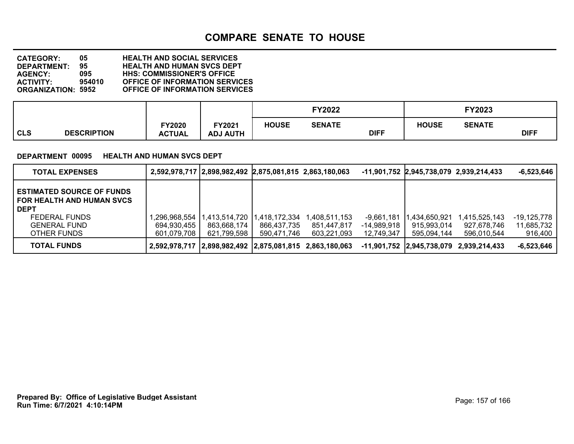**DEPARTMENT: 95 HEALTH AND HUMAN SVCS DEPT CATEGORY: 05 HEALTH AND SOCIAL SERVICES AGENCY: 095 HHS: COMMISSIONER'S OFFICE ACTIVITY: 954010 OFFICE OF INFORMATION SERVICES OFFICE OF INFORMATION SERVICES** 

|                           |                         |                           |              | FY2022        |             |              | FY2023        |             |
|---------------------------|-------------------------|---------------------------|--------------|---------------|-------------|--------------|---------------|-------------|
| CLS<br><b>DESCRIPTION</b> | FY2020<br><b>ACTUAL</b> | FY2021<br><b>ADJ AUTH</b> | <b>HOUSE</b> | <b>SENATE</b> | <b>DIFF</b> | <b>HOUSE</b> | <b>SENATE</b> | <b>DIFF</b> |

#### **DEPARTMENT 00095 HEALTH AND HUMAN SVCS DEPT**

| <b>TOTAL EXPENSES</b>                                                               |                                                         | 2,592,978,717   2,898,982,492   2,875,081,815 2,863,180,063 |               |               |              | -11,901,752 2,945,738,079 2,939,214,433 |                                         | $-6,523,646$  |
|-------------------------------------------------------------------------------------|---------------------------------------------------------|-------------------------------------------------------------|---------------|---------------|--------------|-----------------------------------------|-----------------------------------------|---------------|
| <b>ESTIMATED SOURCE OF FUNDS</b><br><b>FOR HEALTH AND HUMAN SVCS</b><br><b>DEPT</b> |                                                         |                                                             |               |               |              |                                         |                                         |               |
| FEDERAL FUNDS                                                                       | .296,968,554                                            | ,413,514,720                                                | 1,418,172,334 | 1.408.511.153 | $-9,661,181$ | .434.650.921                            | 1,415,525,143                           | $-19,125,778$ |
| <b>GENERAL FUND</b>                                                                 | 694,930,455                                             | 863.668.174                                                 | 866.437.735   | 851.447.817   | -14,989,918  | 915,993,014                             | 927,678,746                             | 11,685,732    |
| OTHER FUNDS                                                                         | 601.079.708                                             | 621,799,598                                                 | 590.471.746   | 603.221.093   | 12,749,347   | 595.094.144                             | 596.010.544                             | 916,400       |
| <b>TOTAL FUNDS</b>                                                                  | 2,592,978,717 2,898,982,492 2,875,081,815 2,863,180,063 |                                                             |               |               |              |                                         | -11,901,752 2,945,738,079 2,939,214,433 | $-6,523,646$  |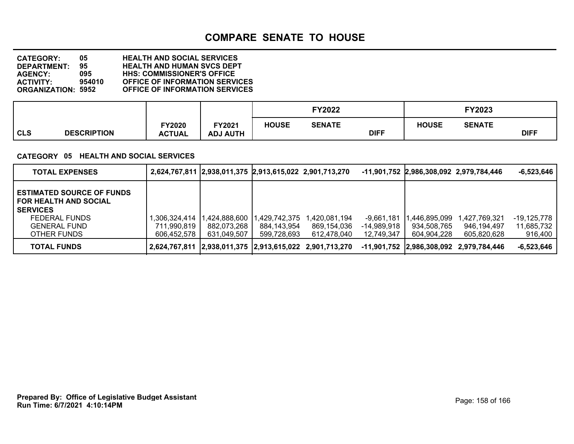**DEPARTMENT: 95 HEALTH AND HUMAN SVCS DEPT CATEGORY: 05 HEALTH AND SOCIAL SERVICES AGENCY: 095 HHS: COMMISSIONER'S OFFICE ACTIVITY: 954010 OFFICE OF INFORMATION SERVICES OFFICE OF INFORMATION SERVICES** 

|                                  |                         |                           |              | FY2022        |             |              | FY2023        |             |
|----------------------------------|-------------------------|---------------------------|--------------|---------------|-------------|--------------|---------------|-------------|
| <b>CLS</b><br><b>DESCRIPTION</b> | FY2020<br><b>ACTUAL</b> | TY2021<br><b>ADJ AUTH</b> | <b>HOUSE</b> | <b>SENATE</b> | <b>DIFF</b> | <b>HOUSE</b> | <b>SENATE</b> | <b>DIFF</b> |

### **CATEGORY 05 HEALTH AND SOCIAL SERVICES**

| <b>TOTAL EXPENSES</b>                                                                                                                      |                                                | 2,624,767,811 2,938,011,375 2,913,615,022 2,901,713,270 |                                            |                                                         |                                         | -11,901,752 2,986,308,092 2,979,784,446    |                                             | $-6,523,646$                         |
|--------------------------------------------------------------------------------------------------------------------------------------------|------------------------------------------------|---------------------------------------------------------|--------------------------------------------|---------------------------------------------------------|-----------------------------------------|--------------------------------------------|---------------------------------------------|--------------------------------------|
| <b>ESTIMATED SOURCE OF FUNDS</b><br><b>FOR HEALTH AND SOCIAL</b><br><b>SERVICES</b><br>FEDERAL FUNDS<br><b>GENERAL FUND</b><br>OTHER FUNDS | .306.324.414 11.<br>711.990.819<br>606.452.578 | ,424,888,600<br>882,073,268<br>631,049,507              | .429,742,375<br>884,143,954<br>599,728,693 | l.420.081.194<br>869,154,036<br>612,478,040             | -9,661,181<br>-14,989,918<br>12,749,347 | ,446,895,099<br>934,508,765<br>604,904,228 | 1,427,769,321<br>946,194,497<br>605,820,628 | -19,125,778<br>11,685,732<br>916,400 |
| TOTAL FUNDS                                                                                                                                |                                                |                                                         |                                            | 2,624,767,811 2,938,011,375 2,913,615,022 2,901,713,270 |                                         |                                            | -11,901,752 2,986,308,092 2,979,784,446     | $-6,523,646$                         |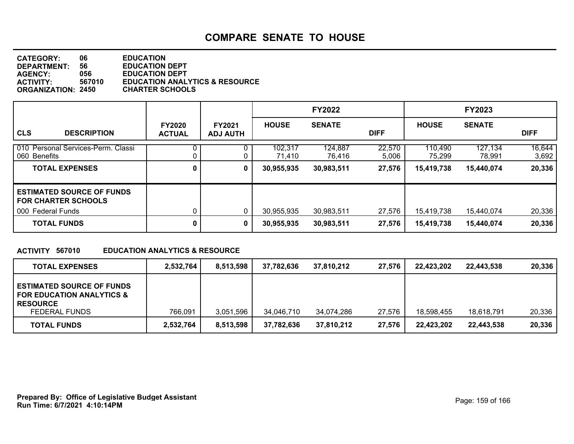| <b>CATEGORY:</b><br><b>DEPARTMENT:</b><br><b>AGENCY:</b><br>ACTIVITY: | 06<br>56<br>056<br>567010 | <b>EDUCATION</b><br><b>EDUCATION DEPT</b><br><b>EDUCATION DEPT</b><br><b>EDUCATION ANALYTICS &amp; RESOURCE</b> |
|-----------------------------------------------------------------------|---------------------------|-----------------------------------------------------------------------------------------------------------------|
|                                                                       |                           |                                                                                                                 |
| <b>ORGANIZATION: 2450</b>                                             |                           | <b>CHARTER SCHOOLS</b>                                                                                          |

|                                                                |                                |                                  |                   | <b>FY2022</b>     |                 |                   | <b>FY2023</b>     |                 |
|----------------------------------------------------------------|--------------------------------|----------------------------------|-------------------|-------------------|-----------------|-------------------|-------------------|-----------------|
| <b>CLS</b><br><b>DESCRIPTION</b>                               | <b>FY2020</b><br><b>ACTUAL</b> | <b>FY2021</b><br><b>ADJ AUTH</b> | <b>HOUSE</b>      | <b>SENATE</b>     | <b>DIFF</b>     | <b>HOUSE</b>      | <b>SENATE</b>     | <b>DIFF</b>     |
| 010 Personal Services-Perm. Classi<br>060 Benefits             |                                |                                  | 102,317<br>71,410 | 124,887<br>76,416 | 22,570<br>5,006 | 110,490<br>75,299 | 127,134<br>78,991 | 16,644<br>3,692 |
| <b>TOTAL EXPENSES</b>                                          | 0                              | 0                                | 30,955,935        | 30,983,511        | 27,576          | 15,419,738        | 15,440,074        | 20,336          |
| <b>ESTIMATED SOURCE OF FUNDS</b><br><b>FOR CHARTER SCHOOLS</b> |                                |                                  |                   |                   |                 |                   |                   |                 |
| 000 Federal Funds                                              |                                | 0                                | 30,955,935        | 30,983,511        | 27,576          | 15,419,738        | 15,440,074        | 20,336          |
| <b>TOTAL FUNDS</b>                                             | 0                              | 0                                | 30,955,935        | 30,983,511        | 27,576          | 15,419,738        | 15,440,074        | 20,336          |

### **ACTIVITY 567010 EDUCATION ANALYTICS & RESOURCE**

| <b>TOTAL EXPENSES</b>                                                                       | 2,532,764 | 8,513,598 | 37,782,636 | 37.810.212 | 27,576 | 22.423.202 | 22,443,538 | 20,336 |
|---------------------------------------------------------------------------------------------|-----------|-----------|------------|------------|--------|------------|------------|--------|
| <b>ESTIMATED SOURCE OF FUNDS</b><br><b>FOR EDUCATION ANALYTICS &amp;</b><br><b>RESOURCE</b> |           |           |            |            |        |            |            |        |
| <b>FEDERAL FUNDS</b>                                                                        | 766,091   | 3,051,596 | 34,046,710 | 34,074,286 | 27,576 | 18,598,455 | 18,618,791 | 20,336 |
| <b>TOTAL FUNDS</b>                                                                          | 2,532,764 | 8,513,598 | 37,782,636 | 37,810,212 | 27,576 | 22,423,202 | 22,443,538 | 20,336 |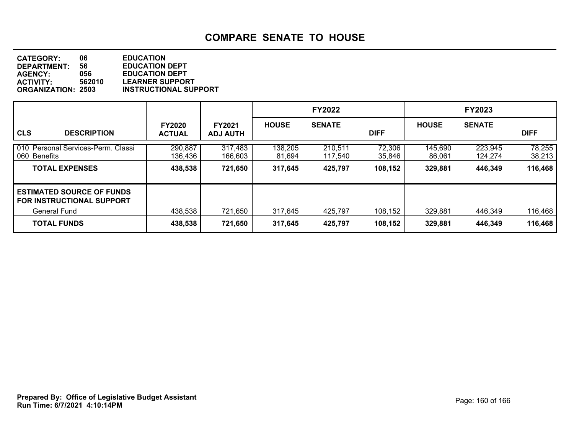**DEPARTMENT: 56 EDUCATION DEPT<br>AGENCY: 056 EDUCATION DEPT CATEGORY: 06 EDUCATION AGENCY: 056 EDUCATION DEPT ACTIVITY: 562010 LEARNER SUPPORT INSTRUCTIONAL SUPPORT** 

|                                                                                  |                                |                                  |                   | <b>FY2022</b>      |                  |                   | <b>FY2023</b>      |                  |
|----------------------------------------------------------------------------------|--------------------------------|----------------------------------|-------------------|--------------------|------------------|-------------------|--------------------|------------------|
| <b>CLS</b><br><b>DESCRIPTION</b>                                                 | <b>FY2020</b><br><b>ACTUAL</b> | <b>FY2021</b><br><b>ADJ AUTH</b> | <b>HOUSE</b>      | <b>SENATE</b>      | <b>DIFF</b>      | <b>HOUSE</b>      | <b>SENATE</b>      | <b>DIFF</b>      |
| 010 Personal Services-Perm. Classi<br>060 Benefits                               | 290,887<br>136,436             | 317,483<br>166,603               | 138,205<br>81,694 | 210,511<br>117,540 | 72,306<br>35,846 | 145,690<br>86,061 | 223,945<br>124,274 | 78,255<br>38,213 |
| <b>TOTAL EXPENSES</b>                                                            | 438,538                        | 721,650                          | 317,645           | 425,797            | 108,152          | 329,881           | 446,349            | 116,468          |
| <b>LESTIMATED SOURCE OF FUNDS</b><br>I FOR INSTRUCTIONAL SUPPORT<br>General Fund | 438,538                        | 721,650                          | 317,645           | 425,797            | 108,152          | 329,881           | 446,349            | 116,468          |
| <b>TOTAL FUNDS</b>                                                               | 438,538                        | 721,650                          | 317,645           | 425,797            | 108,152          | 329,881           | 446,349            | 116,468          |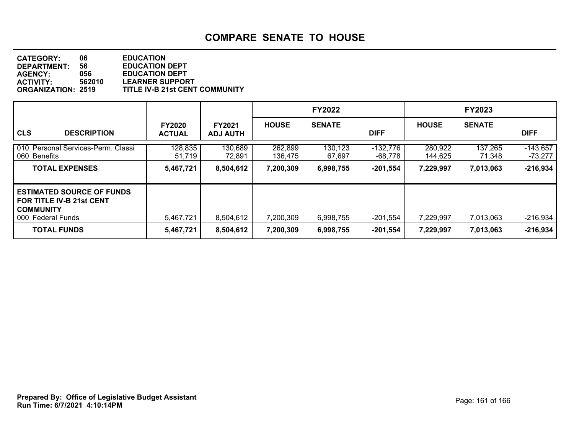**DEPARTMENT: 56 EDUCATION DEPT<br>AGENCY: 056 EDUCATION DEPT CATEGORY: 06 EDUCATION AGENCY: 056 EDUCATION DEPT ACTIVITY: 562010 LEARNER SUPPORT ORGANIZATION: 2519 TITLE IV-B 21st CENT COMMUNITY**

|                                                                                                              |                                |                                  |                    | <b>FY2022</b>     |                       |                    | <b>FY2023</b>     |                       |
|--------------------------------------------------------------------------------------------------------------|--------------------------------|----------------------------------|--------------------|-------------------|-----------------------|--------------------|-------------------|-----------------------|
| <b>CLS</b><br><b>DESCRIPTION</b>                                                                             | <b>FY2020</b><br><b>ACTUAL</b> | <b>FY2021</b><br><b>ADJ AUTH</b> | <b>HOUSE</b>       | <b>SENATE</b>     | <b>DIFF</b>           | <b>HOUSE</b>       | <b>SENATE</b>     | <b>DIFF</b>           |
| 010 Personal Services-Perm. Classi<br>060 Benefits                                                           | 128,835<br>51,719              | 130,689<br>72,891                | 262,899<br>136,475 | 130,123<br>67,697 | $-132,776$<br>-68,778 | 280,922<br>144,625 | 137,265<br>71,348 | $-143,657$<br>-73,277 |
| <b>TOTAL EXPENSES</b>                                                                                        | 5,467,721                      | 8,504,612                        | 7,200,309          | 6,998,755         | $-201,554$            | 7,229,997          | 7,013,063         | $-216,934$            |
| <b>ESTIMATED SOURCE OF FUNDS</b><br><b>FOR TITLE IV-B 21st CENT</b><br><b>COMMUNITY</b><br>000 Federal Funds | 5,467,721                      | 8,504,612                        | 7,200,309          | 6,998,755         | -201,554              | 7,229,997          | 7,013,063         | $-216,934$            |
| <b>TOTAL FUNDS</b>                                                                                           | 5,467,721                      | 8,504,612                        | 7,200,309          | 6,998,755         | $-201,554$            | 7,229,997          | 7,013,063         | $-216,934$            |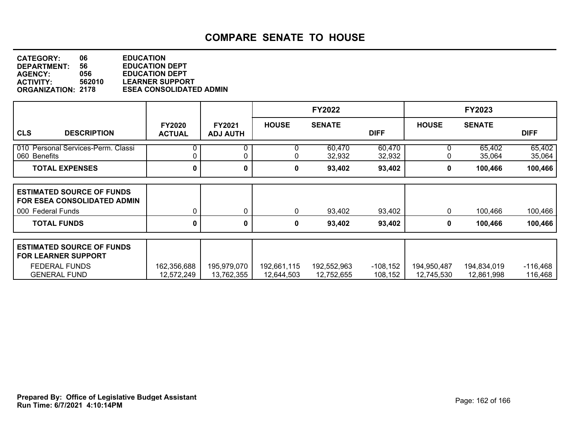**DEPARTMENT: 56 EDUCATION DEPT<br>AGENCY: 056 EDUCATION DEPT CATEGORY: 06 EDUCATION AGENCY: 056 EDUCATION DEPT ACTIVITY: 562010 LEARNER SUPPORT ESEA CONSOLIDATED ADMIN** 

|                                                                                        |                                |                           |              | <b>FY2022</b>    |                  |              | FY2023           |                  |
|----------------------------------------------------------------------------------------|--------------------------------|---------------------------|--------------|------------------|------------------|--------------|------------------|------------------|
| <b>CLS</b><br><b>DESCRIPTION</b>                                                       | <b>FY2020</b><br><b>ACTUAL</b> | FY2021<br><b>ADJ AUTH</b> | <b>HOUSE</b> | <b>SENATE</b>    | <b>DIFF</b>      | <b>HOUSE</b> | <b>SENATE</b>    | <b>DIFF</b>      |
| 010 Personal Services-Perm. Classi<br>060 Benefits                                     |                                | 0                         |              | 60,470<br>32,932 | 60,470<br>32,932 | 0            | 65,402<br>35,064 | 65,402<br>35,064 |
| <b>TOTAL EXPENSES</b>                                                                  | 0                              | 0                         | 0            | 93,402           | 93,402           | 0            | 100,466          | 100,466          |
| <b>ESTIMATED SOURCE OF FUNDS</b><br>FOR ESEA CONSOLIDATED ADMIN<br>000 Federal Funds   |                                | 0                         | 0            | 93,402           | 93,402           | 0            | 100,466          | 100,466          |
| <b>TOTAL FUNDS</b>                                                                     | 0                              | 0                         | 0            | 93,402           | 93,402           | 0            | 100,466          | 100,466          |
| <b>ESTIMATED SOURCE OF FUNDS</b><br><b>FOR LEARNER SUPPORT</b><br><b>FEDERAL FUNDS</b> | 162,356,688                    | 195,979,070               | 192,661,115  | 192,552,963      | $-108,152$       | 194,950,487  | 194,834,019      | $-116,468$       |
| <b>GENERAL FUND</b>                                                                    | 12,572,249                     | 13,762,355                | 12,644,503   | 12,752,655       | 108,152          | 12,745,530   | 12,861,998       | 116,468          |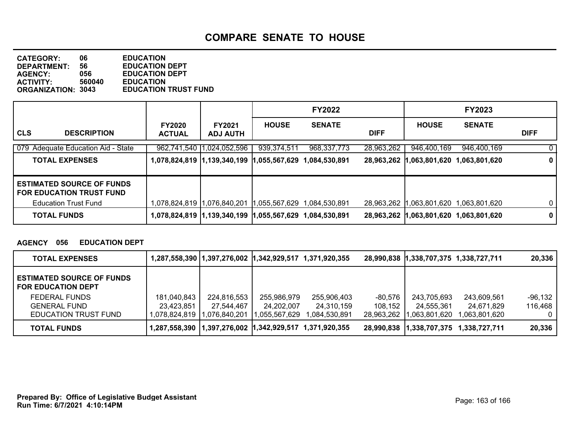**DEPARTMENT: 56 EDUCATION DEPT<br>AGENCY: 056 EDUCATION DEPT CATEGORY: 06 EDUCATION AGENCY: 056 EDUCATION DEPT ACTIVITY: 560040 EDUCATION EDUCATION TRUST FUND** 

|                                                                     |                                |                                  |              | <b>FY2022</b> |             |               | <b>FY2023</b>                            |             |
|---------------------------------------------------------------------|--------------------------------|----------------------------------|--------------|---------------|-------------|---------------|------------------------------------------|-------------|
| <b>CLS</b><br><b>DESCRIPTION</b>                                    | <b>FY2020</b><br><b>ACTUAL</b> | <b>FY2021</b><br><b>ADJ AUTH</b> | <b>HOUSE</b> | <b>SENATE</b> | <b>DIFF</b> | <b>HOUSE</b>  | <b>SENATE</b>                            | <b>DIFF</b> |
| 079 Adequate Education Aid - State                                  |                                | 962,741,540 1,024,052,596        | 939,374,511  | 968, 337, 773 | 28,963,262  | 946,400,169   | 946,400,169                              | 0           |
| <b>TOTAL EXPENSES</b>                                               |                                | 1,078,824,819  1,139,340,199     | ,055,567,629 | ,084,530,891  | 28,963,262  | 1,063,801,620 | 1,063,801,620                            | 0           |
| <b>ESTIMATED SOURCE OF FUNDS</b><br><b>FOR EDUCATION TRUST FUND</b> |                                |                                  |              |               |             |               |                                          |             |
| <b>Education Trust Fund</b>                                         |                                |                                  | ,055,567,629 | .084.530.891  |             |               | 28,963,262   1,063,801,620 1,063,801,620 | 0           |
| <b>TOTAL FUNDS</b>                                                  |                                | 1,078,824,819  1,139,340,199     |              |               |             |               | 28,963,262 1,063,801,620 1,063,801,620   | $\mathbf 0$ |

### **AGENCY 056 EDUCATION DEPT**

| <b>TOTAL EXPENSES</b>                                         |               | 1,287,558,390   1,397,276,002   1,342,929,517 1,371,920,355 |               |                 |            | 28,990,838 1,338,707,375 1,338,727,711 |                                          | 20,336  |
|---------------------------------------------------------------|---------------|-------------------------------------------------------------|---------------|-----------------|------------|----------------------------------------|------------------------------------------|---------|
| <b>ESTIMATED SOURCE OF FUNDS</b><br><b>FOR EDUCATION DEPT</b> |               |                                                             |               |                 |            |                                        |                                          |         |
| FEDERAL FUNDS                                                 | 181,040,843   | 224,816,553                                                 | 255,986,979   | 255,906,403     | -80.576    | 243,705,693                            | 243,609,561                              | -96,132 |
| <b>GENERAL FUND</b>                                           | 23,423,851    | 27,544,467                                                  | 24.202.007    | 24.310.159      | 108,152    | 24,555,361                             | 24.671.829                               | 116,468 |
| <b>EDUCATION TRUST FUND</b>                                   | 1,078,824,819 | 1,076,840,201                                               | 1,055,567,629 | 891,084,530,891 | 28,963,262 | ,063,801,620                           | .063,801,620 ا                           | 0       |
| <b>TOTAL FUNDS</b>                                            |               | 1,287,558,390   1,397,276,002   1,342,929,517 1,371,920,355 |               |                 |            |                                        | 28,990,838   1,338,707,375 1,338,727,711 | 20,336  |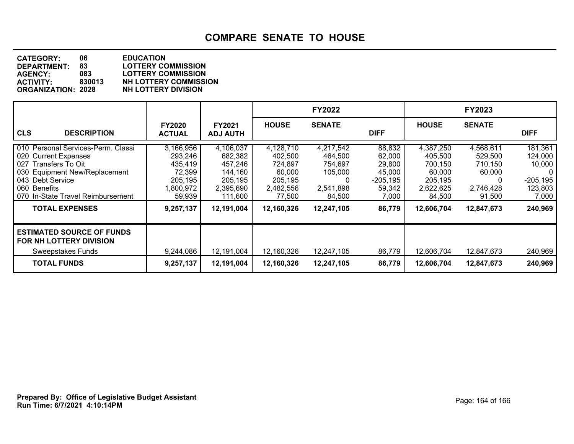**DEPARTMENT: 83 LOTTERY COMMISSION CATEGORY: 06 EDUCATION AGENCY: 083 LOTTERY COMMISSION ACTIVITY: 830013 NH LOTTERY COMMISSION ORGANIZATION: 2028 NH LOTTERY DIVISION**

|                                                                                                                                                                                                 |                                                                             |                                                                               |                                                                             | <b>FY2022</b>                                                          |                                                                       |                                                                             | <b>FY2023</b>                                                         |                                                                                |
|-------------------------------------------------------------------------------------------------------------------------------------------------------------------------------------------------|-----------------------------------------------------------------------------|-------------------------------------------------------------------------------|-----------------------------------------------------------------------------|------------------------------------------------------------------------|-----------------------------------------------------------------------|-----------------------------------------------------------------------------|-----------------------------------------------------------------------|--------------------------------------------------------------------------------|
| <b>CLS</b><br><b>DESCRIPTION</b>                                                                                                                                                                | <b>FY2020</b><br><b>ACTUAL</b>                                              | FY2021<br><b>ADJ AUTH</b>                                                     | <b>HOUSE</b>                                                                | <b>SENATE</b>                                                          | <b>DIFF</b>                                                           | <b>HOUSE</b>                                                                | <b>SENATE</b>                                                         | <b>DIFF</b>                                                                    |
| 010 Personal Services-Perm. Classi<br>020 Current Expenses<br>Transfers To Oit<br>027<br>030 Equipment New/Replacement<br>043 Debt Service<br>060 Benefits<br>070 In-State Travel Reimbursement | 3,166,956<br>293,246<br>435,419<br>72,399<br>205.195<br>1,800,972<br>59,939 | 4,106,037<br>682,382<br>457,246<br>144,160<br>205,195<br>2,395,690<br>111,600 | 4,128,710<br>402,500<br>724,897<br>60,000<br>205.195<br>2,482,556<br>77,500 | 4,217,542<br>464,500<br>754,697<br>105,000<br>0<br>2,541,898<br>84,500 | 88,832<br>62,000<br>29,800<br>45,000<br>$-205,195$<br>59,342<br>7,000 | 4,387,250<br>405,500<br>700,150<br>60,000<br>205.195<br>2,622,625<br>84,500 | 4,568,611<br>529,500<br>710,150<br>60,000<br>0<br>2,746,428<br>91,500 | 181,361<br>124,000<br>10,000<br>$\mathbf{0}$<br>$-205,195$<br>123,803<br>7,000 |
| <b>TOTAL EXPENSES</b>                                                                                                                                                                           | 9,257,137                                                                   | 12,191,004                                                                    | 12,160,326                                                                  | 12,247,105                                                             | 86,779                                                                | 12,606,704                                                                  | 12,847,673                                                            | 240,969                                                                        |
| <b>ESTIMATED SOURCE OF FUNDS</b><br>FOR NH LOTTERY DIVISION<br>Sweepstakes Funds                                                                                                                | 9,244,086                                                                   | 12,191,004                                                                    | 12,160,326                                                                  | 12,247,105                                                             | 86,779                                                                | 12,606,704                                                                  | 12,847,673                                                            | 240,969                                                                        |
| <b>TOTAL FUNDS</b>                                                                                                                                                                              | 9,257,137                                                                   | 12,191,004                                                                    | 12,160,326                                                                  | 12,247,105                                                             | 86,779                                                                | 12,606,704                                                                  | 12,847,673                                                            | 240,969                                                                        |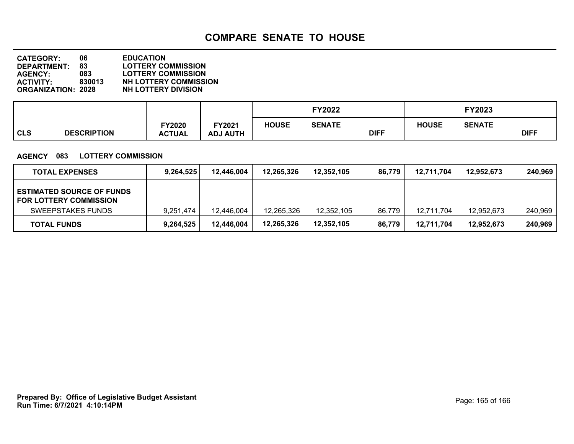**DEPARTMENT: 83 LOTTERY COMMISSION CATEGORY: 06 EDUCATION AGENCY: 083 LOTTERY COMMISSION ACTIVITY: 830013 NH LOTTERY COMMISSION ORGANIZATION: 2028 NH LOTTERY DIVISION**

|            |                    |                         |                                  | <b>FY2022</b> |               |             |              |               |             |
|------------|--------------------|-------------------------|----------------------------------|---------------|---------------|-------------|--------------|---------------|-------------|
| <b>CLS</b> | <b>DESCRIPTION</b> | FY2020<br><b>ACTUAL</b> | <b>FY2021</b><br><b>ADJ AUTH</b> | <b>HOUSE</b>  | <b>SENATE</b> | <b>DIFF</b> | <b>HOUSE</b> | <b>SENATE</b> | <b>DIFF</b> |

### **AGENCY 083 LOTTERY COMMISSION**

| <b>TOTAL EXPENSES</b>                                             | 9.264.525 | 12,446,004 | 12,265,326 | 12.352.105 | 86,779 | 12.711.704 | 12,952,673 | 240.969 |
|-------------------------------------------------------------------|-----------|------------|------------|------------|--------|------------|------------|---------|
| <b>ESTIMATED SOURCE OF FUNDS</b><br><b>FOR LOTTERY COMMISSION</b> |           |            |            |            |        |            |            |         |
| SWEEPSTAKES FUNDS                                                 | 9.251.474 | 12.446.004 | 12,265,326 | 12,352,105 | 86,779 | 12.711.704 | 12,952,673 | 240,969 |
| <b>TOTAL FUNDS</b>                                                | 9,264,525 | 12,446,004 | 12,265,326 | 12,352,105 | 86,779 | 12,711,704 | 12,952,673 | 240,969 |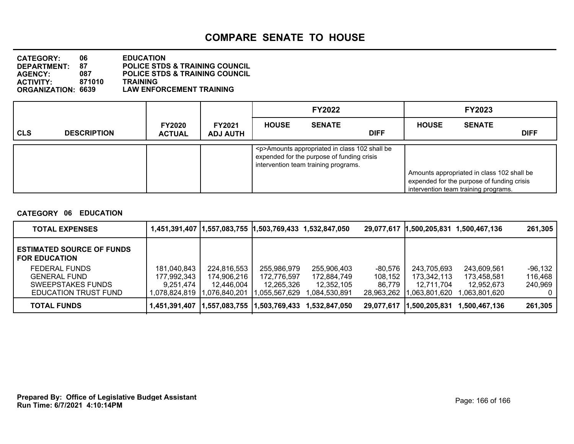| <b>CATEGORY:</b>          | 06.    | <b>EDUCATION</b>                          |
|---------------------------|--------|-------------------------------------------|
| DEPARTMENT:               | 87     | <b>POLICE STDS &amp; TRAINING COUNCIL</b> |
| <b>AGENCY:</b>            | 087    | <b>POLICE STDS &amp; TRAINING COUNCIL</b> |
| <b>ACTIVITY:</b>          | 871010 | <b>TRAINING</b>                           |
| <b>ORGANIZATION: 6639</b> |        | <b>LAW ENFORCEMENT TRAINING</b>           |

|            |                    |                                |                                  | <b>FY2022</b> |                                                                                                                                           |             |              | <b>FY2023</b>                                                                                                                    |             |
|------------|--------------------|--------------------------------|----------------------------------|---------------|-------------------------------------------------------------------------------------------------------------------------------------------|-------------|--------------|----------------------------------------------------------------------------------------------------------------------------------|-------------|
| <b>CLS</b> | <b>DESCRIPTION</b> | <b>FY2020</b><br><b>ACTUAL</b> | <b>FY2021</b><br><b>ADJ AUTH</b> | <b>HOUSE</b>  | <b>SENATE</b>                                                                                                                             | <b>DIFF</b> | <b>HOUSE</b> | <b>SENATE</b>                                                                                                                    | <b>DIFF</b> |
|            |                    |                                |                                  |               | <p>Amounts appropriated in class 102 shall be<br/>expended for the purpose of funding crisis<br/>intervention team training programs.</p> |             |              | Amounts appropriated in class 102 shall be<br>expended for the purpose of funding crisis<br>intervention team training programs. |             |

### **CATEGORY 06 EDUCATION**

| <b>TOTAL EXPENSES</b>                                    |               | 1,451,391,407  1,557,083,755  1,503,769,433 1,532,847,050 |               |               |            | 29,077,617 1,500,205,831 | 1,500,467,136 | 261,305 |
|----------------------------------------------------------|---------------|-----------------------------------------------------------|---------------|---------------|------------|--------------------------|---------------|---------|
| <b>ESTIMATED SOURCE OF FUNDS</b><br><b>FOR EDUCATION</b> |               |                                                           |               |               |            |                          |               |         |
| <b>FEDERAL FUNDS</b>                                     | 181,040,843   | 224,816,553                                               | 255,986,979   | 255,906,403   | -80,576    | 243,705,693              | 243,609,561   | -96,132 |
| <b>GENERAL FUND</b>                                      | 177,992,343   | 174,906,216                                               | 172,776,597   | 172,884,749   | 108,152    | 173,342,113              | 173,458,581   | 116,468 |
| SWEEPSTAKES FUNDS                                        | 9.251.474     | 12.446.004                                                | 12,265,326    | 12,352,105    | 86.779     | 12.711.704               | 12,952,673    | 240,969 |
| EDUCATION TRUST FUND                                     | 1.078.824.819 | .076.840.201                                              | ,055,567,629  | 1.084.530.891 | 28.963.262 | .063.801.620             | .063.801.620  |         |
| <b>TOTAL FUNDS</b>                                       | 1,451,391,407 | ,557,083,755                                              | 1,503,769,433 | 1.532.847.050 | 29,077,617 | ,500,205,831             | 1,500,467,136 | 261,305 |